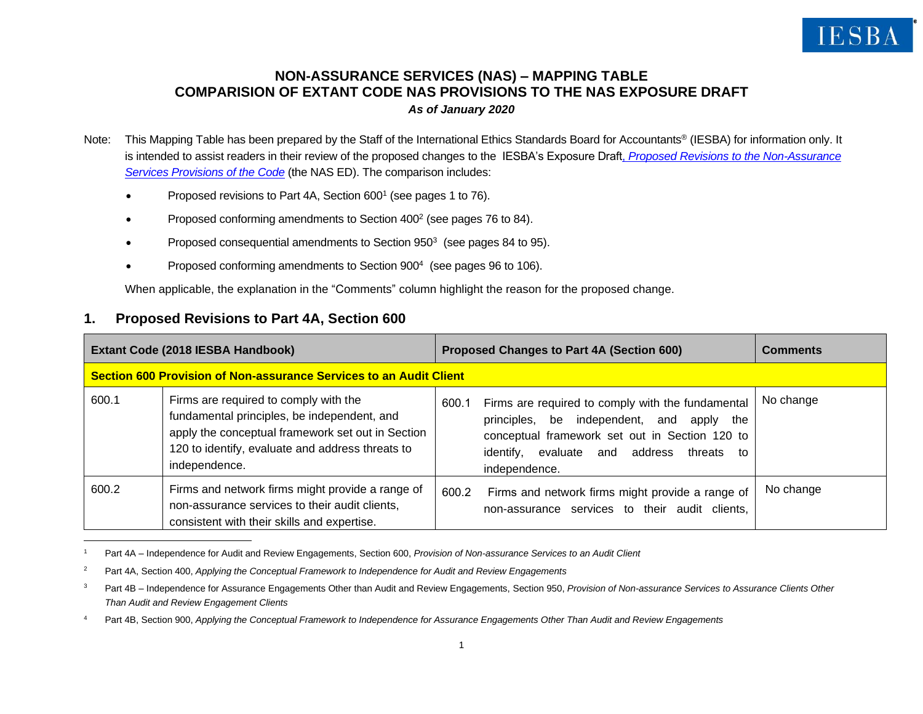# **NON-ASSURANCE SERVICES (NAS) – MAPPING TABLE COMPARISION OF EXTANT CODE NAS PROVISIONS TO THE NAS EXPOSURE DRAFT** *As of January 2020*

- Note: This Mapping Table has been prepared by the Staff of the International Ethics Standards Board for Accountants® (IESBA) for information only. It is intended to assist readers in their review of the proposed changes to the IESBA's Exposure Draft, *[Proposed Revisions to the Non-Assurance](https://www.ethicsboard.org/publications/iesba-proposes-significant-revisions-international-independence-standards-related-non-assurance)  [Services Provisions of the Code](https://www.ethicsboard.org/publications/iesba-proposes-significant-revisions-international-independence-standards-related-non-assurance)* (the NAS ED). The comparison includes:
	- Proposed revisions to Part 4A, Section 600<sup>1</sup> (see pages 1 to 76).
	- Proposed conforming amendments to Section 400<sup>2</sup> (see pages 76 to 84).
	- Proposed consequential amendments to Section  $950<sup>3</sup>$  (see pages 84 to 95).
	- Proposed conforming amendments to Section 900<sup>4</sup> (see pages 96 to 106).

When applicable, the explanation in the "Comments" column highlight the reason for the proposed change.

# **1. Proposed Revisions to Part 4A, Section 600**

|       | Extant Code (2018 IESBA Handbook)                                                                                                                                                                              |       | Proposed Changes to Part 4A (Section 600)                                                                                                                                                                      | <b>Comments</b> |  |  |
|-------|----------------------------------------------------------------------------------------------------------------------------------------------------------------------------------------------------------------|-------|----------------------------------------------------------------------------------------------------------------------------------------------------------------------------------------------------------------|-----------------|--|--|
|       | Section 600 Provision of Non-assurance Services to an Audit Client                                                                                                                                             |       |                                                                                                                                                                                                                |                 |  |  |
| 600.1 | Firms are required to comply with the<br>fundamental principles, be independent, and<br>apply the conceptual framework set out in Section<br>120 to identify, evaluate and address threats to<br>independence. | 600.1 | Firms are required to comply with the fundamental<br>principles, be independent, and apply the<br>conceptual framework set out in Section 120 to<br>identify, evaluate and address threats to<br>independence. | No change       |  |  |
| 600.2 | Firms and network firms might provide a range of<br>non-assurance services to their audit clients,<br>consistent with their skills and expertise.                                                              | 600.2 | Firms and network firms might provide a range of<br>non-assurance services to their audit clients,                                                                                                             | No change       |  |  |

<sup>1</sup> Part 4A – Independence for Audit and Review Engagements, Section 600, *Provision of Non-assurance Services to an Audit Client*

<sup>&</sup>lt;sup>2</sup> Part 4A, Section 400, *Applying the Conceptual Framework to Independence for Audit and Review Engagements* 

<sup>&</sup>lt;sup>3</sup> Part 4B – Independence for Assurance Engagements Other than Audit and Review Engagements, Section 950, *Provision of Non-assurance Services to Assurance Clients Other Than Audit and Review Engagement Clients*

<sup>4</sup> Part 4B, Section 900, *Applying the Conceptual Framework to Independence for Assurance Engagements Other Than Audit and Review Engagements*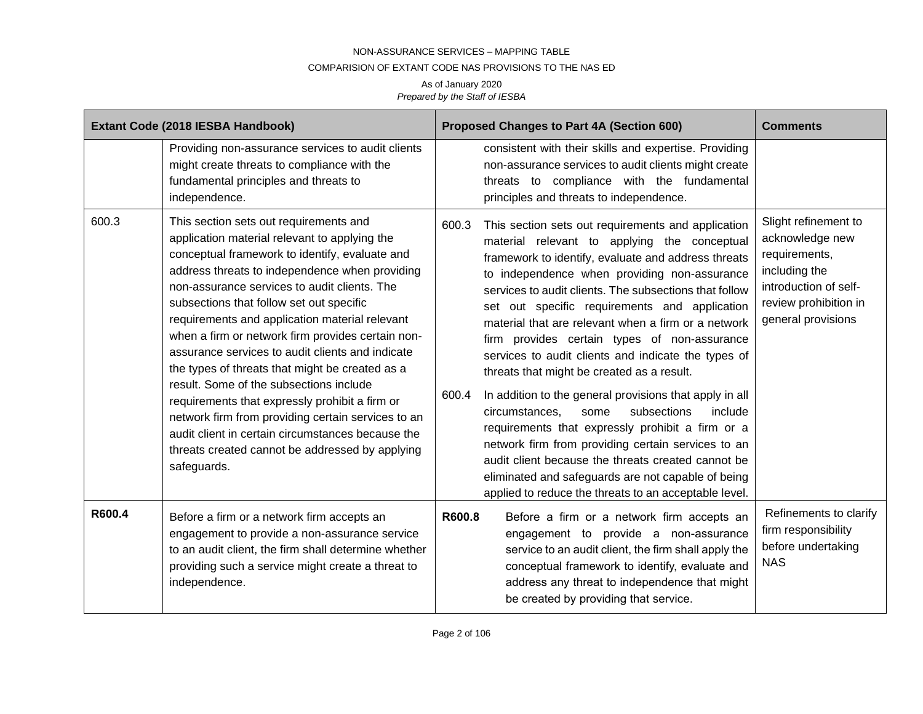### COMPARISION OF EXTANT CODE NAS PROVISIONS TO THE NAS ED

|        | Extant Code (2018 IESBA Handbook)                                                                                                                                                                                                                                                                                                                                                                                                                                                                                                                                                                                                                                                                                                                                               | Proposed Changes to Part 4A (Section 600)                                                                                                                                                                                                                                                                                                                                                                                                                                                                                                                                                                                                                                                                                                                                                                                                                                                                                                        | <b>Comments</b>                                                                                                                                   |
|--------|---------------------------------------------------------------------------------------------------------------------------------------------------------------------------------------------------------------------------------------------------------------------------------------------------------------------------------------------------------------------------------------------------------------------------------------------------------------------------------------------------------------------------------------------------------------------------------------------------------------------------------------------------------------------------------------------------------------------------------------------------------------------------------|--------------------------------------------------------------------------------------------------------------------------------------------------------------------------------------------------------------------------------------------------------------------------------------------------------------------------------------------------------------------------------------------------------------------------------------------------------------------------------------------------------------------------------------------------------------------------------------------------------------------------------------------------------------------------------------------------------------------------------------------------------------------------------------------------------------------------------------------------------------------------------------------------------------------------------------------------|---------------------------------------------------------------------------------------------------------------------------------------------------|
|        | Providing non-assurance services to audit clients<br>might create threats to compliance with the<br>fundamental principles and threats to<br>independence.                                                                                                                                                                                                                                                                                                                                                                                                                                                                                                                                                                                                                      | consistent with their skills and expertise. Providing<br>non-assurance services to audit clients might create<br>threats to compliance with the fundamental<br>principles and threats to independence.                                                                                                                                                                                                                                                                                                                                                                                                                                                                                                                                                                                                                                                                                                                                           |                                                                                                                                                   |
| 600.3  | This section sets out requirements and<br>application material relevant to applying the<br>conceptual framework to identify, evaluate and<br>address threats to independence when providing<br>non-assurance services to audit clients. The<br>subsections that follow set out specific<br>requirements and application material relevant<br>when a firm or network firm provides certain non-<br>assurance services to audit clients and indicate<br>the types of threats that might be created as a<br>result. Some of the subsections include<br>requirements that expressly prohibit a firm or<br>network firm from providing certain services to an<br>audit client in certain circumstances because the<br>threats created cannot be addressed by applying<br>safeguards. | 600.3<br>This section sets out requirements and application<br>material relevant to applying the conceptual<br>framework to identify, evaluate and address threats<br>to independence when providing non-assurance<br>services to audit clients. The subsections that follow<br>set out specific requirements and application<br>material that are relevant when a firm or a network<br>firm provides certain types of non-assurance<br>services to audit clients and indicate the types of<br>threats that might be created as a result.<br>600.4<br>In addition to the general provisions that apply in all<br>circumstances,<br>some<br>subsections<br>include<br>requirements that expressly prohibit a firm or a<br>network firm from providing certain services to an<br>audit client because the threats created cannot be<br>eliminated and safeguards are not capable of being<br>applied to reduce the threats to an acceptable level. | Slight refinement to<br>acknowledge new<br>requirements,<br>including the<br>introduction of self-<br>review prohibition in<br>general provisions |
| R600.4 | Before a firm or a network firm accepts an<br>engagement to provide a non-assurance service<br>to an audit client, the firm shall determine whether<br>providing such a service might create a threat to<br>independence.                                                                                                                                                                                                                                                                                                                                                                                                                                                                                                                                                       | R600.8<br>Before a firm or a network firm accepts an<br>engagement to provide a non-assurance<br>service to an audit client, the firm shall apply the<br>conceptual framework to identify, evaluate and<br>address any threat to independence that might<br>be created by providing that service.                                                                                                                                                                                                                                                                                                                                                                                                                                                                                                                                                                                                                                                | Refinements to clarify<br>firm responsibility<br>before undertaking<br><b>NAS</b>                                                                 |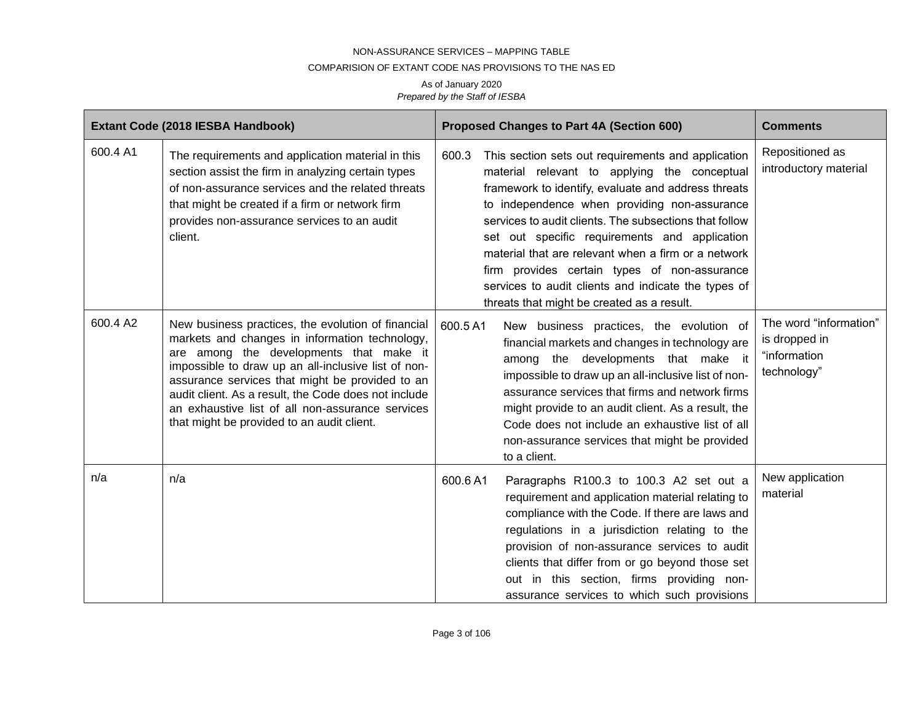#### COMPARISION OF EXTANT CODE NAS PROVISIONS TO THE NAS ED

|          | Extant Code (2018 IESBA Handbook)                                                                                                                                                                                                                                                                                                                                                                                   | <b>Proposed Changes to Part 4A (Section 600)</b>                                                                                                                                                                                                                                                                                                                                                                                                                                                                                          | <b>Comments</b>                                                        |
|----------|---------------------------------------------------------------------------------------------------------------------------------------------------------------------------------------------------------------------------------------------------------------------------------------------------------------------------------------------------------------------------------------------------------------------|-------------------------------------------------------------------------------------------------------------------------------------------------------------------------------------------------------------------------------------------------------------------------------------------------------------------------------------------------------------------------------------------------------------------------------------------------------------------------------------------------------------------------------------------|------------------------------------------------------------------------|
| 600.4 A1 | The requirements and application material in this<br>section assist the firm in analyzing certain types<br>of non-assurance services and the related threats<br>that might be created if a firm or network firm<br>provides non-assurance services to an audit<br>client.                                                                                                                                           | 600.3<br>This section sets out requirements and application<br>material relevant to applying the conceptual<br>framework to identify, evaluate and address threats<br>to independence when providing non-assurance<br>services to audit clients. The subsections that follow<br>set out specific requirements and application<br>material that are relevant when a firm or a network<br>firm provides certain types of non-assurance<br>services to audit clients and indicate the types of<br>threats that might be created as a result. | Repositioned as<br>introductory material                               |
| 600.4 A2 | New business practices, the evolution of financial<br>markets and changes in information technology,<br>are among the developments that make it<br>impossible to draw up an all-inclusive list of non-<br>assurance services that might be provided to an<br>audit client. As a result, the Code does not include<br>an exhaustive list of all non-assurance services<br>that might be provided to an audit client. | 600.5 A1<br>New business practices, the evolution of<br>financial markets and changes in technology are<br>among the developments that make it<br>impossible to draw up an all-inclusive list of non-<br>assurance services that firms and network firms<br>might provide to an audit client. As a result, the<br>Code does not include an exhaustive list of all<br>non-assurance services that might be provided<br>to a client.                                                                                                        | The word "information"<br>is dropped in<br>"information<br>technology" |
| n/a      | n/a                                                                                                                                                                                                                                                                                                                                                                                                                 | 600.6A1<br>Paragraphs R100.3 to 100.3 A2 set out a<br>requirement and application material relating to<br>compliance with the Code. If there are laws and<br>regulations in a jurisdiction relating to the<br>provision of non-assurance services to audit<br>clients that differ from or go beyond those set<br>out in this section, firms providing non-<br>assurance services to which such provisions                                                                                                                                 | New application<br>material                                            |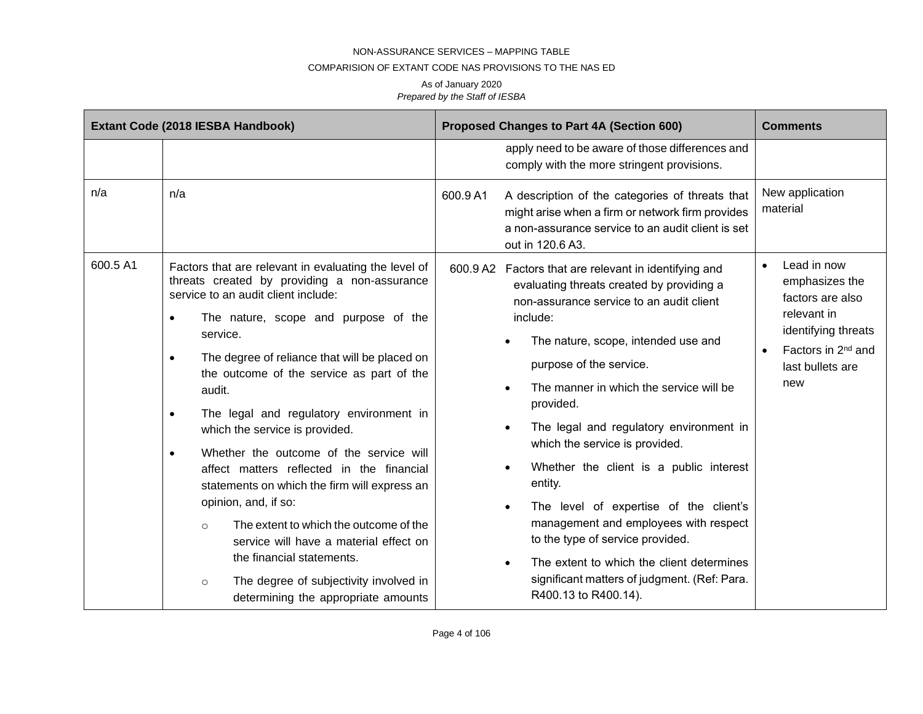#### COMPARISION OF EXTANT CODE NAS PROVISIONS TO THE NAS ED

|          | Extant Code (2018 IESBA Handbook)                                                                                                                                                                                                                                                                                                                                                                                                                                                                                                                                                                                                                                                                                                                                                                                                | Proposed Changes to Part 4A (Section 600)                                                                                                                                                                                                                                                                                                                                                                                                                                                                                                                                                                                                                                                                                            | <b>Comments</b>                                                                                                                                                   |
|----------|----------------------------------------------------------------------------------------------------------------------------------------------------------------------------------------------------------------------------------------------------------------------------------------------------------------------------------------------------------------------------------------------------------------------------------------------------------------------------------------------------------------------------------------------------------------------------------------------------------------------------------------------------------------------------------------------------------------------------------------------------------------------------------------------------------------------------------|--------------------------------------------------------------------------------------------------------------------------------------------------------------------------------------------------------------------------------------------------------------------------------------------------------------------------------------------------------------------------------------------------------------------------------------------------------------------------------------------------------------------------------------------------------------------------------------------------------------------------------------------------------------------------------------------------------------------------------------|-------------------------------------------------------------------------------------------------------------------------------------------------------------------|
|          |                                                                                                                                                                                                                                                                                                                                                                                                                                                                                                                                                                                                                                                                                                                                                                                                                                  | apply need to be aware of those differences and<br>comply with the more stringent provisions.                                                                                                                                                                                                                                                                                                                                                                                                                                                                                                                                                                                                                                        |                                                                                                                                                                   |
| n/a      | n/a                                                                                                                                                                                                                                                                                                                                                                                                                                                                                                                                                                                                                                                                                                                                                                                                                              | 600.9 A1<br>A description of the categories of threats that<br>might arise when a firm or network firm provides<br>a non-assurance service to an audit client is set<br>out in 120.6 A3.                                                                                                                                                                                                                                                                                                                                                                                                                                                                                                                                             | New application<br>material                                                                                                                                       |
| 600.5 A1 | Factors that are relevant in evaluating the level of<br>threats created by providing a non-assurance<br>service to an audit client include:<br>The nature, scope and purpose of the<br>$\bullet$<br>service.<br>The degree of reliance that will be placed on<br>$\bullet$<br>the outcome of the service as part of the<br>audit.<br>The legal and regulatory environment in<br>$\bullet$<br>which the service is provided.<br>Whether the outcome of the service will<br>$\bullet$<br>affect matters reflected in the financial<br>statements on which the firm will express an<br>opinion, and, if so:<br>The extent to which the outcome of the<br>$\circ$<br>service will have a material effect on<br>the financial statements.<br>The degree of subjectivity involved in<br>$\circ$<br>determining the appropriate amounts | 600.9 A2 Factors that are relevant in identifying and<br>evaluating threats created by providing a<br>non-assurance service to an audit client<br>include:<br>The nature, scope, intended use and<br>purpose of the service.<br>The manner in which the service will be<br>$\bullet$<br>provided.<br>The legal and regulatory environment in<br>$\bullet$<br>which the service is provided.<br>Whether the client is a public interest<br>$\bullet$<br>entity.<br>The level of expertise of the client's<br>$\bullet$<br>management and employees with respect<br>to the type of service provided.<br>The extent to which the client determines<br>$\bullet$<br>significant matters of judgment. (Ref: Para.<br>R400.13 to R400.14). | Lead in now<br>$\bullet$<br>emphasizes the<br>factors are also<br>relevant in<br>identifying threats<br>Factors in 2 <sup>nd</sup> and<br>last bullets are<br>new |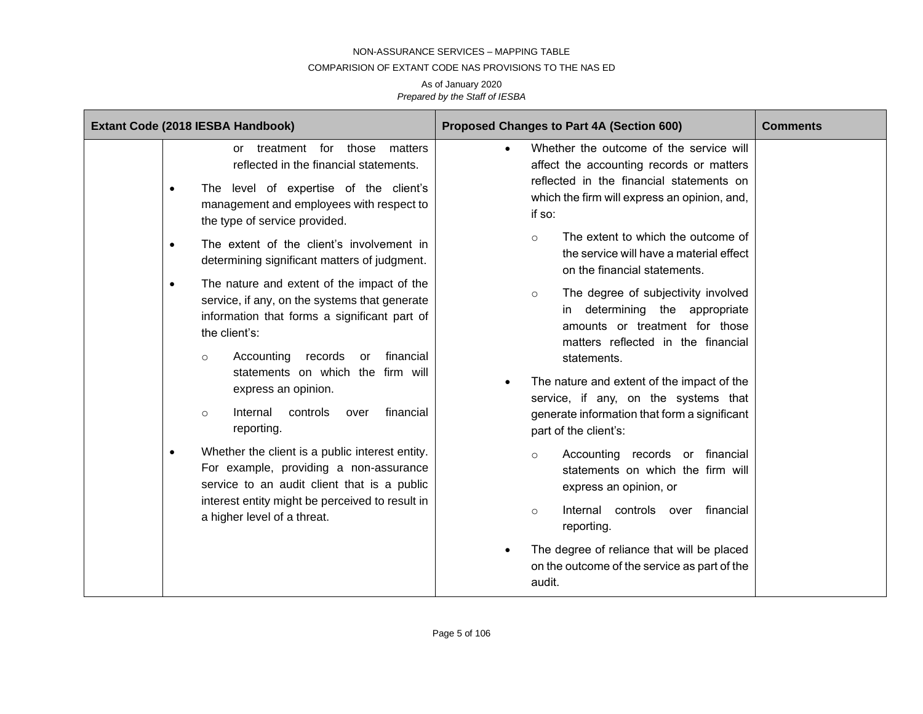#### COMPARISION OF EXTANT CODE NAS PROVISIONS TO THE NAS ED

| Extant Code (2018 IESBA Handbook)                                                                                                                                                                                                                                                                                                                                                                                                                                                                                                                                                                                                                                                                                                                                                                                                                                                                                | Proposed Changes to Part 4A (Section 600)                                                                                                                                                                                                                                                                                                                                                                                                                                                                                                                                                                                                                                                                                                                                                                                                                                                                                                                                      | <b>Comments</b> |
|------------------------------------------------------------------------------------------------------------------------------------------------------------------------------------------------------------------------------------------------------------------------------------------------------------------------------------------------------------------------------------------------------------------------------------------------------------------------------------------------------------------------------------------------------------------------------------------------------------------------------------------------------------------------------------------------------------------------------------------------------------------------------------------------------------------------------------------------------------------------------------------------------------------|--------------------------------------------------------------------------------------------------------------------------------------------------------------------------------------------------------------------------------------------------------------------------------------------------------------------------------------------------------------------------------------------------------------------------------------------------------------------------------------------------------------------------------------------------------------------------------------------------------------------------------------------------------------------------------------------------------------------------------------------------------------------------------------------------------------------------------------------------------------------------------------------------------------------------------------------------------------------------------|-----------------|
| or treatment<br>for those<br>matters<br>reflected in the financial statements.<br>The level of expertise of the client's<br>management and employees with respect to<br>the type of service provided.<br>The extent of the client's involvement in<br>$\bullet$<br>determining significant matters of judgment.<br>The nature and extent of the impact of the<br>$\bullet$<br>service, if any, on the systems that generate<br>information that forms a significant part of<br>the client's:<br>Accounting records<br>financial<br>or<br>$\circ$<br>statements on which the firm will<br>express an opinion.<br>controls<br>financial<br>Internal<br>over<br>$\circ$<br>reporting.<br>Whether the client is a public interest entity.<br>For example, providing a non-assurance<br>service to an audit client that is a public<br>interest entity might be perceived to result in<br>a higher level of a threat. | Whether the outcome of the service will<br>affect the accounting records or matters<br>reflected in the financial statements on<br>which the firm will express an opinion, and,<br>if so:<br>The extent to which the outcome of<br>$\circ$<br>the service will have a material effect<br>on the financial statements.<br>The degree of subjectivity involved<br>$\circ$<br>determining the appropriate<br>amounts or treatment for those<br>matters reflected in the financial<br>statements.<br>The nature and extent of the impact of the<br>$\bullet$<br>service, if any, on the systems that<br>generate information that form a significant<br>part of the client's:<br>Accounting records or financial<br>$\circ$<br>statements on which the firm will<br>express an opinion, or<br>financial<br>Internal<br>controls over<br>$\circ$<br>reporting.<br>The degree of reliance that will be placed<br>$\bullet$<br>on the outcome of the service as part of the<br>audit. |                 |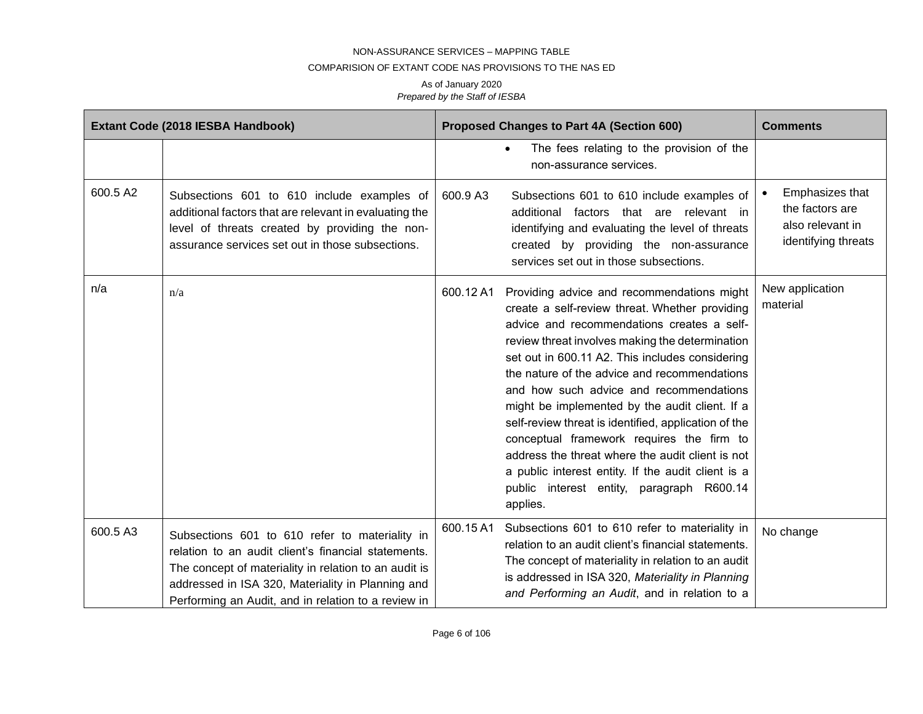### COMPARISION OF EXTANT CODE NAS PROVISIONS TO THE NAS ED

|          | Extant Code (2018 IESBA Handbook)                                                                                                                                                                                                                                          |           | Proposed Changes to Part 4A (Section 600)                                                                                                                                                                                                                                                                                                                                                                                                                                                                                                                                                                                                                             | <b>Comments</b>                                                               |
|----------|----------------------------------------------------------------------------------------------------------------------------------------------------------------------------------------------------------------------------------------------------------------------------|-----------|-----------------------------------------------------------------------------------------------------------------------------------------------------------------------------------------------------------------------------------------------------------------------------------------------------------------------------------------------------------------------------------------------------------------------------------------------------------------------------------------------------------------------------------------------------------------------------------------------------------------------------------------------------------------------|-------------------------------------------------------------------------------|
|          |                                                                                                                                                                                                                                                                            |           | The fees relating to the provision of the<br>$\bullet$<br>non-assurance services.                                                                                                                                                                                                                                                                                                                                                                                                                                                                                                                                                                                     |                                                                               |
| 600.5 A2 | Subsections 601 to 610 include examples of<br>additional factors that are relevant in evaluating the<br>level of threats created by providing the non-<br>assurance services set out in those subsections.                                                                 | 600.9 A3  | Subsections 601 to 610 include examples of<br>additional factors that are relevant in<br>identifying and evaluating the level of threats<br>created by providing the non-assurance<br>services set out in those subsections.                                                                                                                                                                                                                                                                                                                                                                                                                                          | Emphasizes that<br>the factors are<br>also relevant in<br>identifying threats |
| n/a      | n/a                                                                                                                                                                                                                                                                        | 600.12 A1 | Providing advice and recommendations might<br>create a self-review threat. Whether providing<br>advice and recommendations creates a self-<br>review threat involves making the determination<br>set out in 600.11 A2. This includes considering<br>the nature of the advice and recommendations<br>and how such advice and recommendations<br>might be implemented by the audit client. If a<br>self-review threat is identified, application of the<br>conceptual framework requires the firm to<br>address the threat where the audit client is not<br>a public interest entity. If the audit client is a<br>public interest entity, paragraph R600.14<br>applies. | New application<br>material                                                   |
| 600.5 A3 | Subsections 601 to 610 refer to materiality in<br>relation to an audit client's financial statements.<br>The concept of materiality in relation to an audit is<br>addressed in ISA 320, Materiality in Planning and<br>Performing an Audit, and in relation to a review in | 600.15A1  | Subsections 601 to 610 refer to materiality in<br>relation to an audit client's financial statements.<br>The concept of materiality in relation to an audit<br>is addressed in ISA 320, Materiality in Planning<br>and Performing an Audit, and in relation to a                                                                                                                                                                                                                                                                                                                                                                                                      | No change                                                                     |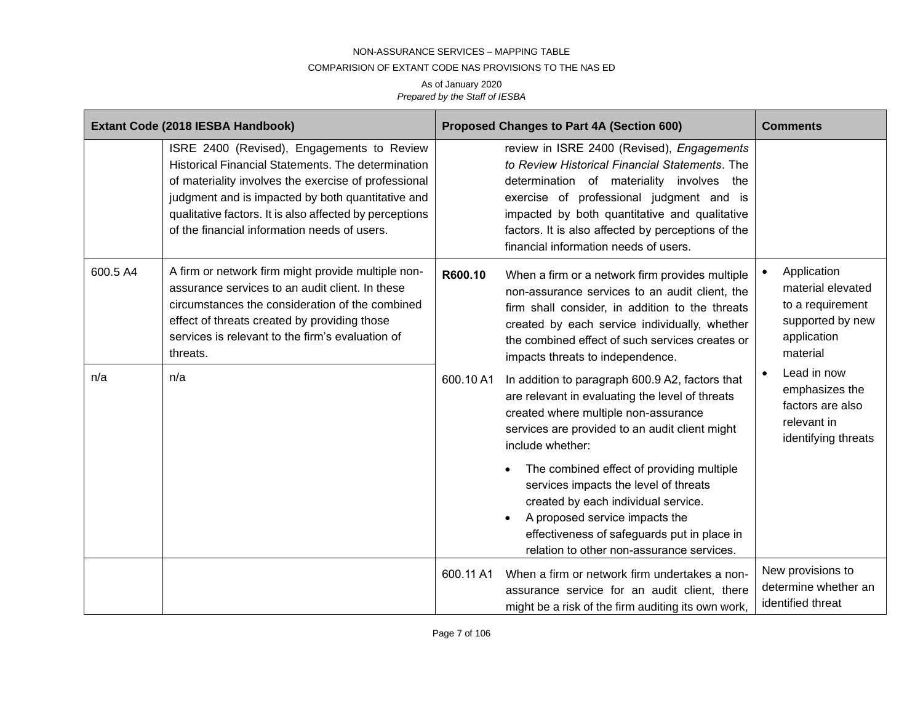#### COMPARISION OF EXTANT CODE NAS PROVISIONS TO THE NAS ED

|          | Extant Code (2018 IESBA Handbook)                                                                                                                                                                                                                                                                                        |           | Proposed Changes to Part 4A (Section 600)                                                                                                                                                                                                                                                                                             | <b>Comments</b>                                                                                      |
|----------|--------------------------------------------------------------------------------------------------------------------------------------------------------------------------------------------------------------------------------------------------------------------------------------------------------------------------|-----------|---------------------------------------------------------------------------------------------------------------------------------------------------------------------------------------------------------------------------------------------------------------------------------------------------------------------------------------|------------------------------------------------------------------------------------------------------|
|          | ISRE 2400 (Revised), Engagements to Review<br>Historical Financial Statements. The determination<br>of materiality involves the exercise of professional<br>judgment and is impacted by both quantitative and<br>qualitative factors. It is also affected by perceptions<br>of the financial information needs of users. |           | review in ISRE 2400 (Revised), Engagements<br>to Review Historical Financial Statements. The<br>determination of materiality involves the<br>exercise of professional judgment and is<br>impacted by both quantitative and qualitative<br>factors. It is also affected by perceptions of the<br>financial information needs of users. |                                                                                                      |
| 600.5 A4 | A firm or network firm might provide multiple non-<br>assurance services to an audit client. In these<br>circumstances the consideration of the combined<br>effect of threats created by providing those<br>services is relevant to the firm's evaluation of<br>threats.                                                 | R600.10   | When a firm or a network firm provides multiple<br>non-assurance services to an audit client, the<br>firm shall consider, in addition to the threats<br>created by each service individually, whether<br>the combined effect of such services creates or<br>impacts threats to independence.                                          | Application<br>material elevated<br>to a requirement<br>supported by new<br>application<br>material  |
| n/a      | n/a                                                                                                                                                                                                                                                                                                                      | 600.10 A1 | In addition to paragraph 600.9 A2, factors that<br>are relevant in evaluating the level of threats<br>created where multiple non-assurance<br>services are provided to an audit client might<br>include whether:                                                                                                                      | Lead in now<br>$\bullet$<br>emphasizes the<br>factors are also<br>relevant in<br>identifying threats |
|          |                                                                                                                                                                                                                                                                                                                          |           | The combined effect of providing multiple<br>services impacts the level of threats<br>created by each individual service.<br>A proposed service impacts the<br>effectiveness of safeguards put in place in<br>relation to other non-assurance services.                                                                               |                                                                                                      |
|          |                                                                                                                                                                                                                                                                                                                          | 600.11 A1 | When a firm or network firm undertakes a non-<br>assurance service for an audit client, there<br>might be a risk of the firm auditing its own work,                                                                                                                                                                                   | New provisions to<br>determine whether an<br>identified threat                                       |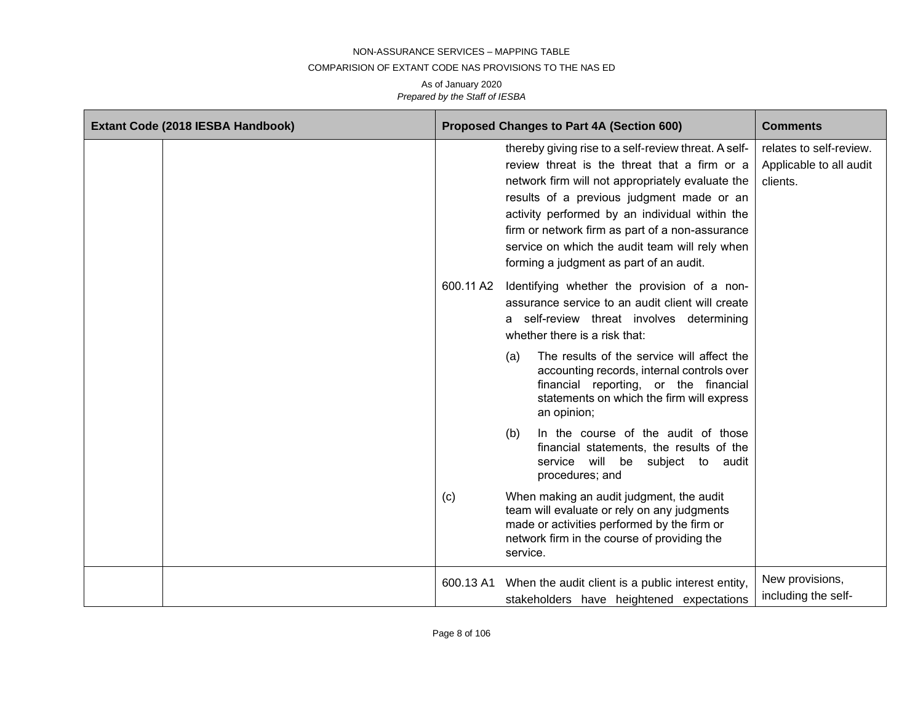#### COMPARISION OF EXTANT CODE NAS PROVISIONS TO THE NAS ED

| Extant Code (2018 IESBA Handbook) |           | Proposed Changes to Part 4A (Section 600)                                                                                                                                                                                                                                                                                                                                                               | <b>Comments</b>                                                |
|-----------------------------------|-----------|---------------------------------------------------------------------------------------------------------------------------------------------------------------------------------------------------------------------------------------------------------------------------------------------------------------------------------------------------------------------------------------------------------|----------------------------------------------------------------|
|                                   |           | thereby giving rise to a self-review threat. A self-<br>review threat is the threat that a firm or a<br>network firm will not appropriately evaluate the<br>results of a previous judgment made or an<br>activity performed by an individual within the<br>firm or network firm as part of a non-assurance<br>service on which the audit team will rely when<br>forming a judgment as part of an audit. | relates to self-review.<br>Applicable to all audit<br>clients. |
|                                   |           | 600.11 A2 Identifying whether the provision of a non-<br>assurance service to an audit client will create<br>a self-review threat involves determining<br>whether there is a risk that:                                                                                                                                                                                                                 |                                                                |
|                                   |           | The results of the service will affect the<br>(a)<br>accounting records, internal controls over<br>financial reporting, or the financial<br>statements on which the firm will express<br>an opinion;                                                                                                                                                                                                    |                                                                |
|                                   |           | In the course of the audit of those<br>(b)<br>financial statements, the results of the<br>service will be subject to audit<br>procedures; and                                                                                                                                                                                                                                                           |                                                                |
|                                   | (c)       | When making an audit judgment, the audit<br>team will evaluate or rely on any judgments<br>made or activities performed by the firm or<br>network firm in the course of providing the<br>service.                                                                                                                                                                                                       |                                                                |
|                                   | 600.13 A1 | When the audit client is a public interest entity,<br>stakeholders have heightened expectations                                                                                                                                                                                                                                                                                                         | New provisions,<br>including the self-                         |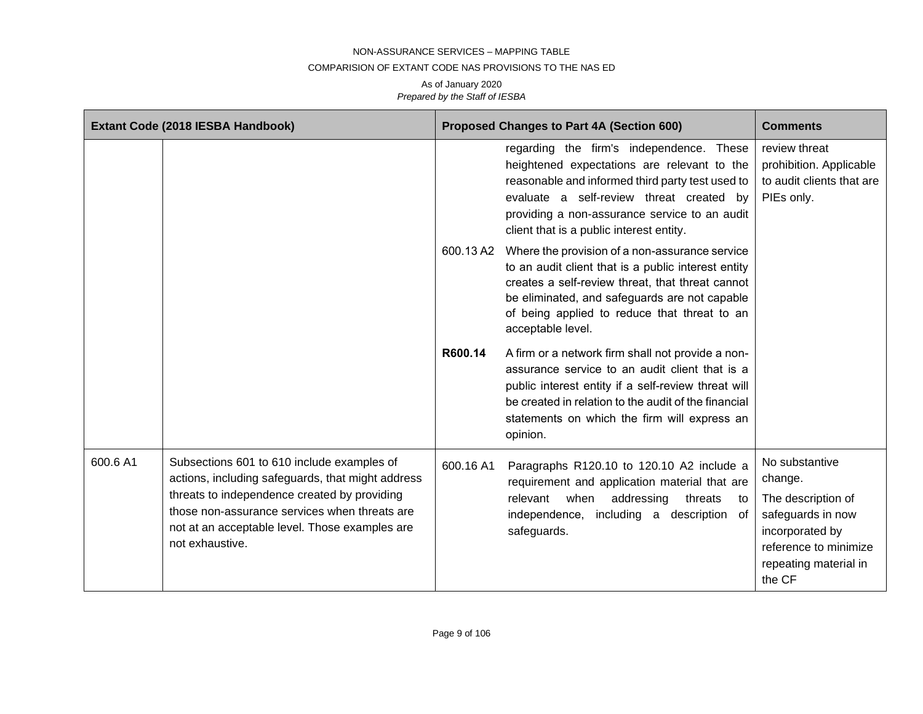#### COMPARISION OF EXTANT CODE NAS PROVISIONS TO THE NAS ED

|          | Extant Code (2018 IESBA Handbook)                                                                                                                                                                                                                                     |           | Proposed Changes to Part 4A (Section 600)                                                                                                                                                                                                                                                 | <b>Comments</b>                                                                                                                                     |
|----------|-----------------------------------------------------------------------------------------------------------------------------------------------------------------------------------------------------------------------------------------------------------------------|-----------|-------------------------------------------------------------------------------------------------------------------------------------------------------------------------------------------------------------------------------------------------------------------------------------------|-----------------------------------------------------------------------------------------------------------------------------------------------------|
|          |                                                                                                                                                                                                                                                                       |           | regarding the firm's independence. These<br>heightened expectations are relevant to the<br>reasonable and informed third party test used to<br>evaluate a self-review threat created by<br>providing a non-assurance service to an audit<br>client that is a public interest entity.      | review threat<br>prohibition. Applicable<br>to audit clients that are<br>PIEs only.                                                                 |
|          |                                                                                                                                                                                                                                                                       |           | 600.13 A2 Where the provision of a non-assurance service<br>to an audit client that is a public interest entity<br>creates a self-review threat, that threat cannot<br>be eliminated, and safeguards are not capable<br>of being applied to reduce that threat to an<br>acceptable level. |                                                                                                                                                     |
|          |                                                                                                                                                                                                                                                                       | R600.14   | A firm or a network firm shall not provide a non-<br>assurance service to an audit client that is a<br>public interest entity if a self-review threat will<br>be created in relation to the audit of the financial<br>statements on which the firm will express an<br>opinion.            |                                                                                                                                                     |
| 600.6 A1 | Subsections 601 to 610 include examples of<br>actions, including safeguards, that might address<br>threats to independence created by providing<br>those non-assurance services when threats are<br>not at an acceptable level. Those examples are<br>not exhaustive. | 600.16 A1 | Paragraphs R120.10 to 120.10 A2 include a<br>requirement and application material that are<br>relevant when addressing<br>threats<br>to<br>independence, including a description<br>0f<br>safeguards.                                                                                     | No substantive<br>change.<br>The description of<br>safeguards in now<br>incorporated by<br>reference to minimize<br>repeating material in<br>the CF |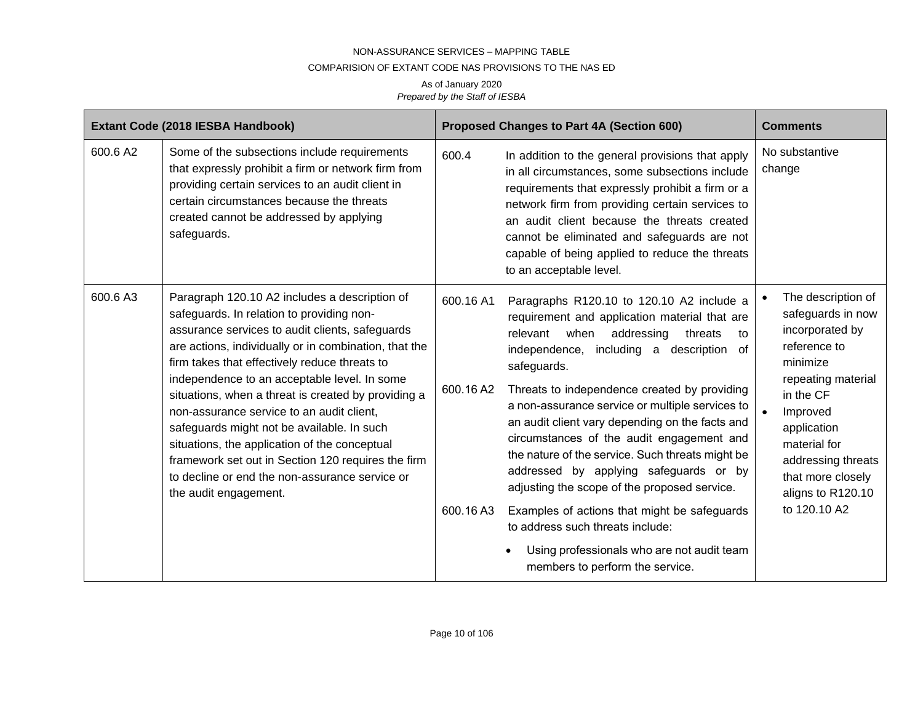#### COMPARISION OF EXTANT CODE NAS PROVISIONS TO THE NAS ED

|          | Extant Code (2018 IESBA Handbook)                                                                                                                                                                                                                                                                                                                                                                                                                                                                                                                                                                                                           |                                     | Proposed Changes to Part 4A (Section 600)                                                                                                                                                                                                                                                                                                                                                                                                                                                                                                                                                                                                                                                                                                         | <b>Comments</b>                                                                                                                                                                                                                                      |
|----------|---------------------------------------------------------------------------------------------------------------------------------------------------------------------------------------------------------------------------------------------------------------------------------------------------------------------------------------------------------------------------------------------------------------------------------------------------------------------------------------------------------------------------------------------------------------------------------------------------------------------------------------------|-------------------------------------|---------------------------------------------------------------------------------------------------------------------------------------------------------------------------------------------------------------------------------------------------------------------------------------------------------------------------------------------------------------------------------------------------------------------------------------------------------------------------------------------------------------------------------------------------------------------------------------------------------------------------------------------------------------------------------------------------------------------------------------------------|------------------------------------------------------------------------------------------------------------------------------------------------------------------------------------------------------------------------------------------------------|
| 600.6 A2 | Some of the subsections include requirements<br>that expressly prohibit a firm or network firm from<br>providing certain services to an audit client in<br>certain circumstances because the threats<br>created cannot be addressed by applying<br>safeguards.                                                                                                                                                                                                                                                                                                                                                                              | 600.4                               | In addition to the general provisions that apply<br>in all circumstances, some subsections include<br>requirements that expressly prohibit a firm or a<br>network firm from providing certain services to<br>an audit client because the threats created<br>cannot be eliminated and safeguards are not<br>capable of being applied to reduce the threats<br>to an acceptable level.                                                                                                                                                                                                                                                                                                                                                              | No substantive<br>change                                                                                                                                                                                                                             |
| 600.6 A3 | Paragraph 120.10 A2 includes a description of<br>safeguards. In relation to providing non-<br>assurance services to audit clients, safeguards<br>are actions, individually or in combination, that the<br>firm takes that effectively reduce threats to<br>independence to an acceptable level. In some<br>situations, when a threat is created by providing a<br>non-assurance service to an audit client,<br>safeguards might not be available. In such<br>situations, the application of the conceptual<br>framework set out in Section 120 requires the firm<br>to decline or end the non-assurance service or<br>the audit engagement. | 600.16 A1<br>600.16 A2<br>600.16 A3 | Paragraphs R120.10 to 120.10 A2 include a<br>requirement and application material that are<br>when<br>addressing<br>relevant<br>threats<br>to<br>independence,<br>including a description<br>of<br>safeguards.<br>Threats to independence created by providing<br>a non-assurance service or multiple services to<br>an audit client vary depending on the facts and<br>circumstances of the audit engagement and<br>the nature of the service. Such threats might be<br>addressed by applying safeguards or by<br>adjusting the scope of the proposed service.<br>Examples of actions that might be safeguards<br>to address such threats include:<br>Using professionals who are not audit team<br>$\bullet$<br>members to perform the service. | The description of<br>safeguards in now<br>incorporated by<br>reference to<br>minimize<br>repeating material<br>in the CF<br>Improved<br>application<br>material for<br>addressing threats<br>that more closely<br>aligns to R120.10<br>to 120.10 A2 |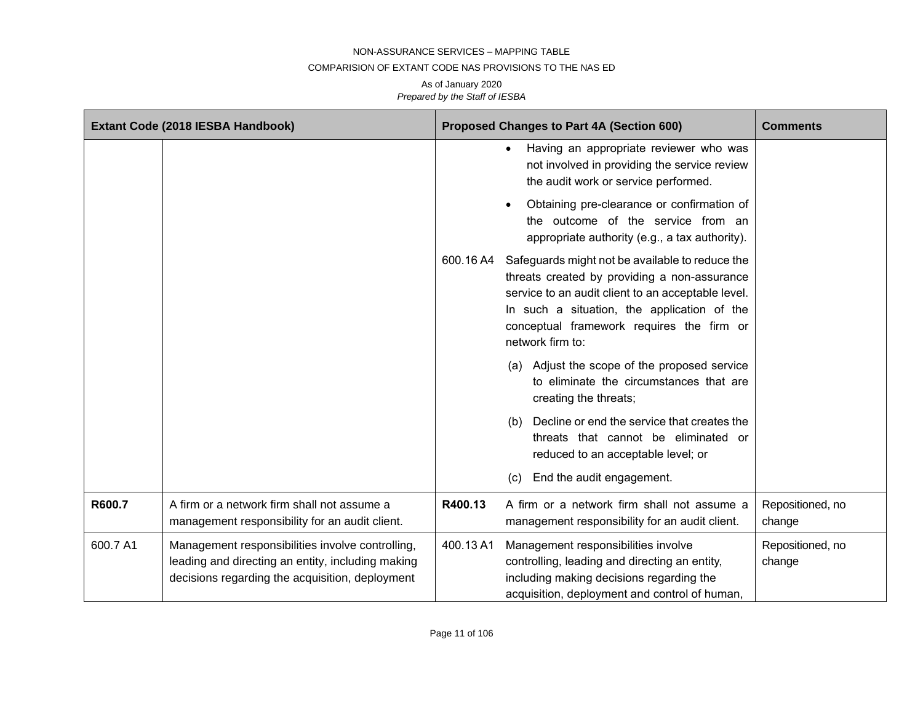#### COMPARISION OF EXTANT CODE NAS PROVISIONS TO THE NAS ED

|          | Extant Code (2018 IESBA Handbook)                                                                                                                        |           | <b>Proposed Changes to Part 4A (Section 600)</b>                                                                                                                                                                                                                      | <b>Comments</b>            |
|----------|----------------------------------------------------------------------------------------------------------------------------------------------------------|-----------|-----------------------------------------------------------------------------------------------------------------------------------------------------------------------------------------------------------------------------------------------------------------------|----------------------------|
|          |                                                                                                                                                          |           | Having an appropriate reviewer who was<br>not involved in providing the service review<br>the audit work or service performed.                                                                                                                                        |                            |
|          |                                                                                                                                                          |           | Obtaining pre-clearance or confirmation of<br>the outcome of the service from an<br>appropriate authority (e.g., a tax authority).                                                                                                                                    |                            |
|          |                                                                                                                                                          | 600.16 A4 | Safeguards might not be available to reduce the<br>threats created by providing a non-assurance<br>service to an audit client to an acceptable level.<br>In such a situation, the application of the<br>conceptual framework requires the firm or<br>network firm to: |                            |
|          |                                                                                                                                                          |           | (a) Adjust the scope of the proposed service<br>to eliminate the circumstances that are<br>creating the threats;                                                                                                                                                      |                            |
|          |                                                                                                                                                          |           | Decline or end the service that creates the<br>(b)<br>threats that cannot be eliminated or<br>reduced to an acceptable level; or                                                                                                                                      |                            |
|          |                                                                                                                                                          |           | End the audit engagement.<br>(c)                                                                                                                                                                                                                                      |                            |
| R600.7   | A firm or a network firm shall not assume a<br>management responsibility for an audit client.                                                            | R400.13   | A firm or a network firm shall not assume a<br>management responsibility for an audit client.                                                                                                                                                                         | Repositioned, no<br>change |
| 600.7 A1 | Management responsibilities involve controlling,<br>leading and directing an entity, including making<br>decisions regarding the acquisition, deployment | 400.13 A1 | Management responsibilities involve<br>controlling, leading and directing an entity,<br>including making decisions regarding the<br>acquisition, deployment and control of human,                                                                                     | Repositioned, no<br>change |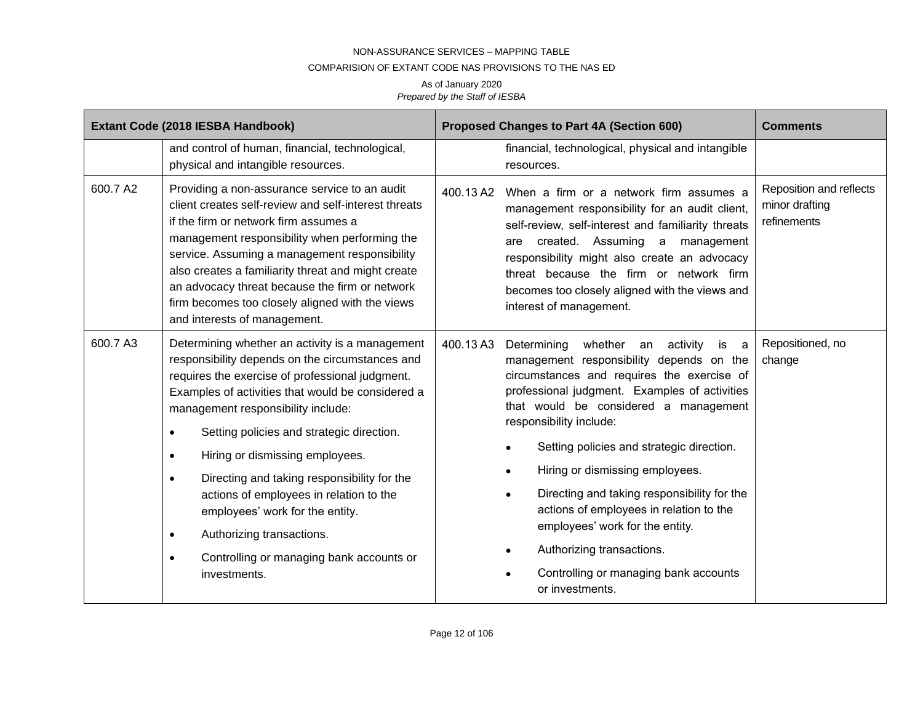#### COMPARISION OF EXTANT CODE NAS PROVISIONS TO THE NAS ED

|          | Extant Code (2018 IESBA Handbook)                                                                                                                                                                                                                                                                                                                                                                                                                                                                                                                                                                               | Proposed Changes to Part 4A (Section 600)                                                                                                                                                                                                                                                                                                                                                                                                                                                                                                                                              | <b>Comments</b>                                          |
|----------|-----------------------------------------------------------------------------------------------------------------------------------------------------------------------------------------------------------------------------------------------------------------------------------------------------------------------------------------------------------------------------------------------------------------------------------------------------------------------------------------------------------------------------------------------------------------------------------------------------------------|----------------------------------------------------------------------------------------------------------------------------------------------------------------------------------------------------------------------------------------------------------------------------------------------------------------------------------------------------------------------------------------------------------------------------------------------------------------------------------------------------------------------------------------------------------------------------------------|----------------------------------------------------------|
|          | and control of human, financial, technological,<br>physical and intangible resources.                                                                                                                                                                                                                                                                                                                                                                                                                                                                                                                           | financial, technological, physical and intangible<br>resources.                                                                                                                                                                                                                                                                                                                                                                                                                                                                                                                        |                                                          |
| 600.7 A2 | Providing a non-assurance service to an audit<br>client creates self-review and self-interest threats<br>if the firm or network firm assumes a<br>management responsibility when performing the<br>service. Assuming a management responsibility<br>also creates a familiarity threat and might create<br>an advocacy threat because the firm or network<br>firm becomes too closely aligned with the views<br>and interests of management.                                                                                                                                                                     | When a firm or a network firm assumes a<br>400.13 A2<br>management responsibility for an audit client,<br>self-review, self-interest and familiarity threats<br>created. Assuming a management<br>are<br>responsibility might also create an advocacy<br>threat because the firm or network firm<br>becomes too closely aligned with the views and<br>interest of management.                                                                                                                                                                                                          | Reposition and reflects<br>minor drafting<br>refinements |
| 600.7 A3 | Determining whether an activity is a management<br>responsibility depends on the circumstances and<br>requires the exercise of professional judgment.<br>Examples of activities that would be considered a<br>management responsibility include:<br>Setting policies and strategic direction.<br>٠<br>Hiring or dismissing employees.<br>$\bullet$<br>Directing and taking responsibility for the<br>$\bullet$<br>actions of employees in relation to the<br>employees' work for the entity.<br>Authorizing transactions.<br>$\bullet$<br>Controlling or managing bank accounts or<br>$\bullet$<br>investments. | 400.13A3<br>Determining whether an<br>activity<br>is<br>management responsibility depends on the<br>circumstances and requires the exercise of<br>professional judgment. Examples of activities<br>that would be considered a management<br>responsibility include:<br>Setting policies and strategic direction.<br>Hiring or dismissing employees.<br>Directing and taking responsibility for the<br>$\bullet$<br>actions of employees in relation to the<br>employees' work for the entity.<br>Authorizing transactions.<br>Controlling or managing bank accounts<br>or investments. | Repositioned, no<br>a<br>change                          |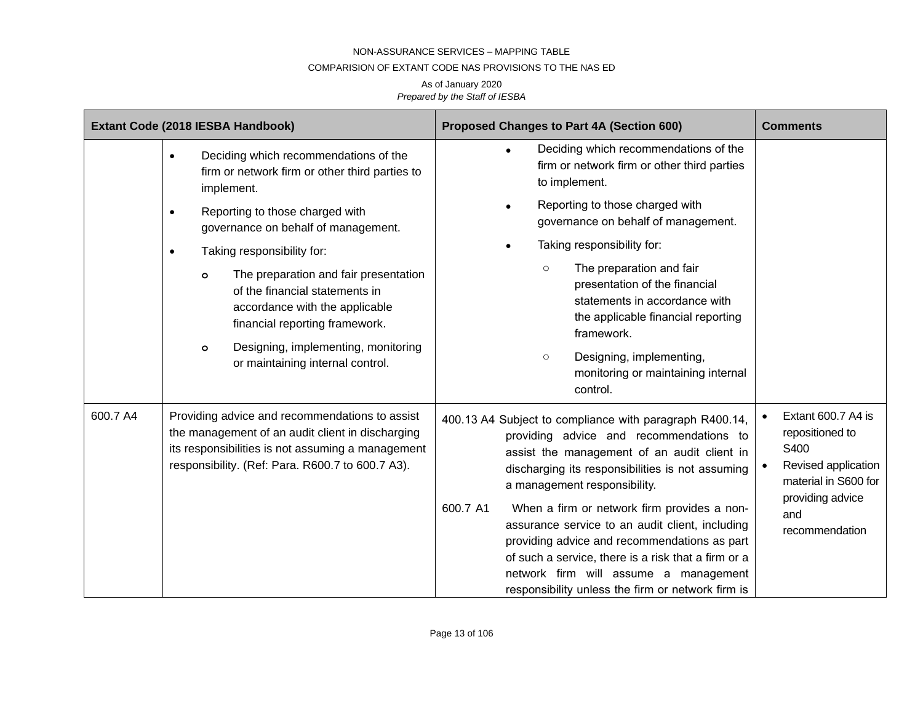### COMPARISION OF EXTANT CODE NAS PROVISIONS TO THE NAS ED

|                                                                                                                                                                                                                         | Extant Code (2018 IESBA Handbook)                                                                                                                                                                                                                                                                                                                                                                                                                                                                   | Proposed Changes to Part 4A (Section 600)                                                                                                                                                                                                                                                                                                                                                                                                                                                                                                                | <b>Comments</b>                                                                                                                           |
|-------------------------------------------------------------------------------------------------------------------------------------------------------------------------------------------------------------------------|-----------------------------------------------------------------------------------------------------------------------------------------------------------------------------------------------------------------------------------------------------------------------------------------------------------------------------------------------------------------------------------------------------------------------------------------------------------------------------------------------------|----------------------------------------------------------------------------------------------------------------------------------------------------------------------------------------------------------------------------------------------------------------------------------------------------------------------------------------------------------------------------------------------------------------------------------------------------------------------------------------------------------------------------------------------------------|-------------------------------------------------------------------------------------------------------------------------------------------|
|                                                                                                                                                                                                                         | Deciding which recommendations of the<br>$\bullet$<br>firm or network firm or other third parties to<br>implement.<br>Reporting to those charged with<br>$\bullet$<br>governance on behalf of management.<br>Taking responsibility for:<br>$\bullet$<br>The preparation and fair presentation<br>O<br>of the financial statements in<br>accordance with the applicable<br>financial reporting framework.<br>Designing, implementing, monitoring<br>$\mathbf{o}$<br>or maintaining internal control. | Deciding which recommendations of the<br>firm or network firm or other third parties<br>to implement.<br>Reporting to those charged with<br>governance on behalf of management.<br>Taking responsibility for:<br>The preparation and fair<br>$\circ$<br>presentation of the financial<br>statements in accordance with<br>the applicable financial reporting<br>framework.<br>Designing, implementing,<br>$\circ$<br>monitoring or maintaining internal<br>control.                                                                                      |                                                                                                                                           |
| 600.7 A4<br>Providing advice and recommendations to assist<br>the management of an audit client in discharging<br>its responsibilities is not assuming a management<br>responsibility. (Ref: Para. R600.7 to 600.7 A3). |                                                                                                                                                                                                                                                                                                                                                                                                                                                                                                     | 400.13 A4 Subject to compliance with paragraph R400.14,<br>providing advice and recommendations to<br>assist the management of an audit client in<br>discharging its responsibilities is not assuming<br>a management responsibility.<br>600.7 A1<br>When a firm or network firm provides a non-<br>assurance service to an audit client, including<br>providing advice and recommendations as part<br>of such a service, there is a risk that a firm or a<br>network firm will assume a management<br>responsibility unless the firm or network firm is | Extant 600.7 A4 is<br>repositioned to<br>S400<br>Revised application<br>material in S600 for<br>providing advice<br>and<br>recommendation |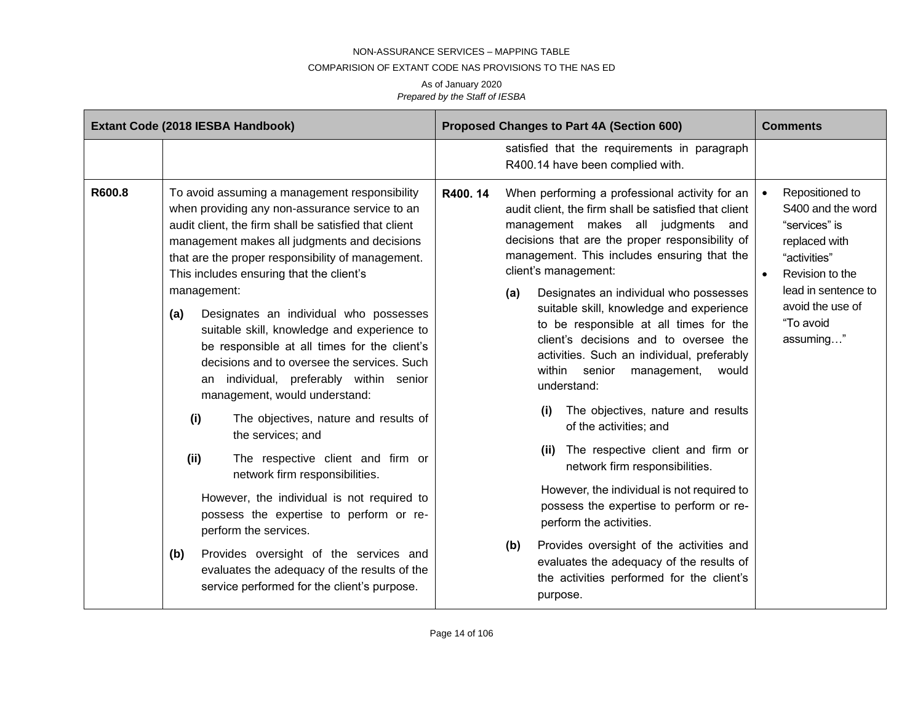#### COMPARISION OF EXTANT CODE NAS PROVISIONS TO THE NAS ED

|        | Extant Code (2018 IESBA Handbook)                                                                                                                                                                                                                                                                                                                                                                                                                                                                                                                                                                                                                                                                                                                                                                                                                                                                                                                                                                                            | Proposed Changes to Part 4A (Section 600)                                                                                                                                                                                                                                                                                                                                                                                                                                                                                                                                                                                                                                                                                                                                                                                                                                                                                                                                                                   | <b>Comments</b>                                                                                                                                                                             |
|--------|------------------------------------------------------------------------------------------------------------------------------------------------------------------------------------------------------------------------------------------------------------------------------------------------------------------------------------------------------------------------------------------------------------------------------------------------------------------------------------------------------------------------------------------------------------------------------------------------------------------------------------------------------------------------------------------------------------------------------------------------------------------------------------------------------------------------------------------------------------------------------------------------------------------------------------------------------------------------------------------------------------------------------|-------------------------------------------------------------------------------------------------------------------------------------------------------------------------------------------------------------------------------------------------------------------------------------------------------------------------------------------------------------------------------------------------------------------------------------------------------------------------------------------------------------------------------------------------------------------------------------------------------------------------------------------------------------------------------------------------------------------------------------------------------------------------------------------------------------------------------------------------------------------------------------------------------------------------------------------------------------------------------------------------------------|---------------------------------------------------------------------------------------------------------------------------------------------------------------------------------------------|
|        |                                                                                                                                                                                                                                                                                                                                                                                                                                                                                                                                                                                                                                                                                                                                                                                                                                                                                                                                                                                                                              | satisfied that the requirements in paragraph<br>R400.14 have been complied with.                                                                                                                                                                                                                                                                                                                                                                                                                                                                                                                                                                                                                                                                                                                                                                                                                                                                                                                            |                                                                                                                                                                                             |
| R600.8 | To avoid assuming a management responsibility<br>when providing any non-assurance service to an<br>audit client, the firm shall be satisfied that client<br>management makes all judgments and decisions<br>that are the proper responsibility of management.<br>This includes ensuring that the client's<br>management:<br>Designates an individual who possesses<br>(a)<br>suitable skill, knowledge and experience to<br>be responsible at all times for the client's<br>decisions and to oversee the services. Such<br>individual, preferably within senior<br>an<br>management, would understand:<br>(i)<br>The objectives, nature and results of<br>the services; and<br>(ii)<br>The respective client and firm or<br>network firm responsibilities.<br>However, the individual is not required to<br>possess the expertise to perform or re-<br>perform the services.<br>Provides oversight of the services and<br>(b)<br>evaluates the adequacy of the results of the<br>service performed for the client's purpose. | R400, 14<br>When performing a professional activity for an<br>audit client, the firm shall be satisfied that client<br>management makes all judgments and<br>decisions that are the proper responsibility of<br>management. This includes ensuring that the<br>client's management:<br>Designates an individual who possesses<br>(a)<br>suitable skill, knowledge and experience<br>to be responsible at all times for the<br>client's decisions and to oversee the<br>activities. Such an individual, preferably<br>within senior<br>management,<br>would<br>understand:<br>The objectives, nature and results<br>(i)<br>of the activities; and<br>The respective client and firm or<br>(ii)<br>network firm responsibilities.<br>However, the individual is not required to<br>possess the expertise to perform or re-<br>perform the activities.<br>Provides oversight of the activities and<br>(b)<br>evaluates the adequacy of the results of<br>the activities performed for the client's<br>purpose. | Repositioned to<br>S400 and the word<br>"services" is<br>replaced with<br>"activities"<br>Revision to the<br>$\bullet$<br>lead in sentence to<br>avoid the use of<br>"To avoid<br>assuming" |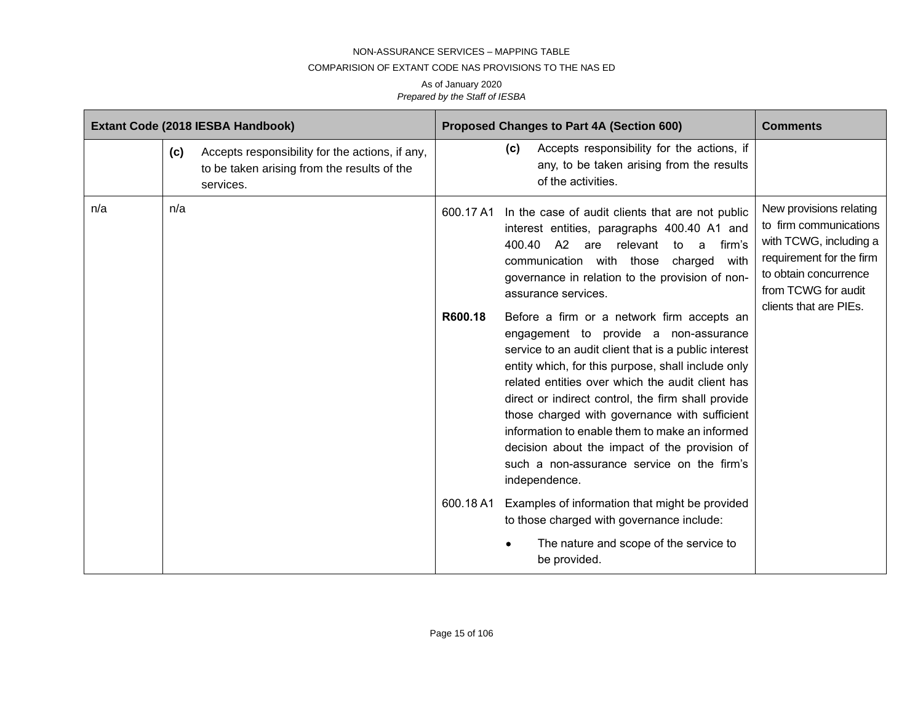#### COMPARISION OF EXTANT CODE NAS PROVISIONS TO THE NAS ED

|     |     | Extant Code (2018 IESBA Handbook)                                                                           |                      |     | Proposed Changes to Part 4A (Section 600)                                                                                                                                                                                                                                                                                                                                                                                                                                                                                                                                                                                                                                                                                                                                                        | <b>Comments</b>                                                                                                                                                                   |
|-----|-----|-------------------------------------------------------------------------------------------------------------|----------------------|-----|--------------------------------------------------------------------------------------------------------------------------------------------------------------------------------------------------------------------------------------------------------------------------------------------------------------------------------------------------------------------------------------------------------------------------------------------------------------------------------------------------------------------------------------------------------------------------------------------------------------------------------------------------------------------------------------------------------------------------------------------------------------------------------------------------|-----------------------------------------------------------------------------------------------------------------------------------------------------------------------------------|
|     | (c) | Accepts responsibility for the actions, if any,<br>to be taken arising from the results of the<br>services. |                      | (c) | Accepts responsibility for the actions, if<br>any, to be taken arising from the results<br>of the activities.                                                                                                                                                                                                                                                                                                                                                                                                                                                                                                                                                                                                                                                                                    |                                                                                                                                                                                   |
| n/a | n/a |                                                                                                             | 600.17 A1<br>R600.18 |     | In the case of audit clients that are not public<br>interest entities, paragraphs 400.40 A1 and<br>400.40 A2 are relevant to a<br>firm's<br>communication with those charged<br>with<br>governance in relation to the provision of non-<br>assurance services.<br>Before a firm or a network firm accepts an<br>engagement to provide a non-assurance<br>service to an audit client that is a public interest<br>entity which, for this purpose, shall include only<br>related entities over which the audit client has<br>direct or indirect control, the firm shall provide<br>those charged with governance with sufficient<br>information to enable them to make an informed<br>decision about the impact of the provision of<br>such a non-assurance service on the firm's<br>independence. | New provisions relating<br>to firm communications<br>with TCWG, including a<br>requirement for the firm<br>to obtain concurrence<br>from TCWG for audit<br>clients that are PIEs. |
|     |     |                                                                                                             | 600.18 A1            |     | Examples of information that might be provided<br>to those charged with governance include:                                                                                                                                                                                                                                                                                                                                                                                                                                                                                                                                                                                                                                                                                                      |                                                                                                                                                                                   |
|     |     |                                                                                                             |                      |     | The nature and scope of the service to<br>be provided.                                                                                                                                                                                                                                                                                                                                                                                                                                                                                                                                                                                                                                                                                                                                           |                                                                                                                                                                                   |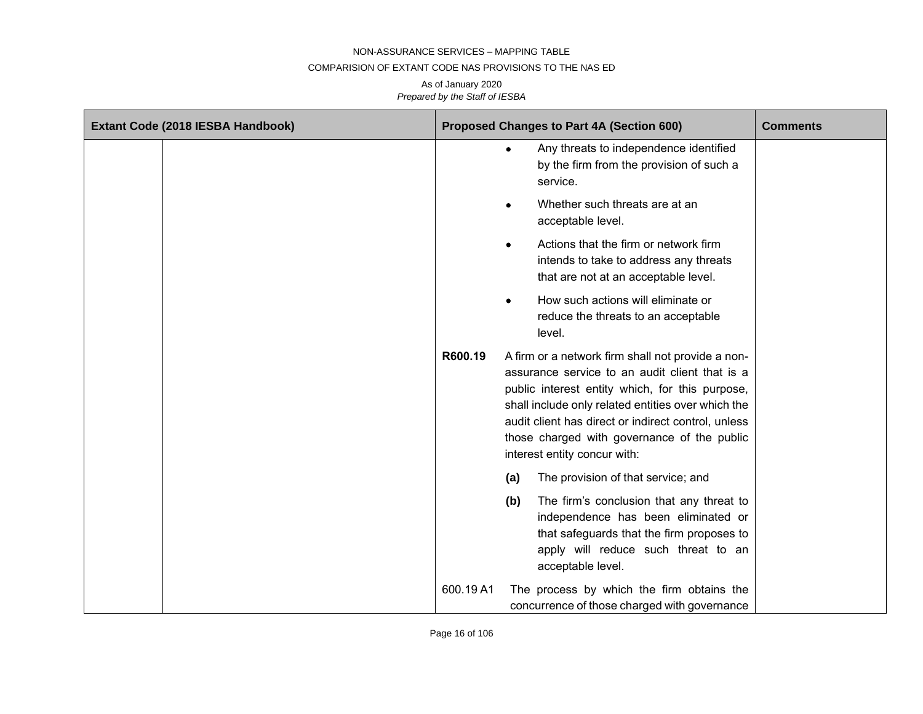#### COMPARISION OF EXTANT CODE NAS PROVISIONS TO THE NAS ED

| Extant Code (2018 IESBA Handbook) | Proposed Changes to Part 4A (Section 600)                                                                                                                                                                                                                                                                                                                     | <b>Comments</b> |
|-----------------------------------|---------------------------------------------------------------------------------------------------------------------------------------------------------------------------------------------------------------------------------------------------------------------------------------------------------------------------------------------------------------|-----------------|
|                                   | Any threats to independence identified<br>$\bullet$<br>by the firm from the provision of such a<br>service.                                                                                                                                                                                                                                                   |                 |
|                                   | Whether such threats are at an<br>٠<br>acceptable level.                                                                                                                                                                                                                                                                                                      |                 |
|                                   | Actions that the firm or network firm<br>$\bullet$<br>intends to take to address any threats<br>that are not at an acceptable level.                                                                                                                                                                                                                          |                 |
|                                   | How such actions will eliminate or<br>$\bullet$<br>reduce the threats to an acceptable<br>level.                                                                                                                                                                                                                                                              |                 |
|                                   | R600.19<br>A firm or a network firm shall not provide a non-<br>assurance service to an audit client that is a<br>public interest entity which, for this purpose,<br>shall include only related entities over which the<br>audit client has direct or indirect control, unless<br>those charged with governance of the public<br>interest entity concur with: |                 |
|                                   | The provision of that service; and<br>(a)                                                                                                                                                                                                                                                                                                                     |                 |
|                                   | The firm's conclusion that any threat to<br>(b)<br>independence has been eliminated or<br>that safeguards that the firm proposes to<br>apply will reduce such threat to an<br>acceptable level.                                                                                                                                                               |                 |
|                                   | 600.19A1<br>The process by which the firm obtains the<br>concurrence of those charged with governance                                                                                                                                                                                                                                                         |                 |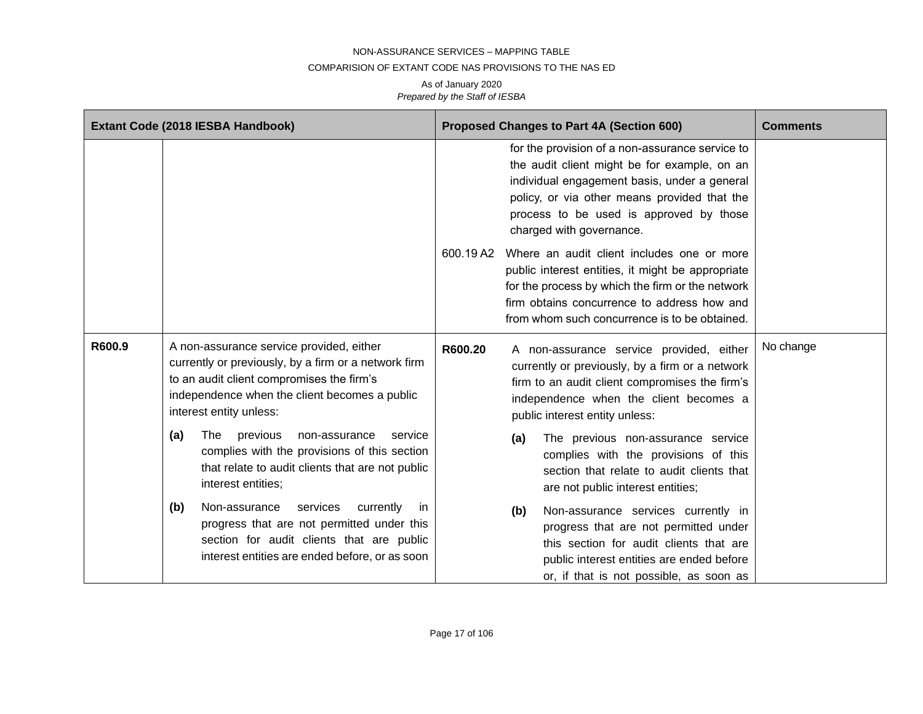#### COMPARISION OF EXTANT CODE NAS PROVISIONS TO THE NAS ED

|        | Extant Code (2018 IESBA Handbook)                                                                                                                                                                                         | <b>Proposed Changes to Part 4A (Section 600)</b>                                                                                                                                                                                                                       | <b>Comments</b> |
|--------|---------------------------------------------------------------------------------------------------------------------------------------------------------------------------------------------------------------------------|------------------------------------------------------------------------------------------------------------------------------------------------------------------------------------------------------------------------------------------------------------------------|-----------------|
|        |                                                                                                                                                                                                                           | for the provision of a non-assurance service to<br>the audit client might be for example, on an<br>individual engagement basis, under a general<br>policy, or via other means provided that the<br>process to be used is approved by those<br>charged with governance. |                 |
|        |                                                                                                                                                                                                                           | 600.19 A2<br>Where an audit client includes one or more<br>public interest entities, it might be appropriate<br>for the process by which the firm or the network<br>firm obtains concurrence to address how and<br>from whom such concurrence is to be obtained.       |                 |
| R600.9 | A non-assurance service provided, either<br>currently or previously, by a firm or a network firm<br>to an audit client compromises the firm's<br>independence when the client becomes a public<br>interest entity unless: | R600.20<br>A non-assurance service provided, either<br>currently or previously, by a firm or a network<br>firm to an audit client compromises the firm's<br>independence when the client becomes a<br>public interest entity unless:                                   | No change       |
|        | previous<br>The<br>(a)<br>non-assurance<br>service<br>complies with the provisions of this section<br>that relate to audit clients that are not public<br>interest entities;                                              | The previous non-assurance service<br>(a)<br>complies with the provisions of this<br>section that relate to audit clients that<br>are not public interest entities;                                                                                                    |                 |
|        | Non-assurance<br>services<br>(b)<br>currently<br>in<br>progress that are not permitted under this<br>section for audit clients that are public<br>interest entities are ended before, or as soon                          | Non-assurance services currently in<br>(b)<br>progress that are not permitted under<br>this section for audit clients that are<br>public interest entities are ended before<br>or, if that is not possible, as soon as                                                 |                 |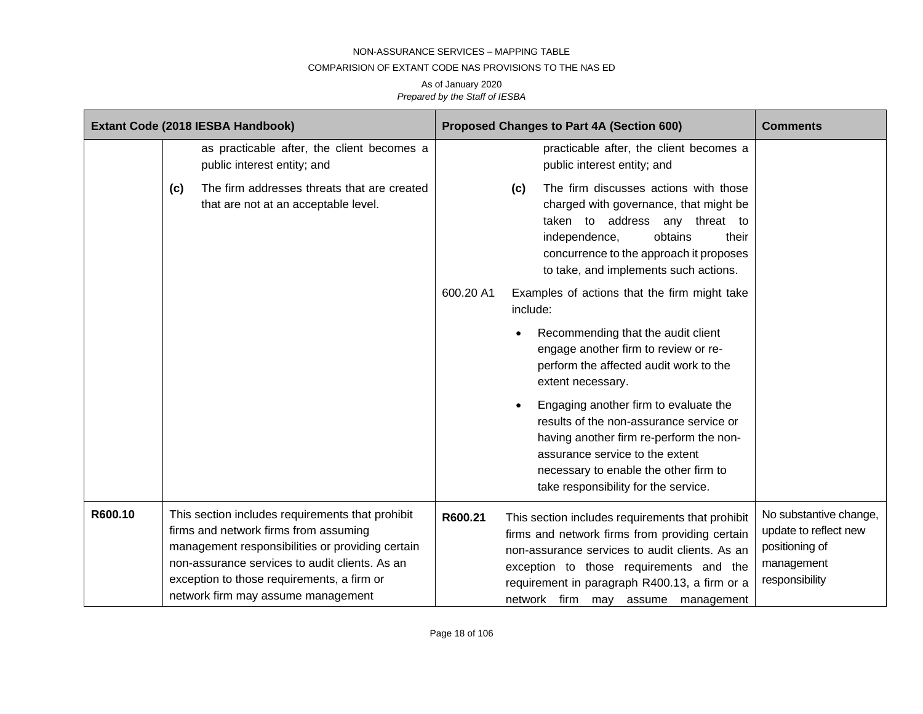### COMPARISION OF EXTANT CODE NAS PROVISIONS TO THE NAS ED

|         |     | Extant Code (2018 IESBA Handbook)                                                                                                                                                                                                                                                   |           |           | Proposed Changes to Part 4A (Section 600)                                                                                                                                                                                                                                              | <b>Comments</b>                                                                                   |
|---------|-----|-------------------------------------------------------------------------------------------------------------------------------------------------------------------------------------------------------------------------------------------------------------------------------------|-----------|-----------|----------------------------------------------------------------------------------------------------------------------------------------------------------------------------------------------------------------------------------------------------------------------------------------|---------------------------------------------------------------------------------------------------|
|         |     | as practicable after, the client becomes a<br>public interest entity; and                                                                                                                                                                                                           |           |           | practicable after, the client becomes a<br>public interest entity; and                                                                                                                                                                                                                 |                                                                                                   |
|         | (c) | The firm addresses threats that are created<br>that are not at an acceptable level.                                                                                                                                                                                                 |           | (c)       | The firm discusses actions with those<br>charged with governance, that might be<br>taken to address any threat to<br>independence,<br>obtains<br>their<br>concurrence to the approach it proposes<br>to take, and implements such actions.                                             |                                                                                                   |
|         |     |                                                                                                                                                                                                                                                                                     | 600.20 A1 | include:  | Examples of actions that the firm might take                                                                                                                                                                                                                                           |                                                                                                   |
|         |     |                                                                                                                                                                                                                                                                                     |           |           | Recommending that the audit client<br>engage another firm to review or re-<br>perform the affected audit work to the<br>extent necessary.                                                                                                                                              |                                                                                                   |
|         |     |                                                                                                                                                                                                                                                                                     |           | $\bullet$ | Engaging another firm to evaluate the<br>results of the non-assurance service or<br>having another firm re-perform the non-<br>assurance service to the extent<br>necessary to enable the other firm to<br>take responsibility for the service.                                        |                                                                                                   |
| R600.10 |     | This section includes requirements that prohibit<br>firms and network firms from assuming<br>management responsibilities or providing certain<br>non-assurance services to audit clients. As an<br>exception to those requirements, a firm or<br>network firm may assume management | R600.21   |           | This section includes requirements that prohibit<br>firms and network firms from providing certain<br>non-assurance services to audit clients. As an<br>exception to those requirements and the<br>requirement in paragraph R400.13, a firm or a<br>network firm may assume management | No substantive change,<br>update to reflect new<br>positioning of<br>management<br>responsibility |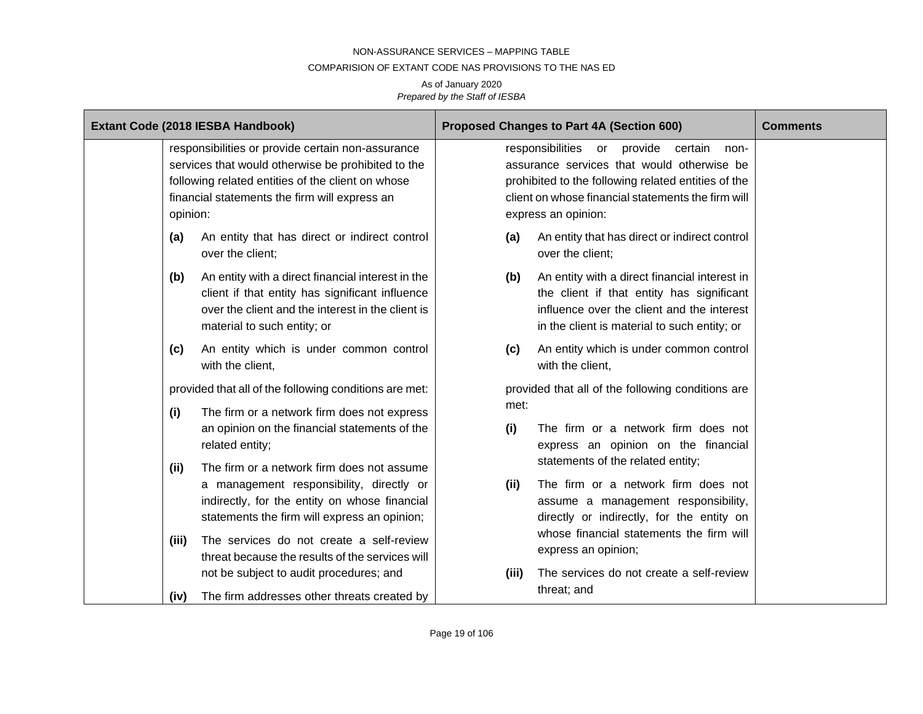#### COMPARISION OF EXTANT CODE NAS PROVISIONS TO THE NAS ED

| Extant Code (2018 IESBA Handbook)                                                                                                                                                                                         |                                                                                                                                                                                          | Proposed Changes to Part 4A (Section 600)                                                                                                                                                                             |                                                                                                                                                                                          | <b>Comments</b> |
|---------------------------------------------------------------------------------------------------------------------------------------------------------------------------------------------------------------------------|------------------------------------------------------------------------------------------------------------------------------------------------------------------------------------------|-----------------------------------------------------------------------------------------------------------------------------------------------------------------------------------------------------------------------|------------------------------------------------------------------------------------------------------------------------------------------------------------------------------------------|-----------------|
| responsibilities or provide certain non-assurance<br>services that would otherwise be prohibited to the<br>following related entities of the client on whose<br>financial statements the firm will express an<br>opinion: |                                                                                                                                                                                          | responsibilities or provide certain<br>assurance services that would otherwise be<br>prohibited to the following related entities of the<br>client on whose financial statements the firm will<br>express an opinion: |                                                                                                                                                                                          |                 |
| (a)<br>over the client;                                                                                                                                                                                                   | An entity that has direct or indirect control                                                                                                                                            | (a)                                                                                                                                                                                                                   | An entity that has direct or indirect control<br>over the client;                                                                                                                        |                 |
| (b)                                                                                                                                                                                                                       | An entity with a direct financial interest in the<br>client if that entity has significant influence<br>over the client and the interest in the client is<br>material to such entity; or | (b)                                                                                                                                                                                                                   | An entity with a direct financial interest in<br>the client if that entity has significant<br>influence over the client and the interest<br>in the client is material to such entity; or |                 |
| (c)<br>with the client,                                                                                                                                                                                                   | An entity which is under common control                                                                                                                                                  | (c)                                                                                                                                                                                                                   | An entity which is under common control<br>with the client,                                                                                                                              |                 |
| provided that all of the following conditions are met:<br>(i)<br>The firm or a network firm does not express                                                                                                              |                                                                                                                                                                                          | provided that all of the following conditions are<br>met:                                                                                                                                                             |                                                                                                                                                                                          |                 |
| related entity;                                                                                                                                                                                                           | an opinion on the financial statements of the                                                                                                                                            | (i)                                                                                                                                                                                                                   | The firm or a network firm does not<br>express an opinion on the financial<br>statements of the related entity;                                                                          |                 |
| (ii)                                                                                                                                                                                                                      | The firm or a network firm does not assume<br>a management responsibility, directly or<br>indirectly, for the entity on whose financial<br>statements the firm will express an opinion;  | (ii)                                                                                                                                                                                                                  | The firm or a network firm does not<br>assume a management responsibility,<br>directly or indirectly, for the entity on                                                                  |                 |
| (iii)                                                                                                                                                                                                                     | The services do not create a self-review<br>threat because the results of the services will<br>not be subject to audit procedures; and                                                   | (iii)                                                                                                                                                                                                                 | whose financial statements the firm will<br>express an opinion;<br>The services do not create a self-review<br>threat; and                                                               |                 |
| (iv)                                                                                                                                                                                                                      | The firm addresses other threats created by                                                                                                                                              |                                                                                                                                                                                                                       |                                                                                                                                                                                          |                 |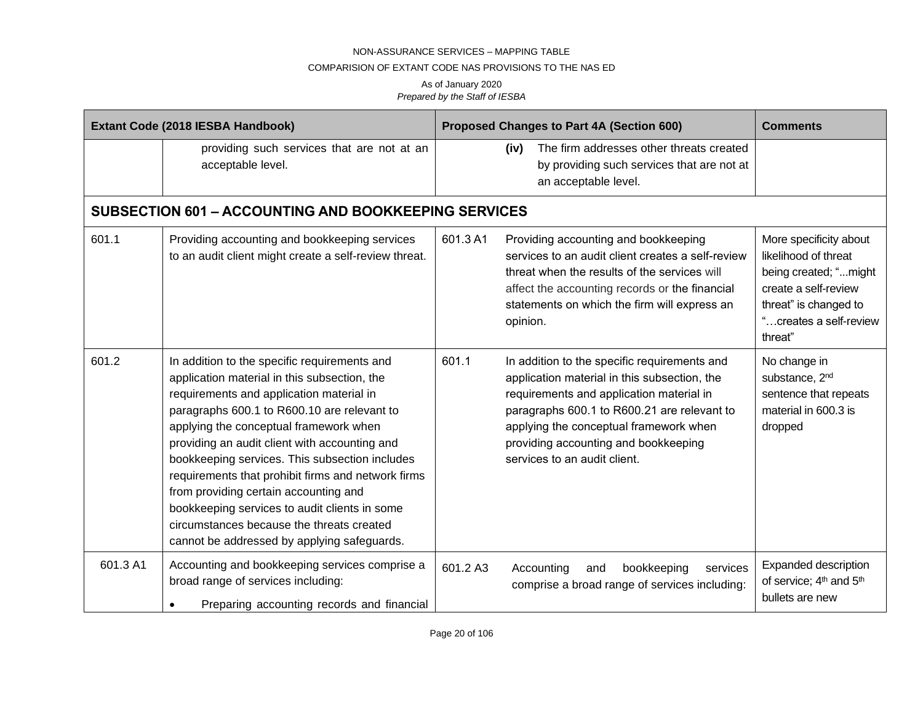### COMPARISION OF EXTANT CODE NAS PROVISIONS TO THE NAS ED

|          | Extant Code (2018 IESBA Handbook)                                                                                                                                                                                                                                                                                                                                                                                                                                                                                                                                                | Proposed Changes to Part 4A (Section 600)                                                                                                                           |                                                                                                                                                                                                     | <b>Comments</b>                                                                                                                                               |
|----------|----------------------------------------------------------------------------------------------------------------------------------------------------------------------------------------------------------------------------------------------------------------------------------------------------------------------------------------------------------------------------------------------------------------------------------------------------------------------------------------------------------------------------------------------------------------------------------|---------------------------------------------------------------------------------------------------------------------------------------------------------------------|-----------------------------------------------------------------------------------------------------------------------------------------------------------------------------------------------------|---------------------------------------------------------------------------------------------------------------------------------------------------------------|
|          | providing such services that are not at an<br>acceptable level.                                                                                                                                                                                                                                                                                                                                                                                                                                                                                                                  | (iv)<br>an acceptable level.                                                                                                                                        | The firm addresses other threats created<br>by providing such services that are not at                                                                                                              |                                                                                                                                                               |
|          | <b>SUBSECTION 601 - ACCOUNTING AND BOOKKEEPING SERVICES</b>                                                                                                                                                                                                                                                                                                                                                                                                                                                                                                                      |                                                                                                                                                                     |                                                                                                                                                                                                     |                                                                                                                                                               |
| 601.1    | Providing accounting and bookkeeping services<br>to an audit client might create a self-review threat.                                                                                                                                                                                                                                                                                                                                                                                                                                                                           | 601.3 A1<br>Providing accounting and bookkeeping<br>opinion.                                                                                                        | services to an audit client creates a self-review<br>threat when the results of the services will<br>affect the accounting records or the financial<br>statements on which the firm will express an | More specificity about<br>likelihood of threat<br>being created; "might<br>create a self-review<br>threat" is changed to<br>"creates a self-review<br>threat" |
| 601.2    | In addition to the specific requirements and<br>application material in this subsection, the<br>requirements and application material in<br>paragraphs 600.1 to R600.10 are relevant to<br>applying the conceptual framework when<br>providing an audit client with accounting and<br>bookkeeping services. This subsection includes<br>requirements that prohibit firms and network firms<br>from providing certain accounting and<br>bookkeeping services to audit clients in some<br>circumstances because the threats created<br>cannot be addressed by applying safeguards. | 601.1<br>requirements and application material in<br>applying the conceptual framework when<br>providing accounting and bookkeeping<br>services to an audit client. | In addition to the specific requirements and<br>application material in this subsection, the<br>paragraphs 600.1 to R600.21 are relevant to                                                         | No change in<br>substance, 2 <sup>nd</sup><br>sentence that repeats<br>material in 600.3 is<br>dropped                                                        |
| 601.3 A1 | Accounting and bookkeeping services comprise a<br>broad range of services including:<br>Preparing accounting records and financial                                                                                                                                                                                                                                                                                                                                                                                                                                               | 601.2 A3<br>Accounting<br>and                                                                                                                                       | bookkeeping<br>services<br>comprise a broad range of services including:                                                                                                                            | <b>Expanded description</b><br>of service; 4 <sup>th</sup> and 5 <sup>th</sup><br>bullets are new                                                             |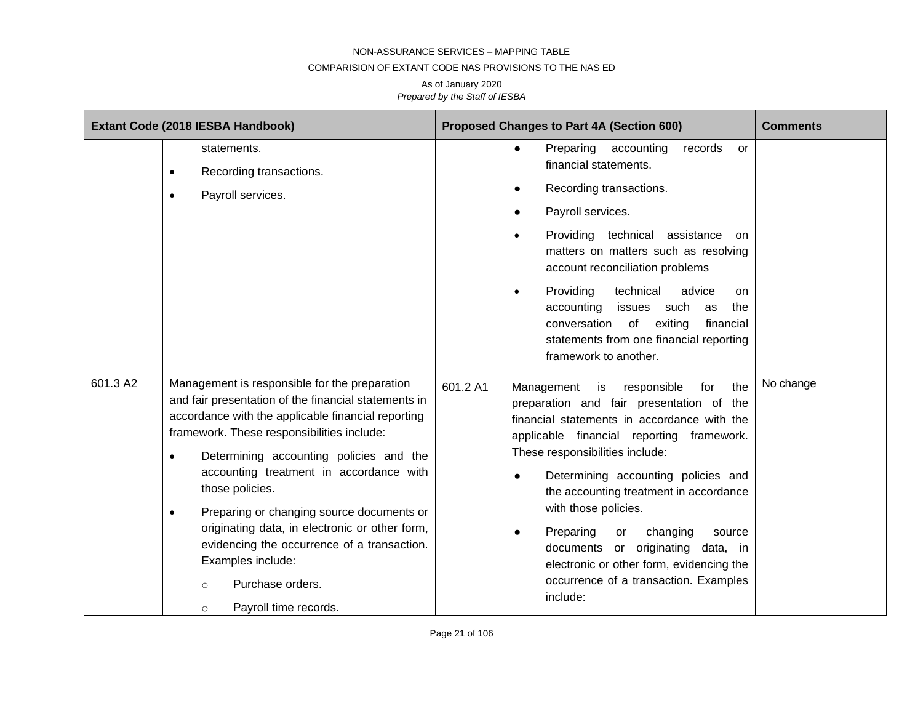#### COMPARISION OF EXTANT CODE NAS PROVISIONS TO THE NAS ED

|          | Extant Code (2018 IESBA Handbook)                                                                                                                                                                                                                                                                                               | Proposed Changes to Part 4A (Section 600)                                                                                                                                                                                                                                                | <b>Comments</b> |
|----------|---------------------------------------------------------------------------------------------------------------------------------------------------------------------------------------------------------------------------------------------------------------------------------------------------------------------------------|------------------------------------------------------------------------------------------------------------------------------------------------------------------------------------------------------------------------------------------------------------------------------------------|-----------------|
|          | statements.<br>Recording transactions.<br>$\bullet$<br>Payroll services.<br>$\bullet$                                                                                                                                                                                                                                           | Preparing<br>accounting<br>records<br>or<br>$\bullet$<br>financial statements.<br>Recording transactions.<br>Payroll services.<br>Providing technical assistance                                                                                                                         |                 |
|          |                                                                                                                                                                                                                                                                                                                                 | on<br>matters on matters such as resolving<br>account reconciliation problems                                                                                                                                                                                                            |                 |
|          |                                                                                                                                                                                                                                                                                                                                 | Providing<br>technical<br>advice<br>on.<br>$\bullet$<br>accounting<br>issues<br>such<br>the<br>as<br>conversation<br>of<br>exiting<br>financial<br>statements from one financial reporting<br>framework to another.                                                                      |                 |
| 601.3 A2 | Management is responsible for the preparation<br>and fair presentation of the financial statements in<br>accordance with the applicable financial reporting<br>framework. These responsibilities include:<br>Determining accounting policies and the<br>$\bullet$<br>accounting treatment in accordance with<br>those policies. | 601.2 A1<br>Management<br>is<br>responsible<br>for<br>the<br>preparation and fair presentation of the<br>financial statements in accordance with the<br>applicable financial reporting framework.<br>These responsibilities include:<br>Determining accounting policies and<br>$\bullet$ | No change       |
|          | Preparing or changing source documents or<br>$\bullet$<br>originating data, in electronic or other form,<br>evidencing the occurrence of a transaction.<br>Examples include:<br>Purchase orders.<br>$\circ$<br>Payroll time records.<br>$\circ$                                                                                 | the accounting treatment in accordance<br>with those policies.<br>Preparing<br>changing<br>or<br>source<br>documents or originating data, in<br>electronic or other form, evidencing the<br>occurrence of a transaction. Examples<br>include:                                            |                 |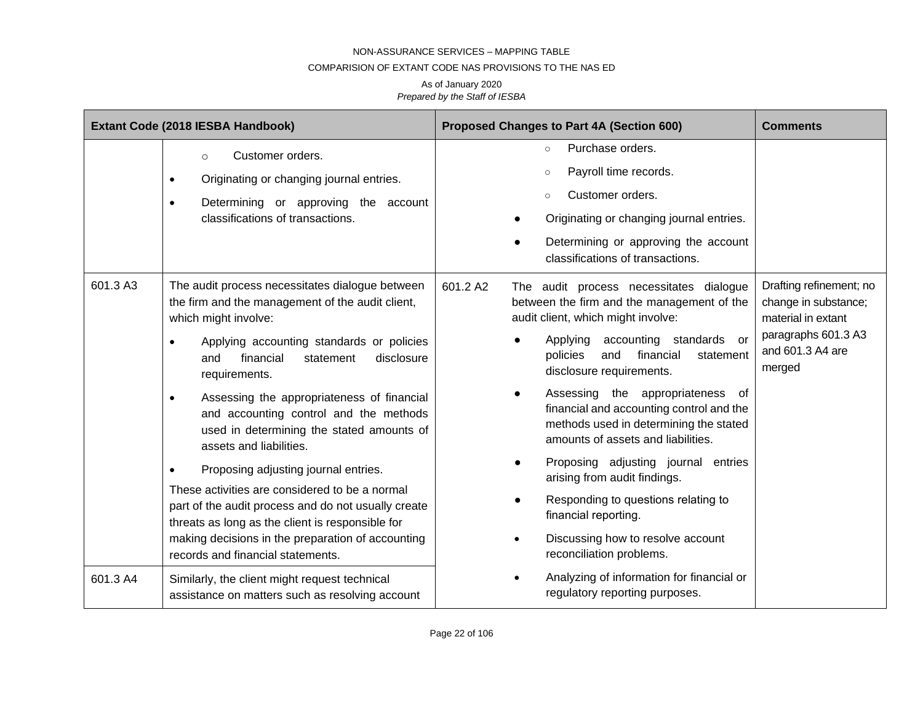### COMPARISION OF EXTANT CODE NAS PROVISIONS TO THE NAS ED

|          | Extant Code (2018 IESBA Handbook)                                                                                                                                                                                                                                                                                                                                                                                                                                                                                                                                                                                                                                                                                                              | Proposed Changes to Part 4A (Section 600)                                                                                                                                                                                                                                                                                                                                                                                                                                                                                                                                                                                              | <b>Comments</b>                                                                                                            |
|----------|------------------------------------------------------------------------------------------------------------------------------------------------------------------------------------------------------------------------------------------------------------------------------------------------------------------------------------------------------------------------------------------------------------------------------------------------------------------------------------------------------------------------------------------------------------------------------------------------------------------------------------------------------------------------------------------------------------------------------------------------|----------------------------------------------------------------------------------------------------------------------------------------------------------------------------------------------------------------------------------------------------------------------------------------------------------------------------------------------------------------------------------------------------------------------------------------------------------------------------------------------------------------------------------------------------------------------------------------------------------------------------------------|----------------------------------------------------------------------------------------------------------------------------|
|          | Customer orders.<br>$\circ$<br>Originating or changing journal entries.<br>$\bullet$<br>Determining or approving the account<br>$\bullet$<br>classifications of transactions.                                                                                                                                                                                                                                                                                                                                                                                                                                                                                                                                                                  | Purchase orders.<br>$\circ$<br>Payroll time records.<br>Customer orders.<br>$\circ$<br>Originating or changing journal entries.<br>Determining or approving the account<br>classifications of transactions.                                                                                                                                                                                                                                                                                                                                                                                                                            |                                                                                                                            |
| 601.3 A3 | The audit process necessitates dialogue between<br>the firm and the management of the audit client,<br>which might involve:<br>Applying accounting standards or policies<br>$\bullet$<br>and<br>financial<br>disclosure<br>statement<br>requirements.<br>Assessing the appropriateness of financial<br>$\bullet$<br>and accounting control and the methods<br>used in determining the stated amounts of<br>assets and liabilities.<br>Proposing adjusting journal entries.<br>$\bullet$<br>These activities are considered to be a normal<br>part of the audit process and do not usually create<br>threats as long as the client is responsible for<br>making decisions in the preparation of accounting<br>records and financial statements. | 601.2 A2<br>The audit process necessitates dialogue<br>between the firm and the management of the<br>audit client, which might involve:<br>Applying<br>accounting standards<br>or<br>financial<br>policies<br>and<br>statement<br>disclosure requirements.<br>Assessing the appropriateness<br>. of<br>financial and accounting control and the<br>methods used in determining the stated<br>amounts of assets and liabilities.<br>Proposing adjusting journal entries<br>arising from audit findings.<br>Responding to questions relating to<br>financial reporting.<br>Discussing how to resolve account<br>reconciliation problems. | Drafting refinement; no<br>change in substance;<br>material in extant<br>paragraphs 601.3 A3<br>and 601.3 A4 are<br>merged |
| 601.3 A4 | Similarly, the client might request technical<br>assistance on matters such as resolving account                                                                                                                                                                                                                                                                                                                                                                                                                                                                                                                                                                                                                                               | Analyzing of information for financial or<br>regulatory reporting purposes.                                                                                                                                                                                                                                                                                                                                                                                                                                                                                                                                                            |                                                                                                                            |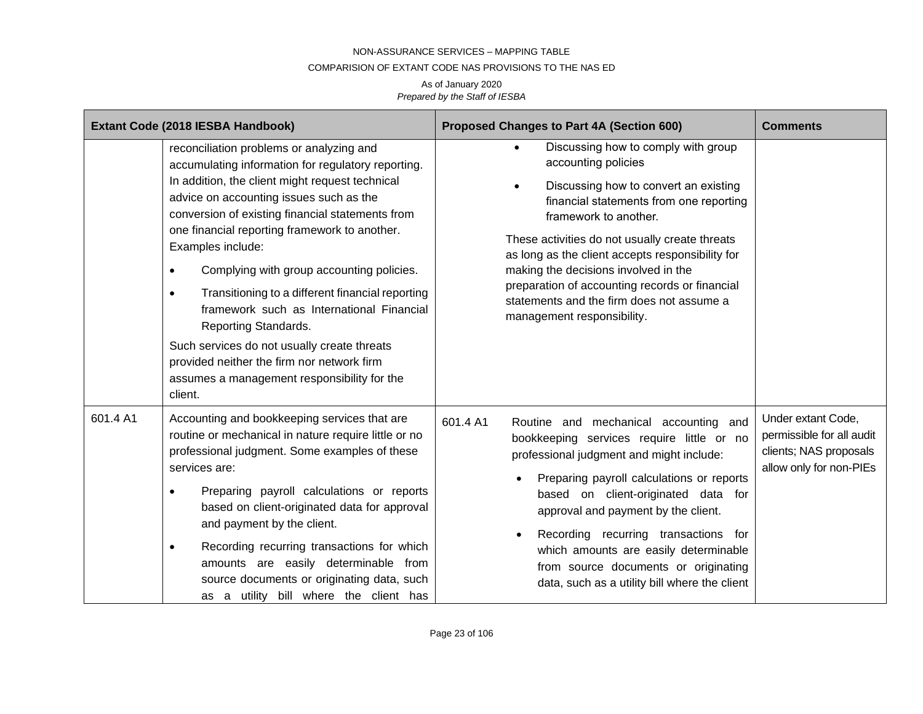#### COMPARISION OF EXTANT CODE NAS PROVISIONS TO THE NAS ED

|          | Extant Code (2018 IESBA Handbook)                                                                                                                                                                                                                                                                                                                                                                                                                                                                                                                                                                                                                                             | Proposed Changes to Part 4A (Section 600)                                                                                                                                                                                                                                                                                                                                                                                                          | <b>Comments</b>                                                                                      |
|----------|-------------------------------------------------------------------------------------------------------------------------------------------------------------------------------------------------------------------------------------------------------------------------------------------------------------------------------------------------------------------------------------------------------------------------------------------------------------------------------------------------------------------------------------------------------------------------------------------------------------------------------------------------------------------------------|----------------------------------------------------------------------------------------------------------------------------------------------------------------------------------------------------------------------------------------------------------------------------------------------------------------------------------------------------------------------------------------------------------------------------------------------------|------------------------------------------------------------------------------------------------------|
|          | reconciliation problems or analyzing and<br>accumulating information for regulatory reporting.<br>In addition, the client might request technical<br>advice on accounting issues such as the<br>conversion of existing financial statements from<br>one financial reporting framework to another.<br>Examples include:<br>Complying with group accounting policies.<br>$\bullet$<br>Transitioning to a different financial reporting<br>$\bullet$<br>framework such as International Financial<br>Reporting Standards.<br>Such services do not usually create threats<br>provided neither the firm nor network firm<br>assumes a management responsibility for the<br>client. | Discussing how to comply with group<br>accounting policies<br>Discussing how to convert an existing<br>financial statements from one reporting<br>framework to another.<br>These activities do not usually create threats<br>as long as the client accepts responsibility for<br>making the decisions involved in the<br>preparation of accounting records or financial<br>statements and the firm does not assume a<br>management responsibility. |                                                                                                      |
| 601.4 A1 | Accounting and bookkeeping services that are<br>routine or mechanical in nature require little or no<br>professional judgment. Some examples of these<br>services are:<br>Preparing payroll calculations or reports<br>based on client-originated data for approval<br>and payment by the client.<br>Recording recurring transactions for which<br>$\bullet$<br>amounts are easily determinable from<br>source documents or originating data, such<br>as a utility bill where the client has                                                                                                                                                                                  | 601.4 A1<br>Routine and mechanical accounting and<br>bookkeeping services require little or no<br>professional judgment and might include:<br>Preparing payroll calculations or reports<br>based on client-originated data for<br>approval and payment by the client.<br>Recording recurring transactions for<br>which amounts are easily determinable<br>from source documents or originating<br>data, such as a utility bill where the client    | Under extant Code,<br>permissible for all audit<br>clients; NAS proposals<br>allow only for non-PIEs |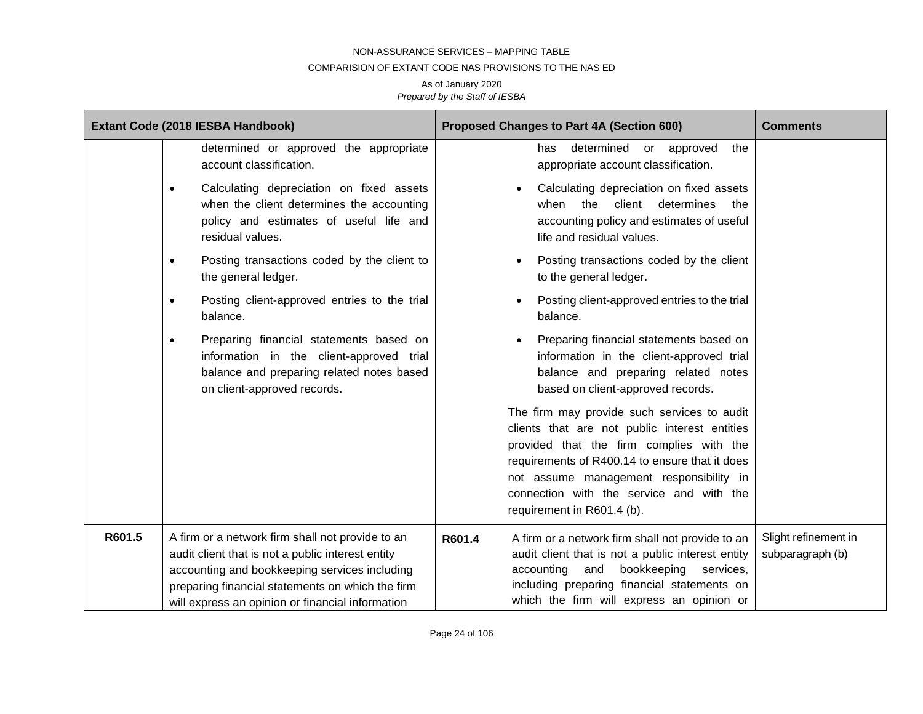#### COMPARISION OF EXTANT CODE NAS PROVISIONS TO THE NAS ED

|        | Extant Code (2018 IESBA Handbook)                                                                                                                                                                                                                              | Proposed Changes to Part 4A (Section 600)                                                                                                                                                                                                                                                                       | <b>Comments</b>                          |
|--------|----------------------------------------------------------------------------------------------------------------------------------------------------------------------------------------------------------------------------------------------------------------|-----------------------------------------------------------------------------------------------------------------------------------------------------------------------------------------------------------------------------------------------------------------------------------------------------------------|------------------------------------------|
|        | determined or approved the appropriate<br>account classification.                                                                                                                                                                                              | determined or approved<br>the<br>has<br>appropriate account classification.                                                                                                                                                                                                                                     |                                          |
|        | Calculating depreciation on fixed assets<br>$\bullet$<br>when the client determines the accounting<br>policy and estimates of useful life and<br>residual values.                                                                                              | Calculating depreciation on fixed assets<br>determines<br>when<br>the<br>client<br>the<br>accounting policy and estimates of useful<br>life and residual values.                                                                                                                                                |                                          |
|        | Posting transactions coded by the client to<br>$\bullet$<br>the general ledger.                                                                                                                                                                                | Posting transactions coded by the client<br>to the general ledger.                                                                                                                                                                                                                                              |                                          |
|        | Posting client-approved entries to the trial<br>$\bullet$<br>balance.                                                                                                                                                                                          | Posting client-approved entries to the trial<br>balance.                                                                                                                                                                                                                                                        |                                          |
|        | Preparing financial statements based on<br>$\bullet$<br>information in the client-approved trial<br>balance and preparing related notes based<br>on client-approved records.                                                                                   | Preparing financial statements based on<br>information in the client-approved trial<br>balance and preparing related notes<br>based on client-approved records.                                                                                                                                                 |                                          |
|        |                                                                                                                                                                                                                                                                | The firm may provide such services to audit<br>clients that are not public interest entities<br>provided that the firm complies with the<br>requirements of R400.14 to ensure that it does<br>not assume management responsibility in<br>connection with the service and with the<br>requirement in R601.4 (b). |                                          |
| R601.5 | A firm or a network firm shall not provide to an<br>audit client that is not a public interest entity<br>accounting and bookkeeping services including<br>preparing financial statements on which the firm<br>will express an opinion or financial information | R601.4<br>A firm or a network firm shall not provide to an<br>audit client that is not a public interest entity<br>bookkeeping<br>accounting<br>and<br>services,<br>including preparing financial statements on<br>which the firm will express an opinion or                                                    | Slight refinement in<br>subparagraph (b) |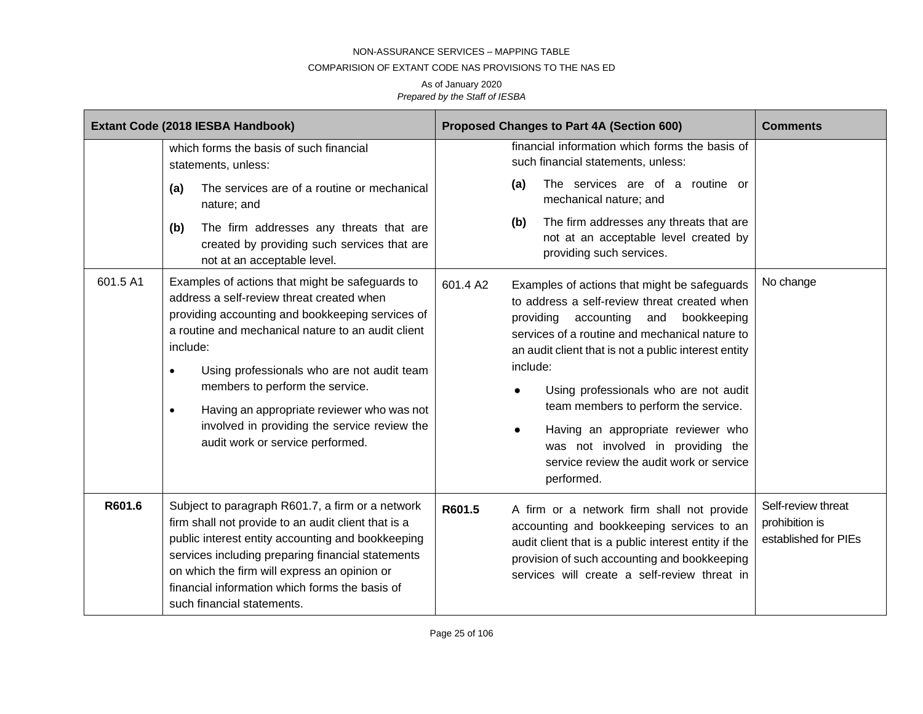### COMPARISION OF EXTANT CODE NAS PROVISIONS TO THE NAS ED

|          | Extant Code (2018 IESBA Handbook)                                                                                                                                                                                                                                                                                                                                                                                                                               | Proposed Changes to Part 4A (Section 600)                                                                                                                                                                                                                                                                                                                                                                                                                                                                                       | <b>Comments</b>                                              |
|----------|-----------------------------------------------------------------------------------------------------------------------------------------------------------------------------------------------------------------------------------------------------------------------------------------------------------------------------------------------------------------------------------------------------------------------------------------------------------------|---------------------------------------------------------------------------------------------------------------------------------------------------------------------------------------------------------------------------------------------------------------------------------------------------------------------------------------------------------------------------------------------------------------------------------------------------------------------------------------------------------------------------------|--------------------------------------------------------------|
|          | which forms the basis of such financial<br>statements, unless:                                                                                                                                                                                                                                                                                                                                                                                                  | financial information which forms the basis of<br>such financial statements, unless:                                                                                                                                                                                                                                                                                                                                                                                                                                            |                                                              |
|          | The services are of a routine or mechanical<br>(a)<br>nature; and                                                                                                                                                                                                                                                                                                                                                                                               | The services are of a routine or<br>(a)<br>mechanical nature; and                                                                                                                                                                                                                                                                                                                                                                                                                                                               |                                                              |
|          | (b)<br>The firm addresses any threats that are<br>created by providing such services that are<br>not at an acceptable level.                                                                                                                                                                                                                                                                                                                                    | The firm addresses any threats that are<br>(b)<br>not at an acceptable level created by<br>providing such services.                                                                                                                                                                                                                                                                                                                                                                                                             |                                                              |
| 601.5 A1 | Examples of actions that might be safeguards to<br>address a self-review threat created when<br>providing accounting and bookkeeping services of<br>a routine and mechanical nature to an audit client<br>include:<br>Using professionals who are not audit team<br>$\bullet$<br>members to perform the service.<br>Having an appropriate reviewer who was not<br>$\bullet$<br>involved in providing the service review the<br>audit work or service performed. | 601.4 A2<br>Examples of actions that might be safeguards<br>to address a self-review threat created when<br>providing<br>accounting<br>and<br>bookkeeping<br>services of a routine and mechanical nature to<br>an audit client that is not a public interest entity<br>include:<br>Using professionals who are not audit<br>$\bullet$<br>team members to perform the service.<br>Having an appropriate reviewer who<br>$\bullet$<br>was not involved in providing the<br>service review the audit work or service<br>performed. | No change                                                    |
| R601.6   | Subject to paragraph R601.7, a firm or a network<br>firm shall not provide to an audit client that is a<br>public interest entity accounting and bookkeeping<br>services including preparing financial statements<br>on which the firm will express an opinion or<br>financial information which forms the basis of<br>such financial statements.                                                                                                               | R601.5<br>A firm or a network firm shall not provide<br>accounting and bookkeeping services to an<br>audit client that is a public interest entity if the<br>provision of such accounting and bookkeeping<br>services will create a self-review threat in                                                                                                                                                                                                                                                                       | Self-review threat<br>prohibition is<br>established for PIEs |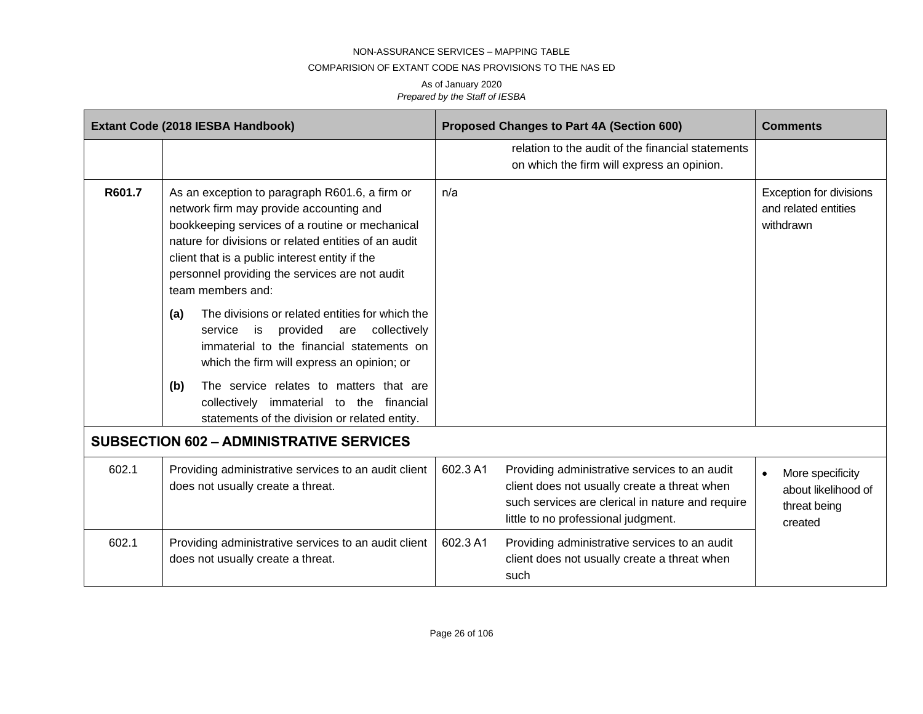#### COMPARISION OF EXTANT CODE NAS PROVISIONS TO THE NAS ED

|        | Extant Code (2018 IESBA Handbook)                                                                                                                                                                                                                                                                                             |          | Proposed Changes to Part 4A (Section 600)                                                                                                                                                | <b>Comments</b>                                                    |
|--------|-------------------------------------------------------------------------------------------------------------------------------------------------------------------------------------------------------------------------------------------------------------------------------------------------------------------------------|----------|------------------------------------------------------------------------------------------------------------------------------------------------------------------------------------------|--------------------------------------------------------------------|
|        |                                                                                                                                                                                                                                                                                                                               |          | relation to the audit of the financial statements<br>on which the firm will express an opinion.                                                                                          |                                                                    |
| R601.7 | As an exception to paragraph R601.6, a firm or<br>network firm may provide accounting and<br>bookkeeping services of a routine or mechanical<br>nature for divisions or related entities of an audit<br>client that is a public interest entity if the<br>personnel providing the services are not audit<br>team members and: | n/a      |                                                                                                                                                                                          | Exception for divisions<br>and related entities<br>withdrawn       |
|        | The divisions or related entities for which the<br>(a)<br>provided are collectively<br>service is<br>immaterial to the financial statements on<br>which the firm will express an opinion; or                                                                                                                                  |          |                                                                                                                                                                                          |                                                                    |
|        | The service relates to matters that are<br>(b)<br>collectively immaterial to the financial<br>statements of the division or related entity.                                                                                                                                                                                   |          |                                                                                                                                                                                          |                                                                    |
|        | <b>SUBSECTION 602 - ADMINISTRATIVE SERVICES</b>                                                                                                                                                                                                                                                                               |          |                                                                                                                                                                                          |                                                                    |
| 602.1  | Providing administrative services to an audit client<br>does not usually create a threat.                                                                                                                                                                                                                                     | 602.3 A1 | Providing administrative services to an audit<br>client does not usually create a threat when<br>such services are clerical in nature and require<br>little to no professional judgment. | More specificity<br>about likelihood of<br>threat being<br>created |
| 602.1  | Providing administrative services to an audit client<br>does not usually create a threat.                                                                                                                                                                                                                                     | 602.3 A1 | Providing administrative services to an audit<br>client does not usually create a threat when<br>such                                                                                    |                                                                    |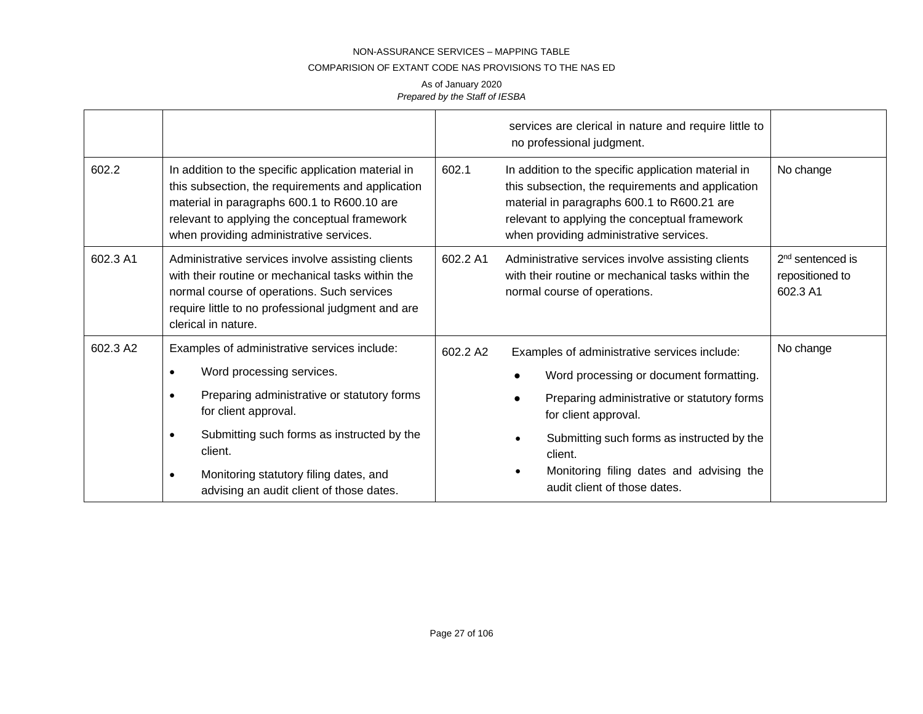#### COMPARISION OF EXTANT CODE NAS PROVISIONS TO THE NAS ED

|          |                                                                                                                                                                                                                                                                                                                                        |          | services are clerical in nature and require little to<br>no professional judgment.                                                                                                                                                                                                                  |                                                             |
|----------|----------------------------------------------------------------------------------------------------------------------------------------------------------------------------------------------------------------------------------------------------------------------------------------------------------------------------------------|----------|-----------------------------------------------------------------------------------------------------------------------------------------------------------------------------------------------------------------------------------------------------------------------------------------------------|-------------------------------------------------------------|
| 602.2    | In addition to the specific application material in<br>this subsection, the requirements and application<br>material in paragraphs 600.1 to R600.10 are<br>relevant to applying the conceptual framework<br>when providing administrative services.                                                                                    | 602.1    | In addition to the specific application material in<br>this subsection, the requirements and application<br>material in paragraphs 600.1 to R600.21 are<br>relevant to applying the conceptual framework<br>when providing administrative services.                                                 | No change                                                   |
| 602.3 A1 | Administrative services involve assisting clients<br>with their routine or mechanical tasks within the<br>normal course of operations. Such services<br>require little to no professional judgment and are<br>clerical in nature.                                                                                                      | 602.2 A1 | Administrative services involve assisting clients<br>with their routine or mechanical tasks within the<br>normal course of operations.                                                                                                                                                              | 2 <sup>nd</sup> sentenced is<br>repositioned to<br>602.3 A1 |
| 602.3 A2 | Examples of administrative services include:<br>Word processing services.<br>$\bullet$<br>Preparing administrative or statutory forms<br>for client approval.<br>Submitting such forms as instructed by the<br>$\bullet$<br>client.<br>Monitoring statutory filing dates, and<br>$\bullet$<br>advising an audit client of those dates. | 602.2 A2 | Examples of administrative services include:<br>Word processing or document formatting.<br>Preparing administrative or statutory forms<br>for client approval.<br>Submitting such forms as instructed by the<br>client.<br>Monitoring filing dates and advising the<br>audit client of those dates. | No change                                                   |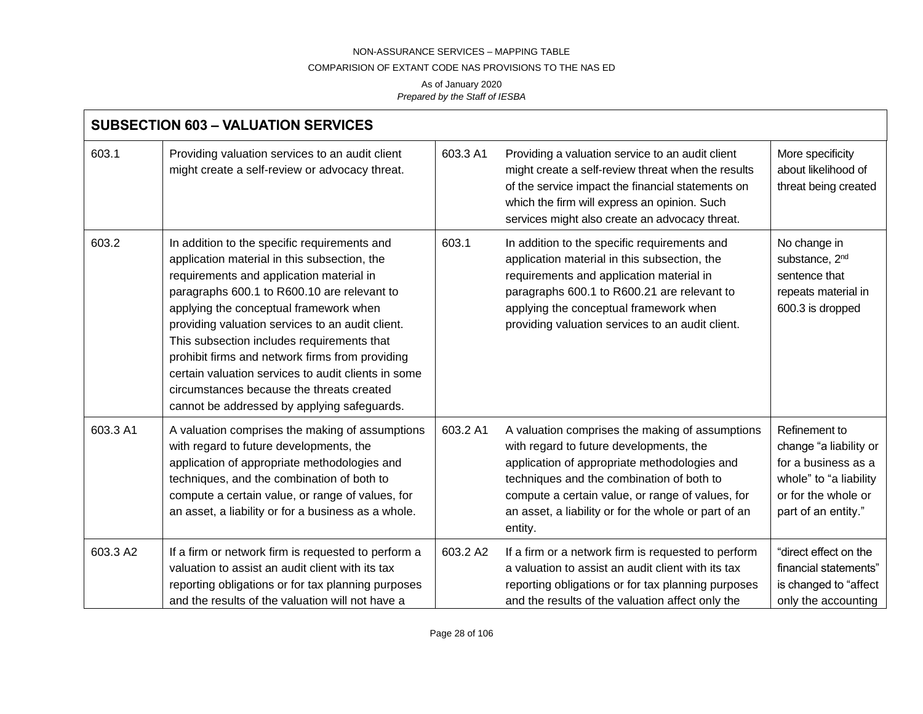### COMPARISION OF EXTANT CODE NAS PROVISIONS TO THE NAS ED

| <b>SUBSECTION 603 - VALUATION SERVICES</b> |                                                                                                                                                                                                                                                                                                                                                                                                                                                                                                                                           |          |                                                                                                                                                                                                                                                                                                                |                                                                                                                                        |  |
|--------------------------------------------|-------------------------------------------------------------------------------------------------------------------------------------------------------------------------------------------------------------------------------------------------------------------------------------------------------------------------------------------------------------------------------------------------------------------------------------------------------------------------------------------------------------------------------------------|----------|----------------------------------------------------------------------------------------------------------------------------------------------------------------------------------------------------------------------------------------------------------------------------------------------------------------|----------------------------------------------------------------------------------------------------------------------------------------|--|
| 603.1                                      | Providing valuation services to an audit client<br>might create a self-review or advocacy threat.                                                                                                                                                                                                                                                                                                                                                                                                                                         | 603.3 A1 | Providing a valuation service to an audit client<br>might create a self-review threat when the results<br>of the service impact the financial statements on<br>which the firm will express an opinion. Such<br>services might also create an advocacy threat.                                                  | More specificity<br>about likelihood of<br>threat being created                                                                        |  |
| 603.2                                      | In addition to the specific requirements and<br>application material in this subsection, the<br>requirements and application material in<br>paragraphs 600.1 to R600.10 are relevant to<br>applying the conceptual framework when<br>providing valuation services to an audit client.<br>This subsection includes requirements that<br>prohibit firms and network firms from providing<br>certain valuation services to audit clients in some<br>circumstances because the threats created<br>cannot be addressed by applying safeguards. | 603.1    | In addition to the specific requirements and<br>application material in this subsection, the<br>requirements and application material in<br>paragraphs 600.1 to R600.21 are relevant to<br>applying the conceptual framework when<br>providing valuation services to an audit client.                          | No change in<br>substance, 2 <sup>nd</sup><br>sentence that<br>repeats material in<br>600.3 is dropped                                 |  |
| 603.3 A1                                   | A valuation comprises the making of assumptions<br>with regard to future developments, the<br>application of appropriate methodologies and<br>techniques, and the combination of both to<br>compute a certain value, or range of values, for<br>an asset, a liability or for a business as a whole.                                                                                                                                                                                                                                       | 603.2 A1 | A valuation comprises the making of assumptions<br>with regard to future developments, the<br>application of appropriate methodologies and<br>techniques and the combination of both to<br>compute a certain value, or range of values, for<br>an asset, a liability or for the whole or part of an<br>entity. | Refinement to<br>change "a liability or<br>for a business as a<br>whole" to "a liability<br>or for the whole or<br>part of an entity." |  |
| 603.3 A2                                   | If a firm or network firm is requested to perform a<br>valuation to assist an audit client with its tax<br>reporting obligations or for tax planning purposes<br>and the results of the valuation will not have a                                                                                                                                                                                                                                                                                                                         | 603.2 A2 | If a firm or a network firm is requested to perform<br>a valuation to assist an audit client with its tax<br>reporting obligations or for tax planning purposes<br>and the results of the valuation affect only the                                                                                            | "direct effect on the<br>financial statements"<br>is changed to "affect<br>only the accounting                                         |  |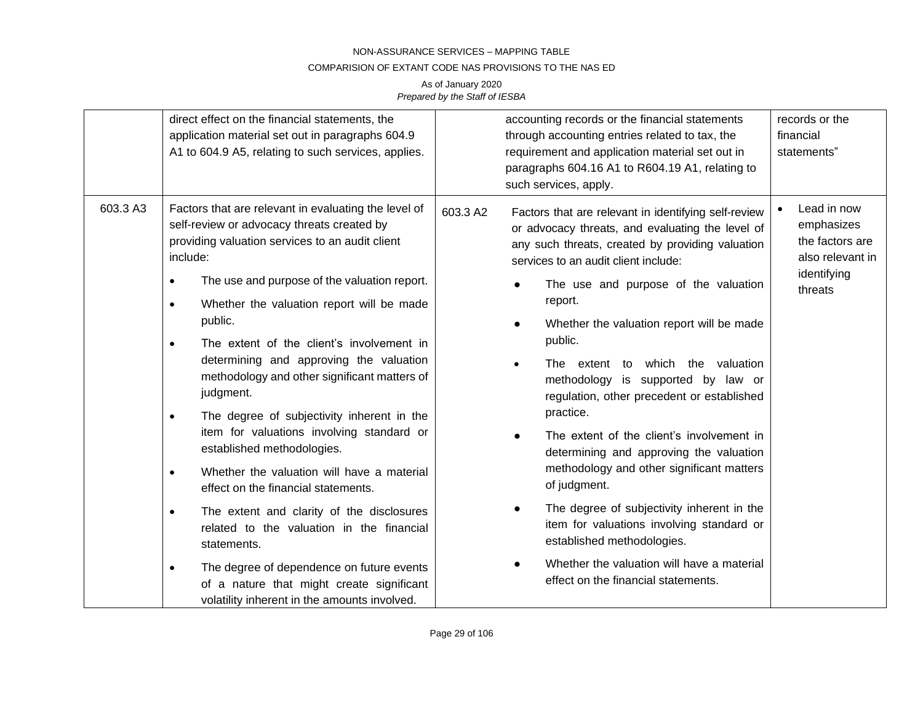### COMPARISION OF EXTANT CODE NAS PROVISIONS TO THE NAS ED

|                                                | direct effect on the financial statements, the<br>application material set out in paragraphs 604.9<br>A1 to 604.9 A5, relating to such services, applies. | accounting records or the financial statements<br>through accounting entries related to tax, the<br>requirement and application material set out in<br>paragraphs 604.16 A1 to R604.19 A1, relating to<br>such services, apply. | records or the<br>financial<br>statements"                                      |
|------------------------------------------------|-----------------------------------------------------------------------------------------------------------------------------------------------------------|---------------------------------------------------------------------------------------------------------------------------------------------------------------------------------------------------------------------------------|---------------------------------------------------------------------------------|
| 603.3 A3<br>include:<br>$\bullet$<br>$\bullet$ | Factors that are relevant in evaluating the level of<br>self-review or advocacy threats created by<br>providing valuation services to an audit client     | 603.3 A2<br>Factors that are relevant in identifying self-review<br>or advocacy threats, and evaluating the level of<br>any such threats, created by providing valuation<br>services to an audit client include:                | Lead in now<br>emphasizes<br>the factors are<br>also relevant in<br>identifying |
|                                                | The use and purpose of the valuation report.<br>Whether the valuation report will be made<br>public.                                                      | The use and purpose of the valuation<br>report.                                                                                                                                                                                 | threats                                                                         |
|                                                | The extent of the client's involvement in<br>$\bullet$                                                                                                    | Whether the valuation report will be made<br>$\bullet$<br>public.<br>The extent to which the valuation<br>$\bullet$<br>methodology is supported by law or<br>regulation, other precedent or established                         |                                                                                 |
|                                                | determining and approving the valuation<br>methodology and other significant matters of<br>judgment.                                                      |                                                                                                                                                                                                                                 |                                                                                 |
|                                                | The degree of subjectivity inherent in the<br>$\bullet$                                                                                                   | practice.                                                                                                                                                                                                                       |                                                                                 |
|                                                | item for valuations involving standard or<br>established methodologies.                                                                                   | The extent of the client's involvement in<br>determining and approving the valuation                                                                                                                                            |                                                                                 |
|                                                | Whether the valuation will have a material<br>$\bullet$<br>effect on the financial statements.                                                            | methodology and other significant matters<br>of judgment.                                                                                                                                                                       |                                                                                 |
|                                                | The extent and clarity of the disclosures<br>$\bullet$<br>related to the valuation in the financial<br>statements.                                        | The degree of subjectivity inherent in the<br>item for valuations involving standard or<br>established methodologies.                                                                                                           |                                                                                 |
|                                                | The degree of dependence on future events<br>$\bullet$<br>of a nature that might create significant<br>volatility inherent in the amounts involved.       | Whether the valuation will have a material<br>effect on the financial statements.                                                                                                                                               |                                                                                 |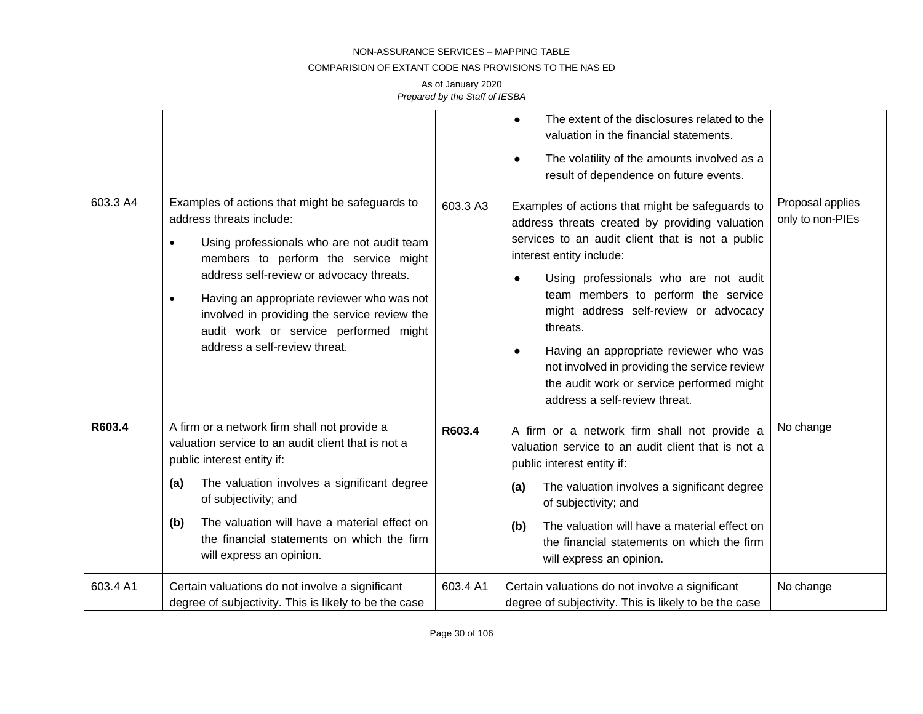#### COMPARISION OF EXTANT CODE NAS PROVISIONS TO THE NAS ED

| 603.3 A4 | Examples of actions that might be safeguards to<br>address threats include:<br>Using professionals who are not audit team<br>$\bullet$<br>members to perform the service might<br>address self-review or advocacy threats.<br>Having an appropriate reviewer who was not<br>$\bullet$<br>involved in providing the service review the<br>audit work or service performed might<br>address a self-review threat. | 603.3 A3 | The extent of the disclosures related to the<br>$\bullet$<br>valuation in the financial statements.<br>The volatility of the amounts involved as a<br>result of dependence on future events.<br>Examples of actions that might be safeguards to<br>address threats created by providing valuation<br>services to an audit client that is not a public<br>interest entity include:<br>Using professionals who are not audit<br>team members to perform the service<br>might address self-review or advocacy<br>threats.<br>Having an appropriate reviewer who was<br>not involved in providing the service review<br>the audit work or service performed might<br>address a self-review threat. | Proposal applies<br>only to non-PIEs |
|----------|-----------------------------------------------------------------------------------------------------------------------------------------------------------------------------------------------------------------------------------------------------------------------------------------------------------------------------------------------------------------------------------------------------------------|----------|------------------------------------------------------------------------------------------------------------------------------------------------------------------------------------------------------------------------------------------------------------------------------------------------------------------------------------------------------------------------------------------------------------------------------------------------------------------------------------------------------------------------------------------------------------------------------------------------------------------------------------------------------------------------------------------------|--------------------------------------|
| R603.4   | A firm or a network firm shall not provide a<br>valuation service to an audit client that is not a<br>public interest entity if:<br>The valuation involves a significant degree<br>(a)<br>of subjectivity; and<br>The valuation will have a material effect on<br>(b)<br>the financial statements on which the firm<br>will express an opinion.                                                                 | R603.4   | A firm or a network firm shall not provide a<br>valuation service to an audit client that is not a<br>public interest entity if:<br>The valuation involves a significant degree<br>(a)<br>of subjectivity; and<br>The valuation will have a material effect on<br>(b)<br>the financial statements on which the firm<br>will express an opinion.                                                                                                                                                                                                                                                                                                                                                | No change                            |
| 603.4 A1 | Certain valuations do not involve a significant<br>degree of subjectivity. This is likely to be the case                                                                                                                                                                                                                                                                                                        | 603.4 A1 | Certain valuations do not involve a significant<br>degree of subjectivity. This is likely to be the case                                                                                                                                                                                                                                                                                                                                                                                                                                                                                                                                                                                       | No change                            |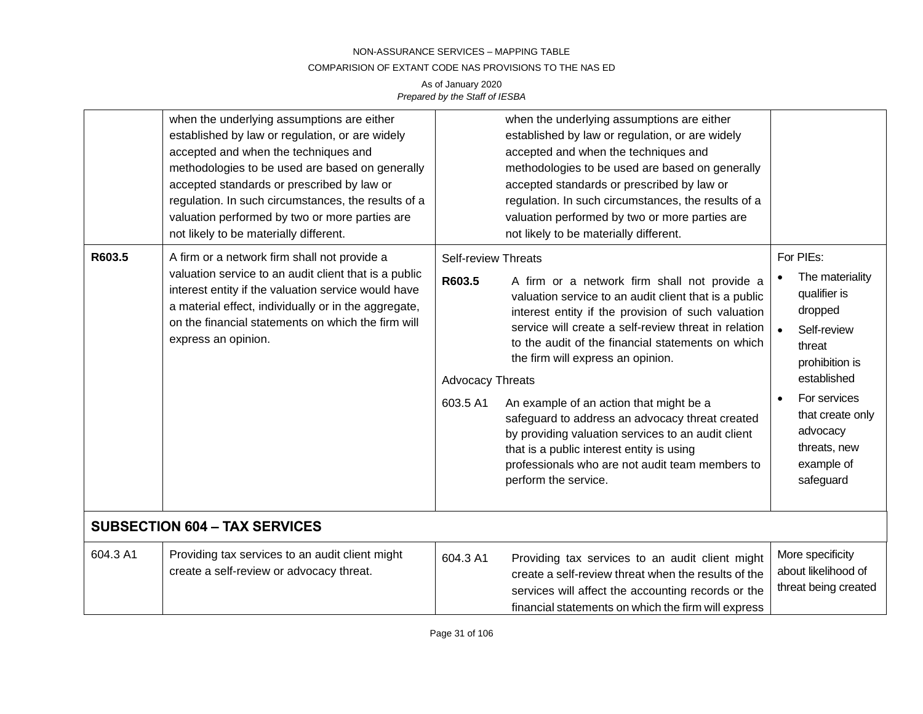#### COMPARISION OF EXTANT CODE NAS PROVISIONS TO THE NAS ED

|          | when the underlying assumptions are either<br>established by law or regulation, or are widely<br>accepted and when the techniques and<br>methodologies to be used are based on generally<br>accepted standards or prescribed by law or<br>regulation. In such circumstances, the results of a<br>valuation performed by two or more parties are<br>not likely to be materially different. |                                                                             | when the underlying assumptions are either<br>established by law or regulation, or are widely<br>accepted and when the techniques and<br>methodologies to be used are based on generally<br>accepted standards or prescribed by law or<br>regulation. In such circumstances, the results of a<br>valuation performed by two or more parties are<br>not likely to be materially different.                                                                                                                                                                                                 |                                                                                                                                                                                                              |
|----------|-------------------------------------------------------------------------------------------------------------------------------------------------------------------------------------------------------------------------------------------------------------------------------------------------------------------------------------------------------------------------------------------|-----------------------------------------------------------------------------|-------------------------------------------------------------------------------------------------------------------------------------------------------------------------------------------------------------------------------------------------------------------------------------------------------------------------------------------------------------------------------------------------------------------------------------------------------------------------------------------------------------------------------------------------------------------------------------------|--------------------------------------------------------------------------------------------------------------------------------------------------------------------------------------------------------------|
| R603.5   | A firm or a network firm shall not provide a<br>valuation service to an audit client that is a public<br>interest entity if the valuation service would have<br>a material effect, individually or in the aggregate,<br>on the financial statements on which the firm will<br>express an opinion.                                                                                         | <b>Self-review Threats</b><br>R603.5<br><b>Advocacy Threats</b><br>603.5 A1 | A firm or a network firm shall not provide a<br>valuation service to an audit client that is a public<br>interest entity if the provision of such valuation<br>service will create a self-review threat in relation<br>to the audit of the financial statements on which<br>the firm will express an opinion.<br>An example of an action that might be a<br>safeguard to address an advocacy threat created<br>by providing valuation services to an audit client<br>that is a public interest entity is using<br>professionals who are not audit team members to<br>perform the service. | For PIEs:<br>The materiality<br>qualifier is<br>dropped<br>Self-review<br>threat<br>prohibition is<br>established<br>For services<br>that create only<br>advocacy<br>threats, new<br>example of<br>safeguard |
|          | <b>SUBSECTION 604 - TAX SERVICES</b>                                                                                                                                                                                                                                                                                                                                                      |                                                                             |                                                                                                                                                                                                                                                                                                                                                                                                                                                                                                                                                                                           |                                                                                                                                                                                                              |
| 604.3 A1 | Providing tax services to an audit client might<br>create a self-review or advocacy threat.                                                                                                                                                                                                                                                                                               | 604.3 A1                                                                    | Providing tax services to an audit client might<br>create a self-review threat when the results of the<br>services will affect the accounting records or the<br>financial statements on which the firm will express                                                                                                                                                                                                                                                                                                                                                                       | More specificity<br>about likelihood of<br>threat being created                                                                                                                                              |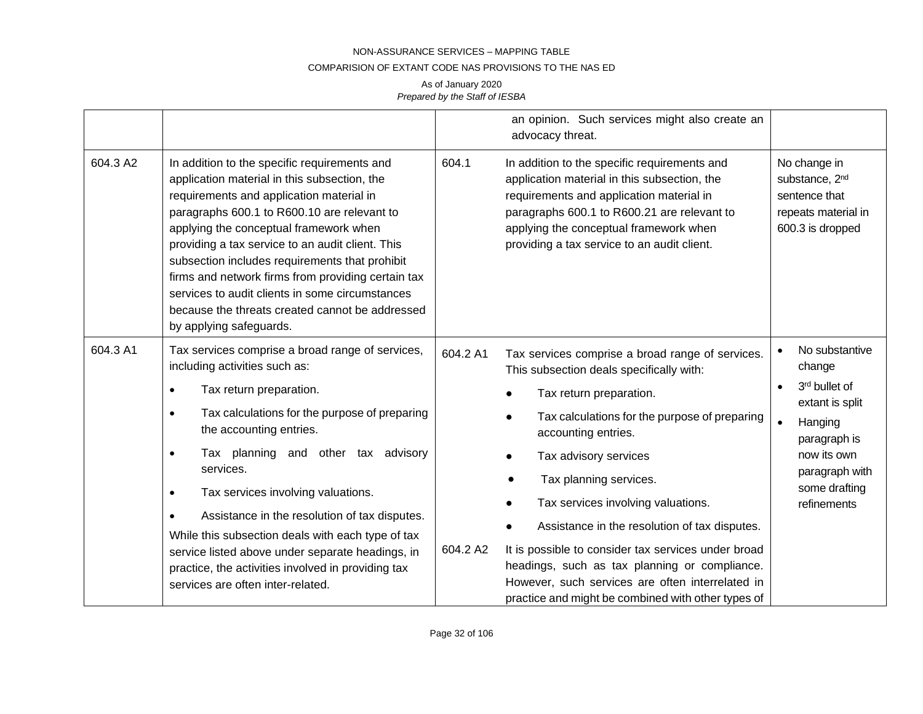#### COMPARISION OF EXTANT CODE NAS PROVISIONS TO THE NAS ED

|          |                                                                                                                                                                                                                                                                                                                                                                                                                                                                                                                                                                                             |                      | an opinion. Such services might also create an<br>advocacy threat.                                                                                                                                                                                                                                                                                                                                                                                                                                                                                          |                                                                                                                                                          |
|----------|---------------------------------------------------------------------------------------------------------------------------------------------------------------------------------------------------------------------------------------------------------------------------------------------------------------------------------------------------------------------------------------------------------------------------------------------------------------------------------------------------------------------------------------------------------------------------------------------|----------------------|-------------------------------------------------------------------------------------------------------------------------------------------------------------------------------------------------------------------------------------------------------------------------------------------------------------------------------------------------------------------------------------------------------------------------------------------------------------------------------------------------------------------------------------------------------------|----------------------------------------------------------------------------------------------------------------------------------------------------------|
| 604.3 A2 | In addition to the specific requirements and<br>application material in this subsection, the<br>requirements and application material in<br>paragraphs 600.1 to R600.10 are relevant to<br>applying the conceptual framework when<br>providing a tax service to an audit client. This<br>subsection includes requirements that prohibit<br>firms and network firms from providing certain tax<br>services to audit clients in some circumstances<br>because the threats created cannot be addressed<br>by applying safeguards.                                                              | 604.1                | In addition to the specific requirements and<br>application material in this subsection, the<br>requirements and application material in<br>paragraphs 600.1 to R600.21 are relevant to<br>applying the conceptual framework when<br>providing a tax service to an audit client.                                                                                                                                                                                                                                                                            | No change in<br>substance, 2 <sup>nd</sup><br>sentence that<br>repeats material in<br>600.3 is dropped                                                   |
| 604.3 A1 | Tax services comprise a broad range of services,<br>including activities such as:<br>Tax return preparation.<br>$\bullet$<br>Tax calculations for the purpose of preparing<br>$\bullet$<br>the accounting entries.<br>Tax planning and other tax advisory<br>$\bullet$<br>services.<br>Tax services involving valuations.<br>$\bullet$<br>Assistance in the resolution of tax disputes.<br>While this subsection deals with each type of tax<br>service listed above under separate headings, in<br>practice, the activities involved in providing tax<br>services are often inter-related. | 604.2 A1<br>604.2 A2 | Tax services comprise a broad range of services.<br>This subsection deals specifically with:<br>Tax return preparation.<br>Tax calculations for the purpose of preparing<br>accounting entries.<br>Tax advisory services<br>Tax planning services.<br>Tax services involving valuations.<br>Assistance in the resolution of tax disputes.<br>It is possible to consider tax services under broad<br>headings, such as tax planning or compliance.<br>However, such services are often interrelated in<br>practice and might be combined with other types of | No substantive<br>change<br>3rd bullet of<br>extant is split<br>Hanging<br>paragraph is<br>now its own<br>paragraph with<br>some drafting<br>refinements |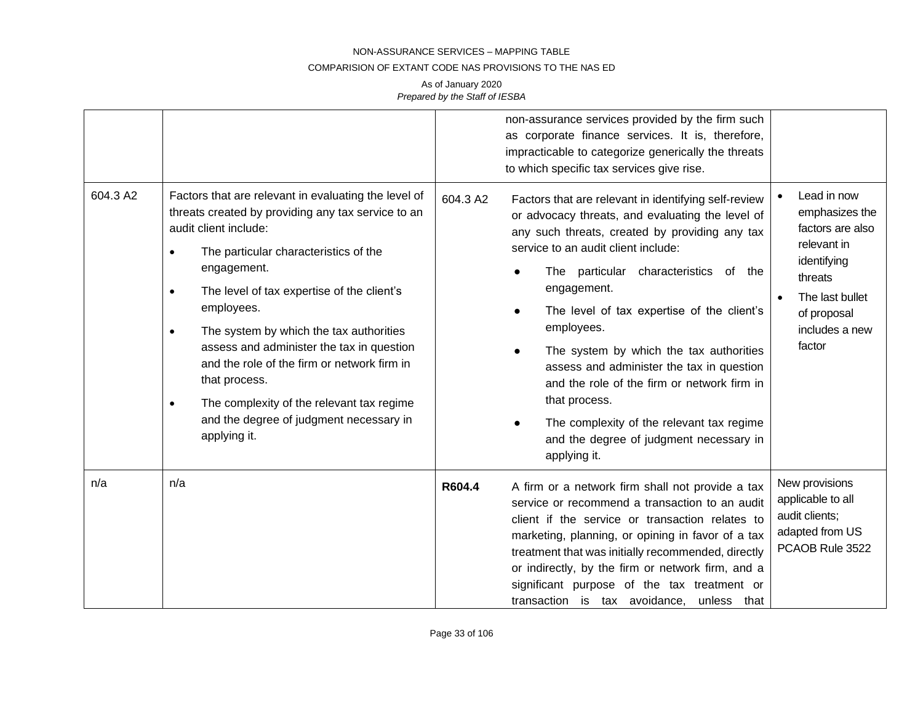#### COMPARISION OF EXTANT CODE NAS PROVISIONS TO THE NAS ED

| 604.3 A2 | Factors that are relevant in evaluating the level of<br>threats created by providing any tax service to an<br>audit client include:<br>The particular characteristics of the<br>$\bullet$<br>engagement.<br>The level of tax expertise of the client's<br>$\bullet$<br>employees.<br>The system by which the tax authorities<br>$\bullet$<br>assess and administer the tax in question<br>and the role of the firm or network firm in<br>that process.<br>The complexity of the relevant tax regime<br>$\bullet$<br>and the degree of judgment necessary in<br>applying it. | 604.3 A2 | non-assurance services provided by the firm such<br>as corporate finance services. It is, therefore,<br>impracticable to categorize generically the threats<br>to which specific tax services give rise.<br>Factors that are relevant in identifying self-review<br>or advocacy threats, and evaluating the level of<br>any such threats, created by providing any tax<br>service to an audit client include:<br>The particular characteristics of the<br>engagement.<br>The level of tax expertise of the client's<br>employees.<br>The system by which the tax authorities<br>assess and administer the tax in question<br>and the role of the firm or network firm in<br>that process.<br>The complexity of the relevant tax regime<br>and the degree of judgment necessary in<br>applying it. | Lead in now<br>emphasizes the<br>factors are also<br>relevant in<br>identifying<br>threats<br>The last bullet<br>of proposal<br>includes a new<br>factor |
|----------|-----------------------------------------------------------------------------------------------------------------------------------------------------------------------------------------------------------------------------------------------------------------------------------------------------------------------------------------------------------------------------------------------------------------------------------------------------------------------------------------------------------------------------------------------------------------------------|----------|---------------------------------------------------------------------------------------------------------------------------------------------------------------------------------------------------------------------------------------------------------------------------------------------------------------------------------------------------------------------------------------------------------------------------------------------------------------------------------------------------------------------------------------------------------------------------------------------------------------------------------------------------------------------------------------------------------------------------------------------------------------------------------------------------|----------------------------------------------------------------------------------------------------------------------------------------------------------|
| n/a      | n/a                                                                                                                                                                                                                                                                                                                                                                                                                                                                                                                                                                         | R604.4   | A firm or a network firm shall not provide a tax<br>service or recommend a transaction to an audit<br>client if the service or transaction relates to<br>marketing, planning, or opining in favor of a tax<br>treatment that was initially recommended, directly<br>or indirectly, by the firm or network firm, and a<br>significant purpose of the tax treatment or<br>transaction is tax avoidance, unless that                                                                                                                                                                                                                                                                                                                                                                                 | New provisions<br>applicable to all<br>audit clients;<br>adapted from US<br>PCAOB Rule 3522                                                              |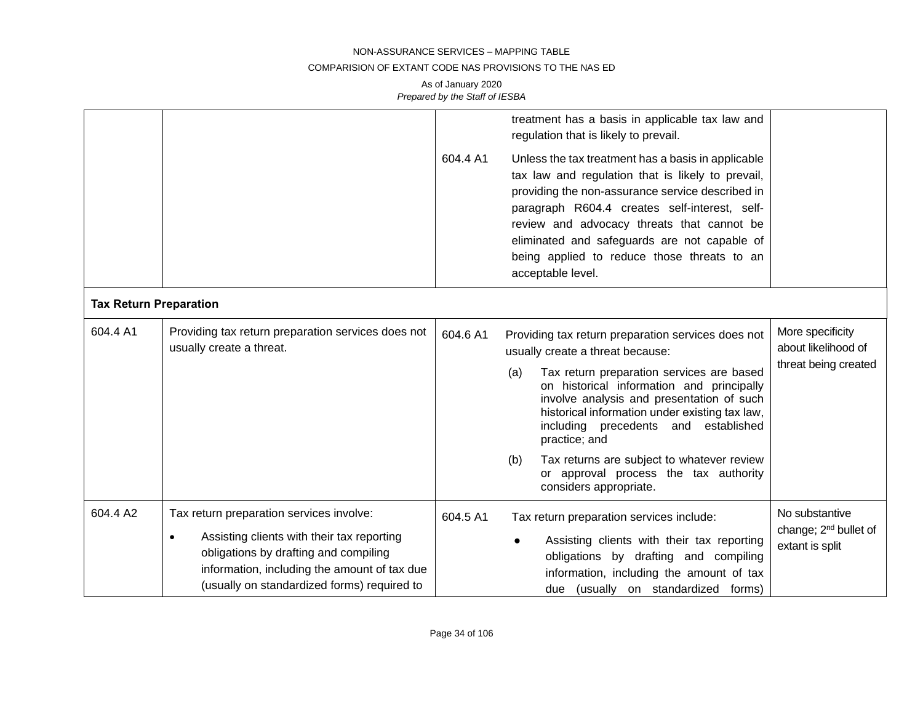### COMPARISION OF EXTANT CODE NAS PROVISIONS TO THE NAS ED

|                               |                                                                                                                                                                                                                                             |          | treatment has a basis in applicable tax law and<br>regulation that is likely to prevail.                                                                                                                                                                                                                                                                                                                                                                                |                                                                        |
|-------------------------------|---------------------------------------------------------------------------------------------------------------------------------------------------------------------------------------------------------------------------------------------|----------|-------------------------------------------------------------------------------------------------------------------------------------------------------------------------------------------------------------------------------------------------------------------------------------------------------------------------------------------------------------------------------------------------------------------------------------------------------------------------|------------------------------------------------------------------------|
|                               |                                                                                                                                                                                                                                             | 604.4 A1 | Unless the tax treatment has a basis in applicable<br>tax law and regulation that is likely to prevail,<br>providing the non-assurance service described in<br>paragraph R604.4 creates self-interest, self-<br>review and advocacy threats that cannot be<br>eliminated and safeguards are not capable of<br>being applied to reduce those threats to an<br>acceptable level.                                                                                          |                                                                        |
| <b>Tax Return Preparation</b> |                                                                                                                                                                                                                                             |          |                                                                                                                                                                                                                                                                                                                                                                                                                                                                         |                                                                        |
| 604.4 A1                      | Providing tax return preparation services does not<br>usually create a threat.                                                                                                                                                              | 604.6 A1 | Providing tax return preparation services does not<br>usually create a threat because:<br>Tax return preparation services are based<br>(a)<br>on historical information and principally<br>involve analysis and presentation of such<br>historical information under existing tax law,<br>including precedents and established<br>practice; and<br>Tax returns are subject to whatever review<br>(b)<br>or approval process the tax authority<br>considers appropriate. | More specificity<br>about likelihood of<br>threat being created        |
| 604.4 A2                      | Tax return preparation services involve:<br>Assisting clients with their tax reporting<br>$\bullet$<br>obligations by drafting and compiling<br>information, including the amount of tax due<br>(usually on standardized forms) required to | 604.5 A1 | Tax return preparation services include:<br>Assisting clients with their tax reporting<br>$\bullet$<br>obligations by drafting and compiling<br>information, including the amount of tax<br>due (usually on standardized forms)                                                                                                                                                                                                                                         | No substantive<br>change; 2 <sup>nd</sup> bullet of<br>extant is split |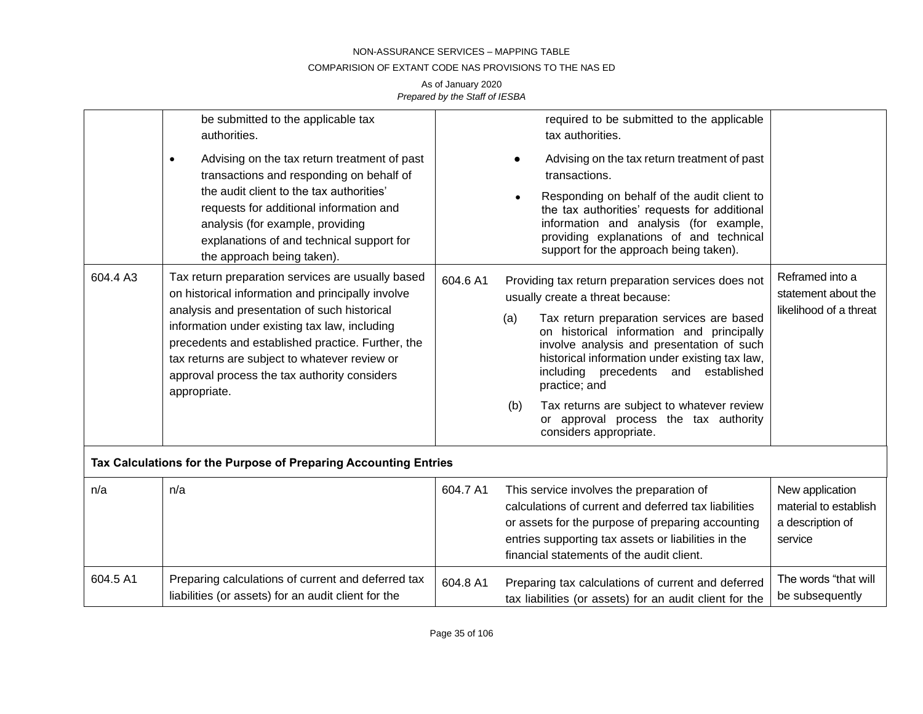### COMPARISION OF EXTANT CODE NAS PROVISIONS TO THE NAS ED

|                                                                                                                                                                                                    | be submitted to the applicable tax<br>authorities.                                                                                                                                                                                                                  |                                                                                                                                                                                                                            | required to be submitted to the applicable<br>tax authorities.                                                                                                                                                                                            |                                                                         |
|----------------------------------------------------------------------------------------------------------------------------------------------------------------------------------------------------|---------------------------------------------------------------------------------------------------------------------------------------------------------------------------------------------------------------------------------------------------------------------|----------------------------------------------------------------------------------------------------------------------------------------------------------------------------------------------------------------------------|-----------------------------------------------------------------------------------------------------------------------------------------------------------------------------------------------------------------------------------------------------------|-------------------------------------------------------------------------|
|                                                                                                                                                                                                    | Advising on the tax return treatment of past<br>$\bullet$<br>transactions and responding on behalf of                                                                                                                                                               |                                                                                                                                                                                                                            | Advising on the tax return treatment of past<br>transactions.                                                                                                                                                                                             |                                                                         |
| the audit client to the tax authorities'<br>requests for additional information and<br>analysis (for example, providing<br>explanations of and technical support for<br>the approach being taken). |                                                                                                                                                                                                                                                                     | Responding on behalf of the audit client to<br>the tax authorities' requests for additional<br>information and analysis (for example,<br>providing explanations of and technical<br>support for the approach being taken). |                                                                                                                                                                                                                                                           |                                                                         |
| 604.4 A3                                                                                                                                                                                           | Tax return preparation services are usually based<br>on historical information and principally involve                                                                                                                                                              | 604.6 A1                                                                                                                                                                                                                   | Providing tax return preparation services does not<br>usually create a threat because:                                                                                                                                                                    | Reframed into a<br>statement about the                                  |
|                                                                                                                                                                                                    | analysis and presentation of such historical<br>information under existing tax law, including<br>precedents and established practice. Further, the<br>tax returns are subject to whatever review or<br>approval process the tax authority considers<br>appropriate. |                                                                                                                                                                                                                            | Tax return preparation services are based<br>(a)<br>on historical information and principally<br>involve analysis and presentation of such<br>historical information under existing tax law,<br>including precedents and established<br>practice; and     | likelihood of a threat                                                  |
|                                                                                                                                                                                                    |                                                                                                                                                                                                                                                                     |                                                                                                                                                                                                                            | Tax returns are subject to whatever review<br>(b)<br>or approval process the tax authority<br>considers appropriate.                                                                                                                                      |                                                                         |
|                                                                                                                                                                                                    | Tax Calculations for the Purpose of Preparing Accounting Entries                                                                                                                                                                                                    |                                                                                                                                                                                                                            |                                                                                                                                                                                                                                                           |                                                                         |
| n/a                                                                                                                                                                                                | n/a                                                                                                                                                                                                                                                                 | 604.7 A1                                                                                                                                                                                                                   | This service involves the preparation of<br>calculations of current and deferred tax liabilities<br>or assets for the purpose of preparing accounting<br>entries supporting tax assets or liabilities in the<br>financial statements of the audit client. | New application<br>material to establish<br>a description of<br>service |
| 604.5 A1                                                                                                                                                                                           | Preparing calculations of current and deferred tax<br>liabilities (or assets) for an audit client for the                                                                                                                                                           | 604.8 A1                                                                                                                                                                                                                   | Preparing tax calculations of current and deferred<br>tax liabilities (or assets) for an audit client for the                                                                                                                                             | The words "that will<br>be subsequently                                 |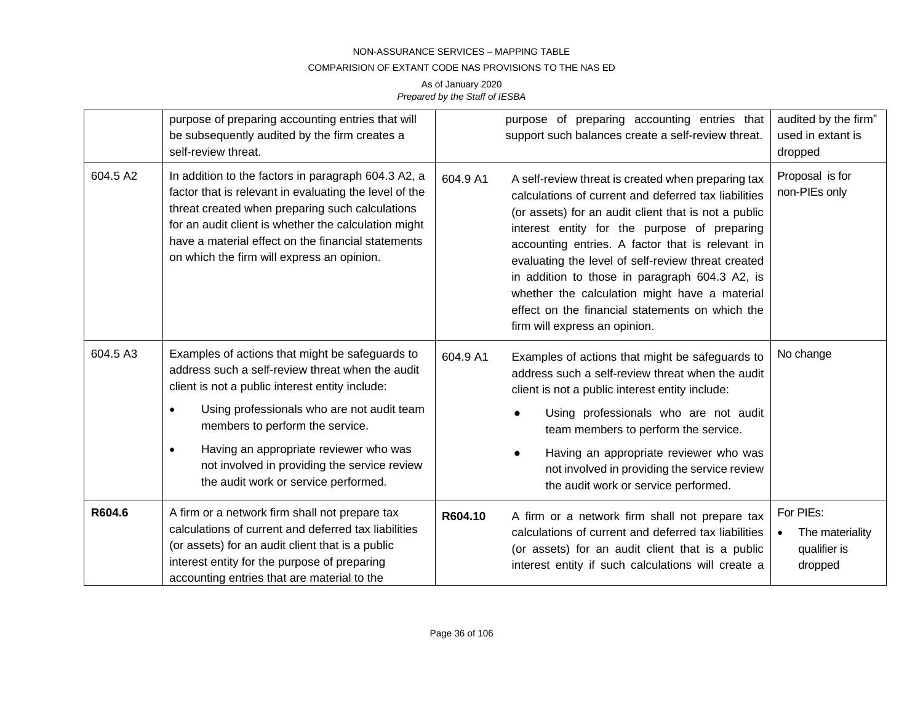#### COMPARISION OF EXTANT CODE NAS PROVISIONS TO THE NAS ED

|          | purpose of preparing accounting entries that will<br>be subsequently audited by the firm creates a<br>self-review threat.                                                                                                                                                                                                    |          | purpose of preparing accounting entries that<br>support such balances create a self-review threat.                                                                                                                                                                                                                                                                                                                                                                                                                  | audited by the firm"<br>used in extant is<br>dropped    |
|----------|------------------------------------------------------------------------------------------------------------------------------------------------------------------------------------------------------------------------------------------------------------------------------------------------------------------------------|----------|---------------------------------------------------------------------------------------------------------------------------------------------------------------------------------------------------------------------------------------------------------------------------------------------------------------------------------------------------------------------------------------------------------------------------------------------------------------------------------------------------------------------|---------------------------------------------------------|
| 604.5 A2 | In addition to the factors in paragraph 604.3 A2, a<br>factor that is relevant in evaluating the level of the<br>threat created when preparing such calculations<br>for an audit client is whether the calculation might<br>have a material effect on the financial statements<br>on which the firm will express an opinion. | 604.9 A1 | A self-review threat is created when preparing tax<br>calculations of current and deferred tax liabilities<br>(or assets) for an audit client that is not a public<br>interest entity for the purpose of preparing<br>accounting entries. A factor that is relevant in<br>evaluating the level of self-review threat created<br>in addition to those in paragraph 604.3 A2, is<br>whether the calculation might have a material<br>effect on the financial statements on which the<br>firm will express an opinion. | Proposal is for<br>non-PIEs only                        |
| 604.5 A3 | Examples of actions that might be safeguards to<br>address such a self-review threat when the audit<br>client is not a public interest entity include:                                                                                                                                                                       | 604.9 A1 | Examples of actions that might be safeguards to<br>address such a self-review threat when the audit<br>client is not a public interest entity include:                                                                                                                                                                                                                                                                                                                                                              | No change                                               |
|          | Using professionals who are not audit team<br>$\bullet$<br>members to perform the service.                                                                                                                                                                                                                                   |          | Using professionals who are not audit<br>team members to perform the service.                                                                                                                                                                                                                                                                                                                                                                                                                                       |                                                         |
|          | Having an appropriate reviewer who was<br>$\bullet$<br>not involved in providing the service review<br>the audit work or service performed.                                                                                                                                                                                  |          | Having an appropriate reviewer who was<br>not involved in providing the service review<br>the audit work or service performed.                                                                                                                                                                                                                                                                                                                                                                                      |                                                         |
| R604.6   | A firm or a network firm shall not prepare tax<br>calculations of current and deferred tax liabilities<br>(or assets) for an audit client that is a public<br>interest entity for the purpose of preparing<br>accounting entries that are material to the                                                                    | R604.10  | A firm or a network firm shall not prepare tax<br>calculations of current and deferred tax liabilities<br>(or assets) for an audit client that is a public<br>interest entity if such calculations will create a                                                                                                                                                                                                                                                                                                    | For PIEs:<br>The materiality<br>qualifier is<br>dropped |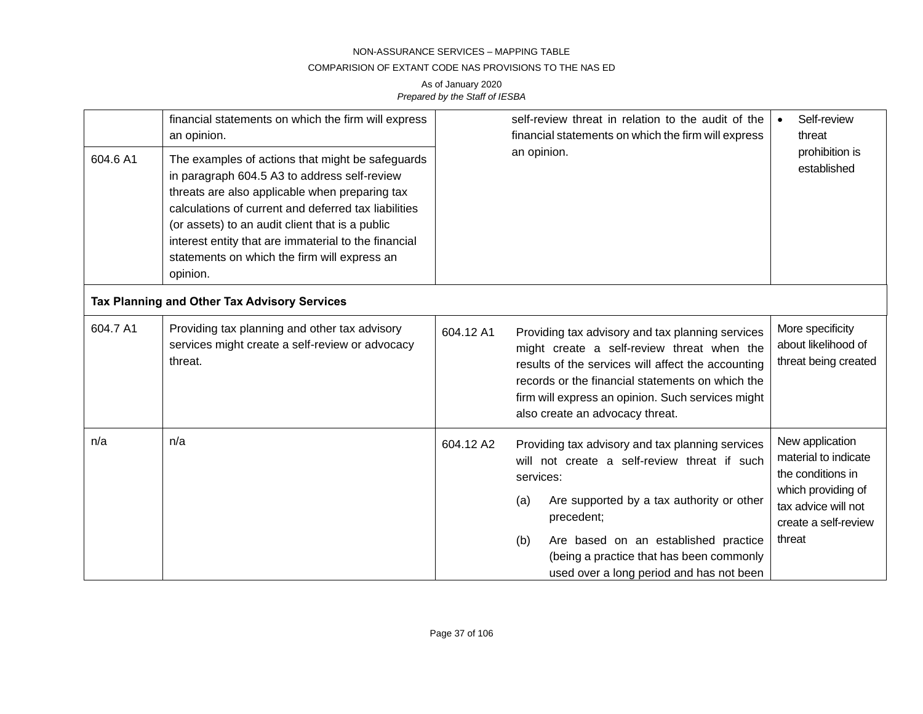### COMPARISION OF EXTANT CODE NAS PROVISIONS TO THE NAS ED

| 604.6 A1 | financial statements on which the firm will express<br>an opinion.<br>The examples of actions that might be safeguards<br>in paragraph 604.5 A3 to address self-review<br>threats are also applicable when preparing tax<br>calculations of current and deferred tax liabilities<br>(or assets) to an audit client that is a public<br>interest entity that are immaterial to the financial<br>statements on which the firm will express an<br>opinion. |           | self-review threat in relation to the audit of the<br>financial statements on which the firm will express<br>an opinion.                                                                                                                                                                                               | Self-review<br>threat<br>prohibition is<br>established                                                                                      |
|----------|---------------------------------------------------------------------------------------------------------------------------------------------------------------------------------------------------------------------------------------------------------------------------------------------------------------------------------------------------------------------------------------------------------------------------------------------------------|-----------|------------------------------------------------------------------------------------------------------------------------------------------------------------------------------------------------------------------------------------------------------------------------------------------------------------------------|---------------------------------------------------------------------------------------------------------------------------------------------|
|          | Tax Planning and Other Tax Advisory Services                                                                                                                                                                                                                                                                                                                                                                                                            |           |                                                                                                                                                                                                                                                                                                                        |                                                                                                                                             |
| 604.7 A1 | Providing tax planning and other tax advisory<br>services might create a self-review or advocacy<br>threat.                                                                                                                                                                                                                                                                                                                                             | 604.12 A1 | Providing tax advisory and tax planning services<br>might create a self-review threat when the<br>results of the services will affect the accounting<br>records or the financial statements on which the<br>firm will express an opinion. Such services might<br>also create an advocacy threat.                       | More specificity<br>about likelihood of<br>threat being created                                                                             |
| n/a      | n/a                                                                                                                                                                                                                                                                                                                                                                                                                                                     | 604.12 A2 | Providing tax advisory and tax planning services<br>will not create a self-review threat if such<br>services:<br>Are supported by a tax authority or other<br>(a)<br>precedent;<br>Are based on an established practice<br>(b)<br>(being a practice that has been commonly<br>used over a long period and has not been | New application<br>material to indicate<br>the conditions in<br>which providing of<br>tax advice will not<br>create a self-review<br>threat |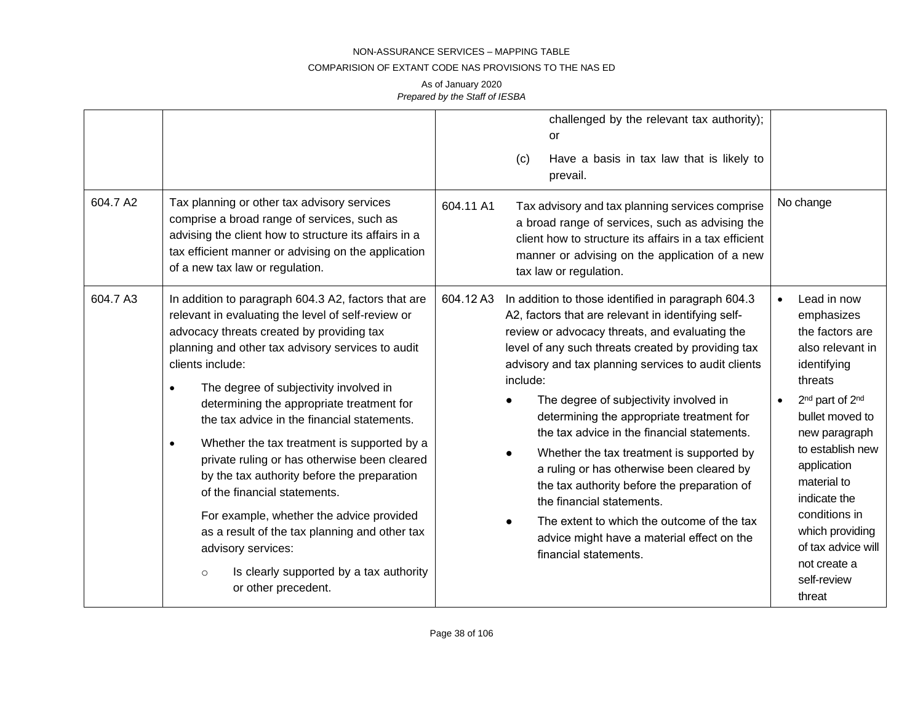### COMPARISION OF EXTANT CODE NAS PROVISIONS TO THE NAS ED

| 604.7 A2 | Tax planning or other tax advisory services<br>comprise a broad range of services, such as<br>advising the client how to structure its affairs in a<br>tax efficient manner or advising on the application<br>of a new tax law or regulation.                                                                                                                                                                                                                                                                                                                                                                                                                                                                                                                                 | 604.11 A1 | challenged by the relevant tax authority);<br>or<br>Have a basis in tax law that is likely to<br>(c)<br>prevail.<br>Tax advisory and tax planning services comprise<br>a broad range of services, such as advising the<br>client how to structure its affairs in a tax efficient<br>manner or advising on the application of a new<br>tax law or regulation.                                                                                                                                                                                                                                                                                                                                                         | No change                                                                                                                                                                                                                                                                                                                                      |
|----------|-------------------------------------------------------------------------------------------------------------------------------------------------------------------------------------------------------------------------------------------------------------------------------------------------------------------------------------------------------------------------------------------------------------------------------------------------------------------------------------------------------------------------------------------------------------------------------------------------------------------------------------------------------------------------------------------------------------------------------------------------------------------------------|-----------|----------------------------------------------------------------------------------------------------------------------------------------------------------------------------------------------------------------------------------------------------------------------------------------------------------------------------------------------------------------------------------------------------------------------------------------------------------------------------------------------------------------------------------------------------------------------------------------------------------------------------------------------------------------------------------------------------------------------|------------------------------------------------------------------------------------------------------------------------------------------------------------------------------------------------------------------------------------------------------------------------------------------------------------------------------------------------|
| 604.7 A3 | In addition to paragraph 604.3 A2, factors that are<br>relevant in evaluating the level of self-review or<br>advocacy threats created by providing tax<br>planning and other tax advisory services to audit<br>clients include:<br>The degree of subjectivity involved in<br>$\bullet$<br>determining the appropriate treatment for<br>the tax advice in the financial statements.<br>Whether the tax treatment is supported by a<br>$\bullet$<br>private ruling or has otherwise been cleared<br>by the tax authority before the preparation<br>of the financial statements.<br>For example, whether the advice provided<br>as a result of the tax planning and other tax<br>advisory services:<br>Is clearly supported by a tax authority<br>$\circ$<br>or other precedent. | 604.12 A3 | In addition to those identified in paragraph 604.3<br>A2, factors that are relevant in identifying self-<br>review or advocacy threats, and evaluating the<br>level of any such threats created by providing tax<br>advisory and tax planning services to audit clients<br>include:<br>The degree of subjectivity involved in<br>determining the appropriate treatment for<br>the tax advice in the financial statements.<br>Whether the tax treatment is supported by<br>a ruling or has otherwise been cleared by<br>the tax authority before the preparation of<br>the financial statements.<br>The extent to which the outcome of the tax<br>advice might have a material effect on the<br>financial statements. | Lead in now<br>emphasizes<br>the factors are<br>also relevant in<br>identifying<br>threats<br>2 <sup>nd</sup> part of 2 <sup>nd</sup><br>bullet moved to<br>new paragraph<br>to establish new<br>application<br>material to<br>indicate the<br>conditions in<br>which providing<br>of tax advice will<br>not create a<br>self-review<br>threat |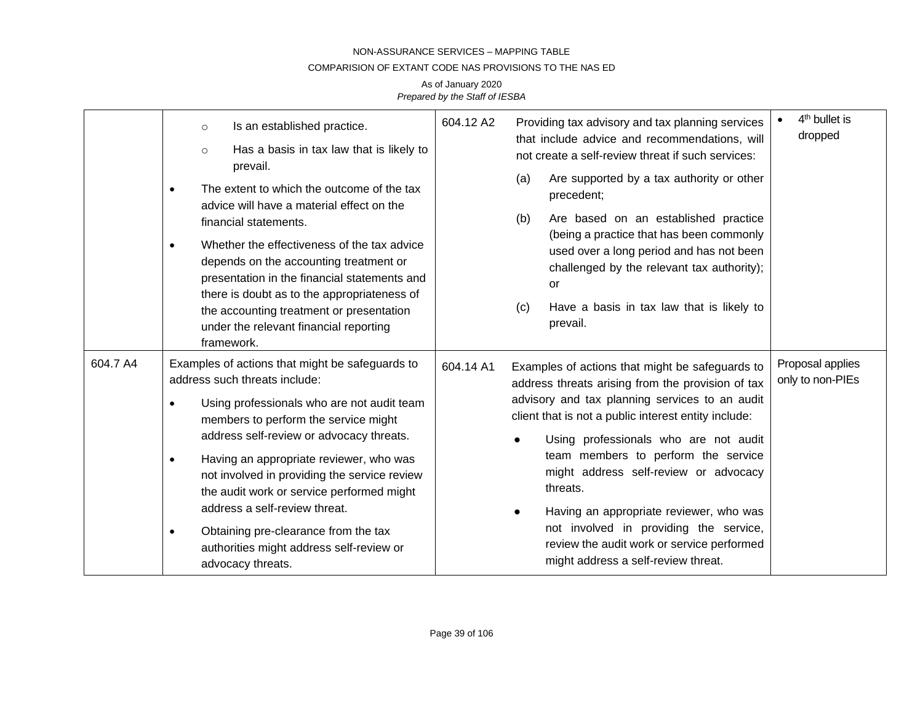### COMPARISION OF EXTANT CODE NAS PROVISIONS TO THE NAS ED

|          | Is an established practice.<br>$\circ$<br>Has a basis in tax law that is likely to<br>$\circ$<br>prevail.<br>The extent to which the outcome of the tax<br>advice will have a material effect on the<br>financial statements.<br>Whether the effectiveness of the tax advice<br>$\bullet$<br>depends on the accounting treatment or<br>presentation in the financial statements and<br>there is doubt as to the appropriateness of<br>the accounting treatment or presentation<br>under the relevant financial reporting<br>framework. | 604.12 A2<br>Providing tax advisory and tax planning services<br>that include advice and recommendations, will<br>not create a self-review threat if such services:<br>Are supported by a tax authority or other<br>(a)<br>precedent;<br>Are based on an established practice<br>(b)<br>(being a practice that has been commonly<br>used over a long period and has not been<br>challenged by the relevant tax authority);<br><b>or</b><br>Have a basis in tax law that is likely to<br>(c)<br>prevail.                                    | 4 <sup>th</sup> bullet is<br>dropped |
|----------|----------------------------------------------------------------------------------------------------------------------------------------------------------------------------------------------------------------------------------------------------------------------------------------------------------------------------------------------------------------------------------------------------------------------------------------------------------------------------------------------------------------------------------------|--------------------------------------------------------------------------------------------------------------------------------------------------------------------------------------------------------------------------------------------------------------------------------------------------------------------------------------------------------------------------------------------------------------------------------------------------------------------------------------------------------------------------------------------|--------------------------------------|
| 604.7 A4 | Examples of actions that might be safeguards to<br>address such threats include:<br>Using professionals who are not audit team<br>$\bullet$<br>members to perform the service might<br>address self-review or advocacy threats.<br>Having an appropriate reviewer, who was<br>$\bullet$<br>not involved in providing the service review<br>the audit work or service performed might<br>address a self-review threat.<br>Obtaining pre-clearance from the tax<br>٠<br>authorities might address self-review or<br>advocacy threats.    | 604.14 A1<br>Examples of actions that might be safeguards to<br>address threats arising from the provision of tax<br>advisory and tax planning services to an audit<br>client that is not a public interest entity include:<br>Using professionals who are not audit<br>team members to perform the service<br>might address self-review or advocacy<br>threats.<br>Having an appropriate reviewer, who was<br>not involved in providing the service,<br>review the audit work or service performed<br>might address a self-review threat. | Proposal applies<br>only to non-PIEs |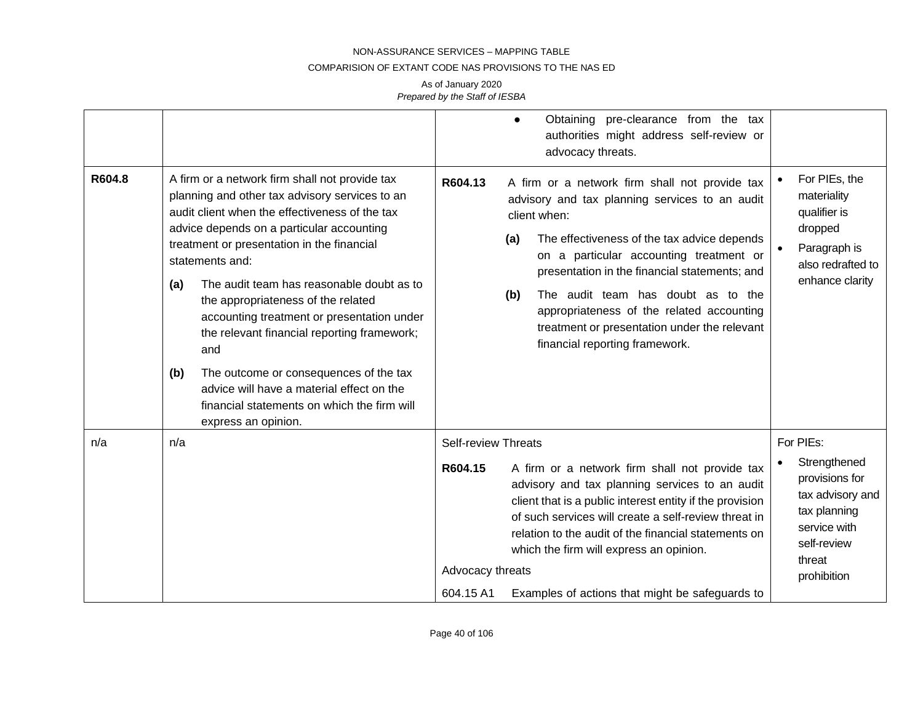#### COMPARISION OF EXTANT CODE NAS PROVISIONS TO THE NAS ED

|        |                                                                                                                                                                                                                                                                                                                                                                                                                                                                                                                                                                                                                                    | Obtaining pre-clearance from the tax<br>$\bullet$<br>authorities might address self-review or<br>advocacy threats.                                                                                                                                                                                                                                                                                                                                        |                                                                                                                                         |
|--------|------------------------------------------------------------------------------------------------------------------------------------------------------------------------------------------------------------------------------------------------------------------------------------------------------------------------------------------------------------------------------------------------------------------------------------------------------------------------------------------------------------------------------------------------------------------------------------------------------------------------------------|-----------------------------------------------------------------------------------------------------------------------------------------------------------------------------------------------------------------------------------------------------------------------------------------------------------------------------------------------------------------------------------------------------------------------------------------------------------|-----------------------------------------------------------------------------------------------------------------------------------------|
| R604.8 | A firm or a network firm shall not provide tax<br>planning and other tax advisory services to an<br>audit client when the effectiveness of the tax<br>advice depends on a particular accounting<br>treatment or presentation in the financial<br>statements and:<br>The audit team has reasonable doubt as to<br>(a)<br>the appropriateness of the related<br>accounting treatment or presentation under<br>the relevant financial reporting framework;<br>and<br>The outcome or consequences of the tax<br>(b)<br>advice will have a material effect on the<br>financial statements on which the firm will<br>express an opinion. | R604.13<br>A firm or a network firm shall not provide tax<br>advisory and tax planning services to an audit<br>client when:<br>The effectiveness of the tax advice depends<br>(a)<br>on a particular accounting treatment or<br>presentation in the financial statements; and<br>The audit team has doubt as to the<br>(b)<br>appropriateness of the related accounting<br>treatment or presentation under the relevant<br>financial reporting framework. | For PIEs, the<br>materiality<br>qualifier is<br>dropped<br>Paragraph is<br>also redrafted to<br>enhance clarity                         |
| n/a    | n/a                                                                                                                                                                                                                                                                                                                                                                                                                                                                                                                                                                                                                                | <b>Self-review Threats</b><br>A firm or a network firm shall not provide tax<br>R604.15<br>advisory and tax planning services to an audit<br>client that is a public interest entity if the provision<br>of such services will create a self-review threat in<br>relation to the audit of the financial statements on<br>which the firm will express an opinion.<br>Advocacy threats<br>604.15 A1<br>Examples of actions that might be safeguards to      | For PIEs:<br>Strengthened<br>provisions for<br>tax advisory and<br>tax planning<br>service with<br>self-review<br>threat<br>prohibition |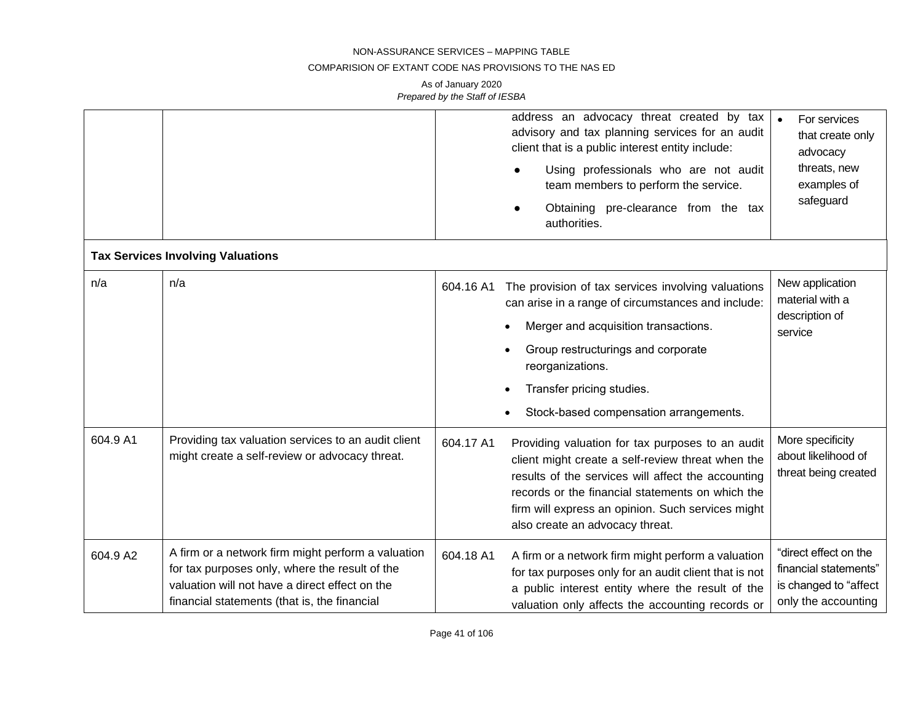### COMPARISION OF EXTANT CODE NAS PROVISIONS TO THE NAS ED

|          |                                                                                                                                                                                                        |           | address an advocacy threat created by tax<br>advisory and tax planning services for an audit<br>client that is a public interest entity include:<br>Using professionals who are not audit<br>team members to perform the service.<br>Obtaining pre-clearance from the tax                               | For services<br>that create only<br>advocacy<br>threats, new<br>examples of<br>safeguard       |
|----------|--------------------------------------------------------------------------------------------------------------------------------------------------------------------------------------------------------|-----------|---------------------------------------------------------------------------------------------------------------------------------------------------------------------------------------------------------------------------------------------------------------------------------------------------------|------------------------------------------------------------------------------------------------|
|          |                                                                                                                                                                                                        |           | authorities.                                                                                                                                                                                                                                                                                            |                                                                                                |
|          | <b>Tax Services Involving Valuations</b>                                                                                                                                                               |           |                                                                                                                                                                                                                                                                                                         |                                                                                                |
| n/a      | n/a                                                                                                                                                                                                    | 604.16 A1 | The provision of tax services involving valuations<br>can arise in a range of circumstances and include:                                                                                                                                                                                                | New application<br>material with a                                                             |
|          |                                                                                                                                                                                                        |           | Merger and acquisition transactions.                                                                                                                                                                                                                                                                    | description of<br>service                                                                      |
|          |                                                                                                                                                                                                        |           | Group restructurings and corporate<br>reorganizations.                                                                                                                                                                                                                                                  |                                                                                                |
|          |                                                                                                                                                                                                        |           | Transfer pricing studies.                                                                                                                                                                                                                                                                               |                                                                                                |
|          |                                                                                                                                                                                                        |           | Stock-based compensation arrangements.                                                                                                                                                                                                                                                                  |                                                                                                |
| 604.9 A1 | Providing tax valuation services to an audit client<br>might create a self-review or advocacy threat.                                                                                                  | 604.17 A1 | Providing valuation for tax purposes to an audit<br>client might create a self-review threat when the<br>results of the services will affect the accounting<br>records or the financial statements on which the<br>firm will express an opinion. Such services might<br>also create an advocacy threat. | More specificity<br>about likelihood of<br>threat being created                                |
| 604.9 A2 | A firm or a network firm might perform a valuation<br>for tax purposes only, where the result of the<br>valuation will not have a direct effect on the<br>financial statements (that is, the financial | 604.18 A1 | A firm or a network firm might perform a valuation<br>for tax purposes only for an audit client that is not<br>a public interest entity where the result of the<br>valuation only affects the accounting records or                                                                                     | "direct effect on the<br>financial statements"<br>is changed to "affect<br>only the accounting |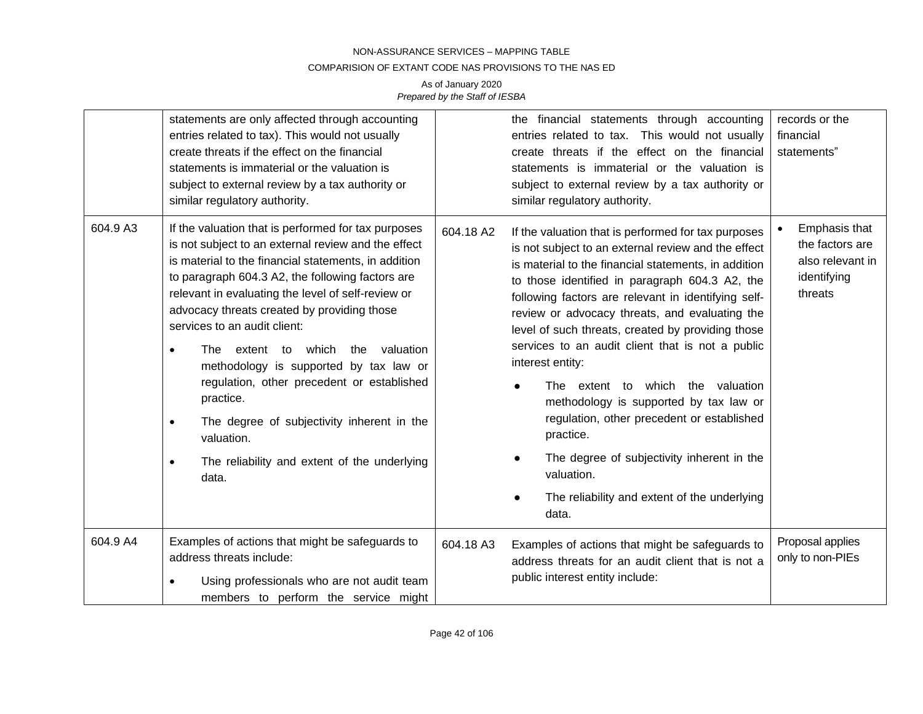### COMPARISION OF EXTANT CODE NAS PROVISIONS TO THE NAS ED

|          | statements are only affected through accounting<br>entries related to tax). This would not usually<br>create threats if the effect on the financial<br>statements is immaterial or the valuation is<br>subject to external review by a tax authority or<br>similar regulatory authority.                                                                                                                                                                                                                                                                                                                                                                                      |           | the financial statements through accounting<br>entries related to tax. This would not usually<br>create threats if the effect on the financial<br>statements is immaterial or the valuation is<br>subject to external review by a tax authority or<br>similar regulatory authority.                                                                                                                                                                                                                                                                                                                                                                                                                                       | records or the<br>financial<br>statements"                                     |
|----------|-------------------------------------------------------------------------------------------------------------------------------------------------------------------------------------------------------------------------------------------------------------------------------------------------------------------------------------------------------------------------------------------------------------------------------------------------------------------------------------------------------------------------------------------------------------------------------------------------------------------------------------------------------------------------------|-----------|---------------------------------------------------------------------------------------------------------------------------------------------------------------------------------------------------------------------------------------------------------------------------------------------------------------------------------------------------------------------------------------------------------------------------------------------------------------------------------------------------------------------------------------------------------------------------------------------------------------------------------------------------------------------------------------------------------------------------|--------------------------------------------------------------------------------|
| 604.9 A3 | If the valuation that is performed for tax purposes<br>is not subject to an external review and the effect<br>is material to the financial statements, in addition<br>to paragraph 604.3 A2, the following factors are<br>relevant in evaluating the level of self-review or<br>advocacy threats created by providing those<br>services to an audit client:<br>which<br>the<br>valuation<br>The<br>extent to<br>$\bullet$<br>methodology is supported by tax law or<br>regulation, other precedent or established<br>practice.<br>The degree of subjectivity inherent in the<br>$\bullet$<br>valuation.<br>The reliability and extent of the underlying<br>$\bullet$<br>data. | 604.18 A2 | If the valuation that is performed for tax purposes<br>is not subject to an external review and the effect<br>is material to the financial statements, in addition<br>to those identified in paragraph 604.3 A2, the<br>following factors are relevant in identifying self-<br>review or advocacy threats, and evaluating the<br>level of such threats, created by providing those<br>services to an audit client that is not a public<br>interest entity:<br>The extent to which the valuation<br>methodology is supported by tax law or<br>regulation, other precedent or established<br>practice.<br>The degree of subjectivity inherent in the<br>valuation.<br>The reliability and extent of the underlying<br>data. | Emphasis that<br>the factors are<br>also relevant in<br>identifying<br>threats |
| 604.9 A4 | Examples of actions that might be safeguards to<br>address threats include:<br>Using professionals who are not audit team<br>members to perform the service might                                                                                                                                                                                                                                                                                                                                                                                                                                                                                                             | 604.18 A3 | Examples of actions that might be safeguards to<br>address threats for an audit client that is not a<br>public interest entity include:                                                                                                                                                                                                                                                                                                                                                                                                                                                                                                                                                                                   | Proposal applies<br>only to non-PIEs                                           |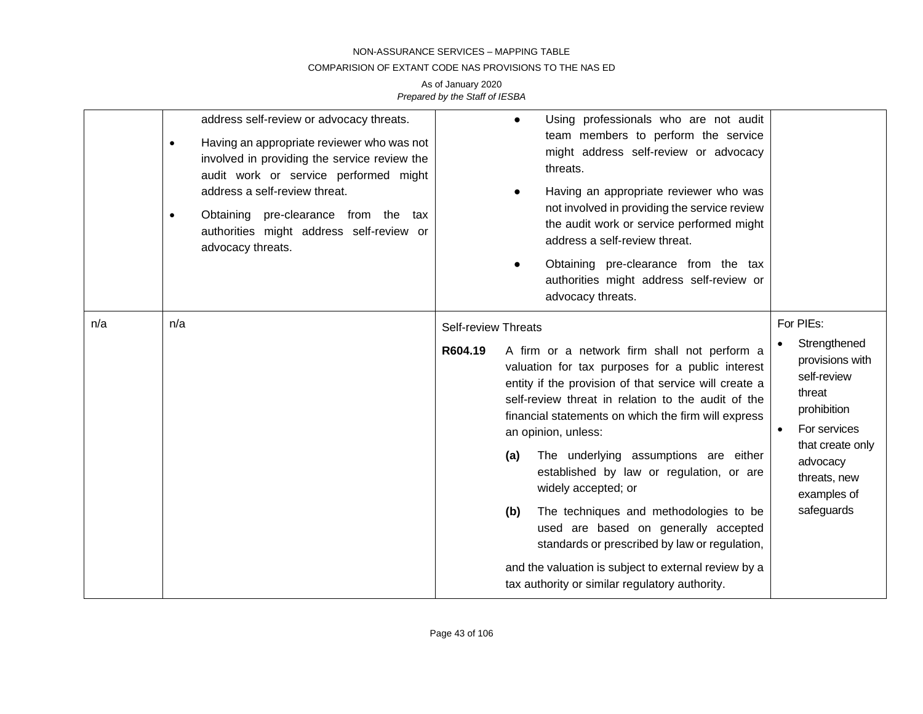### COMPARISION OF EXTANT CODE NAS PROVISIONS TO THE NAS ED

|     | address self-review or advocacy threats.<br>Having an appropriate reviewer who was not<br>$\bullet$<br>involved in providing the service review the<br>audit work or service performed might<br>address a self-review threat.<br>Obtaining pre-clearance from the tax<br>$\bullet$<br>authorities might address self-review or<br>advocacy threats. | Using professionals who are not audit<br>$\bullet$<br>team members to perform the service<br>might address self-review or advocacy<br>threats.<br>Having an appropriate reviewer who was<br>not involved in providing the service review<br>the audit work or service performed might<br>address a self-review threat.<br>Obtaining pre-clearance from the tax<br>authorities might address self-review or<br>advocacy threats.                                                                                                                                                                                                                                                                               |                                                                                                                                                                                   |
|-----|-----------------------------------------------------------------------------------------------------------------------------------------------------------------------------------------------------------------------------------------------------------------------------------------------------------------------------------------------------|---------------------------------------------------------------------------------------------------------------------------------------------------------------------------------------------------------------------------------------------------------------------------------------------------------------------------------------------------------------------------------------------------------------------------------------------------------------------------------------------------------------------------------------------------------------------------------------------------------------------------------------------------------------------------------------------------------------|-----------------------------------------------------------------------------------------------------------------------------------------------------------------------------------|
| n/a | n/a                                                                                                                                                                                                                                                                                                                                                 | <b>Self-review Threats</b><br>R604.19<br>A firm or a network firm shall not perform a<br>valuation for tax purposes for a public interest<br>entity if the provision of that service will create a<br>self-review threat in relation to the audit of the<br>financial statements on which the firm will express<br>an opinion, unless:<br>The underlying assumptions are either<br>(a)<br>established by law or regulation, or are<br>widely accepted; or<br>The techniques and methodologies to be<br>(b)<br>used are based on generally accepted<br>standards or prescribed by law or regulation,<br>and the valuation is subject to external review by a<br>tax authority or similar regulatory authority. | For PIEs:<br>Strengthened<br>provisions with<br>self-review<br>threat<br>prohibition<br>For services<br>that create only<br>advocacy<br>threats, new<br>examples of<br>safeguards |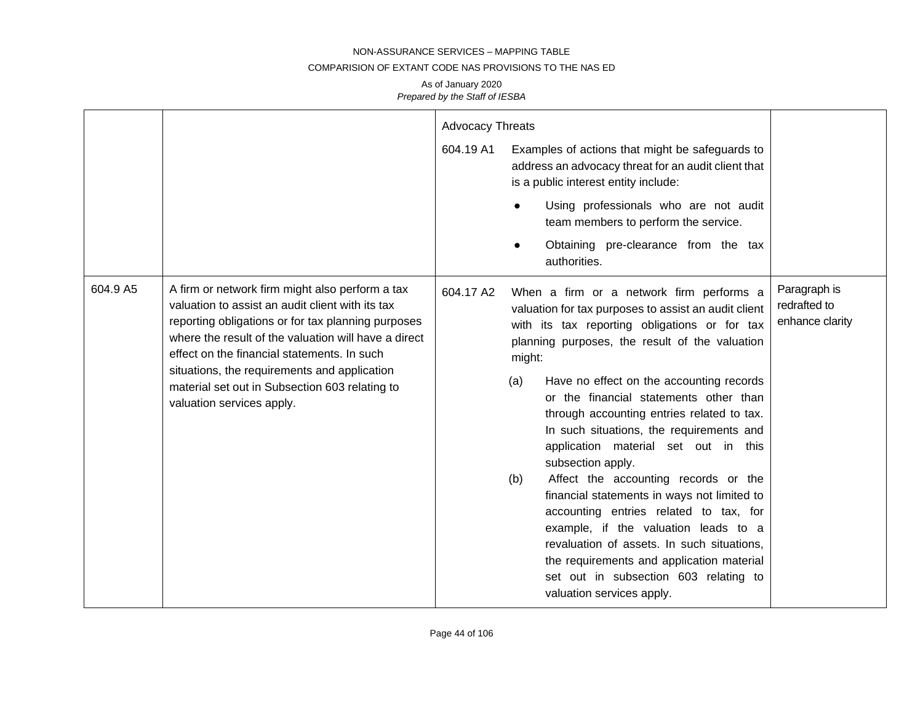### COMPARISION OF EXTANT CODE NAS PROVISIONS TO THE NAS ED

|          |                                                                                                                                                                                                                                                                                                                                                                                                 | <b>Advocacy Threats</b><br>604.19 A1 | Examples of actions that might be safeguards to<br>address an advocacy threat for an audit client that<br>is a public interest entity include:<br>Using professionals who are not audit<br>team members to perform the service.<br>Obtaining pre-clearance from the tax<br>authorities.                                                                                                                                                                                                                                                                                                                                                                                                                                                                                                                            |                                                 |
|----------|-------------------------------------------------------------------------------------------------------------------------------------------------------------------------------------------------------------------------------------------------------------------------------------------------------------------------------------------------------------------------------------------------|--------------------------------------|--------------------------------------------------------------------------------------------------------------------------------------------------------------------------------------------------------------------------------------------------------------------------------------------------------------------------------------------------------------------------------------------------------------------------------------------------------------------------------------------------------------------------------------------------------------------------------------------------------------------------------------------------------------------------------------------------------------------------------------------------------------------------------------------------------------------|-------------------------------------------------|
| 604.9 A5 | A firm or network firm might also perform a tax<br>valuation to assist an audit client with its tax<br>reporting obligations or for tax planning purposes<br>where the result of the valuation will have a direct<br>effect on the financial statements. In such<br>situations, the requirements and application<br>material set out in Subsection 603 relating to<br>valuation services apply. | 604.17 A2                            | When a firm or a network firm performs a<br>valuation for tax purposes to assist an audit client<br>with its tax reporting obligations or for tax<br>planning purposes, the result of the valuation<br>might:<br>Have no effect on the accounting records<br>(a)<br>or the financial statements other than<br>through accounting entries related to tax.<br>In such situations, the requirements and<br>application material set out in this<br>subsection apply.<br>Affect the accounting records or the<br>(b)<br>financial statements in ways not limited to<br>accounting entries related to tax, for<br>example, if the valuation leads to a<br>revaluation of assets. In such situations,<br>the requirements and application material<br>set out in subsection 603 relating to<br>valuation services apply. | Paragraph is<br>redrafted to<br>enhance clarity |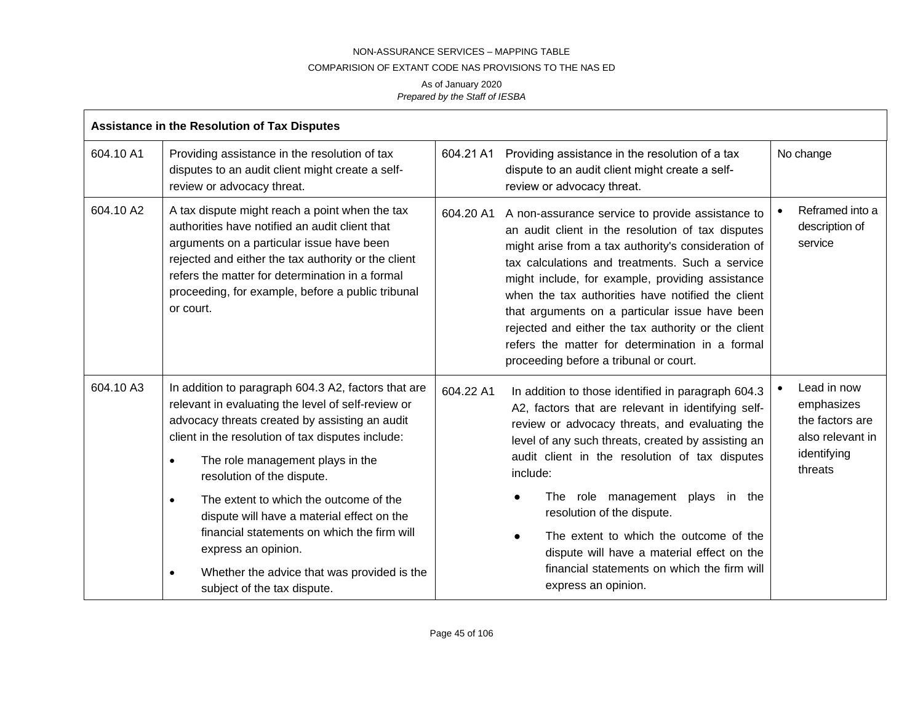### COMPARISION OF EXTANT CODE NAS PROVISIONS TO THE NAS ED

|           | Assistance in the Resolution of Tax Disputes                                                                                                                                                                                                                                                                                                                                                                                                                                                                                                             |           |                                                                                                                                                                                                                                                                                                                                                                                                                                                                                                                                |                                                                                            |  |
|-----------|----------------------------------------------------------------------------------------------------------------------------------------------------------------------------------------------------------------------------------------------------------------------------------------------------------------------------------------------------------------------------------------------------------------------------------------------------------------------------------------------------------------------------------------------------------|-----------|--------------------------------------------------------------------------------------------------------------------------------------------------------------------------------------------------------------------------------------------------------------------------------------------------------------------------------------------------------------------------------------------------------------------------------------------------------------------------------------------------------------------------------|--------------------------------------------------------------------------------------------|--|
| 604.10 A1 | Providing assistance in the resolution of tax<br>disputes to an audit client might create a self-<br>review or advocacy threat.                                                                                                                                                                                                                                                                                                                                                                                                                          | 604.21 A1 | Providing assistance in the resolution of a tax<br>dispute to an audit client might create a self-<br>review or advocacy threat.                                                                                                                                                                                                                                                                                                                                                                                               | No change                                                                                  |  |
| 604.10 A2 | A tax dispute might reach a point when the tax<br>authorities have notified an audit client that<br>arguments on a particular issue have been<br>rejected and either the tax authority or the client<br>refers the matter for determination in a formal<br>proceeding, for example, before a public tribunal<br>or court.                                                                                                                                                                                                                                | 604.20 A1 | A non-assurance service to provide assistance to<br>an audit client in the resolution of tax disputes<br>might arise from a tax authority's consideration of<br>tax calculations and treatments. Such a service<br>might include, for example, providing assistance<br>when the tax authorities have notified the client<br>that arguments on a particular issue have been<br>rejected and either the tax authority or the client<br>refers the matter for determination in a formal<br>proceeding before a tribunal or court. | Reframed into a<br>description of<br>service                                               |  |
| 604.10 A3 | In addition to paragraph 604.3 A2, factors that are<br>relevant in evaluating the level of self-review or<br>advocacy threats created by assisting an audit<br>client in the resolution of tax disputes include:<br>The role management plays in the<br>$\bullet$<br>resolution of the dispute.<br>The extent to which the outcome of the<br>$\bullet$<br>dispute will have a material effect on the<br>financial statements on which the firm will<br>express an opinion.<br>Whether the advice that was provided is the<br>subject of the tax dispute. | 604.22 A1 | In addition to those identified in paragraph 604.3<br>A2, factors that are relevant in identifying self-<br>review or advocacy threats, and evaluating the<br>level of any such threats, created by assisting an<br>audit client in the resolution of tax disputes<br>include:<br>The role management plays in the<br>resolution of the dispute.<br>The extent to which the outcome of the<br>$\bullet$<br>dispute will have a material effect on the<br>financial statements on which the firm will<br>express an opinion.    | Lead in now<br>emphasizes<br>the factors are<br>also relevant in<br>identifying<br>threats |  |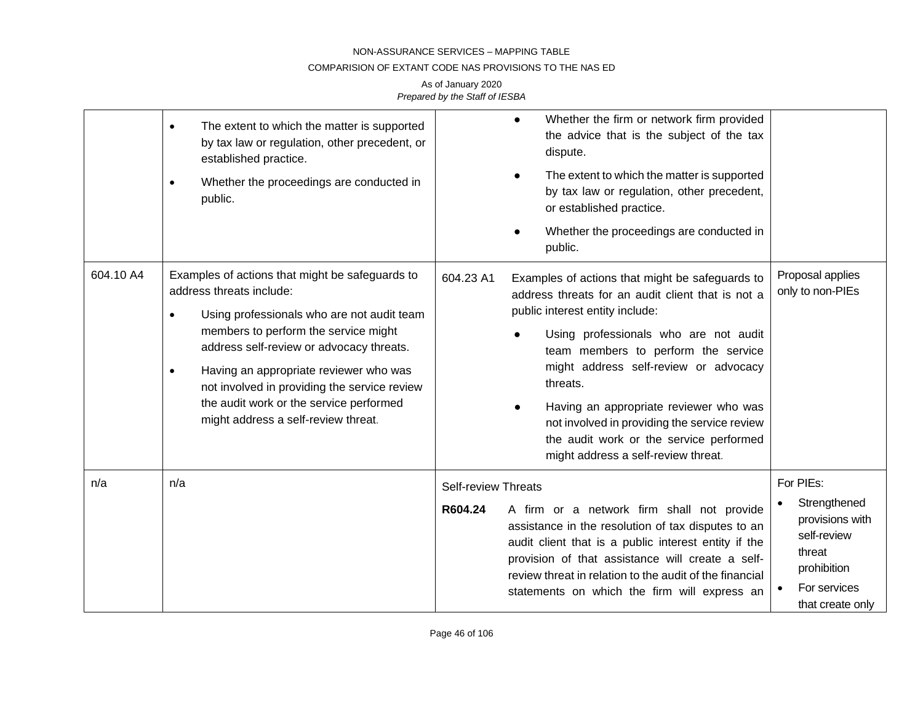## COMPARISION OF EXTANT CODE NAS PROVISIONS TO THE NAS ED

|           | The extent to which the matter is supported<br>$\bullet$<br>by tax law or regulation, other precedent, or<br>established practice.<br>Whether the proceedings are conducted in<br>$\bullet$<br>public.                                                                                                                                                                                                 | Whether the firm or network firm provided<br>$\bullet$<br>the advice that is the subject of the tax<br>dispute.<br>The extent to which the matter is supported<br>by tax law or regulation, other precedent,<br>or established practice.                                                                                                                                                                                                                              |                                                                                                                          |
|-----------|--------------------------------------------------------------------------------------------------------------------------------------------------------------------------------------------------------------------------------------------------------------------------------------------------------------------------------------------------------------------------------------------------------|-----------------------------------------------------------------------------------------------------------------------------------------------------------------------------------------------------------------------------------------------------------------------------------------------------------------------------------------------------------------------------------------------------------------------------------------------------------------------|--------------------------------------------------------------------------------------------------------------------------|
|           |                                                                                                                                                                                                                                                                                                                                                                                                        | Whether the proceedings are conducted in<br>public.                                                                                                                                                                                                                                                                                                                                                                                                                   |                                                                                                                          |
| 604.10 A4 | Examples of actions that might be safeguards to<br>address threats include:<br>Using professionals who are not audit team<br>members to perform the service might<br>address self-review or advocacy threats.<br>Having an appropriate reviewer who was<br>$\bullet$<br>not involved in providing the service review<br>the audit work or the service performed<br>might address a self-review threat. | 604.23 A1<br>Examples of actions that might be safeguards to<br>address threats for an audit client that is not a<br>public interest entity include:<br>Using professionals who are not audit<br>team members to perform the service<br>might address self-review or advocacy<br>threats.<br>Having an appropriate reviewer who was<br>not involved in providing the service review<br>the audit work or the service performed<br>might address a self-review threat. | Proposal applies<br>only to non-PIEs                                                                                     |
| n/a       | n/a                                                                                                                                                                                                                                                                                                                                                                                                    | <b>Self-review Threats</b><br>A firm or a network firm shall not provide<br>R604.24<br>assistance in the resolution of tax disputes to an<br>audit client that is a public interest entity if the<br>provision of that assistance will create a self-<br>review threat in relation to the audit of the financial<br>statements on which the firm will express an                                                                                                      | For PIEs:<br>Strengthened<br>provisions with<br>self-review<br>threat<br>prohibition<br>For services<br>that create only |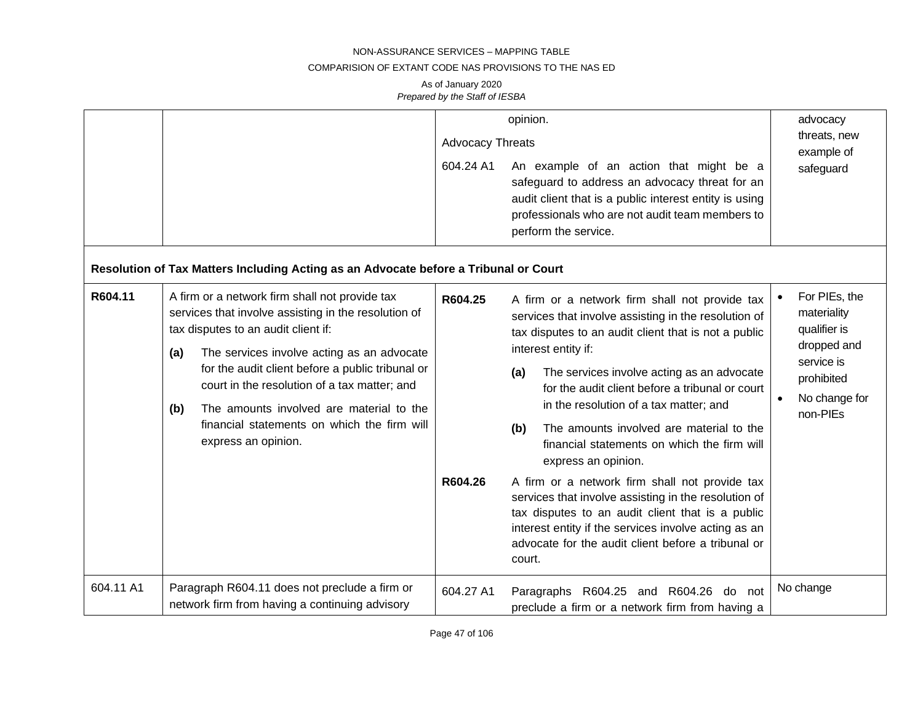### COMPARISION OF EXTANT CODE NAS PROVISIONS TO THE NAS ED

|           |                                                                                                                                                                                                                                                                                                                                                                                                                                 | <b>Advocacy Threats</b><br>604.24 A1 | opinion.<br>An example of an action that might be a<br>safeguard to address an advocacy threat for an<br>audit client that is a public interest entity is using<br>professionals who are not audit team members to<br>perform the service.                                                                                                                                                                                                                                                                                                                                                                                                                                                                                                             | advocacy<br>threats, new<br>example of<br>safeguard                                                                               |
|-----------|---------------------------------------------------------------------------------------------------------------------------------------------------------------------------------------------------------------------------------------------------------------------------------------------------------------------------------------------------------------------------------------------------------------------------------|--------------------------------------|--------------------------------------------------------------------------------------------------------------------------------------------------------------------------------------------------------------------------------------------------------------------------------------------------------------------------------------------------------------------------------------------------------------------------------------------------------------------------------------------------------------------------------------------------------------------------------------------------------------------------------------------------------------------------------------------------------------------------------------------------------|-----------------------------------------------------------------------------------------------------------------------------------|
|           | Resolution of Tax Matters Including Acting as an Advocate before a Tribunal or Court                                                                                                                                                                                                                                                                                                                                            |                                      |                                                                                                                                                                                                                                                                                                                                                                                                                                                                                                                                                                                                                                                                                                                                                        |                                                                                                                                   |
| R604.11   | A firm or a network firm shall not provide tax<br>services that involve assisting in the resolution of<br>tax disputes to an audit client if:<br>The services involve acting as an advocate<br>(a)<br>for the audit client before a public tribunal or<br>court in the resolution of a tax matter; and<br>The amounts involved are material to the<br>(b)<br>financial statements on which the firm will<br>express an opinion. | R604.25<br>R604.26                   | A firm or a network firm shall not provide tax<br>services that involve assisting in the resolution of<br>tax disputes to an audit client that is not a public<br>interest entity if:<br>The services involve acting as an advocate<br>(a)<br>for the audit client before a tribunal or court<br>in the resolution of a tax matter; and<br>The amounts involved are material to the<br>(b)<br>financial statements on which the firm will<br>express an opinion.<br>A firm or a network firm shall not provide tax<br>services that involve assisting in the resolution of<br>tax disputes to an audit client that is a public<br>interest entity if the services involve acting as an<br>advocate for the audit client before a tribunal or<br>court. | For PIEs, the<br>materiality<br>qualifier is<br>dropped and<br>service is<br>prohibited<br>No change for<br>$\bullet$<br>non-PIEs |
| 604.11 A1 | Paragraph R604.11 does not preclude a firm or<br>network firm from having a continuing advisory                                                                                                                                                                                                                                                                                                                                 | 604.27 A1                            | Paragraphs R604.25 and R604.26<br>do not<br>preclude a firm or a network firm from having a                                                                                                                                                                                                                                                                                                                                                                                                                                                                                                                                                                                                                                                            | No change                                                                                                                         |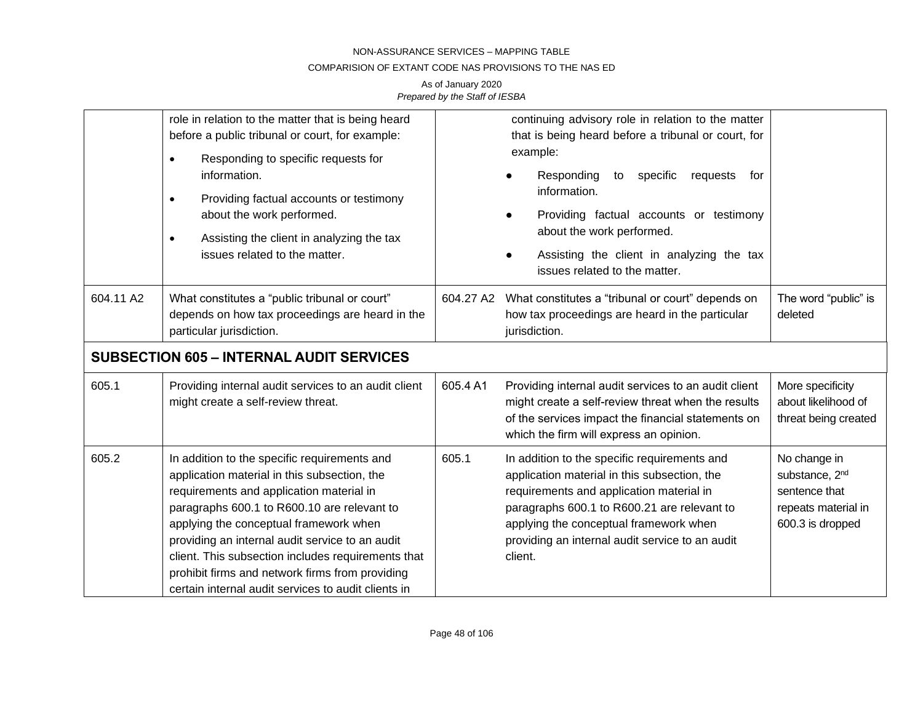### COMPARISION OF EXTANT CODE NAS PROVISIONS TO THE NAS ED

|           | role in relation to the matter that is being heard<br>before a public tribunal or court, for example:<br>Responding to specific requests for<br>$\bullet$<br>information.<br>Providing factual accounts or testimony<br>$\bullet$<br>about the work performed.<br>Assisting the client in analyzing the tax<br>$\bullet$<br>issues related to the matter.                                                                                            |           | continuing advisory role in relation to the matter<br>that is being heard before a tribunal or court, for<br>example:<br>Responding<br>specific<br>requests<br>to<br>for<br>information.<br>Providing factual accounts or testimony<br>about the work performed.<br>Assisting the client in analyzing the tax<br>issues related to the matter. |                                                                                                        |
|-----------|------------------------------------------------------------------------------------------------------------------------------------------------------------------------------------------------------------------------------------------------------------------------------------------------------------------------------------------------------------------------------------------------------------------------------------------------------|-----------|------------------------------------------------------------------------------------------------------------------------------------------------------------------------------------------------------------------------------------------------------------------------------------------------------------------------------------------------|--------------------------------------------------------------------------------------------------------|
| 604.11 A2 | What constitutes a "public tribunal or court"<br>depends on how tax proceedings are heard in the<br>particular jurisdiction.                                                                                                                                                                                                                                                                                                                         | 604.27 A2 | What constitutes a "tribunal or court" depends on<br>how tax proceedings are heard in the particular<br>jurisdiction.                                                                                                                                                                                                                          | The word "public" is<br>deleted                                                                        |
|           | <b>SUBSECTION 605 - INTERNAL AUDIT SERVICES</b>                                                                                                                                                                                                                                                                                                                                                                                                      |           |                                                                                                                                                                                                                                                                                                                                                |                                                                                                        |
| 605.1     | Providing internal audit services to an audit client<br>might create a self-review threat.                                                                                                                                                                                                                                                                                                                                                           | 605.4 A1  | Providing internal audit services to an audit client<br>might create a self-review threat when the results<br>of the services impact the financial statements on<br>which the firm will express an opinion.                                                                                                                                    | More specificity<br>about likelihood of<br>threat being created                                        |
| 605.2     | In addition to the specific requirements and<br>application material in this subsection, the<br>requirements and application material in<br>paragraphs 600.1 to R600.10 are relevant to<br>applying the conceptual framework when<br>providing an internal audit service to an audit<br>client. This subsection includes requirements that<br>prohibit firms and network firms from providing<br>certain internal audit services to audit clients in | 605.1     | In addition to the specific requirements and<br>application material in this subsection, the<br>requirements and application material in<br>paragraphs 600.1 to R600.21 are relevant to<br>applying the conceptual framework when<br>providing an internal audit service to an audit<br>client.                                                | No change in<br>substance, 2 <sup>nd</sup><br>sentence that<br>repeats material in<br>600.3 is dropped |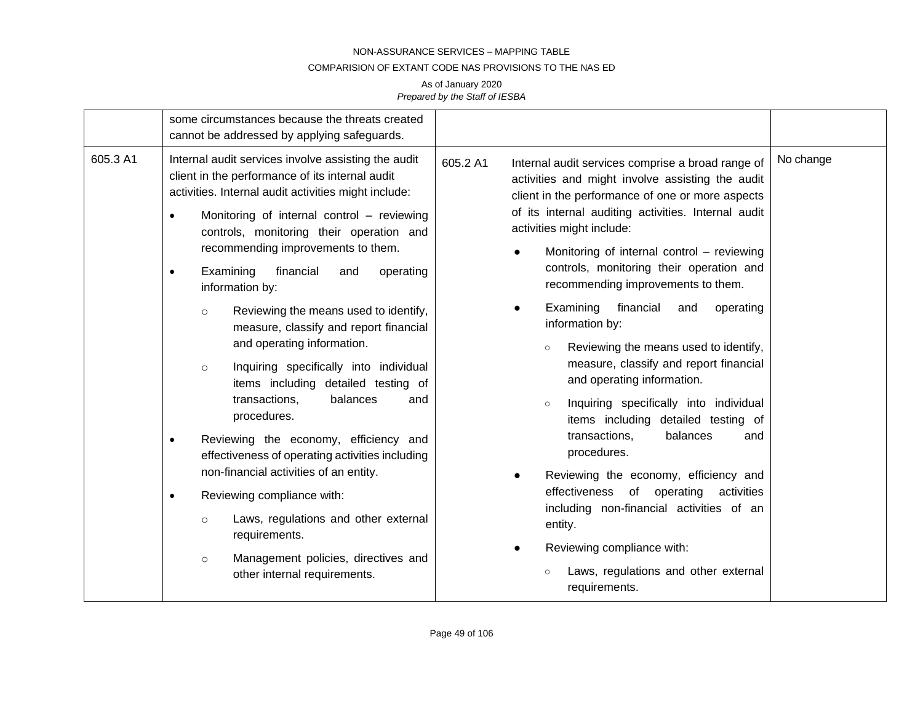### COMPARISION OF EXTANT CODE NAS PROVISIONS TO THE NAS ED

|          | some circumstances because the threats created<br>cannot be addressed by applying safeguards.                                                                                                                                                                                                                                                                                                                                                                                                                                                                                                                                                                                                                                                                                                                                                                                                                                                                                                                            |                                                                                                                                                                                                                                                                                                                                                                                                                                                                                                                                                                                                                                                                                                                                                                                                                                                                                                                                                                                        |           |
|----------|--------------------------------------------------------------------------------------------------------------------------------------------------------------------------------------------------------------------------------------------------------------------------------------------------------------------------------------------------------------------------------------------------------------------------------------------------------------------------------------------------------------------------------------------------------------------------------------------------------------------------------------------------------------------------------------------------------------------------------------------------------------------------------------------------------------------------------------------------------------------------------------------------------------------------------------------------------------------------------------------------------------------------|----------------------------------------------------------------------------------------------------------------------------------------------------------------------------------------------------------------------------------------------------------------------------------------------------------------------------------------------------------------------------------------------------------------------------------------------------------------------------------------------------------------------------------------------------------------------------------------------------------------------------------------------------------------------------------------------------------------------------------------------------------------------------------------------------------------------------------------------------------------------------------------------------------------------------------------------------------------------------------------|-----------|
| 605.3 A1 | Internal audit services involve assisting the audit<br>client in the performance of its internal audit<br>activities. Internal audit activities might include:<br>Monitoring of internal control - reviewing<br>$\bullet$<br>controls, monitoring their operation and<br>recommending improvements to them.<br>Examining<br>financial<br>operating<br>and<br>$\bullet$<br>information by:<br>Reviewing the means used to identify,<br>$\circ$<br>measure, classify and report financial<br>and operating information.<br>Inquiring specifically into individual<br>$\circ$<br>items including detailed testing of<br>transactions,<br>balances<br>and<br>procedures.<br>Reviewing the economy, efficiency and<br>$\bullet$<br>effectiveness of operating activities including<br>non-financial activities of an entity.<br>Reviewing compliance with:<br>$\bullet$<br>Laws, regulations and other external<br>$\circ$<br>requirements.<br>Management policies, directives and<br>$\circ$<br>other internal requirements. | Internal audit services comprise a broad range of<br>605.2 A1<br>activities and might involve assisting the audit<br>client in the performance of one or more aspects<br>of its internal auditing activities. Internal audit<br>activities might include:<br>Monitoring of internal control - reviewing<br>controls, monitoring their operation and<br>recommending improvements to them.<br>Examining<br>financial<br>and<br>operating<br>information by:<br>Reviewing the means used to identify,<br>$\circ$<br>measure, classify and report financial<br>and operating information.<br>Inquiring specifically into individual<br>$\circ$<br>items including detailed testing of<br>transactions,<br>balances<br>and<br>procedures.<br>Reviewing the economy, efficiency and<br>effectiveness of<br>operating<br>activities<br>including non-financial activities of an<br>entity.<br>Reviewing compliance with:<br>Laws, regulations and other external<br>$\circ$<br>requirements. | No change |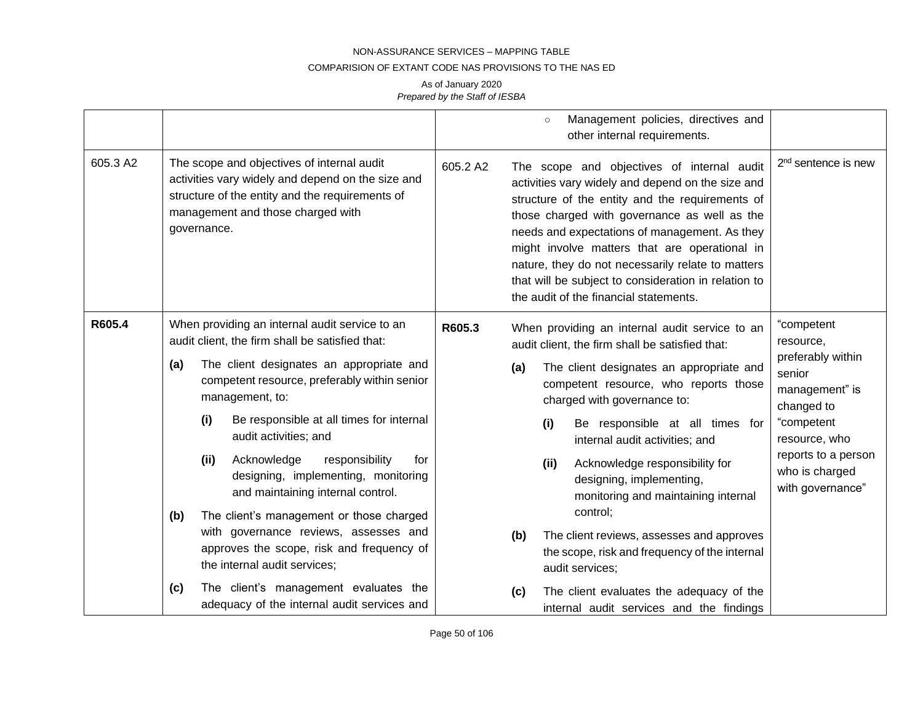#### COMPARISION OF EXTANT CODE NAS PROVISIONS TO THE NAS ED

|          |                                                                                                                                                                                                        | Management policies, directives and<br>$\circ$<br>other internal requirements.                                                                                                                                                                                                                                                                                                                                                                                          |                                                                                                                                                         |
|----------|--------------------------------------------------------------------------------------------------------------------------------------------------------------------------------------------------------|-------------------------------------------------------------------------------------------------------------------------------------------------------------------------------------------------------------------------------------------------------------------------------------------------------------------------------------------------------------------------------------------------------------------------------------------------------------------------|---------------------------------------------------------------------------------------------------------------------------------------------------------|
| 605.3 A2 | The scope and objectives of internal audit<br>activities vary widely and depend on the size and<br>structure of the entity and the requirements of<br>management and those charged with<br>governance. | 605.2 A2<br>The scope and objectives of internal audit<br>activities vary widely and depend on the size and<br>structure of the entity and the requirements of<br>those charged with governance as well as the<br>needs and expectations of management. As they<br>might involve matters that are operational in<br>nature, they do not necessarily relate to matters<br>that will be subject to consideration in relation to<br>the audit of the financial statements. | 2 <sup>nd</sup> sentence is new                                                                                                                         |
| R605.4   | When providing an internal audit service to an<br>audit client, the firm shall be satisfied that:                                                                                                      | R605.3<br>When providing an internal audit service to an<br>audit client, the firm shall be satisfied that:                                                                                                                                                                                                                                                                                                                                                             | "competent<br>resource,                                                                                                                                 |
|          | The client designates an appropriate and<br>(a)<br>competent resource, preferably within senior<br>management, to:                                                                                     | The client designates an appropriate and<br>(a)<br>competent resource, who reports those<br>charged with governance to:                                                                                                                                                                                                                                                                                                                                                 | preferably within<br>senior<br>management" is<br>changed to<br>"competent<br>resource, who<br>reports to a person<br>who is charged<br>with governance" |
|          | Be responsible at all times for internal<br>(i)<br>audit activities; and                                                                                                                               | Be responsible at all times for<br>(i)<br>internal audit activities; and                                                                                                                                                                                                                                                                                                                                                                                                |                                                                                                                                                         |
|          | Acknowledge<br>responsibility<br>(ii)<br>for<br>designing, implementing, monitoring<br>and maintaining internal control.                                                                               | Acknowledge responsibility for<br>(ii)<br>designing, implementing,<br>monitoring and maintaining internal                                                                                                                                                                                                                                                                                                                                                               |                                                                                                                                                         |
|          | The client's management or those charged<br>(b)<br>with governance reviews, assesses and<br>approves the scope, risk and frequency of<br>the internal audit services;                                  | control;<br>The client reviews, assesses and approves<br>(b)<br>the scope, risk and frequency of the internal<br>audit services;                                                                                                                                                                                                                                                                                                                                        |                                                                                                                                                         |
|          | The client's management evaluates the<br>(c)<br>adequacy of the internal audit services and                                                                                                            | The client evaluates the adequacy of the<br>(c)<br>internal audit services and the findings                                                                                                                                                                                                                                                                                                                                                                             |                                                                                                                                                         |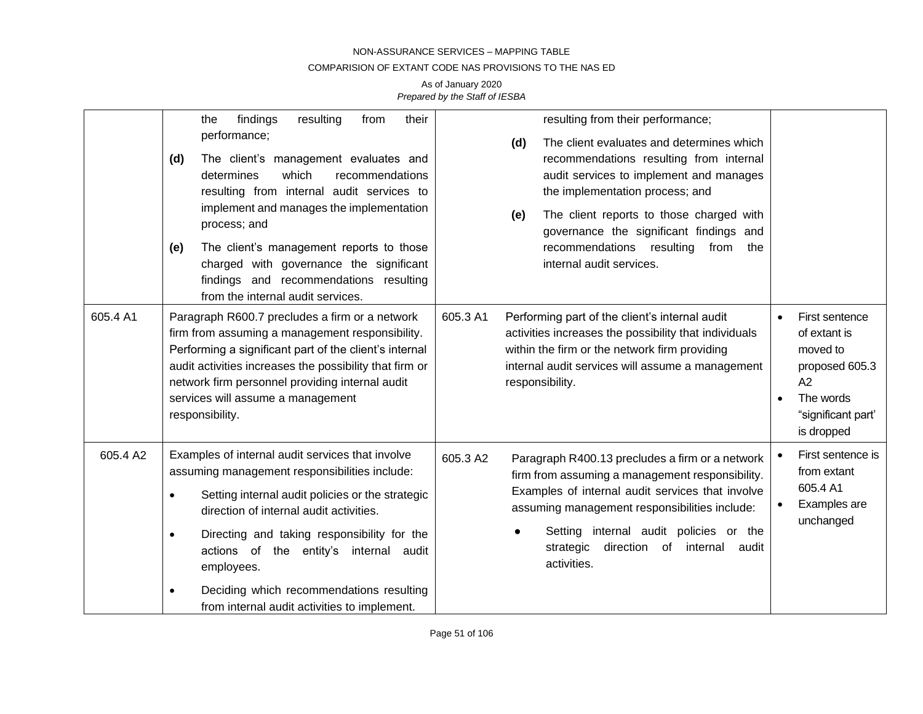### COMPARISION OF EXTANT CODE NAS PROVISIONS TO THE NAS ED

|          | findings<br>their<br>resulting<br>from<br>the<br>performance;<br>The client's management evaluates and<br>(d)<br>which<br>determines<br>recommendations<br>resulting from internal audit services to<br>implement and manages the implementation<br>process; and<br>The client's management reports to those<br>(e)<br>charged with governance the significant<br>findings and recommendations resulting<br>from the internal audit services. | resulting from their performance;<br>The client evaluates and determines which<br>(d)<br>recommendations resulting from internal<br>audit services to implement and manages<br>the implementation process; and<br>The client reports to those charged with<br>(e)<br>governance the significant findings and<br>recommendations resulting<br>from<br>the<br>internal audit services. |                                                                                                                     |
|----------|-----------------------------------------------------------------------------------------------------------------------------------------------------------------------------------------------------------------------------------------------------------------------------------------------------------------------------------------------------------------------------------------------------------------------------------------------|--------------------------------------------------------------------------------------------------------------------------------------------------------------------------------------------------------------------------------------------------------------------------------------------------------------------------------------------------------------------------------------|---------------------------------------------------------------------------------------------------------------------|
| 605.4 A1 | Paragraph R600.7 precludes a firm or a network<br>firm from assuming a management responsibility.<br>Performing a significant part of the client's internal<br>audit activities increases the possibility that firm or<br>network firm personnel providing internal audit<br>services will assume a management<br>responsibility.                                                                                                             | 605.3 A1<br>Performing part of the client's internal audit<br>activities increases the possibility that individuals<br>within the firm or the network firm providing<br>internal audit services will assume a management<br>responsibility.                                                                                                                                          | First sentence<br>of extant is<br>moved to<br>proposed 605.3<br>A2<br>The words<br>"significant part"<br>is dropped |
| 605.4 A2 | Examples of internal audit services that involve<br>assuming management responsibilities include:<br>Setting internal audit policies or the strategic<br>$\bullet$<br>direction of internal audit activities.<br>Directing and taking responsibility for the<br>actions of the entity's internal audit<br>employees.<br>Deciding which recommendations resulting<br>from internal audit activities to implement.                              | 605.3 A2<br>Paragraph R400.13 precludes a firm or a network<br>firm from assuming a management responsibility.<br>Examples of internal audit services that involve<br>assuming management responsibilities include:<br>Setting internal audit policies or the<br>$\bullet$<br>direction<br>of internal<br>strategic<br>audit<br>activities.                                          | First sentence is<br>from extant<br>605.4 A1<br>Examples are<br>unchanged                                           |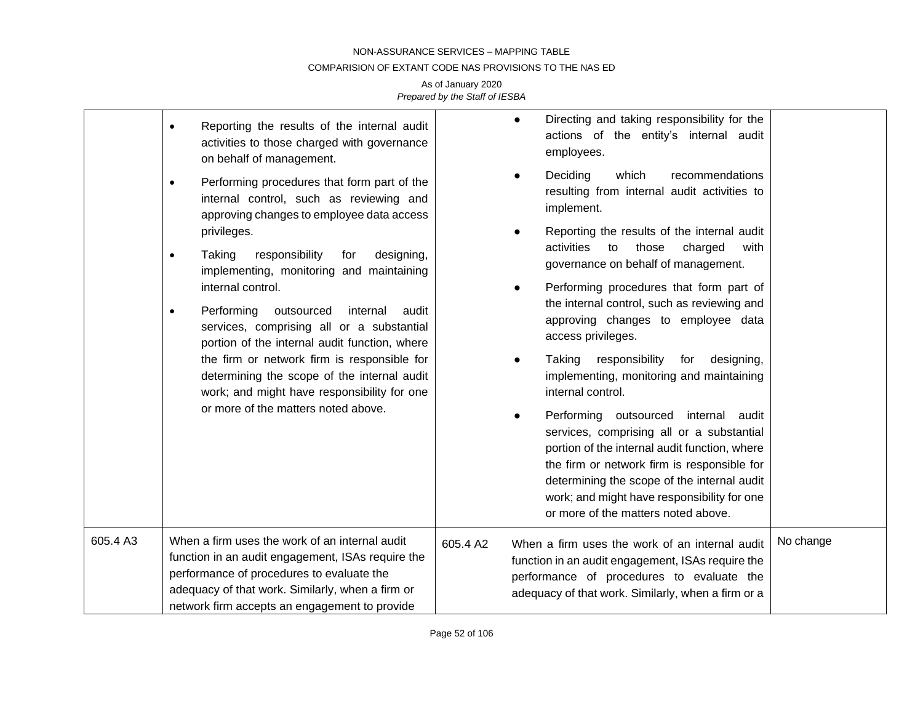### COMPARISION OF EXTANT CODE NAS PROVISIONS TO THE NAS ED

|          | Reporting the results of the internal audit<br>$\bullet$<br>activities to those charged with governance<br>on behalf of management.<br>Performing procedures that form part of the<br>$\bullet$<br>internal control, such as reviewing and<br>approving changes to employee data access<br>privileges.<br>responsibility<br>Taking<br>designing,<br>for<br>$\bullet$<br>implementing, monitoring and maintaining<br>internal control.<br>outsourced<br>Performing<br>internal<br>audit<br>$\bullet$<br>services, comprising all or a substantial | Directing and taking responsibility for the<br>$\bullet$<br>actions of the entity's internal audit<br>employees.<br>Deciding<br>recommendations<br>which<br>resulting from internal audit activities to<br>implement.<br>Reporting the results of the internal audit<br>activities<br>those<br>to<br>charged<br>with<br>governance on behalf of management.<br>Performing procedures that form part of<br>the internal control, such as reviewing and<br>approving changes to employee data<br>access privileges. |           |
|----------|--------------------------------------------------------------------------------------------------------------------------------------------------------------------------------------------------------------------------------------------------------------------------------------------------------------------------------------------------------------------------------------------------------------------------------------------------------------------------------------------------------------------------------------------------|-------------------------------------------------------------------------------------------------------------------------------------------------------------------------------------------------------------------------------------------------------------------------------------------------------------------------------------------------------------------------------------------------------------------------------------------------------------------------------------------------------------------|-----------|
|          | portion of the internal audit function, where<br>the firm or network firm is responsible for<br>determining the scope of the internal audit<br>work; and might have responsibility for one<br>or more of the matters noted above.                                                                                                                                                                                                                                                                                                                | responsibility<br>Taking<br>for<br>designing,<br>implementing, monitoring and maintaining<br>internal control.<br>Performing outsourced<br>internal audit<br>services, comprising all or a substantial<br>portion of the internal audit function, where<br>the firm or network firm is responsible for<br>determining the scope of the internal audit<br>work; and might have responsibility for one<br>or more of the matters noted above.                                                                       |           |
| 605.4 A3 | When a firm uses the work of an internal audit<br>function in an audit engagement, ISAs require the<br>performance of procedures to evaluate the<br>adequacy of that work. Similarly, when a firm or<br>network firm accepts an engagement to provide                                                                                                                                                                                                                                                                                            | 605.4 A2<br>When a firm uses the work of an internal audit<br>function in an audit engagement, ISAs require the<br>performance of procedures to evaluate the<br>adequacy of that work. Similarly, when a firm or a                                                                                                                                                                                                                                                                                                | No change |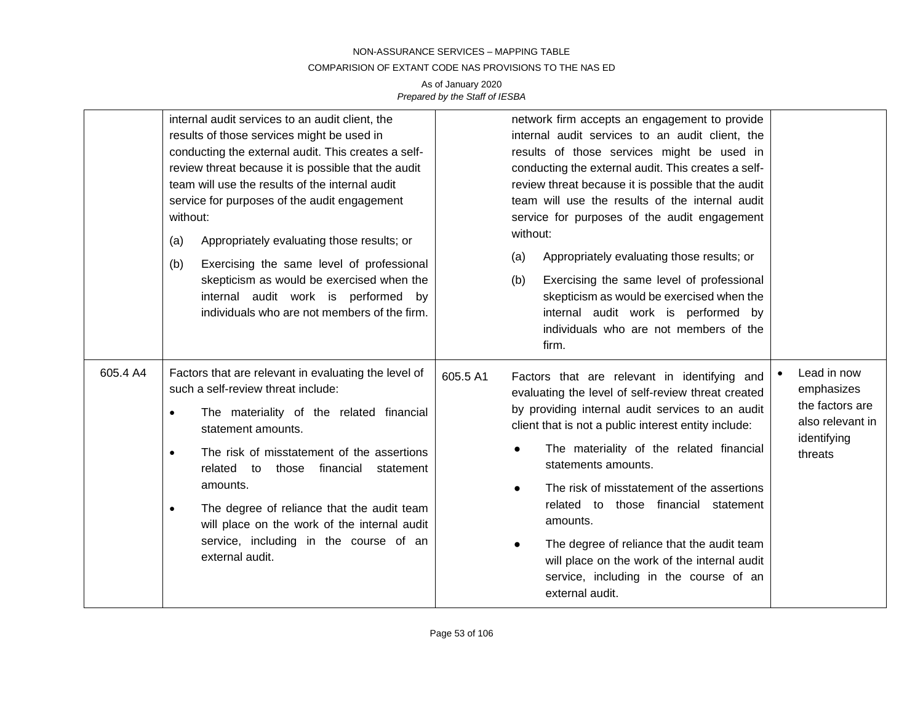### COMPARISION OF EXTANT CODE NAS PROVISIONS TO THE NAS ED

|          | internal audit services to an audit client, the<br>results of those services might be used in<br>conducting the external audit. This creates a self-<br>review threat because it is possible that the audit<br>team will use the results of the internal audit<br>service for purposes of the audit engagement<br>without:<br>Appropriately evaluating those results; or<br>(a)<br>Exercising the same level of professional<br>(b)<br>skepticism as would be exercised when the<br>internal audit work is performed by<br>individuals who are not members of the firm. | network firm accepts an engagement to provide<br>internal audit services to an audit client, the<br>results of those services might be used in<br>conducting the external audit. This creates a self-<br>review threat because it is possible that the audit<br>team will use the results of the internal audit<br>service for purposes of the audit engagement<br>without:<br>Appropriately evaluating those results; or<br>(a)<br>Exercising the same level of professional<br>(b)<br>skepticism as would be exercised when the<br>internal audit work is performed by<br>individuals who are not members of the<br>firm. |                                                                                            |
|----------|-------------------------------------------------------------------------------------------------------------------------------------------------------------------------------------------------------------------------------------------------------------------------------------------------------------------------------------------------------------------------------------------------------------------------------------------------------------------------------------------------------------------------------------------------------------------------|-----------------------------------------------------------------------------------------------------------------------------------------------------------------------------------------------------------------------------------------------------------------------------------------------------------------------------------------------------------------------------------------------------------------------------------------------------------------------------------------------------------------------------------------------------------------------------------------------------------------------------|--------------------------------------------------------------------------------------------|
| 605.4 A4 | Factors that are relevant in evaluating the level of<br>such a self-review threat include:<br>The materiality of the related financial<br>$\bullet$<br>statement amounts.<br>The risk of misstatement of the assertions<br>$\bullet$<br>related to those financial<br>statement<br>amounts.<br>The degree of reliance that the audit team<br>$\bullet$<br>will place on the work of the internal audit<br>service, including in the course of an<br>external audit.                                                                                                     | 605.5 A1<br>Factors that are relevant in identifying and<br>evaluating the level of self-review threat created<br>by providing internal audit services to an audit<br>client that is not a public interest entity include:<br>The materiality of the related financial<br>statements amounts.<br>The risk of misstatement of the assertions<br>$\bullet$<br>related to those financial statement<br>amounts.<br>The degree of reliance that the audit team<br>$\bullet$<br>will place on the work of the internal audit<br>service, including in the course of an<br>external audit.                                        | Lead in now<br>emphasizes<br>the factors are<br>also relevant in<br>identifying<br>threats |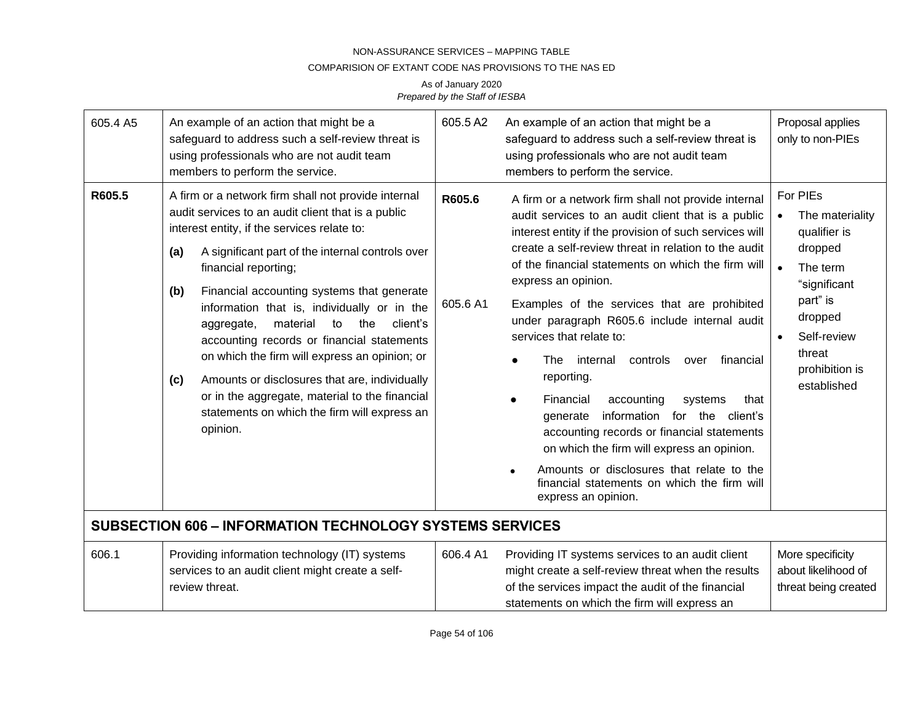## COMPARISION OF EXTANT CODE NAS PROVISIONS TO THE NAS ED

| 605.4 A5                                                        | 605.5A2<br>An example of an action that might be a<br>safeguard to address such a self-review threat is<br>using professionals who are not audit team<br>members to perform the service.                                                                                                                                                                                                                                                                                                                                                                                                                                                                                |                    | An example of an action that might be a<br>safeguard to address such a self-review threat is<br>using professionals who are not audit team<br>members to perform the service.                                                                                                                                                                                                                                                                                                                                                                                                                                                                                                                                                                                                                                    | Proposal applies<br>only to non-PIEs                                                                                                                                                          |
|-----------------------------------------------------------------|-------------------------------------------------------------------------------------------------------------------------------------------------------------------------------------------------------------------------------------------------------------------------------------------------------------------------------------------------------------------------------------------------------------------------------------------------------------------------------------------------------------------------------------------------------------------------------------------------------------------------------------------------------------------------|--------------------|------------------------------------------------------------------------------------------------------------------------------------------------------------------------------------------------------------------------------------------------------------------------------------------------------------------------------------------------------------------------------------------------------------------------------------------------------------------------------------------------------------------------------------------------------------------------------------------------------------------------------------------------------------------------------------------------------------------------------------------------------------------------------------------------------------------|-----------------------------------------------------------------------------------------------------------------------------------------------------------------------------------------------|
| R605.5                                                          | A firm or a network firm shall not provide internal<br>audit services to an audit client that is a public<br>interest entity, if the services relate to:<br>A significant part of the internal controls over<br>(a)<br>financial reporting;<br>Financial accounting systems that generate<br>(b)<br>information that is, individually or in the<br>material<br>to<br>the<br>client's<br>aggregate,<br>accounting records or financial statements<br>on which the firm will express an opinion; or<br>Amounts or disclosures that are, individually<br>(c)<br>or in the aggregate, material to the financial<br>statements on which the firm will express an<br>opinion. | R605.6<br>605.6 A1 | A firm or a network firm shall not provide internal<br>audit services to an audit client that is a public<br>interest entity if the provision of such services will<br>create a self-review threat in relation to the audit<br>of the financial statements on which the firm will<br>express an opinion.<br>Examples of the services that are prohibited<br>under paragraph R605.6 include internal audit<br>services that relate to:<br>internal<br>controls<br>financial<br>The<br>over<br>reporting.<br>Financial<br>accounting<br>systems<br>that<br>information for the client's<br>generate<br>accounting records or financial statements<br>on which the firm will express an opinion.<br>Amounts or disclosures that relate to the<br>financial statements on which the firm will<br>express an opinion. | For PIEs<br>The materiality<br>qualifier is<br>dropped<br>$\bullet$<br>The term<br>"significant<br>part" is<br>dropped<br>Self-review<br>$\bullet$<br>threat<br>prohibition is<br>established |
| <b>SUBSECTION 606 - INFORMATION TECHNOLOGY SYSTEMS SERVICES</b> |                                                                                                                                                                                                                                                                                                                                                                                                                                                                                                                                                                                                                                                                         |                    |                                                                                                                                                                                                                                                                                                                                                                                                                                                                                                                                                                                                                                                                                                                                                                                                                  |                                                                                                                                                                                               |
| 606.1                                                           | Providing information technology (IT) systems<br>services to an audit client might create a self-<br>review threat.                                                                                                                                                                                                                                                                                                                                                                                                                                                                                                                                                     | 606.4 A1           | Providing IT systems services to an audit client<br>might create a self-review threat when the results<br>of the services impact the audit of the financial<br>statements on which the firm will express an                                                                                                                                                                                                                                                                                                                                                                                                                                                                                                                                                                                                      | More specificity<br>about likelihood of<br>threat being created                                                                                                                               |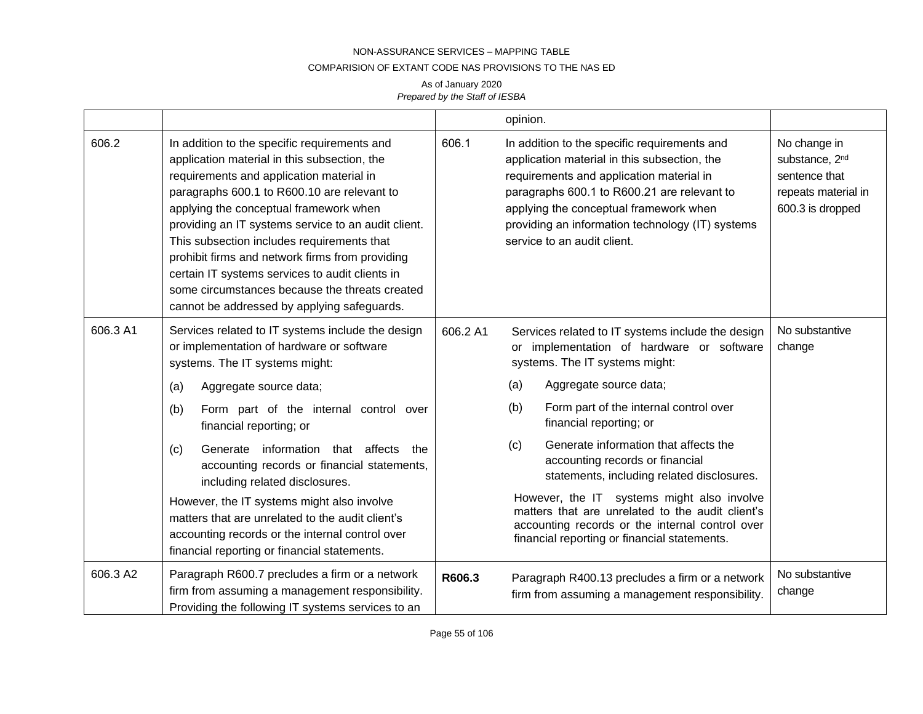### COMPARISION OF EXTANT CODE NAS PROVISIONS TO THE NAS ED

|          |                                                                                                                                                                                                                                                                                                                                                                                                                                                                                                                                               |          | opinion.                                                                                                                                                                                                                                                                                                             |                                                                                                        |
|----------|-----------------------------------------------------------------------------------------------------------------------------------------------------------------------------------------------------------------------------------------------------------------------------------------------------------------------------------------------------------------------------------------------------------------------------------------------------------------------------------------------------------------------------------------------|----------|----------------------------------------------------------------------------------------------------------------------------------------------------------------------------------------------------------------------------------------------------------------------------------------------------------------------|--------------------------------------------------------------------------------------------------------|
| 606.2    | In addition to the specific requirements and<br>application material in this subsection, the<br>requirements and application material in<br>paragraphs 600.1 to R600.10 are relevant to<br>applying the conceptual framework when<br>providing an IT systems service to an audit client.<br>This subsection includes requirements that<br>prohibit firms and network firms from providing<br>certain IT systems services to audit clients in<br>some circumstances because the threats created<br>cannot be addressed by applying safeguards. | 606.1    | In addition to the specific requirements and<br>application material in this subsection, the<br>requirements and application material in<br>paragraphs 600.1 to R600.21 are relevant to<br>applying the conceptual framework when<br>providing an information technology (IT) systems<br>service to an audit client. | No change in<br>substance, 2 <sup>nd</sup><br>sentence that<br>repeats material in<br>600.3 is dropped |
| 606.3 A1 | Services related to IT systems include the design<br>or implementation of hardware or software<br>systems. The IT systems might:                                                                                                                                                                                                                                                                                                                                                                                                              | 606.2 A1 | Services related to IT systems include the design<br>or implementation of hardware or software<br>systems. The IT systems might:                                                                                                                                                                                     | No substantive<br>change                                                                               |
|          | Aggregate source data;<br>(a)                                                                                                                                                                                                                                                                                                                                                                                                                                                                                                                 |          | Aggregate source data;<br>(a)                                                                                                                                                                                                                                                                                        |                                                                                                        |
|          | (b)<br>Form part of the internal control over<br>financial reporting; or                                                                                                                                                                                                                                                                                                                                                                                                                                                                      |          | Form part of the internal control over<br>(b)<br>financial reporting; or                                                                                                                                                                                                                                             |                                                                                                        |
|          | Generate information that affects<br>the<br>(c)<br>accounting records or financial statements,<br>including related disclosures.                                                                                                                                                                                                                                                                                                                                                                                                              |          | Generate information that affects the<br>(c)<br>accounting records or financial<br>statements, including related disclosures.                                                                                                                                                                                        |                                                                                                        |
|          | However, the IT systems might also involve<br>matters that are unrelated to the audit client's<br>accounting records or the internal control over<br>financial reporting or financial statements.                                                                                                                                                                                                                                                                                                                                             |          | However, the IT systems might also involve<br>matters that are unrelated to the audit client's<br>accounting records or the internal control over<br>financial reporting or financial statements.                                                                                                                    |                                                                                                        |
| 606.3 A2 | Paragraph R600.7 precludes a firm or a network<br>firm from assuming a management responsibility.<br>Providing the following IT systems services to an                                                                                                                                                                                                                                                                                                                                                                                        | R606.3   | Paragraph R400.13 precludes a firm or a network<br>firm from assuming a management responsibility.                                                                                                                                                                                                                   | No substantive<br>change                                                                               |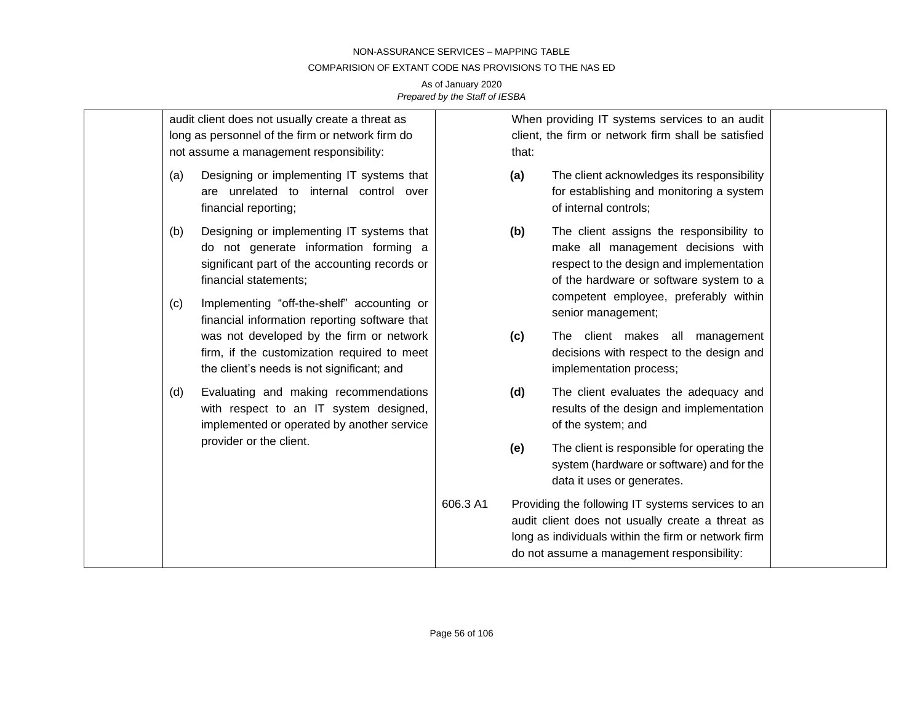### COMPARISION OF EXTANT CODE NAS PROVISIONS TO THE NAS ED

|            | audit client does not usually create a threat as<br>long as personnel of the firm or network firm do<br>not assume a management responsibility:                                                            |          | that: | When providing IT systems services to an audit<br>client, the firm or network firm shall be satisfied                                                                                                                                |  |
|------------|------------------------------------------------------------------------------------------------------------------------------------------------------------------------------------------------------------|----------|-------|--------------------------------------------------------------------------------------------------------------------------------------------------------------------------------------------------------------------------------------|--|
| (a)        | Designing or implementing IT systems that<br>are unrelated to internal control over<br>financial reporting;                                                                                                |          | (a)   | The client acknowledges its responsibility<br>for establishing and monitoring a system<br>of internal controls;                                                                                                                      |  |
| (b)<br>(c) | Designing or implementing IT systems that<br>do not generate information forming a<br>significant part of the accounting records or<br>financial statements;<br>Implementing "off-the-shelf" accounting or |          | (b)   | The client assigns the responsibility to<br>make all management decisions with<br>respect to the design and implementation<br>of the hardware or software system to a<br>competent employee, preferably within<br>senior management; |  |
|            | financial information reporting software that<br>was not developed by the firm or network<br>firm, if the customization required to meet<br>the client's needs is not significant; and                     |          | (c)   | The client makes all management<br>decisions with respect to the design and<br>implementation process;                                                                                                                               |  |
| (d)        | Evaluating and making recommendations<br>with respect to an IT system designed,<br>implemented or operated by another service                                                                              |          | (d)   | The client evaluates the adequacy and<br>results of the design and implementation<br>of the system; and                                                                                                                              |  |
|            | provider or the client.                                                                                                                                                                                    |          | (e)   | The client is responsible for operating the<br>system (hardware or software) and for the<br>data it uses or generates.                                                                                                               |  |
|            |                                                                                                                                                                                                            | 606.3 A1 |       | Providing the following IT systems services to an<br>audit client does not usually create a threat as<br>long as individuals within the firm or network firm<br>do not assume a management responsibility:                           |  |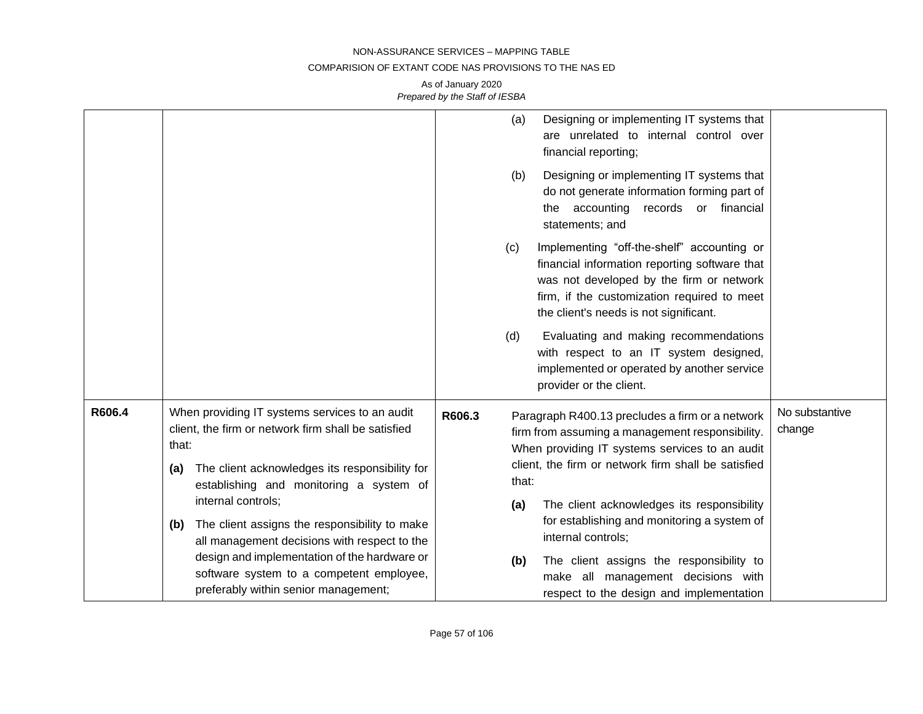### COMPARISION OF EXTANT CODE NAS PROVISIONS TO THE NAS ED

|        |                                                                                                                                                                                                                                          | (a)<br>Designing or implementing IT systems that<br>are unrelated to internal control over<br>financial reporting;<br>(b)<br>Designing or implementing IT systems that<br>do not generate information forming part of<br>records or financial<br>the accounting<br>statements; and  |                          |
|--------|------------------------------------------------------------------------------------------------------------------------------------------------------------------------------------------------------------------------------------------|-------------------------------------------------------------------------------------------------------------------------------------------------------------------------------------------------------------------------------------------------------------------------------------|--------------------------|
|        |                                                                                                                                                                                                                                          | Implementing "off-the-shelf" accounting or<br>(c)<br>financial information reporting software that<br>was not developed by the firm or network<br>firm, if the customization required to meet<br>the client's needs is not significant.                                             |                          |
|        |                                                                                                                                                                                                                                          | Evaluating and making recommendations<br>(d)<br>with respect to an IT system designed,<br>implemented or operated by another service<br>provider or the client.                                                                                                                     |                          |
| R606.4 | When providing IT systems services to an audit<br>client, the firm or network firm shall be satisfied<br>that:<br>The client acknowledges its responsibility for<br>(a)<br>establishing and monitoring a system of<br>internal controls; | R606.3<br>Paragraph R400.13 precludes a firm or a network<br>firm from assuming a management responsibility.<br>When providing IT systems services to an audit<br>client, the firm or network firm shall be satisfied<br>that:<br>The client acknowledges its responsibility<br>(a) | No substantive<br>change |
|        | The client assigns the responsibility to make<br>(b)<br>all management decisions with respect to the<br>design and implementation of the hardware or<br>software system to a competent employee,<br>preferably within senior management; | for establishing and monitoring a system of<br>internal controls;<br>(b)<br>The client assigns the responsibility to<br>make all management decisions with<br>respect to the design and implementation                                                                              |                          |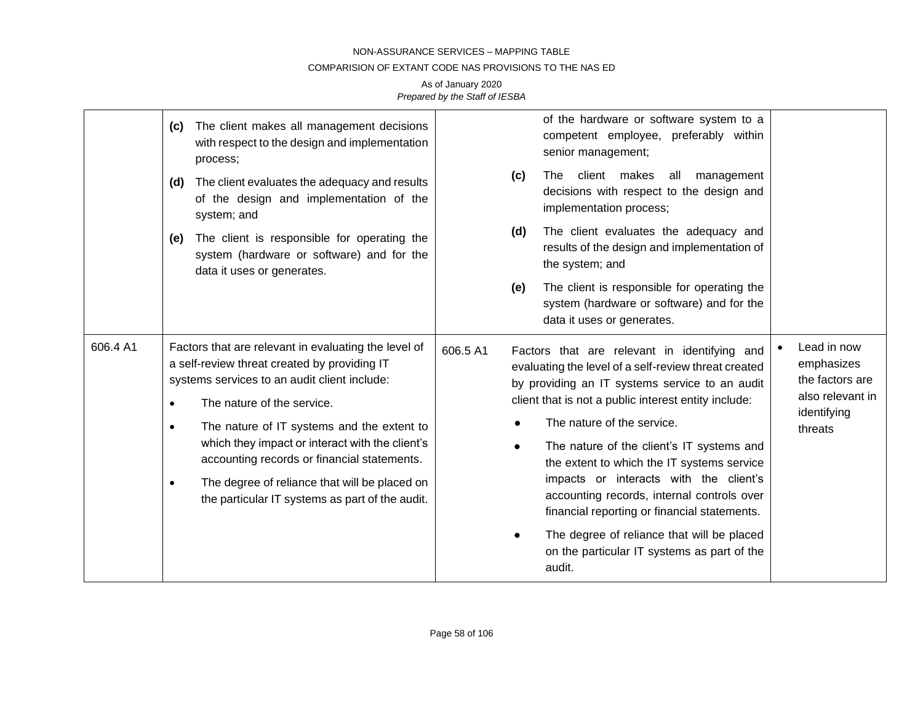### COMPARISION OF EXTANT CODE NAS PROVISIONS TO THE NAS ED

|          | The client makes all management decisions<br>(c)<br>with respect to the design and implementation<br>process;<br>The client evaluates the adequacy and results<br>(d)<br>of the design and implementation of the<br>system; and<br>The client is responsible for operating the<br>(e)<br>system (hardware or software) and for the<br>data it uses or generates.                                                                                                              | of the hardware or software system to a<br>competent employee, preferably within<br>senior management;<br>The client makes all<br>(c)<br>management<br>decisions with respect to the design and<br>implementation process;<br>The client evaluates the adequacy and<br>(d)<br>results of the design and implementation of<br>the system; and<br>The client is responsible for operating the<br>(e)<br>system (hardware or software) and for the<br>data it uses or generates.                                                                                                                                   |                                                                                            |
|----------|-------------------------------------------------------------------------------------------------------------------------------------------------------------------------------------------------------------------------------------------------------------------------------------------------------------------------------------------------------------------------------------------------------------------------------------------------------------------------------|-----------------------------------------------------------------------------------------------------------------------------------------------------------------------------------------------------------------------------------------------------------------------------------------------------------------------------------------------------------------------------------------------------------------------------------------------------------------------------------------------------------------------------------------------------------------------------------------------------------------|--------------------------------------------------------------------------------------------|
| 606.4 A1 | Factors that are relevant in evaluating the level of<br>a self-review threat created by providing IT<br>systems services to an audit client include:<br>The nature of the service.<br>$\bullet$<br>The nature of IT systems and the extent to<br>$\bullet$<br>which they impact or interact with the client's<br>accounting records or financial statements.<br>The degree of reliance that will be placed on<br>$\bullet$<br>the particular IT systems as part of the audit. | 606.5 A1<br>Factors that are relevant in identifying and<br>evaluating the level of a self-review threat created<br>by providing an IT systems service to an audit<br>client that is not a public interest entity include:<br>The nature of the service.<br>The nature of the client's IT systems and<br>$\bullet$<br>the extent to which the IT systems service<br>impacts or interacts with the client's<br>accounting records, internal controls over<br>financial reporting or financial statements.<br>The degree of reliance that will be placed<br>on the particular IT systems as part of the<br>audit. | Lead in now<br>emphasizes<br>the factors are<br>also relevant in<br>identifying<br>threats |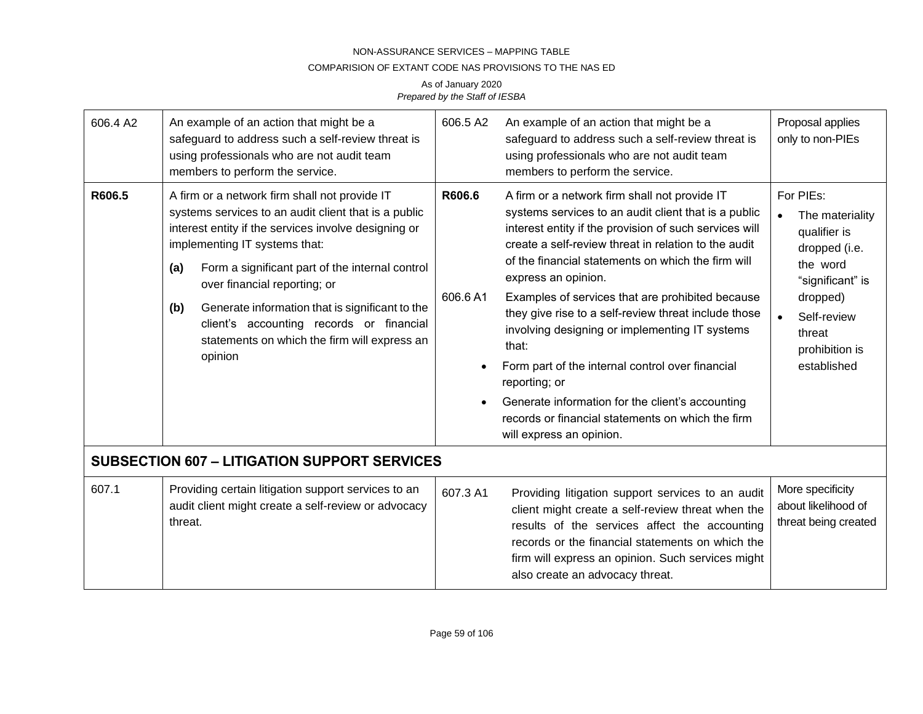### COMPARISION OF EXTANT CODE NAS PROVISIONS TO THE NAS ED

| 606.4 A2 | An example of an action that might be a<br>safeguard to address such a self-review threat is<br>using professionals who are not audit team<br>members to perform the service.                                                                                                                                                                                                                                                                             | 606.5 A2          | An example of an action that might be a<br>safeguard to address such a self-review threat is<br>using professionals who are not audit team<br>members to perform the service.                                                                                                                                                                                                                                                                                                                                                                                                                                                                                                         | Proposal applies<br>only to non-PIEs                                                                                                                                |
|----------|-----------------------------------------------------------------------------------------------------------------------------------------------------------------------------------------------------------------------------------------------------------------------------------------------------------------------------------------------------------------------------------------------------------------------------------------------------------|-------------------|---------------------------------------------------------------------------------------------------------------------------------------------------------------------------------------------------------------------------------------------------------------------------------------------------------------------------------------------------------------------------------------------------------------------------------------------------------------------------------------------------------------------------------------------------------------------------------------------------------------------------------------------------------------------------------------|---------------------------------------------------------------------------------------------------------------------------------------------------------------------|
| R606.5   | A firm or a network firm shall not provide IT<br>systems services to an audit client that is a public<br>interest entity if the services involve designing or<br>implementing IT systems that:<br>Form a significant part of the internal control<br>(a)<br>over financial reporting; or<br>(b)<br>Generate information that is significant to the<br>client's accounting records or financial<br>statements on which the firm will express an<br>opinion | R606.6<br>606.6A1 | A firm or a network firm shall not provide IT<br>systems services to an audit client that is a public<br>interest entity if the provision of such services will<br>create a self-review threat in relation to the audit<br>of the financial statements on which the firm will<br>express an opinion.<br>Examples of services that are prohibited because<br>they give rise to a self-review threat include those<br>involving designing or implementing IT systems<br>that:<br>Form part of the internal control over financial<br>reporting; or<br>Generate information for the client's accounting<br>records or financial statements on which the firm<br>will express an opinion. | For PIEs:<br>The materiality<br>qualifier is<br>dropped (i.e.<br>the word<br>"significant" is<br>dropped)<br>Self-review<br>threat<br>prohibition is<br>established |
|          | <b>SUBSECTION 607 - LITIGATION SUPPORT SERVICES</b>                                                                                                                                                                                                                                                                                                                                                                                                       |                   |                                                                                                                                                                                                                                                                                                                                                                                                                                                                                                                                                                                                                                                                                       |                                                                                                                                                                     |
| 607.1    | Providing certain litigation support services to an<br>audit client might create a self-review or advocacy<br>threat.                                                                                                                                                                                                                                                                                                                                     | 607.3 A1          | Providing litigation support services to an audit<br>client might create a self-review threat when the<br>results of the services affect the accounting<br>records or the financial statements on which the<br>firm will express an opinion. Such services might<br>also create an advocacy threat.                                                                                                                                                                                                                                                                                                                                                                                   | More specificity<br>about likelihood of<br>threat being created                                                                                                     |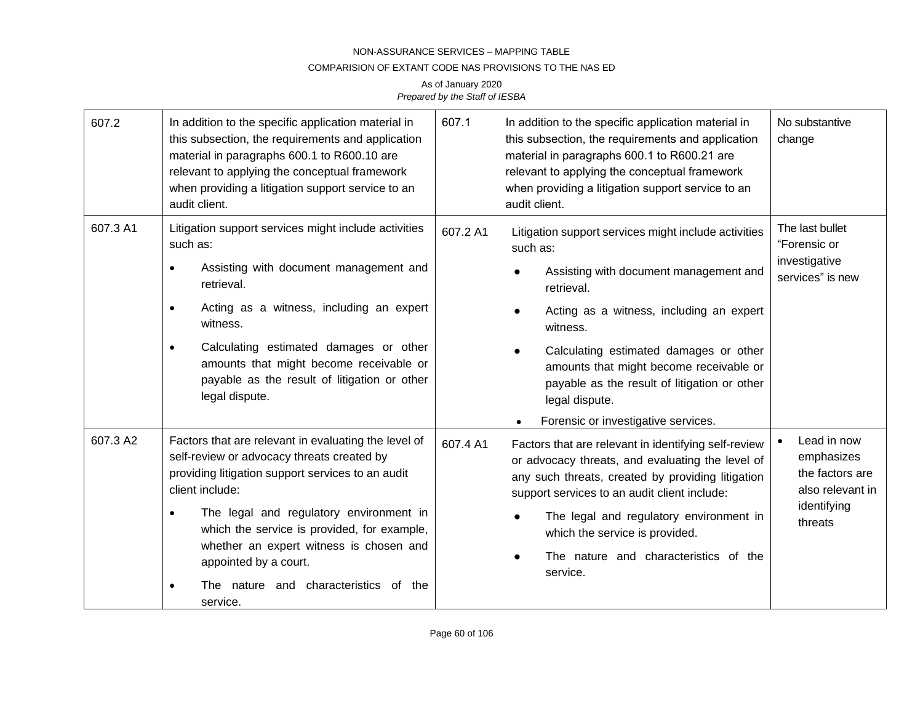### COMPARISION OF EXTANT CODE NAS PROVISIONS TO THE NAS ED

| 607.2    | In addition to the specific application material in<br>this subsection, the requirements and application<br>material in paragraphs 600.1 to R600.10 are<br>relevant to applying the conceptual framework<br>when providing a litigation support service to an<br>audit client.                                                                                                                                          | 607.1<br>In addition to the specific application material in<br>this subsection, the requirements and application<br>material in paragraphs 600.1 to R600.21 are<br>relevant to applying the conceptual framework<br>when providing a litigation support service to an<br>audit client.                                                                                                                 | No substantive<br>change                                                                   |
|----------|-------------------------------------------------------------------------------------------------------------------------------------------------------------------------------------------------------------------------------------------------------------------------------------------------------------------------------------------------------------------------------------------------------------------------|---------------------------------------------------------------------------------------------------------------------------------------------------------------------------------------------------------------------------------------------------------------------------------------------------------------------------------------------------------------------------------------------------------|--------------------------------------------------------------------------------------------|
| 607.3 A1 | Litigation support services might include activities<br>such as:<br>Assisting with document management and<br>$\bullet$<br>retrieval.<br>Acting as a witness, including an expert<br>$\bullet$<br>witness.<br>Calculating estimated damages or other<br>$\bullet$<br>amounts that might become receivable or<br>payable as the result of litigation or other<br>legal dispute.                                          | 607.2 A1<br>Litigation support services might include activities<br>such as:<br>Assisting with document management and<br>$\bullet$<br>retrieval.<br>Acting as a witness, including an expert<br>witness.<br>Calculating estimated damages or other<br>amounts that might become receivable or<br>payable as the result of litigation or other<br>legal dispute.<br>Forensic or investigative services. | The last bullet<br>"Forensic or<br>investigative<br>services" is new                       |
| 607.3 A2 | Factors that are relevant in evaluating the level of<br>self-review or advocacy threats created by<br>providing litigation support services to an audit<br>client include:<br>The legal and regulatory environment in<br>$\bullet$<br>which the service is provided, for example,<br>whether an expert witness is chosen and<br>appointed by a court.<br>The nature and characteristics of the<br>$\bullet$<br>service. | 607.4 A1<br>Factors that are relevant in identifying self-review<br>or advocacy threats, and evaluating the level of<br>any such threats, created by providing litigation<br>support services to an audit client include:<br>The legal and regulatory environment in<br>which the service is provided.<br>The nature and characteristics of the<br>service.                                             | Lead in now<br>emphasizes<br>the factors are<br>also relevant in<br>identifying<br>threats |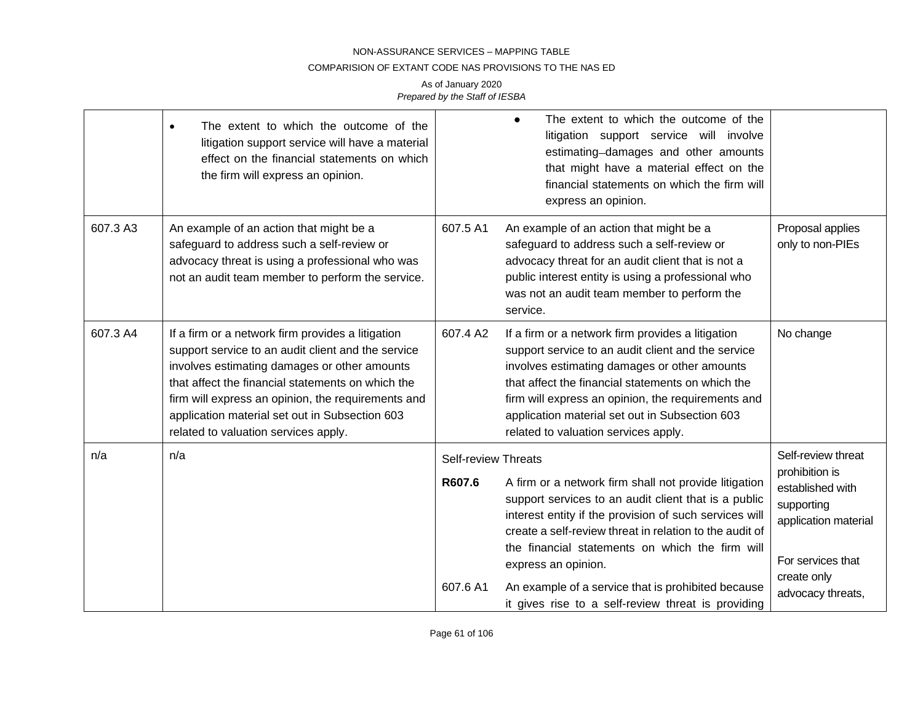### COMPARISION OF EXTANT CODE NAS PROVISIONS TO THE NAS ED

|          | The extent to which the outcome of the<br>litigation support service will have a material<br>effect on the financial statements on which<br>the firm will express an opinion.                                                                                                                                                                                |                                                  | The extent to which the outcome of the<br>litigation support service will involve<br>estimating-damages and other amounts<br>that might have a material effect on the<br>financial statements on which the firm will<br>express an opinion.                                                                                                                                                                              |                                                                                                                                                         |
|----------|--------------------------------------------------------------------------------------------------------------------------------------------------------------------------------------------------------------------------------------------------------------------------------------------------------------------------------------------------------------|--------------------------------------------------|--------------------------------------------------------------------------------------------------------------------------------------------------------------------------------------------------------------------------------------------------------------------------------------------------------------------------------------------------------------------------------------------------------------------------|---------------------------------------------------------------------------------------------------------------------------------------------------------|
| 607.3 A3 | An example of an action that might be a<br>safeguard to address such a self-review or<br>advocacy threat is using a professional who was<br>not an audit team member to perform the service.                                                                                                                                                                 | 607.5 A1                                         | An example of an action that might be a<br>safeguard to address such a self-review or<br>advocacy threat for an audit client that is not a<br>public interest entity is using a professional who<br>was not an audit team member to perform the<br>service.                                                                                                                                                              | Proposal applies<br>only to non-PIEs                                                                                                                    |
| 607.3 A4 | If a firm or a network firm provides a litigation<br>support service to an audit client and the service<br>involves estimating damages or other amounts<br>that affect the financial statements on which the<br>firm will express an opinion, the requirements and<br>application material set out in Subsection 603<br>related to valuation services apply. | 607.4 A2                                         | If a firm or a network firm provides a litigation<br>support service to an audit client and the service<br>involves estimating damages or other amounts<br>that affect the financial statements on which the<br>firm will express an opinion, the requirements and<br>application material set out in Subsection 603<br>related to valuation services apply.                                                             | No change                                                                                                                                               |
| n/a      | n/a                                                                                                                                                                                                                                                                                                                                                          | <b>Self-review Threats</b><br>R607.6<br>607.6 A1 | A firm or a network firm shall not provide litigation<br>support services to an audit client that is a public<br>interest entity if the provision of such services will<br>create a self-review threat in relation to the audit of<br>the financial statements on which the firm will<br>express an opinion.<br>An example of a service that is prohibited because<br>it gives rise to a self-review threat is providing | Self-review threat<br>prohibition is<br>established with<br>supporting<br>application material<br>For services that<br>create only<br>advocacy threats, |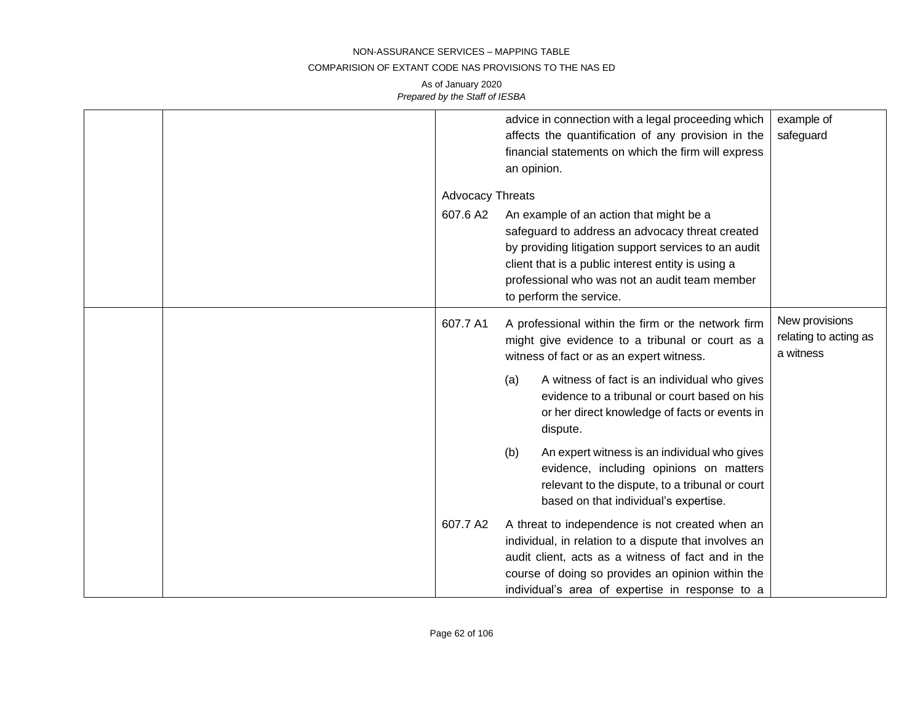### COMPARISION OF EXTANT CODE NAS PROVISIONS TO THE NAS ED

|  |                         | advice in connection with a legal proceeding which<br>affects the quantification of any provision in the<br>financial statements on which the firm will express<br>an opinion.                                                                                                       | example of<br>safeguard                              |
|--|-------------------------|--------------------------------------------------------------------------------------------------------------------------------------------------------------------------------------------------------------------------------------------------------------------------------------|------------------------------------------------------|
|  | <b>Advocacy Threats</b> |                                                                                                                                                                                                                                                                                      |                                                      |
|  | 607.6 A2                | An example of an action that might be a<br>safeguard to address an advocacy threat created<br>by providing litigation support services to an audit<br>client that is a public interest entity is using a<br>professional who was not an audit team member<br>to perform the service. |                                                      |
|  | 607.7 A1                | A professional within the firm or the network firm<br>might give evidence to a tribunal or court as a<br>witness of fact or as an expert witness.                                                                                                                                    | New provisions<br>relating to acting as<br>a witness |
|  |                         | A witness of fact is an individual who gives<br>(a)<br>evidence to a tribunal or court based on his<br>or her direct knowledge of facts or events in<br>dispute.                                                                                                                     |                                                      |
|  |                         | An expert witness is an individual who gives<br>(b)<br>evidence, including opinions on matters<br>relevant to the dispute, to a tribunal or court<br>based on that individual's expertise.                                                                                           |                                                      |
|  | 607.7 A2                | A threat to independence is not created when an<br>individual, in relation to a dispute that involves an<br>audit client, acts as a witness of fact and in the<br>course of doing so provides an opinion within the<br>individual's area of expertise in response to a               |                                                      |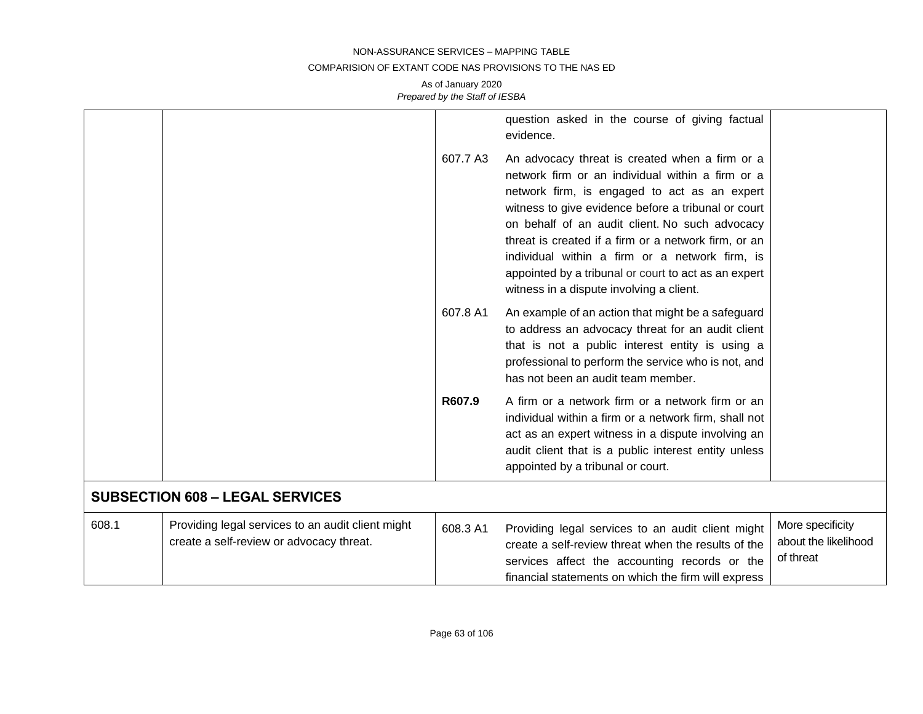### COMPARISION OF EXTANT CODE NAS PROVISIONS TO THE NAS ED

|       |                                                                                               |          | question asked in the course of giving factual<br>evidence.                                                                                                                                                                                                                                                                                                                                                                                                               |                                                       |
|-------|-----------------------------------------------------------------------------------------------|----------|---------------------------------------------------------------------------------------------------------------------------------------------------------------------------------------------------------------------------------------------------------------------------------------------------------------------------------------------------------------------------------------------------------------------------------------------------------------------------|-------------------------------------------------------|
|       |                                                                                               | 607.7 A3 | An advocacy threat is created when a firm or a<br>network firm or an individual within a firm or a<br>network firm, is engaged to act as an expert<br>witness to give evidence before a tribunal or court<br>on behalf of an audit client. No such advocacy<br>threat is created if a firm or a network firm, or an<br>individual within a firm or a network firm, is<br>appointed by a tribunal or court to act as an expert<br>witness in a dispute involving a client. |                                                       |
|       |                                                                                               | 607.8 A1 | An example of an action that might be a safeguard<br>to address an advocacy threat for an audit client<br>that is not a public interest entity is using a<br>professional to perform the service who is not, and<br>has not been an audit team member.                                                                                                                                                                                                                    |                                                       |
|       |                                                                                               | R607.9   | A firm or a network firm or a network firm or an<br>individual within a firm or a network firm, shall not<br>act as an expert witness in a dispute involving an<br>audit client that is a public interest entity unless<br>appointed by a tribunal or court.                                                                                                                                                                                                              |                                                       |
|       | <b>SUBSECTION 608 - LEGAL SERVICES</b>                                                        |          |                                                                                                                                                                                                                                                                                                                                                                                                                                                                           |                                                       |
| 608.1 | Providing legal services to an audit client might<br>create a self-review or advocacy threat. | 608.3 A1 | Providing legal services to an audit client might<br>create a self-review threat when the results of the<br>services affect the accounting records or the<br>financial statements on which the firm will express                                                                                                                                                                                                                                                          | More specificity<br>about the likelihood<br>of threat |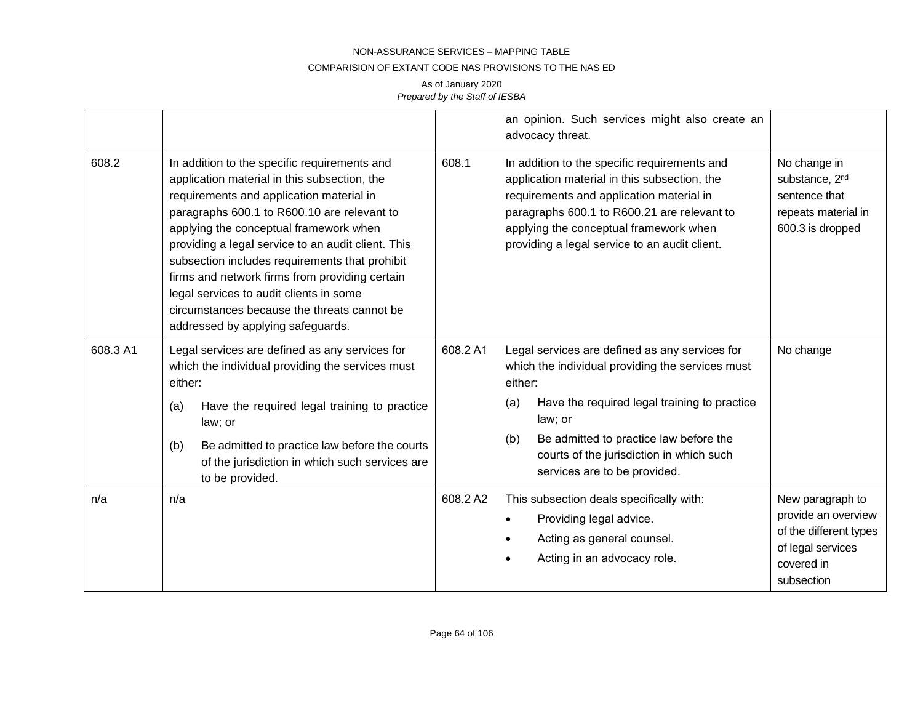#### COMPARISION OF EXTANT CODE NAS PROVISIONS TO THE NAS ED

|          |                                                                                                                                                                                                                                                                                                                                                                                                                                                                                                                            |          | an opinion. Such services might also create an<br>advocacy threat.                                                                                                                                                                                                                 |                                                                                                                    |
|----------|----------------------------------------------------------------------------------------------------------------------------------------------------------------------------------------------------------------------------------------------------------------------------------------------------------------------------------------------------------------------------------------------------------------------------------------------------------------------------------------------------------------------------|----------|------------------------------------------------------------------------------------------------------------------------------------------------------------------------------------------------------------------------------------------------------------------------------------|--------------------------------------------------------------------------------------------------------------------|
| 608.2    | In addition to the specific requirements and<br>application material in this subsection, the<br>requirements and application material in<br>paragraphs 600.1 to R600.10 are relevant to<br>applying the conceptual framework when<br>providing a legal service to an audit client. This<br>subsection includes requirements that prohibit<br>firms and network firms from providing certain<br>legal services to audit clients in some<br>circumstances because the threats cannot be<br>addressed by applying safeguards. | 608.1    | In addition to the specific requirements and<br>application material in this subsection, the<br>requirements and application material in<br>paragraphs 600.1 to R600.21 are relevant to<br>applying the conceptual framework when<br>providing a legal service to an audit client. | No change in<br>substance, 2 <sup>nd</sup><br>sentence that<br>repeats material in<br>600.3 is dropped             |
| 608.3 A1 | Legal services are defined as any services for<br>which the individual providing the services must<br>either:                                                                                                                                                                                                                                                                                                                                                                                                              | 608.2 A1 | Legal services are defined as any services for<br>which the individual providing the services must<br>either:                                                                                                                                                                      | No change                                                                                                          |
|          | Have the required legal training to practice<br>(a)<br>law; or                                                                                                                                                                                                                                                                                                                                                                                                                                                             |          | Have the required legal training to practice<br>(a)<br>law; or                                                                                                                                                                                                                     |                                                                                                                    |
|          | Be admitted to practice law before the courts<br>(b)<br>of the jurisdiction in which such services are<br>to be provided.                                                                                                                                                                                                                                                                                                                                                                                                  |          | Be admitted to practice law before the<br>(b)<br>courts of the jurisdiction in which such<br>services are to be provided.                                                                                                                                                          |                                                                                                                    |
| n/a      | n/a                                                                                                                                                                                                                                                                                                                                                                                                                                                                                                                        | 608.2 A2 | This subsection deals specifically with:<br>Providing legal advice.<br>Acting as general counsel.<br>Acting in an advocacy role.                                                                                                                                                   | New paragraph to<br>provide an overview<br>of the different types<br>of legal services<br>covered in<br>subsection |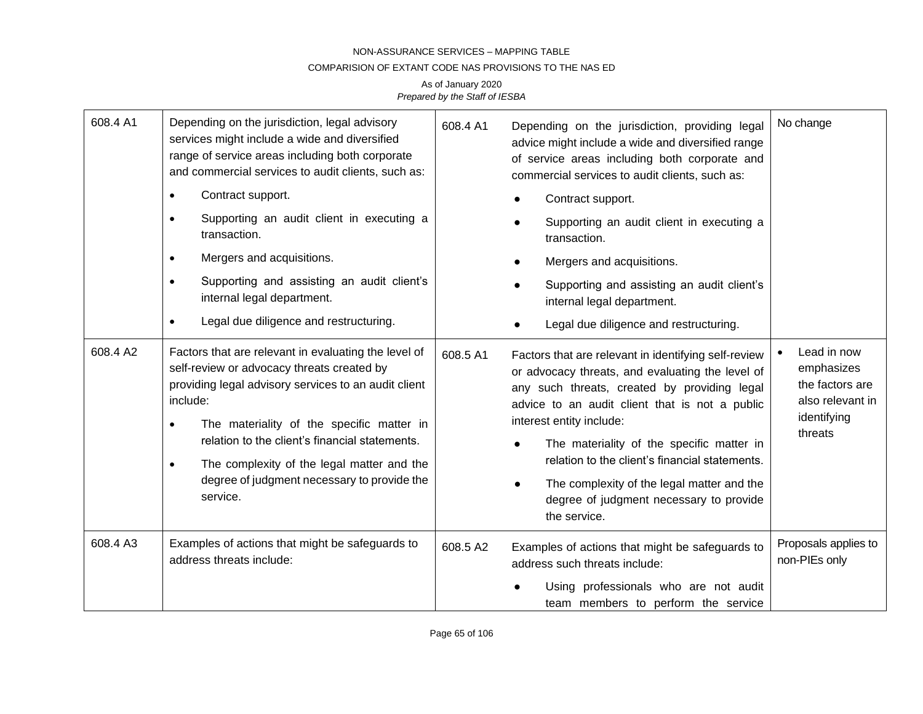### COMPARISION OF EXTANT CODE NAS PROVISIONS TO THE NAS ED

| 608.4 A1 | Depending on the jurisdiction, legal advisory<br>services might include a wide and diversified<br>range of service areas including both corporate<br>and commercial services to audit clients, such as:                                                                                                                                                                                                  | 608.4 A1 | Depending on the jurisdiction, providing legal<br>advice might include a wide and diversified range<br>of service areas including both corporate and<br>commercial services to audit clients, such as:                                                                                                                                                                                                                                                      | No change                                                                                  |
|----------|----------------------------------------------------------------------------------------------------------------------------------------------------------------------------------------------------------------------------------------------------------------------------------------------------------------------------------------------------------------------------------------------------------|----------|-------------------------------------------------------------------------------------------------------------------------------------------------------------------------------------------------------------------------------------------------------------------------------------------------------------------------------------------------------------------------------------------------------------------------------------------------------------|--------------------------------------------------------------------------------------------|
|          | Contract support.<br>$\bullet$                                                                                                                                                                                                                                                                                                                                                                           |          | Contract support.                                                                                                                                                                                                                                                                                                                                                                                                                                           |                                                                                            |
|          | Supporting an audit client in executing a<br>$\bullet$<br>transaction.                                                                                                                                                                                                                                                                                                                                   |          | Supporting an audit client in executing a<br>transaction.                                                                                                                                                                                                                                                                                                                                                                                                   |                                                                                            |
|          | Mergers and acquisitions.<br>$\bullet$                                                                                                                                                                                                                                                                                                                                                                   |          | Mergers and acquisitions.                                                                                                                                                                                                                                                                                                                                                                                                                                   |                                                                                            |
|          | Supporting and assisting an audit client's<br>$\bullet$<br>internal legal department.                                                                                                                                                                                                                                                                                                                    |          | Supporting and assisting an audit client's<br>internal legal department.                                                                                                                                                                                                                                                                                                                                                                                    |                                                                                            |
|          | Legal due diligence and restructuring.<br>$\bullet$                                                                                                                                                                                                                                                                                                                                                      |          | Legal due diligence and restructuring.                                                                                                                                                                                                                                                                                                                                                                                                                      |                                                                                            |
| 608.4 A2 | Factors that are relevant in evaluating the level of<br>self-review or advocacy threats created by<br>providing legal advisory services to an audit client<br>include:<br>The materiality of the specific matter in<br>$\bullet$<br>relation to the client's financial statements.<br>The complexity of the legal matter and the<br>$\bullet$<br>degree of judgment necessary to provide the<br>service. | 608.5 A1 | Factors that are relevant in identifying self-review<br>or advocacy threats, and evaluating the level of<br>any such threats, created by providing legal<br>advice to an audit client that is not a public<br>interest entity include:<br>The materiality of the specific matter in<br>relation to the client's financial statements.<br>The complexity of the legal matter and the<br>$\bullet$<br>degree of judgment necessary to provide<br>the service. | Lead in now<br>emphasizes<br>the factors are<br>also relevant in<br>identifying<br>threats |
| 608.4 A3 | Examples of actions that might be safeguards to<br>address threats include:                                                                                                                                                                                                                                                                                                                              | 608.5 A2 | Examples of actions that might be safeguards to<br>address such threats include:<br>Using professionals who are not audit<br>team members to perform the service                                                                                                                                                                                                                                                                                            | Proposals applies to<br>non-PIEs only                                                      |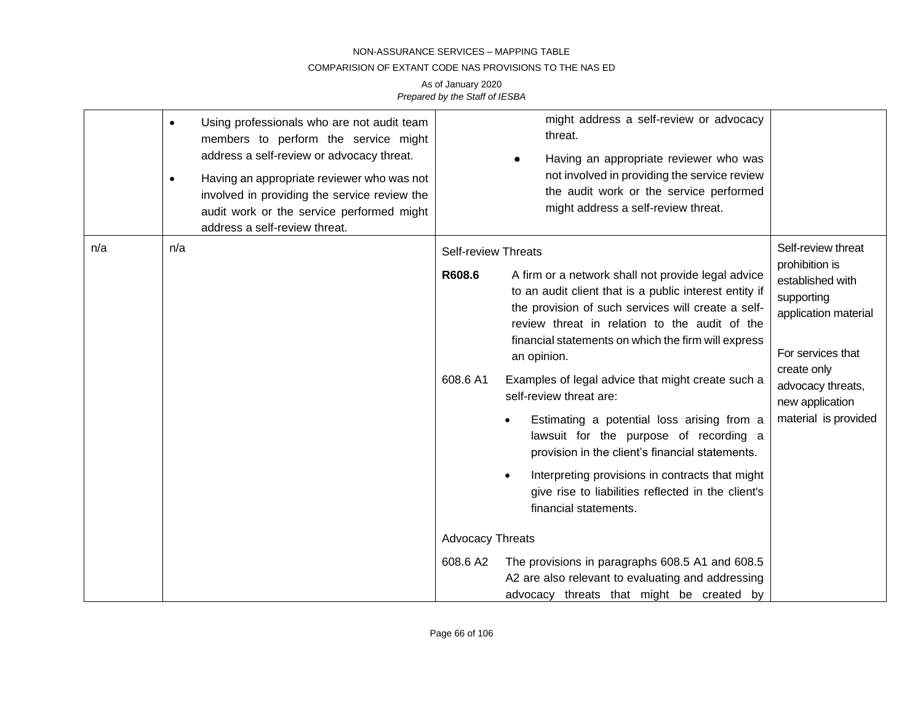### COMPARISION OF EXTANT CODE NAS PROVISIONS TO THE NAS ED

|     | $\bullet$<br>$\bullet$ | Using professionals who are not audit team<br>members to perform the service might<br>address a self-review or advocacy threat.<br>Having an appropriate reviewer who was not<br>involved in providing the service review the<br>audit work or the service performed might<br>address a self-review threat. |                                                  | might address a self-review or advocacy<br>threat.<br>Having an appropriate reviewer who was<br>not involved in providing the service review<br>the audit work or the service performed<br>might address a self-review threat.                                                                                                                                                                                                                                                                                                                                                                                                                                                   |                                                                                                                                                                                                    |
|-----|------------------------|-------------------------------------------------------------------------------------------------------------------------------------------------------------------------------------------------------------------------------------------------------------------------------------------------------------|--------------------------------------------------|----------------------------------------------------------------------------------------------------------------------------------------------------------------------------------------------------------------------------------------------------------------------------------------------------------------------------------------------------------------------------------------------------------------------------------------------------------------------------------------------------------------------------------------------------------------------------------------------------------------------------------------------------------------------------------|----------------------------------------------------------------------------------------------------------------------------------------------------------------------------------------------------|
| n/a | n/a                    |                                                                                                                                                                                                                                                                                                             | <b>Self-review Threats</b><br>R608.6<br>608.6 A1 | A firm or a network shall not provide legal advice<br>to an audit client that is a public interest entity if<br>the provision of such services will create a self-<br>review threat in relation to the audit of the<br>financial statements on which the firm will express<br>an opinion.<br>Examples of legal advice that might create such a<br>self-review threat are:<br>Estimating a potential loss arising from a<br>$\bullet$<br>lawsuit for the purpose of recording a<br>provision in the client's financial statements.<br>Interpreting provisions in contracts that might<br>$\bullet$<br>give rise to liabilities reflected in the client's<br>financial statements. | Self-review threat<br>prohibition is<br>established with<br>supporting<br>application material<br>For services that<br>create only<br>advocacy threats,<br>new application<br>material is provided |
|     |                        |                                                                                                                                                                                                                                                                                                             | <b>Advocacy Threats</b>                          |                                                                                                                                                                                                                                                                                                                                                                                                                                                                                                                                                                                                                                                                                  |                                                                                                                                                                                                    |
|     |                        |                                                                                                                                                                                                                                                                                                             | 608.6 A2                                         | The provisions in paragraphs 608.5 A1 and 608.5<br>A2 are also relevant to evaluating and addressing<br>advocacy threats that might be created by                                                                                                                                                                                                                                                                                                                                                                                                                                                                                                                                |                                                                                                                                                                                                    |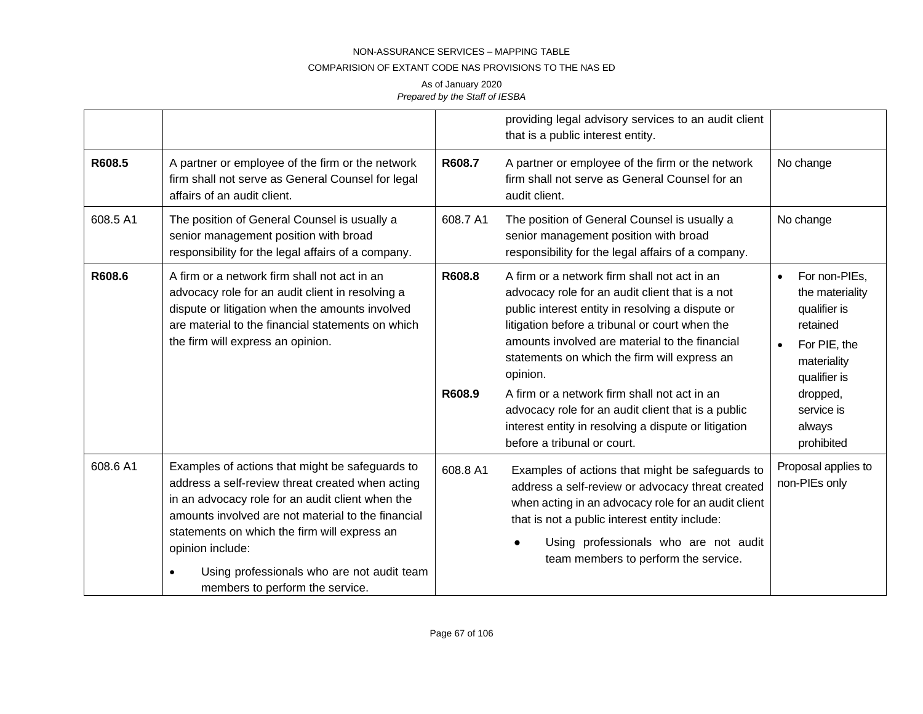### COMPARISION OF EXTANT CODE NAS PROVISIONS TO THE NAS ED

|          |                                                                                                                                                                                                                                                                                                                                                                                 |                  | providing legal advisory services to an audit client<br>that is a public interest entity.                                                                                                                                                                                                                                                                                                                                                                                                                        |                                                                                                                                                                            |
|----------|---------------------------------------------------------------------------------------------------------------------------------------------------------------------------------------------------------------------------------------------------------------------------------------------------------------------------------------------------------------------------------|------------------|------------------------------------------------------------------------------------------------------------------------------------------------------------------------------------------------------------------------------------------------------------------------------------------------------------------------------------------------------------------------------------------------------------------------------------------------------------------------------------------------------------------|----------------------------------------------------------------------------------------------------------------------------------------------------------------------------|
| R608.5   | A partner or employee of the firm or the network<br>firm shall not serve as General Counsel for legal<br>affairs of an audit client.                                                                                                                                                                                                                                            | R608.7           | A partner or employee of the firm or the network<br>firm shall not serve as General Counsel for an<br>audit client.                                                                                                                                                                                                                                                                                                                                                                                              | No change                                                                                                                                                                  |
| 608.5 A1 | The position of General Counsel is usually a<br>senior management position with broad<br>responsibility for the legal affairs of a company.                                                                                                                                                                                                                                     | 608.7 A1         | The position of General Counsel is usually a<br>senior management position with broad<br>responsibility for the legal affairs of a company.                                                                                                                                                                                                                                                                                                                                                                      | No change                                                                                                                                                                  |
| R608.6   | A firm or a network firm shall not act in an<br>advocacy role for an audit client in resolving a<br>dispute or litigation when the amounts involved<br>are material to the financial statements on which<br>the firm will express an opinion.                                                                                                                                   | R608.8<br>R608.9 | A firm or a network firm shall not act in an<br>advocacy role for an audit client that is a not<br>public interest entity in resolving a dispute or<br>litigation before a tribunal or court when the<br>amounts involved are material to the financial<br>statements on which the firm will express an<br>opinion.<br>A firm or a network firm shall not act in an<br>advocacy role for an audit client that is a public<br>interest entity in resolving a dispute or litigation<br>before a tribunal or court. | For non-PIEs,<br>$\bullet$<br>the materiality<br>qualifier is<br>retained<br>For PIE, the<br>materiality<br>qualifier is<br>dropped,<br>service is<br>always<br>prohibited |
| 608.6 A1 | Examples of actions that might be safeguards to<br>address a self-review threat created when acting<br>in an advocacy role for an audit client when the<br>amounts involved are not material to the financial<br>statements on which the firm will express an<br>opinion include:<br>Using professionals who are not audit team<br>$\bullet$<br>members to perform the service. | 608.8 A1         | Examples of actions that might be safeguards to<br>address a self-review or advocacy threat created<br>when acting in an advocacy role for an audit client<br>that is not a public interest entity include:<br>Using professionals who are not audit<br>team members to perform the service.                                                                                                                                                                                                                     | Proposal applies to<br>non-PIEs only                                                                                                                                       |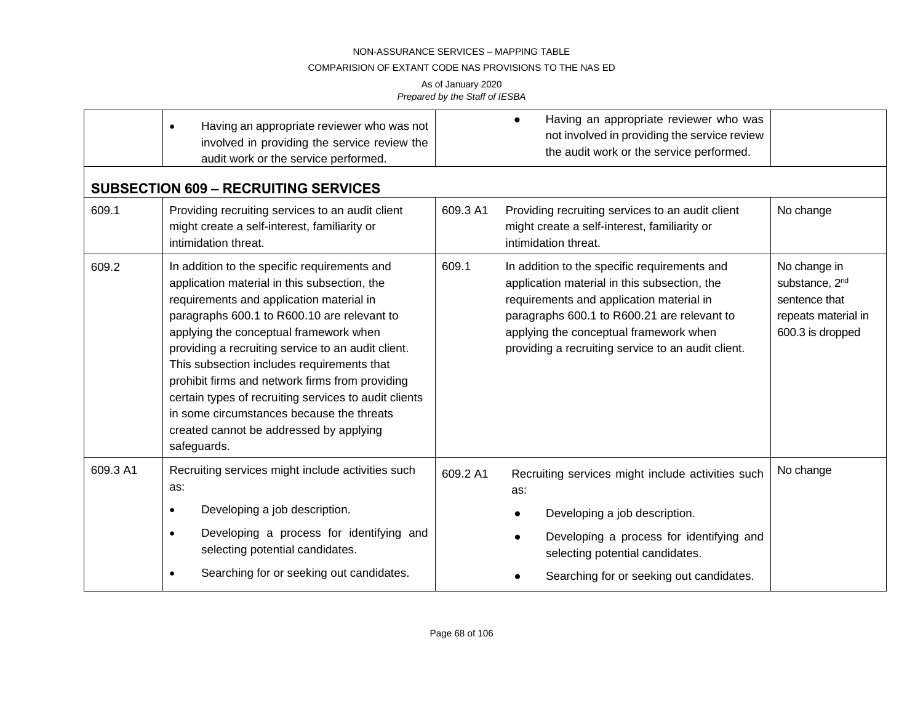## COMPARISION OF EXTANT CODE NAS PROVISIONS TO THE NAS ED

|          | Having an appropriate reviewer who was not<br>$\bullet$<br>involved in providing the service review the<br>audit work or the service performed.                                                                                                                                                                                                                                                                                                                                                                                                          | Having an appropriate reviewer who was<br>not involved in providing the service review<br>the audit work or the service performed.                                                                                                                                                               |                                                                                                        |
|----------|----------------------------------------------------------------------------------------------------------------------------------------------------------------------------------------------------------------------------------------------------------------------------------------------------------------------------------------------------------------------------------------------------------------------------------------------------------------------------------------------------------------------------------------------------------|--------------------------------------------------------------------------------------------------------------------------------------------------------------------------------------------------------------------------------------------------------------------------------------------------|--------------------------------------------------------------------------------------------------------|
|          | <b>SUBSECTION 609 - RECRUITING SERVICES</b>                                                                                                                                                                                                                                                                                                                                                                                                                                                                                                              |                                                                                                                                                                                                                                                                                                  |                                                                                                        |
| 609.1    | Providing recruiting services to an audit client<br>might create a self-interest, familiarity or<br>intimidation threat.                                                                                                                                                                                                                                                                                                                                                                                                                                 | 609.3 A1<br>Providing recruiting services to an audit client<br>might create a self-interest, familiarity or<br>intimidation threat.                                                                                                                                                             | No change                                                                                              |
| 609.2    | In addition to the specific requirements and<br>application material in this subsection, the<br>requirements and application material in<br>paragraphs 600.1 to R600.10 are relevant to<br>applying the conceptual framework when<br>providing a recruiting service to an audit client.<br>This subsection includes requirements that<br>prohibit firms and network firms from providing<br>certain types of recruiting services to audit clients<br>in some circumstances because the threats<br>created cannot be addressed by applying<br>safeguards. | 609.1<br>In addition to the specific requirements and<br>application material in this subsection, the<br>requirements and application material in<br>paragraphs 600.1 to R600.21 are relevant to<br>applying the conceptual framework when<br>providing a recruiting service to an audit client. | No change in<br>substance, 2 <sup>nd</sup><br>sentence that<br>repeats material in<br>600.3 is dropped |
| 609.3 A1 | Recruiting services might include activities such<br>as:                                                                                                                                                                                                                                                                                                                                                                                                                                                                                                 | 609.2 A1<br>Recruiting services might include activities such<br>as:                                                                                                                                                                                                                             | No change                                                                                              |
|          | Developing a job description.<br>$\bullet$                                                                                                                                                                                                                                                                                                                                                                                                                                                                                                               | Developing a job description.                                                                                                                                                                                                                                                                    |                                                                                                        |
|          | Developing a process for identifying and<br>$\bullet$<br>selecting potential candidates.                                                                                                                                                                                                                                                                                                                                                                                                                                                                 | Developing a process for identifying and<br>selecting potential candidates.                                                                                                                                                                                                                      |                                                                                                        |
|          | Searching for or seeking out candidates.<br>$\bullet$                                                                                                                                                                                                                                                                                                                                                                                                                                                                                                    | Searching for or seeking out candidates.                                                                                                                                                                                                                                                         |                                                                                                        |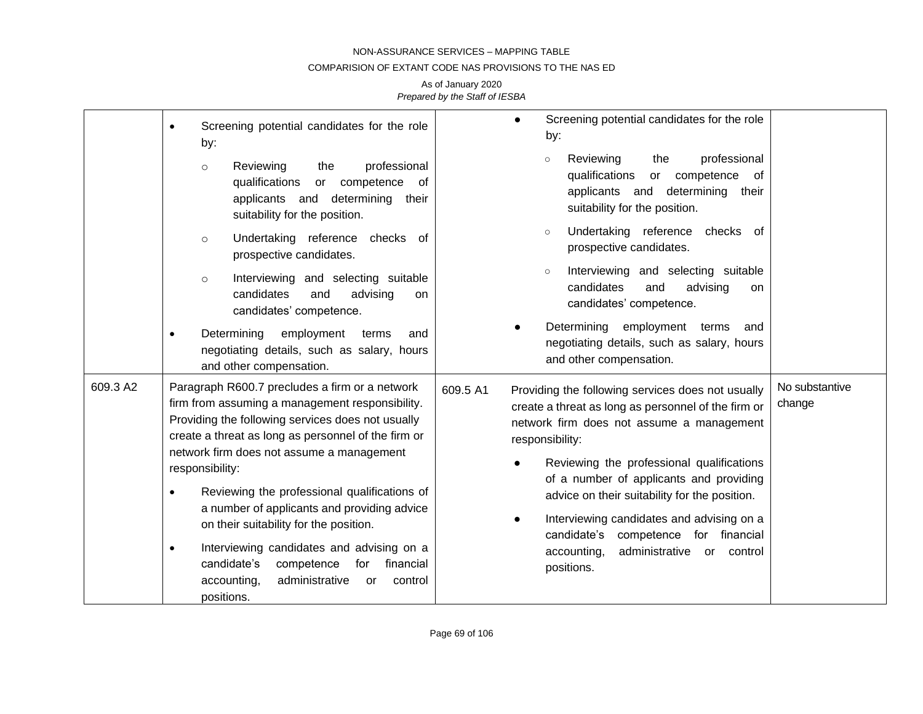### COMPARISION OF EXTANT CODE NAS PROVISIONS TO THE NAS ED

|          | Screening potential candidates for the role<br>$\bullet$<br>by:<br>Reviewing<br>the<br>professional<br>$\circ$<br>qualifications<br>or competence<br>0f<br>applicants and determining<br>their<br>suitability for the position.                                                                                                                                                                                                                                                                                                                                                                                              | Screening potential candidates for the role<br>$\bullet$<br>by:<br>professional<br>Reviewing<br>the<br>$\circ$<br>qualifications<br>competence<br>of<br>or<br>applicants and<br>determining their<br>suitability for the position.                                                                                                                                                                                                                                                                           |                          |
|----------|------------------------------------------------------------------------------------------------------------------------------------------------------------------------------------------------------------------------------------------------------------------------------------------------------------------------------------------------------------------------------------------------------------------------------------------------------------------------------------------------------------------------------------------------------------------------------------------------------------------------------|--------------------------------------------------------------------------------------------------------------------------------------------------------------------------------------------------------------------------------------------------------------------------------------------------------------------------------------------------------------------------------------------------------------------------------------------------------------------------------------------------------------|--------------------------|
|          | Undertaking reference checks of<br>$\circ$<br>prospective candidates.<br>Interviewing and selecting suitable<br>$\circ$<br>candidates<br>and<br>advising<br>on<br>candidates' competence.<br>Determining<br>employment<br>terms<br>and<br>negotiating details, such as salary, hours                                                                                                                                                                                                                                                                                                                                         | Undertaking reference<br>checks of<br>$\circ$<br>prospective candidates.<br>Interviewing and selecting suitable<br>$\circ$<br>candidates<br>advising<br>and<br>on<br>candidates' competence.<br>Determining employment terms<br>and<br>negotiating details, such as salary, hours<br>and other compensation.                                                                                                                                                                                                 |                          |
| 609.3 A2 | and other compensation.<br>Paragraph R600.7 precludes a firm or a network<br>firm from assuming a management responsibility.<br>Providing the following services does not usually<br>create a threat as long as personnel of the firm or<br>network firm does not assume a management<br>responsibility:<br>Reviewing the professional qualifications of<br>a number of applicants and providing advice<br>on their suitability for the position.<br>Interviewing candidates and advising on a<br>$\bullet$<br>candidate's<br>competence<br>for<br>financial<br>administrative<br>accounting,<br>control<br>or<br>positions. | Providing the following services does not usually<br>609.5 A1<br>create a threat as long as personnel of the firm or<br>network firm does not assume a management<br>responsibility:<br>Reviewing the professional qualifications<br>$\bullet$<br>of a number of applicants and providing<br>advice on their suitability for the position.<br>Interviewing candidates and advising on a<br>$\bullet$<br>candidate's<br>for financial<br>competence<br>accounting,<br>administrative or control<br>positions. | No substantive<br>change |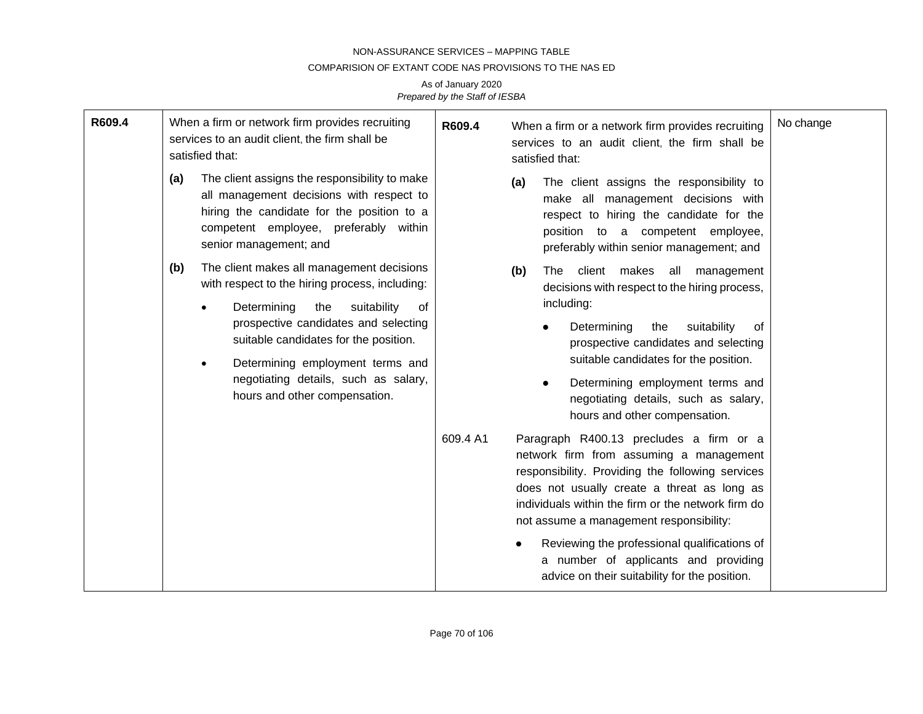### COMPARISION OF EXTANT CODE NAS PROVISIONS TO THE NAS ED

| R609.4 | When a firm or network firm provides recruiting<br>services to an audit client, the firm shall be<br>satisfied that:                                                                                                                                                                                                                                                  |                                                                                                                                                                                                            | R609.4                                                                                                                                                                                                                                                                                 | No change<br>When a firm or a network firm provides recruiting<br>services to an audit client, the firm shall be<br>satisfied that:                                                                               |
|--------|-----------------------------------------------------------------------------------------------------------------------------------------------------------------------------------------------------------------------------------------------------------------------------------------------------------------------------------------------------------------------|------------------------------------------------------------------------------------------------------------------------------------------------------------------------------------------------------------|----------------------------------------------------------------------------------------------------------------------------------------------------------------------------------------------------------------------------------------------------------------------------------------|-------------------------------------------------------------------------------------------------------------------------------------------------------------------------------------------------------------------|
|        | (a)                                                                                                                                                                                                                                                                                                                                                                   | The client assigns the responsibility to make<br>all management decisions with respect to<br>hiring the candidate for the position to a<br>competent employee, preferably within<br>senior management; and |                                                                                                                                                                                                                                                                                        | The client assigns the responsibility to<br>(a)<br>make all management decisions with<br>respect to hiring the candidate for the<br>position to a competent employee,<br>preferably within senior management; and |
|        | The client makes all management decisions<br>(b)<br>with respect to the hiring process, including:<br>Determining<br>the<br>suitability<br>of<br>$\bullet$<br>prospective candidates and selecting<br>suitable candidates for the position.<br>Determining employment terms and<br>$\bullet$<br>negotiating details, such as salary,<br>hours and other compensation. |                                                                                                                                                                                                            |                                                                                                                                                                                                                                                                                        | client makes all management<br><b>The</b><br>(b)<br>decisions with respect to the hiring process,<br>including:                                                                                                   |
|        |                                                                                                                                                                                                                                                                                                                                                                       |                                                                                                                                                                                                            |                                                                                                                                                                                                                                                                                        | Determining<br>suitability<br>the<br>οf<br>prospective candidates and selecting<br>suitable candidates for the position.                                                                                          |
|        |                                                                                                                                                                                                                                                                                                                                                                       |                                                                                                                                                                                                            |                                                                                                                                                                                                                                                                                        | Determining employment terms and<br>$\bullet$<br>negotiating details, such as salary,<br>hours and other compensation.                                                                                            |
|        |                                                                                                                                                                                                                                                                                                                                                                       | 609.4 A1                                                                                                                                                                                                   | Paragraph R400.13 precludes a firm or a<br>network firm from assuming a management<br>responsibility. Providing the following services<br>does not usually create a threat as long as<br>individuals within the firm or the network firm do<br>not assume a management responsibility: |                                                                                                                                                                                                                   |
|        |                                                                                                                                                                                                                                                                                                                                                                       |                                                                                                                                                                                                            |                                                                                                                                                                                                                                                                                        | Reviewing the professional qualifications of<br>a number of applicants and providing<br>advice on their suitability for the position.                                                                             |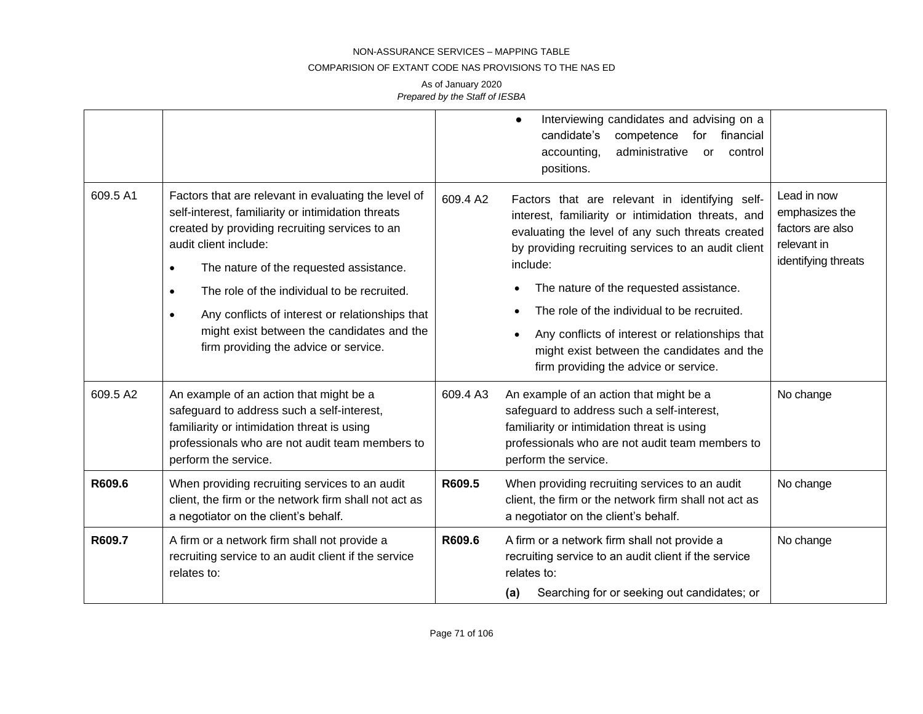#### COMPARISION OF EXTANT CODE NAS PROVISIONS TO THE NAS ED

|          |                                                                                                                                                                                                                                                                                                                                                                                                                                                                  |          | Interviewing candidates and advising on a<br>$\bullet$<br>candidate's<br>financial<br>competence<br>for<br>accounting,<br>administrative<br>control<br>or<br>positions.                                                                                                                                                                                                                                                                                                      |                                                                                         |
|----------|------------------------------------------------------------------------------------------------------------------------------------------------------------------------------------------------------------------------------------------------------------------------------------------------------------------------------------------------------------------------------------------------------------------------------------------------------------------|----------|------------------------------------------------------------------------------------------------------------------------------------------------------------------------------------------------------------------------------------------------------------------------------------------------------------------------------------------------------------------------------------------------------------------------------------------------------------------------------|-----------------------------------------------------------------------------------------|
| 609.5 A1 | Factors that are relevant in evaluating the level of<br>self-interest, familiarity or intimidation threats<br>created by providing recruiting services to an<br>audit client include:<br>The nature of the requested assistance.<br>$\bullet$<br>The role of the individual to be recruited.<br>$\bullet$<br>Any conflicts of interest or relationships that<br>$\bullet$<br>might exist between the candidates and the<br>firm providing the advice or service. | 609.4 A2 | Factors that are relevant in identifying self-<br>interest, familiarity or intimidation threats, and<br>evaluating the level of any such threats created<br>by providing recruiting services to an audit client<br>include:<br>The nature of the requested assistance.<br>The role of the individual to be recruited.<br>Any conflicts of interest or relationships that<br>$\bullet$<br>might exist between the candidates and the<br>firm providing the advice or service. | Lead in now<br>emphasizes the<br>factors are also<br>relevant in<br>identifying threats |
| 609.5 A2 | An example of an action that might be a<br>safeguard to address such a self-interest,<br>familiarity or intimidation threat is using<br>professionals who are not audit team members to<br>perform the service.                                                                                                                                                                                                                                                  | 609.4 A3 | An example of an action that might be a<br>safeguard to address such a self-interest,<br>familiarity or intimidation threat is using<br>professionals who are not audit team members to<br>perform the service.                                                                                                                                                                                                                                                              | No change                                                                               |
| R609.6   | When providing recruiting services to an audit<br>client, the firm or the network firm shall not act as<br>a negotiator on the client's behalf.                                                                                                                                                                                                                                                                                                                  | R609.5   | When providing recruiting services to an audit<br>client, the firm or the network firm shall not act as<br>a negotiator on the client's behalf.                                                                                                                                                                                                                                                                                                                              | No change                                                                               |
| R609.7   | A firm or a network firm shall not provide a<br>recruiting service to an audit client if the service<br>relates to:                                                                                                                                                                                                                                                                                                                                              | R609.6   | A firm or a network firm shall not provide a<br>recruiting service to an audit client if the service<br>relates to:<br>Searching for or seeking out candidates; or<br>(a)                                                                                                                                                                                                                                                                                                    | No change                                                                               |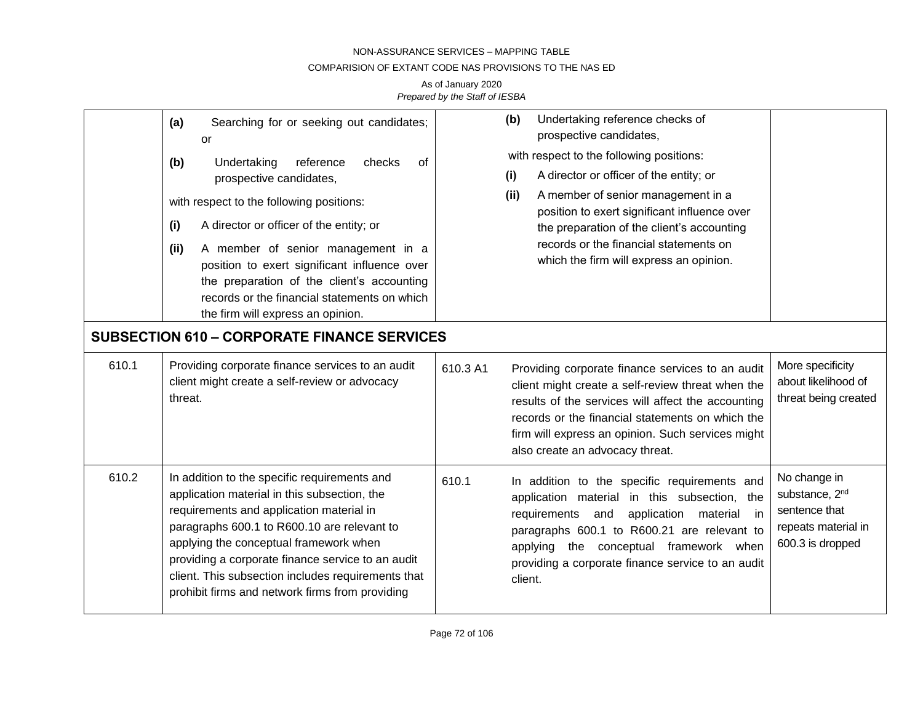### COMPARISION OF EXTANT CODE NAS PROVISIONS TO THE NAS ED

|       | Searching for or seeking out candidates;<br>(a)<br><b>or</b><br>(b)<br>reference<br>Undertaking<br>checks<br>of<br>prospective candidates,<br>with respect to the following positions:<br>(i)<br>A director or officer of the entity; or<br>(ii)<br>A member of senior management in a<br>position to exert significant influence over<br>the preparation of the client's accounting<br>records or the financial statements on which<br>the firm will express an opinion.<br><b>SUBSECTION 610 - CORPORATE FINANCE SERVICES</b> | Undertaking reference checks of<br>(b)<br>prospective candidates,<br>with respect to the following positions:<br>A director or officer of the entity; or<br>(i)<br>A member of senior management in a<br>(ii)<br>position to exert significant influence over<br>the preparation of the client's accounting<br>records or the financial statements on<br>which the firm will express an opinion. |                                                                                                        |
|-------|---------------------------------------------------------------------------------------------------------------------------------------------------------------------------------------------------------------------------------------------------------------------------------------------------------------------------------------------------------------------------------------------------------------------------------------------------------------------------------------------------------------------------------|--------------------------------------------------------------------------------------------------------------------------------------------------------------------------------------------------------------------------------------------------------------------------------------------------------------------------------------------------------------------------------------------------|--------------------------------------------------------------------------------------------------------|
|       |                                                                                                                                                                                                                                                                                                                                                                                                                                                                                                                                 |                                                                                                                                                                                                                                                                                                                                                                                                  |                                                                                                        |
| 610.1 | Providing corporate finance services to an audit<br>client might create a self-review or advocacy<br>threat.                                                                                                                                                                                                                                                                                                                                                                                                                    | 610.3 A1<br>Providing corporate finance services to an audit<br>client might create a self-review threat when the<br>results of the services will affect the accounting<br>records or the financial statements on which the<br>firm will express an opinion. Such services might<br>also create an advocacy threat.                                                                              | More specificity<br>about likelihood of<br>threat being created                                        |
| 610.2 | In addition to the specific requirements and<br>application material in this subsection, the<br>requirements and application material in<br>paragraphs 600.1 to R600.10 are relevant to<br>applying the conceptual framework when<br>providing a corporate finance service to an audit<br>client. This subsection includes requirements that<br>prohibit firms and network firms from providing                                                                                                                                 | 610.1<br>In addition to the specific requirements and<br>application material in this subsection, the<br>requirements and<br>application<br>material in<br>paragraphs 600.1 to R600.21 are relevant to<br>applying the conceptual framework when<br>providing a corporate finance service to an audit<br>client.                                                                                 | No change in<br>substance, 2 <sup>nd</sup><br>sentence that<br>repeats material in<br>600.3 is dropped |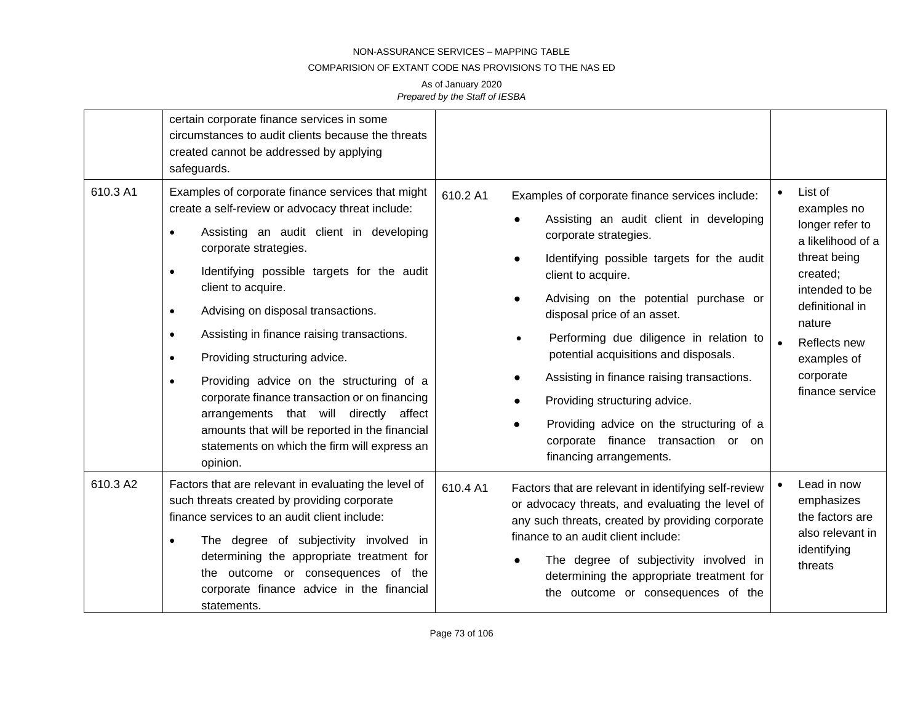## COMPARISION OF EXTANT CODE NAS PROVISIONS TO THE NAS ED

|          | certain corporate finance services in some<br>circumstances to audit clients because the threats<br>created cannot be addressed by applying<br>safeguards.                                                                                                                                                                                                                                                                                                                                                                                                                                                                                                                                            |                                                                                                                                                                                                                                                                                                                                                                                                                                                                                                                                                              |                                                                                                                                                                                                                       |
|----------|-------------------------------------------------------------------------------------------------------------------------------------------------------------------------------------------------------------------------------------------------------------------------------------------------------------------------------------------------------------------------------------------------------------------------------------------------------------------------------------------------------------------------------------------------------------------------------------------------------------------------------------------------------------------------------------------------------|--------------------------------------------------------------------------------------------------------------------------------------------------------------------------------------------------------------------------------------------------------------------------------------------------------------------------------------------------------------------------------------------------------------------------------------------------------------------------------------------------------------------------------------------------------------|-----------------------------------------------------------------------------------------------------------------------------------------------------------------------------------------------------------------------|
| 610.3 A1 | Examples of corporate finance services that might<br>create a self-review or advocacy threat include:<br>Assisting an audit client in developing<br>$\bullet$<br>corporate strategies.<br>Identifying possible targets for the audit<br>$\bullet$<br>client to acquire.<br>Advising on disposal transactions.<br>$\bullet$<br>Assisting in finance raising transactions.<br>$\bullet$<br>Providing structuring advice.<br>$\bullet$<br>Providing advice on the structuring of a<br>$\bullet$<br>corporate finance transaction or on financing<br>arrangements that will directly affect<br>amounts that will be reported in the financial<br>statements on which the firm will express an<br>opinion. | 610.2 A1<br>Examples of corporate finance services include:<br>Assisting an audit client in developing<br>corporate strategies.<br>Identifying possible targets for the audit<br>client to acquire.<br>Advising on the potential purchase or<br>disposal price of an asset.<br>Performing due diligence in relation to<br>potential acquisitions and disposals.<br>Assisting in finance raising transactions.<br>Providing structuring advice.<br>Providing advice on the structuring of a<br>corporate finance transaction or on<br>financing arrangements. | List of<br>$\bullet$<br>examples no<br>longer refer to<br>a likelihood of a<br>threat being<br>created;<br>intended to be<br>definitional in<br>nature<br>Reflects new<br>examples of<br>corporate<br>finance service |
| 610.3 A2 | Factors that are relevant in evaluating the level of<br>such threats created by providing corporate<br>finance services to an audit client include:<br>The degree of subjectivity involved in<br>$\bullet$<br>determining the appropriate treatment for<br>the outcome or consequences of the<br>corporate finance advice in the financial<br>statements.                                                                                                                                                                                                                                                                                                                                             | 610.4 A1<br>Factors that are relevant in identifying self-review<br>or advocacy threats, and evaluating the level of<br>any such threats, created by providing corporate<br>finance to an audit client include:<br>The degree of subjectivity involved in<br>determining the appropriate treatment for<br>the outcome or consequences of the                                                                                                                                                                                                                 | Lead in now<br>emphasizes<br>the factors are<br>also relevant in<br>identifying<br>threats                                                                                                                            |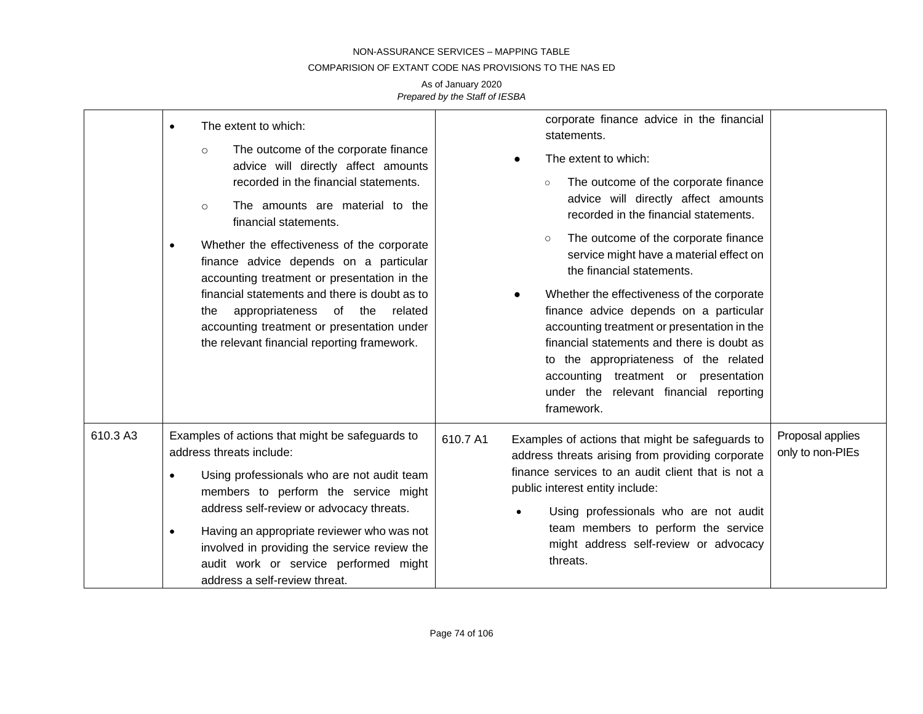## COMPARISION OF EXTANT CODE NAS PROVISIONS TO THE NAS ED

|          | The extent to which:<br>$\bullet$<br>The outcome of the corporate finance<br>$\circ$<br>advice will directly affect amounts<br>recorded in the financial statements.<br>The amounts are material to the<br>$\circ$<br>financial statements.<br>Whether the effectiveness of the corporate<br>$\bullet$<br>finance advice depends on a particular<br>accounting treatment or presentation in the<br>financial statements and there is doubt as to<br>appropriateness of the related<br>the<br>accounting treatment or presentation under<br>the relevant financial reporting framework. | corporate finance advice in the financial<br>statements.<br>The extent to which:<br>The outcome of the corporate finance<br>$\circ$<br>advice will directly affect amounts<br>recorded in the financial statements.<br>The outcome of the corporate finance<br>$\circ$<br>service might have a material effect on<br>the financial statements.<br>Whether the effectiveness of the corporate<br>finance advice depends on a particular<br>accounting treatment or presentation in the<br>financial statements and there is doubt as<br>to the appropriateness of the related<br>accounting treatment or presentation<br>under the relevant financial reporting<br>framework. |                                      |
|----------|----------------------------------------------------------------------------------------------------------------------------------------------------------------------------------------------------------------------------------------------------------------------------------------------------------------------------------------------------------------------------------------------------------------------------------------------------------------------------------------------------------------------------------------------------------------------------------------|------------------------------------------------------------------------------------------------------------------------------------------------------------------------------------------------------------------------------------------------------------------------------------------------------------------------------------------------------------------------------------------------------------------------------------------------------------------------------------------------------------------------------------------------------------------------------------------------------------------------------------------------------------------------------|--------------------------------------|
| 610.3 A3 | Examples of actions that might be safeguards to<br>address threats include:<br>Using professionals who are not audit team<br>$\bullet$<br>members to perform the service might<br>address self-review or advocacy threats.<br>Having an appropriate reviewer who was not<br>$\bullet$<br>involved in providing the service review the<br>audit work or service performed might<br>address a self-review threat.                                                                                                                                                                        | Examples of actions that might be safeguards to<br>610.7 A1<br>address threats arising from providing corporate<br>finance services to an audit client that is not a<br>public interest entity include:<br>Using professionals who are not audit<br>team members to perform the service<br>might address self-review or advocacy<br>threats.                                                                                                                                                                                                                                                                                                                                 | Proposal applies<br>only to non-PIEs |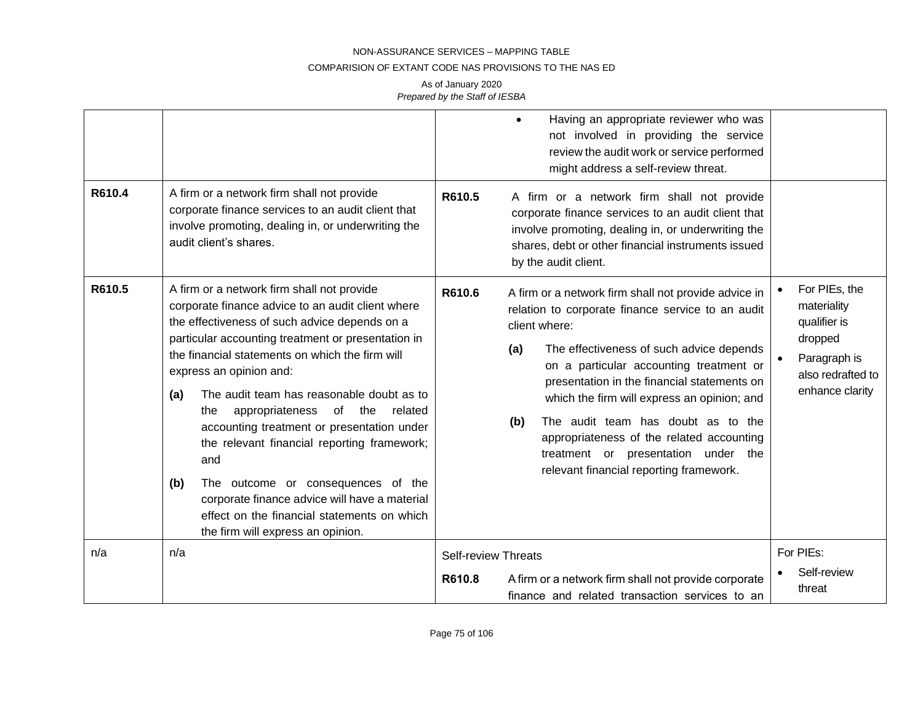#### COMPARISION OF EXTANT CODE NAS PROVISIONS TO THE NAS ED

| R610.4 | A firm or a network firm shall not provide<br>corporate finance services to an audit client that<br>involve promoting, dealing in, or underwriting the<br>audit client's shares.                                                                                                                                                                                                                                                                                                                                                                                                                                                                                              | Having an appropriate reviewer who was<br>not involved in providing the service<br>review the audit work or service performed<br>might address a self-review threat.<br>R610.5<br>A firm or a network firm shall not provide<br>corporate finance services to an audit client that<br>involve promoting, dealing in, or underwriting the<br>shares, debt or other financial instruments issued<br>by the audit client.                                                                                       |                                                                                                                 |
|--------|-------------------------------------------------------------------------------------------------------------------------------------------------------------------------------------------------------------------------------------------------------------------------------------------------------------------------------------------------------------------------------------------------------------------------------------------------------------------------------------------------------------------------------------------------------------------------------------------------------------------------------------------------------------------------------|--------------------------------------------------------------------------------------------------------------------------------------------------------------------------------------------------------------------------------------------------------------------------------------------------------------------------------------------------------------------------------------------------------------------------------------------------------------------------------------------------------------|-----------------------------------------------------------------------------------------------------------------|
| R610.5 | A firm or a network firm shall not provide<br>corporate finance advice to an audit client where<br>the effectiveness of such advice depends on a<br>particular accounting treatment or presentation in<br>the financial statements on which the firm will<br>express an opinion and:<br>The audit team has reasonable doubt as to<br>(a)<br>of the<br>appropriateness<br>related<br>the<br>accounting treatment or presentation under<br>the relevant financial reporting framework;<br>and<br>The outcome or consequences of the<br>(b)<br>corporate finance advice will have a material<br>effect on the financial statements on which<br>the firm will express an opinion. | R610.6<br>A firm or a network firm shall not provide advice in<br>relation to corporate finance service to an audit<br>client where:<br>The effectiveness of such advice depends<br>(a)<br>on a particular accounting treatment or<br>presentation in the financial statements on<br>which the firm will express an opinion; and<br>The audit team has doubt as to the<br>(b)<br>appropriateness of the related accounting<br>treatment or presentation under the<br>relevant financial reporting framework. | For PIEs, the<br>materiality<br>qualifier is<br>dropped<br>Paragraph is<br>also redrafted to<br>enhance clarity |
| n/a    | n/a                                                                                                                                                                                                                                                                                                                                                                                                                                                                                                                                                                                                                                                                           | <b>Self-review Threats</b><br>R610.8<br>A firm or a network firm shall not provide corporate<br>finance and related transaction services to an                                                                                                                                                                                                                                                                                                                                                               | For PIEs:<br>Self-review<br>threat                                                                              |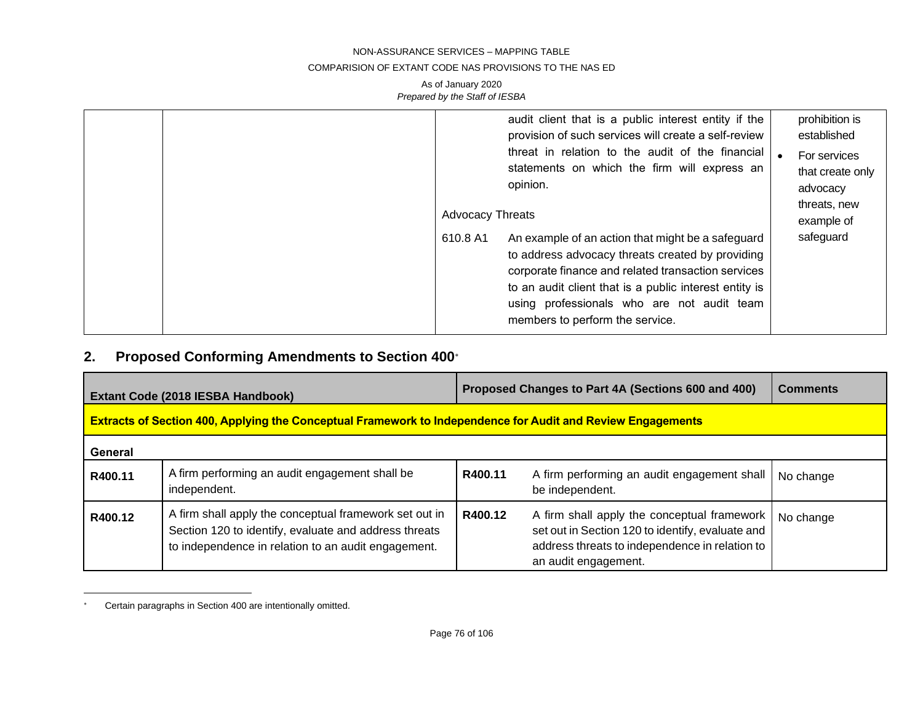#### COMPARISION OF EXTANT CODE NAS PROVISIONS TO THE NAS ED

## As of January 2020 *Prepared by the Staff of IESBA*

|                                     | audit client that is a public interest entity if the<br>provision of such services will create a self-review<br>threat in relation to the audit of the financial<br>statements on which the firm will express an<br>opinion.                                                                           | prohibition is<br>established<br>For services<br>that create only<br>advocacy |
|-------------------------------------|--------------------------------------------------------------------------------------------------------------------------------------------------------------------------------------------------------------------------------------------------------------------------------------------------------|-------------------------------------------------------------------------------|
| <b>Advocacy Threats</b><br>610.8 A1 | An example of an action that might be a safeguard<br>to address advocacy threats created by providing<br>corporate finance and related transaction services<br>to an audit client that is a public interest entity is<br>using professionals who are not audit team<br>members to perform the service. | threats, new<br>example of<br>safeguard                                       |

## **2. Proposed Conforming Amendments to Section 400**

| Extant Code (2018 IESBA Handbook) |                                                                                                                                                                        | Proposed Changes to Part 4A (Sections 600 and 400) |                                                                                                                                                                           | <b>Comments</b> |  |
|-----------------------------------|------------------------------------------------------------------------------------------------------------------------------------------------------------------------|----------------------------------------------------|---------------------------------------------------------------------------------------------------------------------------------------------------------------------------|-----------------|--|
|                                   | <b>Extracts of Section 400, Applying the Conceptual Framework to Independence for Audit and Review Engagements</b>                                                     |                                                    |                                                                                                                                                                           |                 |  |
| General                           |                                                                                                                                                                        |                                                    |                                                                                                                                                                           |                 |  |
| R400.11                           | A firm performing an audit engagement shall be<br>independent.                                                                                                         | R400.11                                            | A firm performing an audit engagement shall<br>be independent.                                                                                                            | No change       |  |
| R400.12                           | A firm shall apply the conceptual framework set out in<br>Section 120 to identify, evaluate and address threats<br>to independence in relation to an audit engagement. | R400.12                                            | A firm shall apply the conceptual framework<br>set out in Section 120 to identify, evaluate and<br>address threats to independence in relation to<br>an audit engagement. | No change       |  |

Certain paragraphs in Section 400 are intentionally omitted.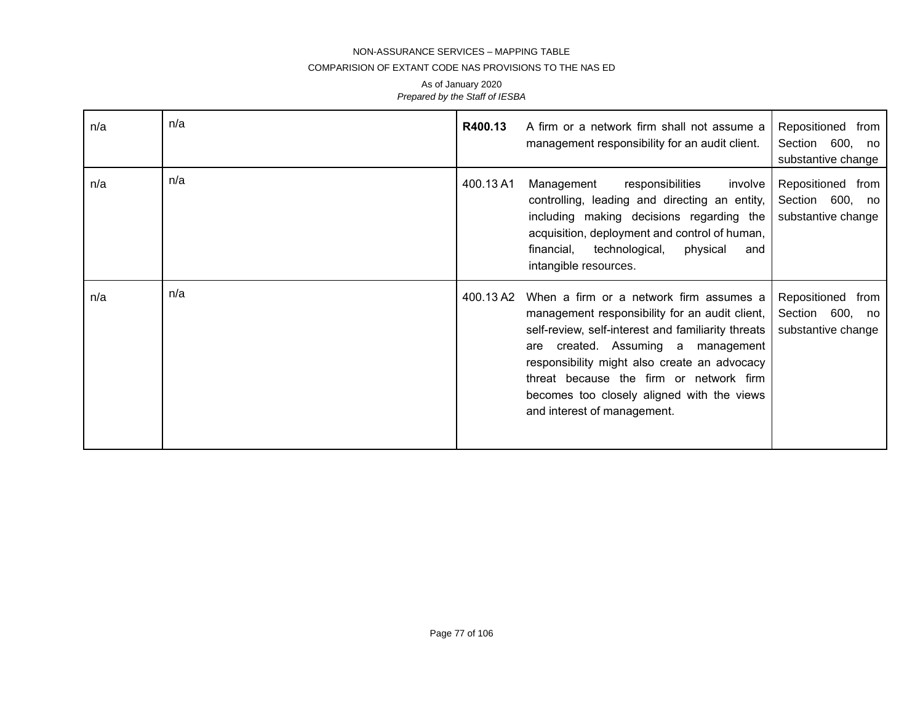### COMPARISION OF EXTANT CODE NAS PROVISIONS TO THE NAS ED

| n/a | n/a | R400.13   | A firm or a network firm shall not assume a<br>management responsibility for an audit client.                                                                                                                                                                                                                                                                    | Repositioned from<br>Section 600,<br>no<br>substantive change |
|-----|-----|-----------|------------------------------------------------------------------------------------------------------------------------------------------------------------------------------------------------------------------------------------------------------------------------------------------------------------------------------------------------------------------|---------------------------------------------------------------|
| n/a | n/a | 400.13 A1 | Management<br>responsibilities<br>involve<br>controlling, leading and directing an entity,<br>including making decisions regarding the<br>acquisition, deployment and control of human,<br>financial,<br>technological,<br>physical<br>and<br>intangible resources.                                                                                              | Repositioned from<br>Section 600, no<br>substantive change    |
| n/a | n/a | 400.13 A2 | When a firm or a network firm assumes a<br>management responsibility for an audit client,<br>self-review, self-interest and familiarity threats<br>created. Assuming a management<br>are<br>responsibility might also create an advocacy<br>threat because the firm or network firm<br>becomes too closely aligned with the views<br>and interest of management. | Repositioned from<br>Section 600, no<br>substantive change    |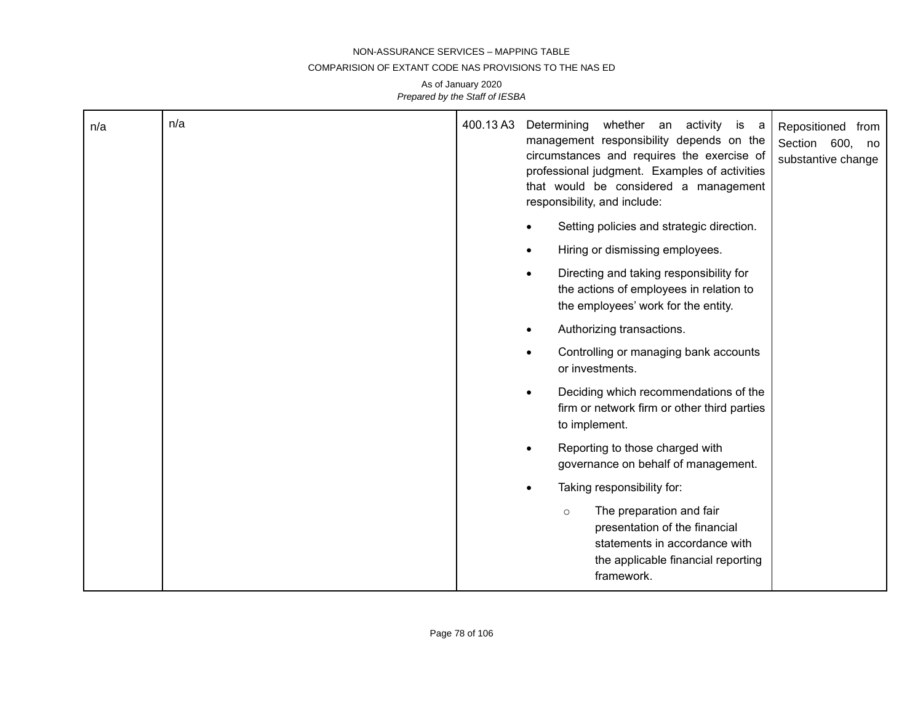#### COMPARISION OF EXTANT CODE NAS PROVISIONS TO THE NAS ED

| n/a | n/a | 400.13 A3 | Determining<br>whether an activity is a<br>Repositioned from<br>management responsibility depends on the<br>Section 600, no<br>circumstances and requires the exercise of<br>substantive change<br>professional judgment. Examples of activities<br>that would be considered a management<br>responsibility, and include:<br>Setting policies and strategic direction. |
|-----|-----|-----------|------------------------------------------------------------------------------------------------------------------------------------------------------------------------------------------------------------------------------------------------------------------------------------------------------------------------------------------------------------------------|
|     |     |           | Hiring or dismissing employees.<br>$\bullet$                                                                                                                                                                                                                                                                                                                           |
|     |     |           | Directing and taking responsibility for<br>$\bullet$<br>the actions of employees in relation to<br>the employees' work for the entity.                                                                                                                                                                                                                                 |
|     |     |           | Authorizing transactions.                                                                                                                                                                                                                                                                                                                                              |
|     |     |           | Controlling or managing bank accounts<br>$\bullet$<br>or investments.                                                                                                                                                                                                                                                                                                  |
|     |     |           | Deciding which recommendations of the<br>$\bullet$<br>firm or network firm or other third parties<br>to implement.                                                                                                                                                                                                                                                     |
|     |     |           | Reporting to those charged with<br>$\bullet$<br>governance on behalf of management.                                                                                                                                                                                                                                                                                    |
|     |     |           | Taking responsibility for:<br>$\bullet$                                                                                                                                                                                                                                                                                                                                |
|     |     |           | The preparation and fair<br>$\circ$<br>presentation of the financial<br>statements in accordance with<br>the applicable financial reporting<br>framework.                                                                                                                                                                                                              |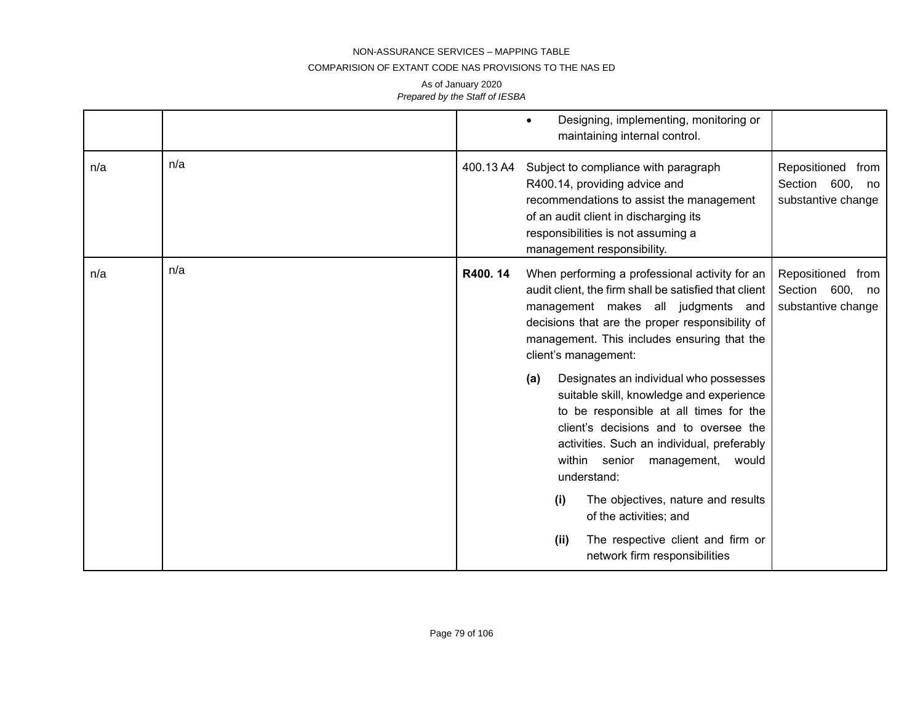## COMPARISION OF EXTANT CODE NAS PROVISIONS TO THE NAS ED

|     |     |           | Designing, implementing, monitoring or<br>maintaining internal control.                                                                                                                                                                                                                                                                                                                                                                                                                                                                                                                                                                                                                                         |                                                            |
|-----|-----|-----------|-----------------------------------------------------------------------------------------------------------------------------------------------------------------------------------------------------------------------------------------------------------------------------------------------------------------------------------------------------------------------------------------------------------------------------------------------------------------------------------------------------------------------------------------------------------------------------------------------------------------------------------------------------------------------------------------------------------------|------------------------------------------------------------|
| n/a | n/a | 400.13 A4 | Subject to compliance with paragraph<br>R400.14, providing advice and<br>recommendations to assist the management<br>of an audit client in discharging its<br>responsibilities is not assuming a<br>management responsibility.                                                                                                                                                                                                                                                                                                                                                                                                                                                                                  | Repositioned from<br>Section 600, no<br>substantive change |
| n/a | n/a | R400.14   | When performing a professional activity for an<br>audit client, the firm shall be satisfied that client<br>management makes all judgments and<br>decisions that are the proper responsibility of<br>management. This includes ensuring that the<br>client's management:<br>Designates an individual who possesses<br>(a)<br>suitable skill, knowledge and experience<br>to be responsible at all times for the<br>client's decisions and to oversee the<br>activities. Such an individual, preferably<br>within senior management,<br>would<br>understand:<br>The objectives, nature and results<br>(i)<br>of the activities; and<br>(ii)<br>The respective client and firm or<br>network firm responsibilities | Repositioned from<br>Section 600, no<br>substantive change |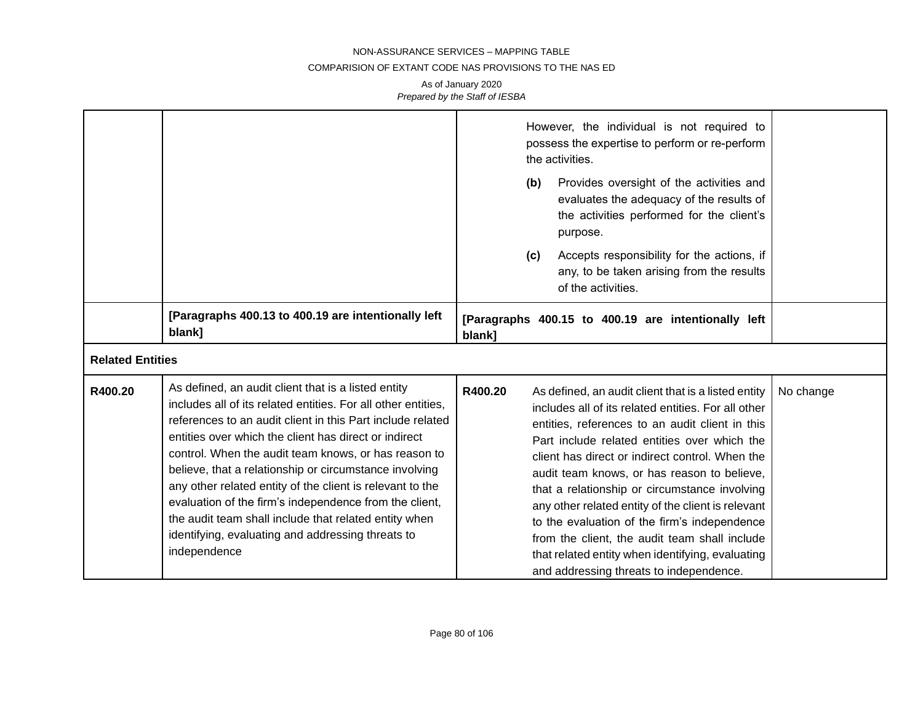## COMPARISION OF EXTANT CODE NAS PROVISIONS TO THE NAS ED

|         |                                                                                                                                                                                                                                                                                                                                                                                                                                                                                                                                                                                                                    | However, the individual is not required to<br>possess the expertise to perform or re-perform<br>the activities.<br>Provides oversight of the activities and<br>(b)<br>evaluates the adequacy of the results of<br>the activities performed for the client's<br>purpose.<br>Accepts responsibility for the actions, if<br>(c)<br>any, to be taken arising from the results<br>of the activities.                                                                                                                                                                                                                                   |           |
|---------|--------------------------------------------------------------------------------------------------------------------------------------------------------------------------------------------------------------------------------------------------------------------------------------------------------------------------------------------------------------------------------------------------------------------------------------------------------------------------------------------------------------------------------------------------------------------------------------------------------------------|-----------------------------------------------------------------------------------------------------------------------------------------------------------------------------------------------------------------------------------------------------------------------------------------------------------------------------------------------------------------------------------------------------------------------------------------------------------------------------------------------------------------------------------------------------------------------------------------------------------------------------------|-----------|
|         | [Paragraphs 400.13 to 400.19 are intentionally left<br>blank]                                                                                                                                                                                                                                                                                                                                                                                                                                                                                                                                                      | [Paragraphs 400.15 to 400.19 are intentionally left<br>blank]                                                                                                                                                                                                                                                                                                                                                                                                                                                                                                                                                                     |           |
|         | <b>Related Entities</b>                                                                                                                                                                                                                                                                                                                                                                                                                                                                                                                                                                                            |                                                                                                                                                                                                                                                                                                                                                                                                                                                                                                                                                                                                                                   |           |
| R400.20 | As defined, an audit client that is a listed entity<br>includes all of its related entities. For all other entities,<br>references to an audit client in this Part include related<br>entities over which the client has direct or indirect<br>control. When the audit team knows, or has reason to<br>believe, that a relationship or circumstance involving<br>any other related entity of the client is relevant to the<br>evaluation of the firm's independence from the client,<br>the audit team shall include that related entity when<br>identifying, evaluating and addressing threats to<br>independence | R400.20<br>As defined, an audit client that is a listed entity<br>includes all of its related entities. For all other<br>entities, references to an audit client in this<br>Part include related entities over which the<br>client has direct or indirect control. When the<br>audit team knows, or has reason to believe,<br>that a relationship or circumstance involving<br>any other related entity of the client is relevant<br>to the evaluation of the firm's independence<br>from the client, the audit team shall include<br>that related entity when identifying, evaluating<br>and addressing threats to independence. | No change |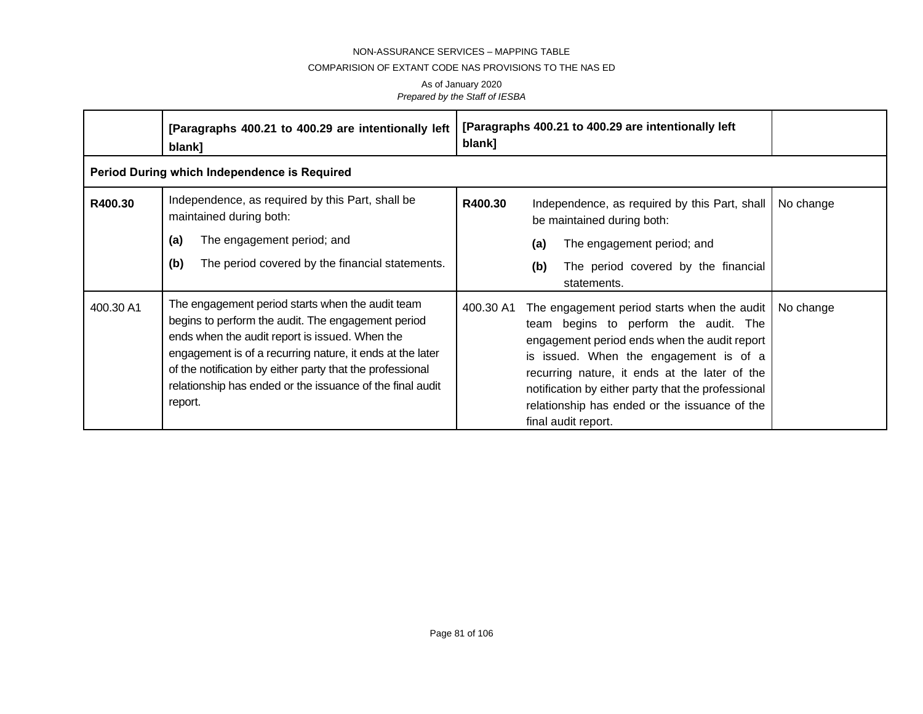## COMPARISION OF EXTANT CODE NAS PROVISIONS TO THE NAS ED

|           | [Paragraphs 400.21 to 400.29 are intentionally left<br>blank]                                                                                                                                                                                                                                                                                              | [Paragraphs 400.21 to 400.29 are intentionally left<br>blank]                                                                                                                                                                                                                                                                                                              |           |
|-----------|------------------------------------------------------------------------------------------------------------------------------------------------------------------------------------------------------------------------------------------------------------------------------------------------------------------------------------------------------------|----------------------------------------------------------------------------------------------------------------------------------------------------------------------------------------------------------------------------------------------------------------------------------------------------------------------------------------------------------------------------|-----------|
|           | Period During which Independence is Required                                                                                                                                                                                                                                                                                                               |                                                                                                                                                                                                                                                                                                                                                                            |           |
| R400.30   | Independence, as required by this Part, shall be<br>maintained during both:<br>The engagement period; and<br>(a)<br>The period covered by the financial statements.<br>(b)                                                                                                                                                                                 | R400.30<br>Independence, as required by this Part, shall<br>be maintained during both:<br>The engagement period; and<br>(a)<br>(b)<br>The period covered by the financial<br>statements.                                                                                                                                                                                   | No change |
| 400.30 A1 | The engagement period starts when the audit team<br>begins to perform the audit. The engagement period<br>ends when the audit report is issued. When the<br>engagement is of a recurring nature, it ends at the later<br>of the notification by either party that the professional<br>relationship has ended or the issuance of the final audit<br>report. | 400.30 A1<br>The engagement period starts when the audit<br>team begins to perform the audit. The<br>engagement period ends when the audit report<br>is issued. When the engagement is of a<br>recurring nature, it ends at the later of the<br>notification by either party that the professional<br>relationship has ended or the issuance of the<br>final audit report. | No change |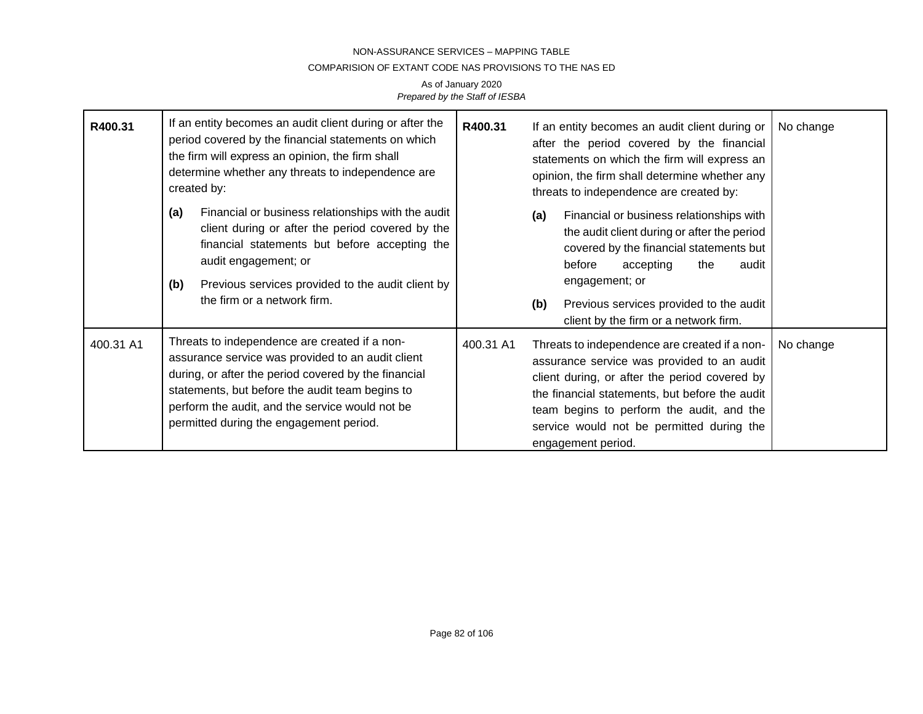## COMPARISION OF EXTANT CODE NAS PROVISIONS TO THE NAS ED

| R400.31   | If an entity becomes an audit client during or after the<br>period covered by the financial statements on which<br>the firm will express an opinion, the firm shall<br>determine whether any threats to independence are<br>created by:                                                                     | R400.31<br>If an entity becomes an audit client during or<br>after the period covered by the financial<br>statements on which the firm will express an<br>opinion, the firm shall determine whether any<br>threats to independence are created by:                                                                          | No change |
|-----------|-------------------------------------------------------------------------------------------------------------------------------------------------------------------------------------------------------------------------------------------------------------------------------------------------------------|-----------------------------------------------------------------------------------------------------------------------------------------------------------------------------------------------------------------------------------------------------------------------------------------------------------------------------|-----------|
|           | Financial or business relationships with the audit<br>(a)<br>client during or after the period covered by the<br>financial statements but before accepting the<br>audit engagement; or<br>Previous services provided to the audit client by<br>(b)<br>the firm or a network firm.                           | Financial or business relationships with<br>(a)<br>the audit client during or after the period<br>covered by the financial statements but<br>before<br>accepting<br>the<br>audit<br>engagement; or<br>Previous services provided to the audit<br>(b)<br>client by the firm or a network firm.                               |           |
| 400.31 A1 | Threats to independence are created if a non-<br>assurance service was provided to an audit client<br>during, or after the period covered by the financial<br>statements, but before the audit team begins to<br>perform the audit, and the service would not be<br>permitted during the engagement period. | 400.31 A1<br>Threats to independence are created if a non-<br>assurance service was provided to an audit<br>client during, or after the period covered by<br>the financial statements, but before the audit<br>team begins to perform the audit, and the<br>service would not be permitted during the<br>engagement period. | No change |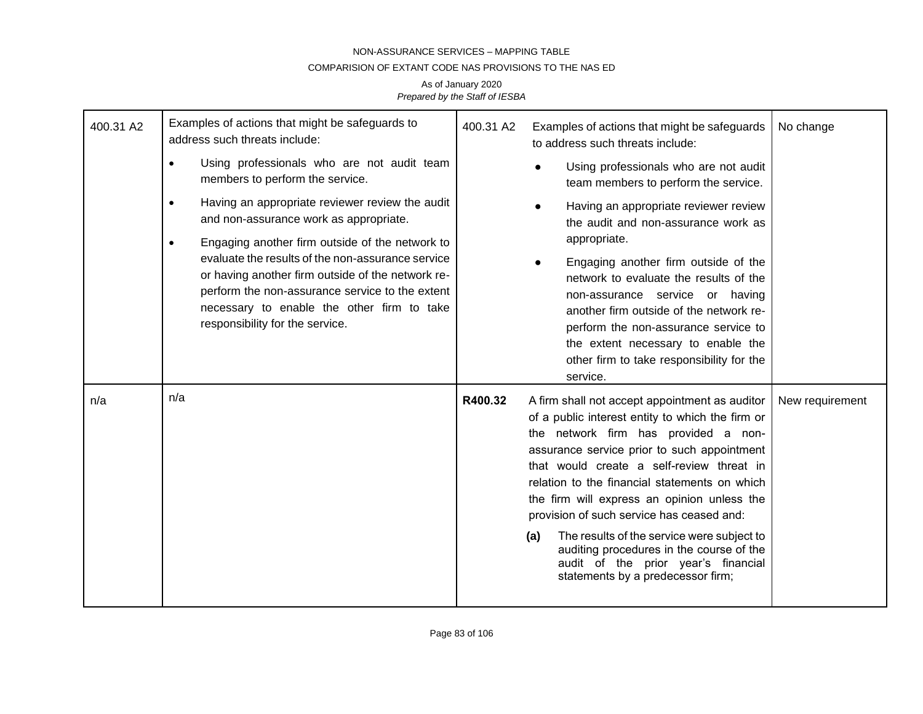## COMPARISION OF EXTANT CODE NAS PROVISIONS TO THE NAS ED

| 400.31 A2 | Examples of actions that might be safeguards to<br>address such threats include:                                                                                                                                                                                                                           | 400.31 A2<br>Examples of actions that might be safeguards<br>to address such threats include: | No change                                                                                                                                                                                                                                                                                                                                                                                                                                                                                                                                                                    |                 |
|-----------|------------------------------------------------------------------------------------------------------------------------------------------------------------------------------------------------------------------------------------------------------------------------------------------------------------|-----------------------------------------------------------------------------------------------|------------------------------------------------------------------------------------------------------------------------------------------------------------------------------------------------------------------------------------------------------------------------------------------------------------------------------------------------------------------------------------------------------------------------------------------------------------------------------------------------------------------------------------------------------------------------------|-----------------|
|           | Using professionals who are not audit team<br>$\bullet$<br>members to perform the service.                                                                                                                                                                                                                 |                                                                                               | Using professionals who are not audit<br>team members to perform the service.                                                                                                                                                                                                                                                                                                                                                                                                                                                                                                |                 |
|           | Having an appropriate reviewer review the audit<br>$\bullet$<br>and non-assurance work as appropriate.                                                                                                                                                                                                     |                                                                                               | Having an appropriate reviewer review<br>the audit and non-assurance work as                                                                                                                                                                                                                                                                                                                                                                                                                                                                                                 |                 |
|           | Engaging another firm outside of the network to<br>$\bullet$<br>evaluate the results of the non-assurance service<br>or having another firm outside of the network re-<br>perform the non-assurance service to the extent<br>necessary to enable the other firm to take<br>responsibility for the service. |                                                                                               | appropriate.<br>Engaging another firm outside of the<br>network to evaluate the results of the<br>non-assurance service or having<br>another firm outside of the network re-<br>perform the non-assurance service to<br>the extent necessary to enable the<br>other firm to take responsibility for the                                                                                                                                                                                                                                                                      |                 |
| n/a       | n/a                                                                                                                                                                                                                                                                                                        | R400.32                                                                                       | service.<br>A firm shall not accept appointment as auditor<br>of a public interest entity to which the firm or<br>the network firm has provided a non-<br>assurance service prior to such appointment<br>that would create a self-review threat in<br>relation to the financial statements on which<br>the firm will express an opinion unless the<br>provision of such service has ceased and:<br>The results of the service were subject to<br>(a)<br>auditing procedures in the course of the<br>audit of the prior year's financial<br>statements by a predecessor firm; | New requirement |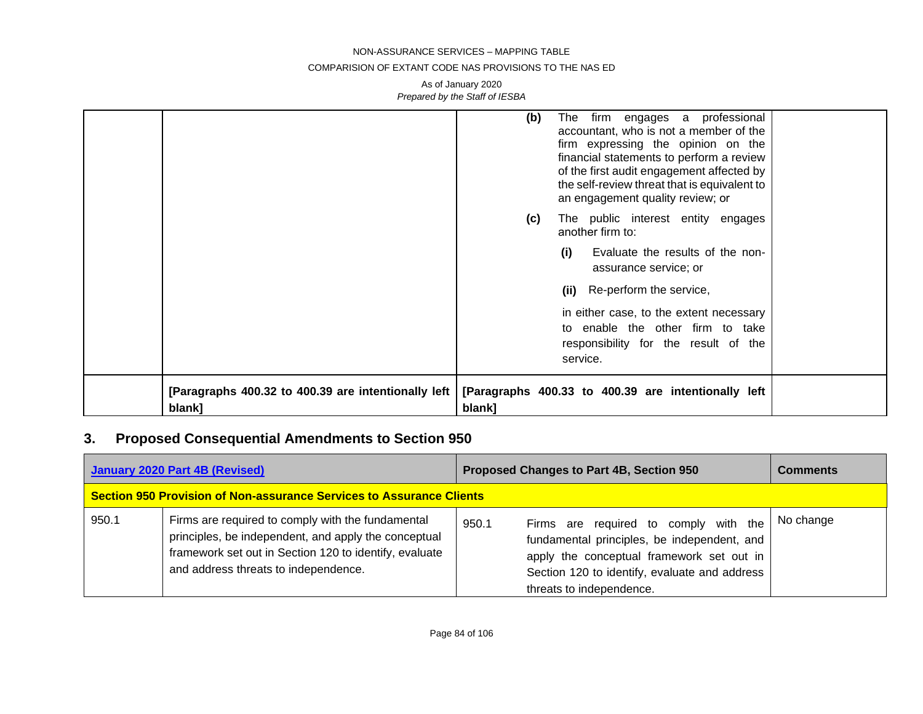#### COMPARISION OF EXTANT CODE NAS PROVISIONS TO THE NAS ED

As of January 2020 *Prepared by the Staff of IESBA*

|                                                               | The firm engages a professional<br>(b)<br>accountant, who is not a member of the<br>firm expressing the opinion on the<br>financial statements to perform a review<br>of the first audit engagement affected by<br>the self-review threat that is equivalent to<br>an engagement quality review; or |
|---------------------------------------------------------------|-----------------------------------------------------------------------------------------------------------------------------------------------------------------------------------------------------------------------------------------------------------------------------------------------------|
|                                                               | The public interest entity engages<br>(c)<br>another firm to:                                                                                                                                                                                                                                       |
|                                                               | Evaluate the results of the non-<br>(i)<br>assurance service; or                                                                                                                                                                                                                                    |
|                                                               | Re-perform the service,<br>(ii)                                                                                                                                                                                                                                                                     |
|                                                               | in either case, to the extent necessary                                                                                                                                                                                                                                                             |
|                                                               | to enable the other firm to take                                                                                                                                                                                                                                                                    |
|                                                               | responsibility for the result of the<br>service.                                                                                                                                                                                                                                                    |
| [Paragraphs 400.32 to 400.39 are intentionally left<br>blank] | [Paragraphs 400.33 to 400.39 are intentionally left<br>blank]                                                                                                                                                                                                                                       |

# **3. Proposed Consequential Amendments to Section 950**

|                                                                             | <b>January 2020 Part 4B (Revised)</b>                                                                                                                                                                       | <b>Proposed Changes to Part 4B, Section 950</b>                                                                                                                                                                         | <b>Comments</b> |
|-----------------------------------------------------------------------------|-------------------------------------------------------------------------------------------------------------------------------------------------------------------------------------------------------------|-------------------------------------------------------------------------------------------------------------------------------------------------------------------------------------------------------------------------|-----------------|
| <b>Section 950 Provision of Non-assurance Services to Assurance Clients</b> |                                                                                                                                                                                                             |                                                                                                                                                                                                                         |                 |
| 950.1                                                                       | Firms are required to comply with the fundamental<br>principles, be independent, and apply the conceptual<br>framework set out in Section 120 to identify, evaluate<br>and address threats to independence. | Firms are required to comply with the<br>950.1<br>fundamental principles, be independent, and<br>apply the conceptual framework set out in<br>Section 120 to identify, evaluate and address<br>threats to independence. | No change       |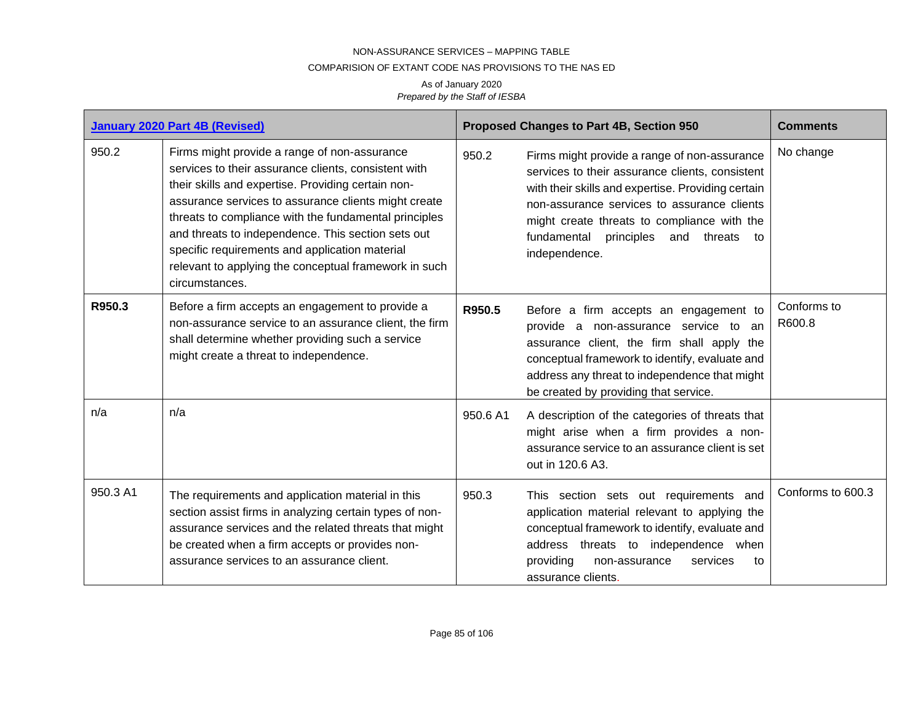## COMPARISION OF EXTANT CODE NAS PROVISIONS TO THE NAS ED

|          | <b>January 2020 Part 4B (Revised)</b>                                                                                                                                                                                                                                                                                                                                                                                                                          |          | Proposed Changes to Part 4B, Section 950                                                                                                                                                                                                                                                                               | <b>Comments</b>       |
|----------|----------------------------------------------------------------------------------------------------------------------------------------------------------------------------------------------------------------------------------------------------------------------------------------------------------------------------------------------------------------------------------------------------------------------------------------------------------------|----------|------------------------------------------------------------------------------------------------------------------------------------------------------------------------------------------------------------------------------------------------------------------------------------------------------------------------|-----------------------|
| 950.2    | Firms might provide a range of non-assurance<br>services to their assurance clients, consistent with<br>their skills and expertise. Providing certain non-<br>assurance services to assurance clients might create<br>threats to compliance with the fundamental principles<br>and threats to independence. This section sets out<br>specific requirements and application material<br>relevant to applying the conceptual framework in such<br>circumstances. | 950.2    | Firms might provide a range of non-assurance<br>services to their assurance clients, consistent<br>with their skills and expertise. Providing certain<br>non-assurance services to assurance clients<br>might create threats to compliance with the<br>fundamental<br>principles<br>and threats<br>to<br>independence. | No change             |
| R950.3   | Before a firm accepts an engagement to provide a<br>non-assurance service to an assurance client, the firm<br>shall determine whether providing such a service<br>might create a threat to independence.                                                                                                                                                                                                                                                       | R950.5   | Before a firm accepts an engagement to<br>non-assurance service to an<br>provide a<br>assurance client, the firm shall apply the<br>conceptual framework to identify, evaluate and<br>address any threat to independence that might<br>be created by providing that service.                                           | Conforms to<br>R600.8 |
| n/a      | n/a                                                                                                                                                                                                                                                                                                                                                                                                                                                            | 950.6 A1 | A description of the categories of threats that<br>might arise when a firm provides a non-<br>assurance service to an assurance client is set<br>out in 120.6 A3.                                                                                                                                                      |                       |
| 950.3 A1 | The requirements and application material in this<br>section assist firms in analyzing certain types of non-<br>assurance services and the related threats that might<br>be created when a firm accepts or provides non-<br>assurance services to an assurance client.                                                                                                                                                                                         | 950.3    | This section sets out requirements and<br>application material relevant to applying the<br>conceptual framework to identify, evaluate and<br>address threats to independence when<br>providing<br>services<br>non-assurance<br>to<br>assurance clients.                                                                | Conforms to 600.3     |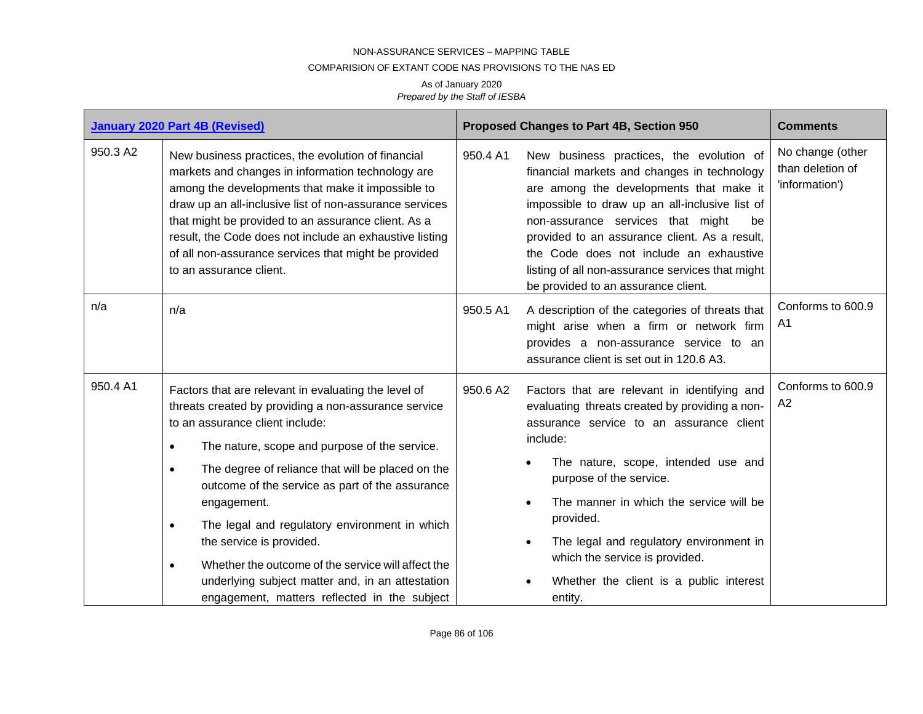## COMPARISION OF EXTANT CODE NAS PROVISIONS TO THE NAS ED

|          | <b>January 2020 Part 4B (Revised)</b>                                                                                                                                                                                                                                                                                                                                                                                                                                                                                                                                                                              |          | Proposed Changes to Part 4B, Section 950                                                                                                                                                                                                                                                                                                                                                                                                      | <b>Comments</b>                                        |
|----------|--------------------------------------------------------------------------------------------------------------------------------------------------------------------------------------------------------------------------------------------------------------------------------------------------------------------------------------------------------------------------------------------------------------------------------------------------------------------------------------------------------------------------------------------------------------------------------------------------------------------|----------|-----------------------------------------------------------------------------------------------------------------------------------------------------------------------------------------------------------------------------------------------------------------------------------------------------------------------------------------------------------------------------------------------------------------------------------------------|--------------------------------------------------------|
| 950.3 A2 | New business practices, the evolution of financial<br>markets and changes in information technology are<br>among the developments that make it impossible to<br>draw up an all-inclusive list of non-assurance services<br>that might be provided to an assurance client. As a<br>result, the Code does not include an exhaustive listing<br>of all non-assurance services that might be provided<br>to an assurance client.                                                                                                                                                                                       | 950.4 A1 | New business practices, the evolution of<br>financial markets and changes in technology<br>are among the developments that make it<br>impossible to draw up an all-inclusive list of<br>non-assurance services that might<br>be<br>provided to an assurance client. As a result,<br>the Code does not include an exhaustive<br>listing of all non-assurance services that might<br>be provided to an assurance client.                        | No change (other<br>than deletion of<br>'information') |
| n/a      | n/a                                                                                                                                                                                                                                                                                                                                                                                                                                                                                                                                                                                                                | 950.5 A1 | A description of the categories of threats that<br>might arise when a firm or network firm<br>provides a non-assurance service to an<br>assurance client is set out in 120.6 A3.                                                                                                                                                                                                                                                              | Conforms to 600.9<br>A1                                |
| 950.4 A1 | Factors that are relevant in evaluating the level of<br>threats created by providing a non-assurance service<br>to an assurance client include:<br>The nature, scope and purpose of the service.<br>$\bullet$<br>The degree of reliance that will be placed on the<br>$\bullet$<br>outcome of the service as part of the assurance<br>engagement.<br>The legal and regulatory environment in which<br>$\bullet$<br>the service is provided.<br>Whether the outcome of the service will affect the<br>$\bullet$<br>underlying subject matter and, in an attestation<br>engagement, matters reflected in the subject | 950.6 A2 | Factors that are relevant in identifying and<br>evaluating threats created by providing a non-<br>assurance service to an assurance client<br>include:<br>The nature, scope, intended use and<br>purpose of the service.<br>The manner in which the service will be<br>$\bullet$<br>provided.<br>The legal and regulatory environment in<br>$\bullet$<br>which the service is provided.<br>Whether the client is a public interest<br>entity. | Conforms to 600.9<br>A2                                |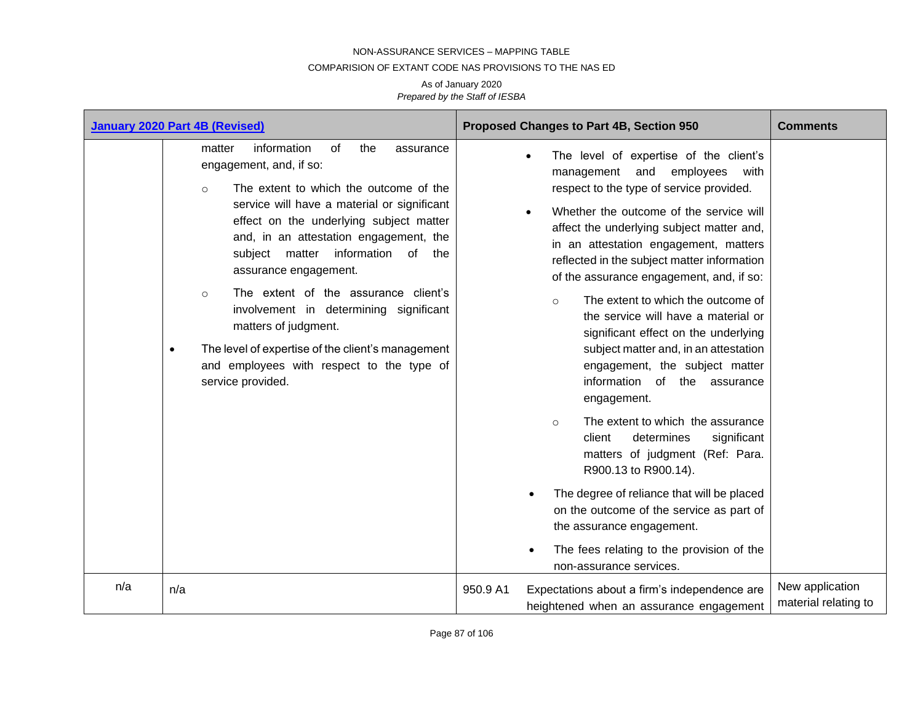#### COMPARISION OF EXTANT CODE NAS PROVISIONS TO THE NAS ED

|     | <b>January 2020 Part 4B (Revised)</b>                                                                                                                                                                                                                                                                                                                                                                                                                                                                                                                                            | Proposed Changes to Part 4B, Section 950                                                                                                                                                                                                                                                                                                                                                                                                                                                                                                                                                                                                                                                                                                                                                                                                                                                                                                                                                             | <b>Comments</b>                         |
|-----|----------------------------------------------------------------------------------------------------------------------------------------------------------------------------------------------------------------------------------------------------------------------------------------------------------------------------------------------------------------------------------------------------------------------------------------------------------------------------------------------------------------------------------------------------------------------------------|------------------------------------------------------------------------------------------------------------------------------------------------------------------------------------------------------------------------------------------------------------------------------------------------------------------------------------------------------------------------------------------------------------------------------------------------------------------------------------------------------------------------------------------------------------------------------------------------------------------------------------------------------------------------------------------------------------------------------------------------------------------------------------------------------------------------------------------------------------------------------------------------------------------------------------------------------------------------------------------------------|-----------------------------------------|
|     | information<br>of<br>matter<br>the<br>assurance<br>engagement, and, if so:<br>The extent to which the outcome of the<br>$\circ$<br>service will have a material or significant<br>effect on the underlying subject matter<br>and, in an attestation engagement, the<br>subject matter<br>information of the<br>assurance engagement.<br>The extent of the assurance client's<br>$\circ$<br>involvement in determining significant<br>matters of judgment.<br>The level of expertise of the client's management<br>and employees with respect to the type of<br>service provided. | The level of expertise of the client's<br>management and employees<br>with<br>respect to the type of service provided.<br>Whether the outcome of the service will<br>$\bullet$<br>affect the underlying subject matter and,<br>in an attestation engagement, matters<br>reflected in the subject matter information<br>of the assurance engagement, and, if so:<br>The extent to which the outcome of<br>$\circ$<br>the service will have a material or<br>significant effect on the underlying<br>subject matter and, in an attestation<br>engagement, the subject matter<br>information of the assurance<br>engagement.<br>The extent to which the assurance<br>$\circ$<br>client<br>determines<br>significant<br>matters of judgment (Ref: Para.<br>R900.13 to R900.14).<br>The degree of reliance that will be placed<br>$\bullet$<br>on the outcome of the service as part of<br>the assurance engagement.<br>The fees relating to the provision of the<br>$\bullet$<br>non-assurance services. |                                         |
| n/a | n/a                                                                                                                                                                                                                                                                                                                                                                                                                                                                                                                                                                              | Expectations about a firm's independence are<br>950.9 A1<br>heightened when an assurance engagement                                                                                                                                                                                                                                                                                                                                                                                                                                                                                                                                                                                                                                                                                                                                                                                                                                                                                                  | New application<br>material relating to |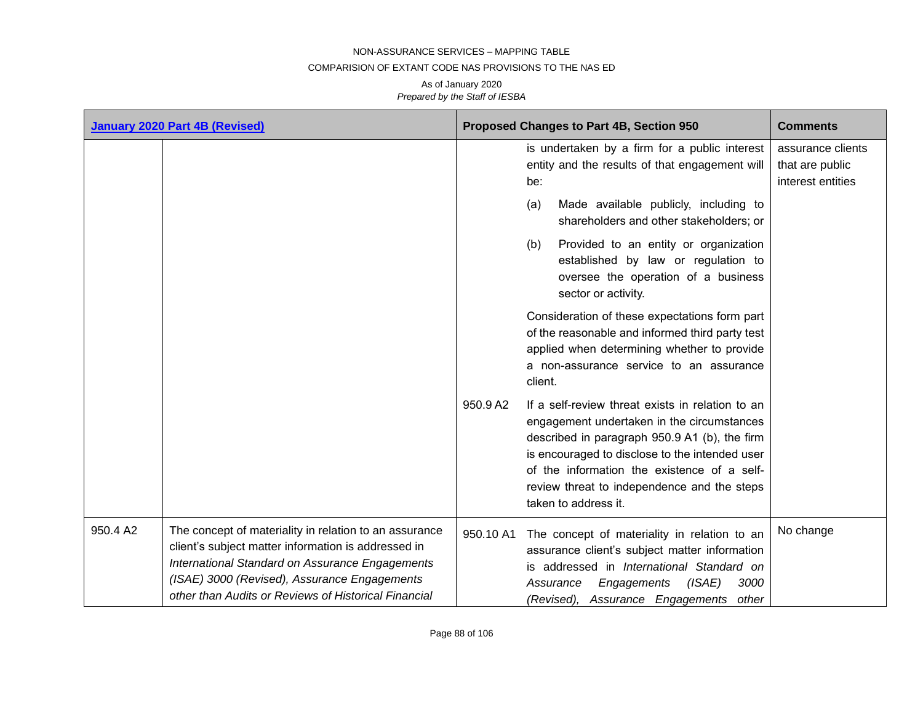## COMPARISION OF EXTANT CODE NAS PROVISIONS TO THE NAS ED

|          | <b>January 2020 Part 4B (Revised)</b>                                                                                                                                                                                                                                    |           | Proposed Changes to Part 4B, Section 950                                                                                                                                                                                                                                                                                | <b>Comments</b>                                           |
|----------|--------------------------------------------------------------------------------------------------------------------------------------------------------------------------------------------------------------------------------------------------------------------------|-----------|-------------------------------------------------------------------------------------------------------------------------------------------------------------------------------------------------------------------------------------------------------------------------------------------------------------------------|-----------------------------------------------------------|
|          |                                                                                                                                                                                                                                                                          |           | is undertaken by a firm for a public interest<br>entity and the results of that engagement will<br>be:<br>Made available publicly, including to<br>(a)                                                                                                                                                                  | assurance clients<br>that are public<br>interest entities |
|          |                                                                                                                                                                                                                                                                          |           | shareholders and other stakeholders; or                                                                                                                                                                                                                                                                                 |                                                           |
|          |                                                                                                                                                                                                                                                                          |           | Provided to an entity or organization<br>(b)<br>established by law or regulation to<br>oversee the operation of a business<br>sector or activity.                                                                                                                                                                       |                                                           |
|          |                                                                                                                                                                                                                                                                          |           | Consideration of these expectations form part<br>of the reasonable and informed third party test<br>applied when determining whether to provide<br>a non-assurance service to an assurance<br>client.                                                                                                                   |                                                           |
|          |                                                                                                                                                                                                                                                                          | 950.9 A2  | If a self-review threat exists in relation to an<br>engagement undertaken in the circumstances<br>described in paragraph 950.9 A1 (b), the firm<br>is encouraged to disclose to the intended user<br>of the information the existence of a self-<br>review threat to independence and the steps<br>taken to address it. |                                                           |
| 950.4 A2 | The concept of materiality in relation to an assurance<br>client's subject matter information is addressed in<br>International Standard on Assurance Engagements<br>(ISAE) 3000 (Revised), Assurance Engagements<br>other than Audits or Reviews of Historical Financial | 950.10 A1 | The concept of materiality in relation to an<br>assurance client's subject matter information<br>is addressed in International Standard on<br>(ISAE)<br>3000<br>Assurance<br>Engagements<br>(Revised), Assurance Engagements<br>other                                                                                   | No change                                                 |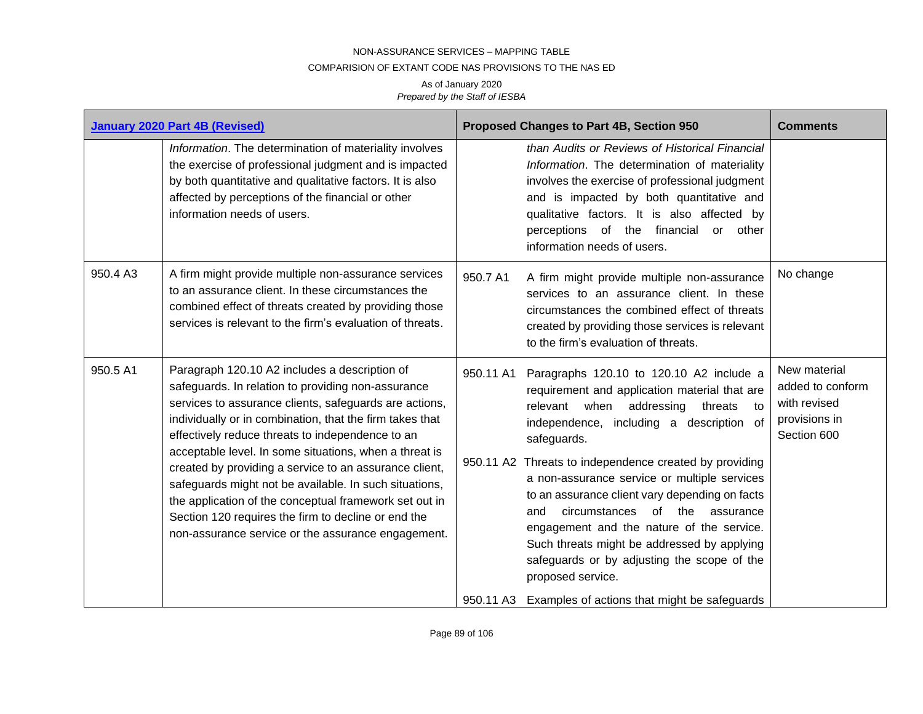## COMPARISION OF EXTANT CODE NAS PROVISIONS TO THE NAS ED

|          | <b>January 2020 Part 4B (Revised)</b>                                                                                                                                                                                                                                                                                                                                                                                                                                                                                                                                                                                              | Proposed Changes to Part 4B, Section 950                                                                                                                                                                                                                                                                                                                                                                                                                                                                                                                                                                                                      | <b>Comments</b>                                                                        |
|----------|------------------------------------------------------------------------------------------------------------------------------------------------------------------------------------------------------------------------------------------------------------------------------------------------------------------------------------------------------------------------------------------------------------------------------------------------------------------------------------------------------------------------------------------------------------------------------------------------------------------------------------|-----------------------------------------------------------------------------------------------------------------------------------------------------------------------------------------------------------------------------------------------------------------------------------------------------------------------------------------------------------------------------------------------------------------------------------------------------------------------------------------------------------------------------------------------------------------------------------------------------------------------------------------------|----------------------------------------------------------------------------------------|
|          | Information. The determination of materiality involves<br>the exercise of professional judgment and is impacted<br>by both quantitative and qualitative factors. It is also<br>affected by perceptions of the financial or other<br>information needs of users.                                                                                                                                                                                                                                                                                                                                                                    | than Audits or Reviews of Historical Financial<br>Information. The determination of materiality<br>involves the exercise of professional judgment<br>and is impacted by both quantitative and<br>qualitative factors. It is also affected by<br>perceptions of the financial or other<br>information needs of users.                                                                                                                                                                                                                                                                                                                          |                                                                                        |
| 950.4 A3 | A firm might provide multiple non-assurance services<br>to an assurance client. In these circumstances the<br>combined effect of threats created by providing those<br>services is relevant to the firm's evaluation of threats.                                                                                                                                                                                                                                                                                                                                                                                                   | 950.7 A1<br>A firm might provide multiple non-assurance<br>services to an assurance client. In these<br>circumstances the combined effect of threats<br>created by providing those services is relevant<br>to the firm's evaluation of threats.                                                                                                                                                                                                                                                                                                                                                                                               | No change                                                                              |
| 950.5 A1 | Paragraph 120.10 A2 includes a description of<br>safeguards. In relation to providing non-assurance<br>services to assurance clients, safeguards are actions,<br>individually or in combination, that the firm takes that<br>effectively reduce threats to independence to an<br>acceptable level. In some situations, when a threat is<br>created by providing a service to an assurance client,<br>safeguards might not be available. In such situations,<br>the application of the conceptual framework set out in<br>Section 120 requires the firm to decline or end the<br>non-assurance service or the assurance engagement. | 950.11 A1<br>Paragraphs 120.10 to 120.10 A2 include a<br>requirement and application material that are<br>relevant when addressing<br>threats<br>independence, including a description of<br>safeguards.<br>950.11 A2 Threats to independence created by providing<br>a non-assurance service or multiple services<br>to an assurance client vary depending on facts<br>circumstances<br>of the<br>and<br>assurance<br>engagement and the nature of the service.<br>Such threats might be addressed by applying<br>safeguards or by adjusting the scope of the<br>proposed service.<br>950.11 A3 Examples of actions that might be safeguards | New material<br>added to conform<br>with revised<br>to<br>provisions in<br>Section 600 |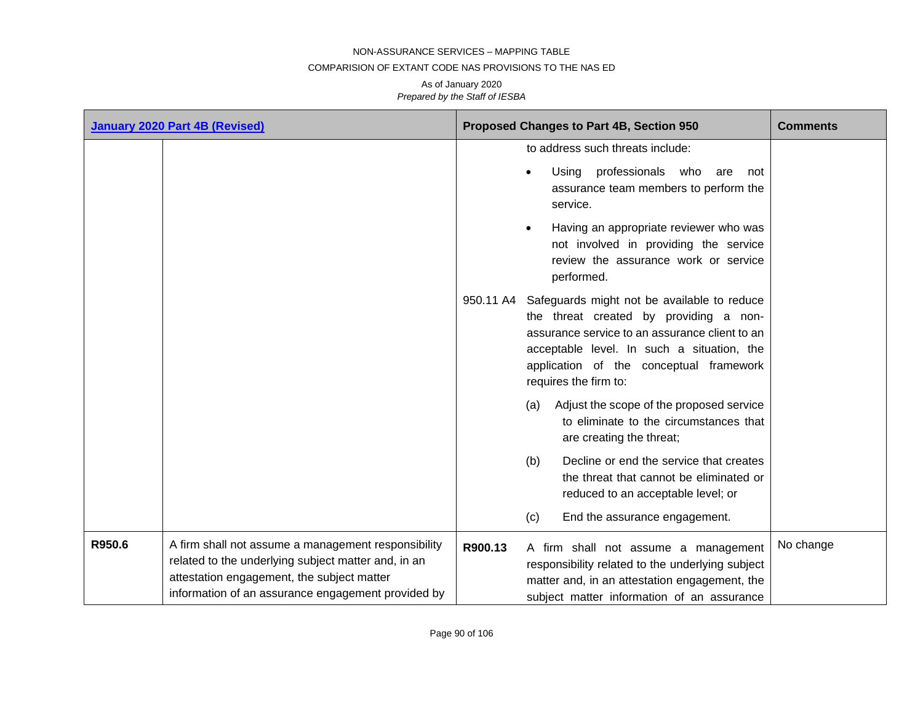## COMPARISION OF EXTANT CODE NAS PROVISIONS TO THE NAS ED

|        | <b>January 2020 Part 4B (Revised)</b>                                                                                                                                                                          |         | Proposed Changes to Part 4B, Section 950                                                                                                                                                                                                                            | <b>Comments</b> |
|--------|----------------------------------------------------------------------------------------------------------------------------------------------------------------------------------------------------------------|---------|---------------------------------------------------------------------------------------------------------------------------------------------------------------------------------------------------------------------------------------------------------------------|-----------------|
|        |                                                                                                                                                                                                                |         | to address such threats include:                                                                                                                                                                                                                                    |                 |
|        |                                                                                                                                                                                                                |         | Using<br>professionals who<br>are<br>not<br>$\bullet$<br>assurance team members to perform the<br>service.                                                                                                                                                          |                 |
|        |                                                                                                                                                                                                                |         | Having an appropriate reviewer who was<br>$\bullet$<br>not involved in providing the service<br>review the assurance work or service<br>performed.                                                                                                                  |                 |
|        |                                                                                                                                                                                                                |         | 950.11 A4 Safeguards might not be available to reduce<br>the threat created by providing a non-<br>assurance service to an assurance client to an<br>acceptable level. In such a situation, the<br>application of the conceptual framework<br>requires the firm to: |                 |
|        |                                                                                                                                                                                                                |         | Adjust the scope of the proposed service<br>(a)<br>to eliminate to the circumstances that<br>are creating the threat;                                                                                                                                               |                 |
|        |                                                                                                                                                                                                                |         | Decline or end the service that creates<br>(b)<br>the threat that cannot be eliminated or<br>reduced to an acceptable level; or                                                                                                                                     |                 |
|        |                                                                                                                                                                                                                |         | End the assurance engagement.<br>(c)                                                                                                                                                                                                                                |                 |
| R950.6 | A firm shall not assume a management responsibility<br>related to the underlying subject matter and, in an<br>attestation engagement, the subject matter<br>information of an assurance engagement provided by | R900.13 | A firm shall not assume a management<br>responsibility related to the underlying subject<br>matter and, in an attestation engagement, the<br>subject matter information of an assurance                                                                             | No change       |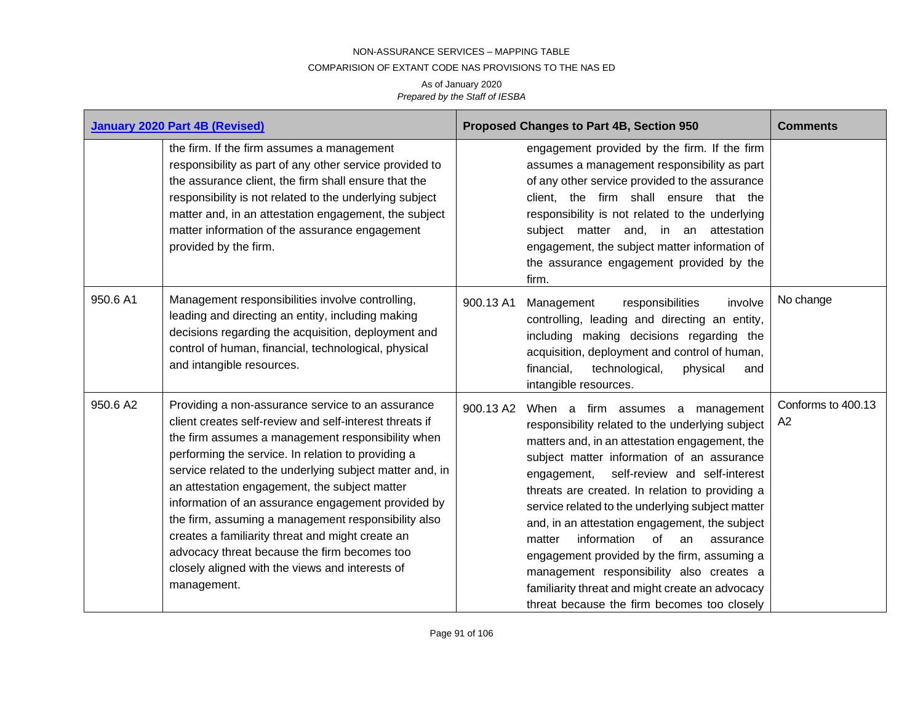## COMPARISION OF EXTANT CODE NAS PROVISIONS TO THE NAS ED

|          | <b>January 2020 Part 4B (Revised)</b>                                                                                                                                                                                                                                                                                                                                                                                                                                                                                                                                                                                   |           | Proposed Changes to Part 4B, Section 950                                                                                                                                                                                                                                                                                                                                                                                                                                                                                                                                                                                                     | <b>Comments</b>          |
|----------|-------------------------------------------------------------------------------------------------------------------------------------------------------------------------------------------------------------------------------------------------------------------------------------------------------------------------------------------------------------------------------------------------------------------------------------------------------------------------------------------------------------------------------------------------------------------------------------------------------------------------|-----------|----------------------------------------------------------------------------------------------------------------------------------------------------------------------------------------------------------------------------------------------------------------------------------------------------------------------------------------------------------------------------------------------------------------------------------------------------------------------------------------------------------------------------------------------------------------------------------------------------------------------------------------------|--------------------------|
|          | the firm. If the firm assumes a management<br>responsibility as part of any other service provided to<br>the assurance client, the firm shall ensure that the<br>responsibility is not related to the underlying subject<br>matter and, in an attestation engagement, the subject<br>matter information of the assurance engagement<br>provided by the firm.                                                                                                                                                                                                                                                            |           | engagement provided by the firm. If the firm<br>assumes a management responsibility as part<br>of any other service provided to the assurance<br>client, the firm shall ensure that the<br>responsibility is not related to the underlying<br>subject matter and, in an attestation<br>engagement, the subject matter information of<br>the assurance engagement provided by the<br>firm.                                                                                                                                                                                                                                                    |                          |
| 950.6 A1 | Management responsibilities involve controlling,<br>leading and directing an entity, including making<br>decisions regarding the acquisition, deployment and<br>control of human, financial, technological, physical<br>and intangible resources.                                                                                                                                                                                                                                                                                                                                                                       | 900.13 A1 | Management<br>responsibilities<br>involve<br>controlling, leading and directing an entity,<br>including making decisions regarding the<br>acquisition, deployment and control of human,<br>financial,<br>technological,<br>physical<br>and<br>intangible resources.                                                                                                                                                                                                                                                                                                                                                                          | No change                |
| 950.6 A2 | Providing a non-assurance service to an assurance<br>client creates self-review and self-interest threats if<br>the firm assumes a management responsibility when<br>performing the service. In relation to providing a<br>service related to the underlying subject matter and, in<br>an attestation engagement, the subject matter<br>information of an assurance engagement provided by<br>the firm, assuming a management responsibility also<br>creates a familiarity threat and might create an<br>advocacy threat because the firm becomes too<br>closely aligned with the views and interests of<br>management. | 900.13 A2 | When a firm assumes a management<br>responsibility related to the underlying subject<br>matters and, in an attestation engagement, the<br>subject matter information of an assurance<br>self-review and self-interest<br>engagement,<br>threats are created. In relation to providing a<br>service related to the underlying subject matter<br>and, in an attestation engagement, the subject<br>information<br>of<br>matter<br>assurance<br>an<br>engagement provided by the firm, assuming a<br>management responsibility also creates a<br>familiarity threat and might create an advocacy<br>threat because the firm becomes too closely | Conforms to 400.13<br>A2 |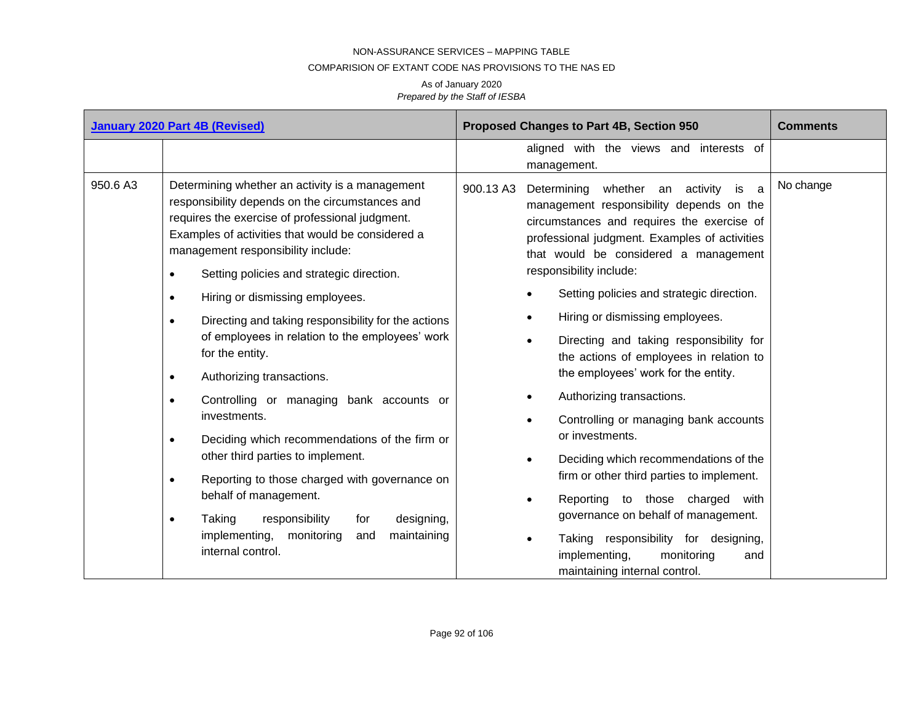#### COMPARISION OF EXTANT CODE NAS PROVISIONS TO THE NAS ED

| <b>January 2020 Part 4B (Revised)</b> |                                                                                                                                                                                                                                                                                                                                                                                                                                                                                                                                                                                                                                                                                                                                                                                                                                                                                                                                                           | Proposed Changes to Part 4B, Section 950                                                                                                                                                                                                                                                                                                                                                                                                                                                                                                                                                                                                                                                                                                                                                                                                                                                                                            | <b>Comments</b> |
|---------------------------------------|-----------------------------------------------------------------------------------------------------------------------------------------------------------------------------------------------------------------------------------------------------------------------------------------------------------------------------------------------------------------------------------------------------------------------------------------------------------------------------------------------------------------------------------------------------------------------------------------------------------------------------------------------------------------------------------------------------------------------------------------------------------------------------------------------------------------------------------------------------------------------------------------------------------------------------------------------------------|-------------------------------------------------------------------------------------------------------------------------------------------------------------------------------------------------------------------------------------------------------------------------------------------------------------------------------------------------------------------------------------------------------------------------------------------------------------------------------------------------------------------------------------------------------------------------------------------------------------------------------------------------------------------------------------------------------------------------------------------------------------------------------------------------------------------------------------------------------------------------------------------------------------------------------------|-----------------|
|                                       |                                                                                                                                                                                                                                                                                                                                                                                                                                                                                                                                                                                                                                                                                                                                                                                                                                                                                                                                                           | aligned with the views and interests of<br>management.                                                                                                                                                                                                                                                                                                                                                                                                                                                                                                                                                                                                                                                                                                                                                                                                                                                                              |                 |
| 950.6 A3                              | Determining whether an activity is a management<br>responsibility depends on the circumstances and<br>requires the exercise of professional judgment.<br>Examples of activities that would be considered a<br>management responsibility include:<br>Setting policies and strategic direction.<br>$\bullet$<br>Hiring or dismissing employees.<br>$\bullet$<br>Directing and taking responsibility for the actions<br>$\bullet$<br>of employees in relation to the employees' work<br>for the entity.<br>Authorizing transactions.<br>$\bullet$<br>Controlling or managing bank accounts or<br>$\bullet$<br>investments.<br>Deciding which recommendations of the firm or<br>$\bullet$<br>other third parties to implement.<br>Reporting to those charged with governance on<br>$\bullet$<br>behalf of management.<br>Taking<br>responsibility<br>designing,<br>for<br>$\bullet$<br>implementing,<br>monitoring<br>maintaining<br>and<br>internal control. | Determining whether an activity is a<br>900.13 A3<br>management responsibility depends on the<br>circumstances and requires the exercise of<br>professional judgment. Examples of activities<br>that would be considered a management<br>responsibility include:<br>Setting policies and strategic direction.<br>$\bullet$<br>Hiring or dismissing employees.<br>$\bullet$<br>Directing and taking responsibility for<br>$\bullet$<br>the actions of employees in relation to<br>the employees' work for the entity.<br>Authorizing transactions.<br>Controlling or managing bank accounts<br>$\bullet$<br>or investments.<br>Deciding which recommendations of the<br>$\bullet$<br>firm or other third parties to implement.<br>Reporting to those charged with<br>$\bullet$<br>governance on behalf of management.<br>Taking responsibility for designing,<br>implementing,<br>monitoring<br>and<br>maintaining internal control. | No change       |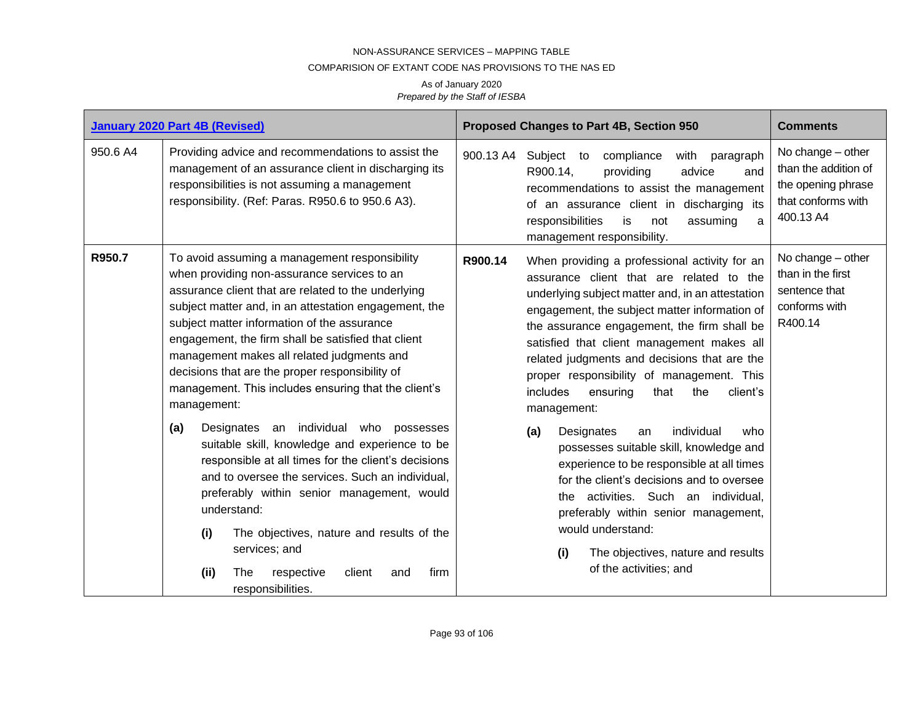#### COMPARISION OF EXTANT CODE NAS PROVISIONS TO THE NAS ED

|          | <b>January 2020 Part 4B (Revised)</b>                                                                                                                                                                                                                                                                                                                                                                                                                                                                                                                                                                                                                                                                                                                                                                                     | <b>Proposed Changes to Part 4B, Section 950</b>                                                                                                                                                                                                                                                                                                                                                                                                                                                                                                                                                                                                                                                                                                                   | <b>Comments</b>                                                                                         |
|----------|---------------------------------------------------------------------------------------------------------------------------------------------------------------------------------------------------------------------------------------------------------------------------------------------------------------------------------------------------------------------------------------------------------------------------------------------------------------------------------------------------------------------------------------------------------------------------------------------------------------------------------------------------------------------------------------------------------------------------------------------------------------------------------------------------------------------------|-------------------------------------------------------------------------------------------------------------------------------------------------------------------------------------------------------------------------------------------------------------------------------------------------------------------------------------------------------------------------------------------------------------------------------------------------------------------------------------------------------------------------------------------------------------------------------------------------------------------------------------------------------------------------------------------------------------------------------------------------------------------|---------------------------------------------------------------------------------------------------------|
| 950.6 A4 | Providing advice and recommendations to assist the<br>management of an assurance client in discharging its<br>responsibilities is not assuming a management<br>responsibility. (Ref: Paras. R950.6 to 950.6 A3).                                                                                                                                                                                                                                                                                                                                                                                                                                                                                                                                                                                                          | 900.13 A4<br>Subject to<br>compliance<br>with<br>paragraph<br>R900.14,<br>providing<br>advice<br>and<br>recommendations to assist the management<br>of an assurance client in discharging its<br>responsibilities<br>is<br>assuming<br>not<br>management responsibility.                                                                                                                                                                                                                                                                                                                                                                                                                                                                                          | No change - other<br>than the addition of<br>the opening phrase<br>that conforms with<br>400.13 A4<br>a |
| R950.7   | To avoid assuming a management responsibility<br>when providing non-assurance services to an<br>assurance client that are related to the underlying<br>subject matter and, in an attestation engagement, the<br>subject matter information of the assurance<br>engagement, the firm shall be satisfied that client<br>management makes all related judgments and<br>decisions that are the proper responsibility of<br>management. This includes ensuring that the client's<br>management:<br>(a)<br>Designates an individual who possesses<br>suitable skill, knowledge and experience to be<br>responsible at all times for the client's decisions<br>and to oversee the services. Such an individual,<br>preferably within senior management, would<br>understand:<br>(i)<br>The objectives, nature and results of the | R900.14<br>When providing a professional activity for an<br>assurance client that are related to the<br>underlying subject matter and, in an attestation<br>engagement, the subject matter information of<br>the assurance engagement, the firm shall be<br>satisfied that client management makes all<br>related judgments and decisions that are the<br>proper responsibility of management. This<br>client's<br>includes<br>that<br>the<br>ensuring<br>management:<br>individual<br>(a)<br>Designates<br>who<br>an<br>possesses suitable skill, knowledge and<br>experience to be responsible at all times<br>for the client's decisions and to oversee<br>activities. Such an individual,<br>the<br>preferably within senior management,<br>would understand: | No change - other<br>than in the first<br>sentence that<br>conforms with<br>R400.14                     |
|          | services; and<br>(ii)<br>respective<br>firm<br>The<br>client<br>and<br>responsibilities.                                                                                                                                                                                                                                                                                                                                                                                                                                                                                                                                                                                                                                                                                                                                  | (i)<br>The objectives, nature and results<br>of the activities; and                                                                                                                                                                                                                                                                                                                                                                                                                                                                                                                                                                                                                                                                                               |                                                                                                         |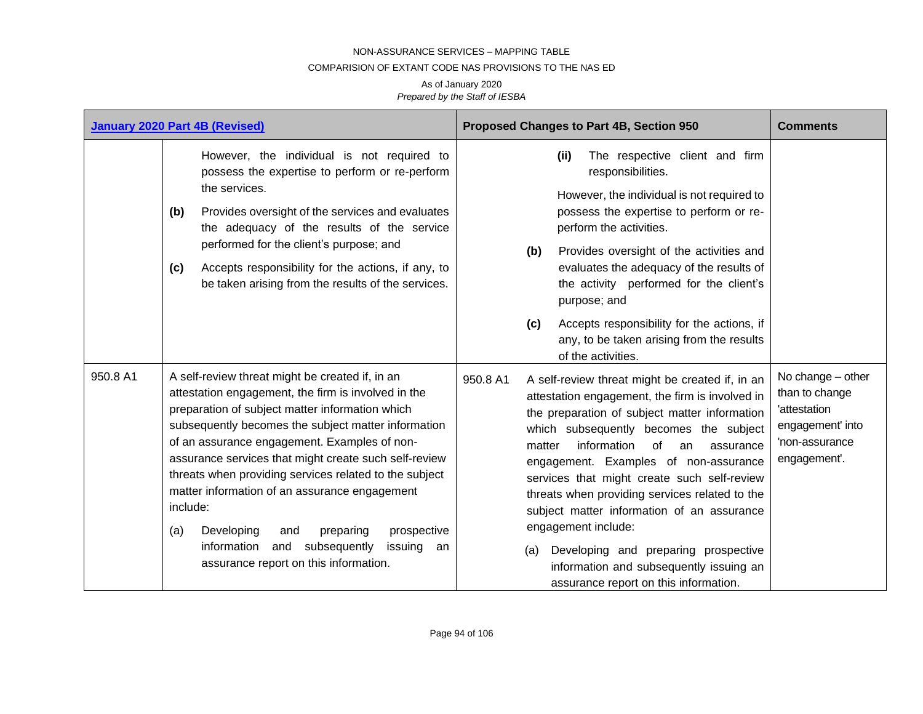## COMPARISION OF EXTANT CODE NAS PROVISIONS TO THE NAS ED

|          | <b>January 2020 Part 4B (Revised)</b>                                                                                                                                                                                                                                                                                                                                                                                                                                                                                                                                                                    | Proposed Changes to Part 4B, Section 950                                                                                                                                                                                                                                                                                                                                                                                                                                                                                                                                                                      | <b>Comments</b>                                                                                           |
|----------|----------------------------------------------------------------------------------------------------------------------------------------------------------------------------------------------------------------------------------------------------------------------------------------------------------------------------------------------------------------------------------------------------------------------------------------------------------------------------------------------------------------------------------------------------------------------------------------------------------|---------------------------------------------------------------------------------------------------------------------------------------------------------------------------------------------------------------------------------------------------------------------------------------------------------------------------------------------------------------------------------------------------------------------------------------------------------------------------------------------------------------------------------------------------------------------------------------------------------------|-----------------------------------------------------------------------------------------------------------|
|          | However, the individual is not required to<br>possess the expertise to perform or re-perform<br>the services.<br>Provides oversight of the services and evaluates<br>(b)<br>the adequacy of the results of the service<br>performed for the client's purpose; and<br>Accepts responsibility for the actions, if any, to<br>(c)<br>be taken arising from the results of the services.                                                                                                                                                                                                                     | The respective client and firm<br>(ii)<br>responsibilities.<br>However, the individual is not required to<br>possess the expertise to perform or re-<br>perform the activities.<br>Provides oversight of the activities and<br>(b)<br>evaluates the adequacy of the results of<br>the activity performed for the client's<br>purpose; and<br>Accepts responsibility for the actions, if<br>(c)<br>any, to be taken arising from the results<br>of the activities.                                                                                                                                             |                                                                                                           |
| 950.8 A1 | A self-review threat might be created if, in an<br>attestation engagement, the firm is involved in the<br>preparation of subject matter information which<br>subsequently becomes the subject matter information<br>of an assurance engagement. Examples of non-<br>assurance services that might create such self-review<br>threats when providing services related to the subject<br>matter information of an assurance engagement<br>include:<br>Developing<br>preparing<br>prospective<br>(a)<br>and<br>information<br>subsequently<br>and<br>issuing<br>an<br>assurance report on this information. | 950.8 A1<br>A self-review threat might be created if, in an<br>attestation engagement, the firm is involved in<br>the preparation of subject matter information<br>which subsequently becomes the subject<br>information<br>0f<br>matter<br>an<br>assurance<br>engagement. Examples of non-assurance<br>services that might create such self-review<br>threats when providing services related to the<br>subject matter information of an assurance<br>engagement include:<br>Developing and preparing prospective<br>(a)<br>information and subsequently issuing an<br>assurance report on this information. | No change - other<br>than to change<br>'attestation<br>engagement' into<br>'non-assurance<br>engagement'. |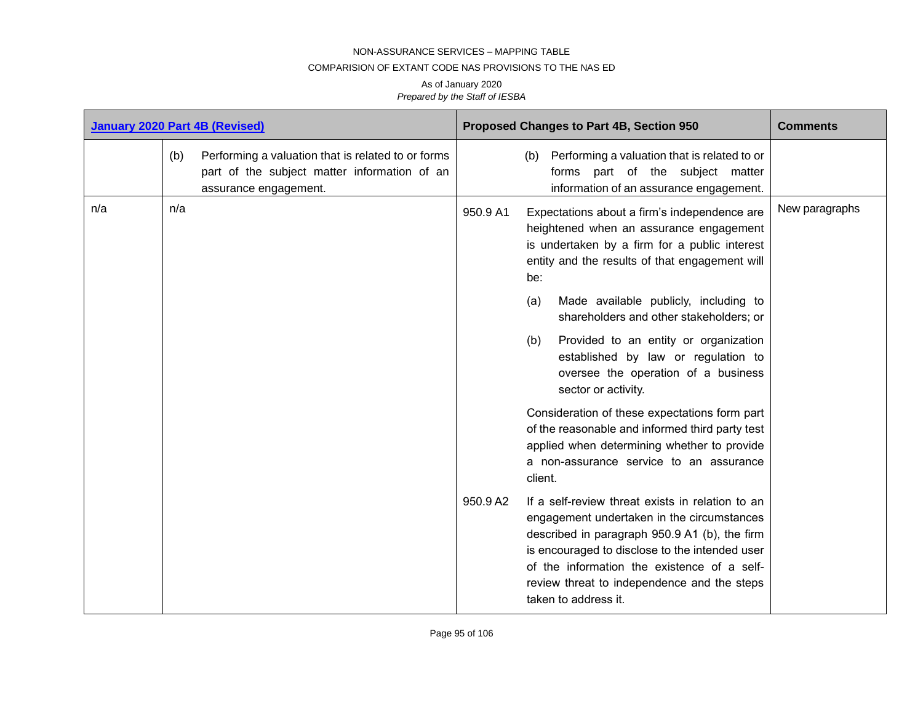### COMPARISION OF EXTANT CODE NAS PROVISIONS TO THE NAS ED

| <b>January 2020 Part 4B (Revised)</b> |     |                                                                                                                             | Proposed Changes to Part 4B, Section 950<br><b>Comments</b> |                                                                                                                                                                                                                                                                                                                                                                                                                                                                                                                                                                         |
|---------------------------------------|-----|-----------------------------------------------------------------------------------------------------------------------------|-------------------------------------------------------------|-------------------------------------------------------------------------------------------------------------------------------------------------------------------------------------------------------------------------------------------------------------------------------------------------------------------------------------------------------------------------------------------------------------------------------------------------------------------------------------------------------------------------------------------------------------------------|
|                                       | (b) | Performing a valuation that is related to or forms<br>part of the subject matter information of an<br>assurance engagement. |                                                             | (b) Performing a valuation that is related to or<br>forms part of the subject matter<br>information of an assurance engagement.                                                                                                                                                                                                                                                                                                                                                                                                                                         |
| n/a                                   | n/a |                                                                                                                             | 950.9 A1                                                    | New paragraphs<br>Expectations about a firm's independence are<br>heightened when an assurance engagement<br>is undertaken by a firm for a public interest<br>entity and the results of that engagement will<br>be:<br>Made available publicly, including to<br>(a)<br>shareholders and other stakeholders; or<br>Provided to an entity or organization<br>(b)<br>established by law or regulation to<br>oversee the operation of a business<br>sector or activity.<br>Consideration of these expectations form part<br>of the reasonable and informed third party test |
|                                       |     |                                                                                                                             |                                                             | applied when determining whether to provide<br>a non-assurance service to an assurance<br>client.                                                                                                                                                                                                                                                                                                                                                                                                                                                                       |
|                                       |     |                                                                                                                             | 950.9 A2                                                    | If a self-review threat exists in relation to an<br>engagement undertaken in the circumstances<br>described in paragraph 950.9 A1 (b), the firm<br>is encouraged to disclose to the intended user<br>of the information the existence of a self-<br>review threat to independence and the steps<br>taken to address it.                                                                                                                                                                                                                                                 |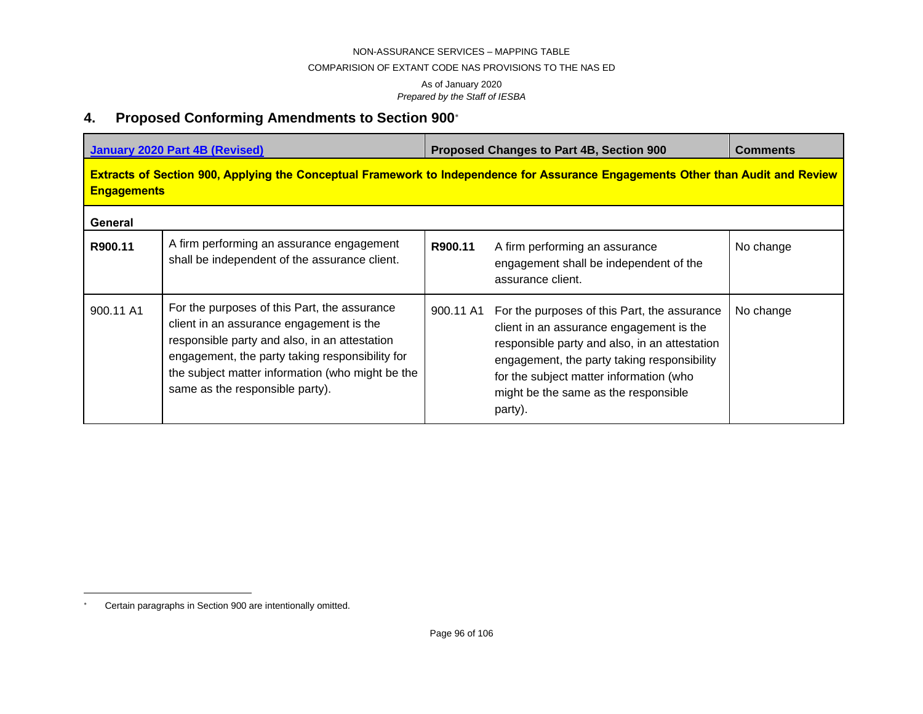#### COMPARISION OF EXTANT CODE NAS PROVISIONS TO THE NAS ED

As of January 2020 *Prepared by the Staff of IESBA*

# **4. Proposed Conforming Amendments to Section 900**

|                                                                                                                                                               | <b>January 2020 Part 4B (Revised)</b>                                                                                                                                                                                                                                               | Proposed Changes to Part 4B, Section 900 | <b>Comments</b>                                                                                                                                                                                                                                                                        |           |  |  |
|---------------------------------------------------------------------------------------------------------------------------------------------------------------|-------------------------------------------------------------------------------------------------------------------------------------------------------------------------------------------------------------------------------------------------------------------------------------|------------------------------------------|----------------------------------------------------------------------------------------------------------------------------------------------------------------------------------------------------------------------------------------------------------------------------------------|-----------|--|--|
| <b>Extracts of Section 900, Applying the Conceptual Framework to Independence for Assurance Engagements Other than Audit and Review</b><br><b>Engagements</b> |                                                                                                                                                                                                                                                                                     |                                          |                                                                                                                                                                                                                                                                                        |           |  |  |
| General                                                                                                                                                       |                                                                                                                                                                                                                                                                                     |                                          |                                                                                                                                                                                                                                                                                        |           |  |  |
| R900.11                                                                                                                                                       | A firm performing an assurance engagement<br>shall be independent of the assurance client.                                                                                                                                                                                          | R900.11                                  | A firm performing an assurance<br>engagement shall be independent of the<br>assurance client.                                                                                                                                                                                          | No change |  |  |
| 900.11 A1                                                                                                                                                     | For the purposes of this Part, the assurance<br>client in an assurance engagement is the<br>responsible party and also, in an attestation<br>engagement, the party taking responsibility for<br>the subject matter information (who might be the<br>same as the responsible party). | 900.11 A1                                | For the purposes of this Part, the assurance<br>client in an assurance engagement is the<br>responsible party and also, in an attestation<br>engagement, the party taking responsibility<br>for the subject matter information (who<br>might be the same as the responsible<br>party). | No change |  |  |

Certain paragraphs in Section 900 are intentionally omitted.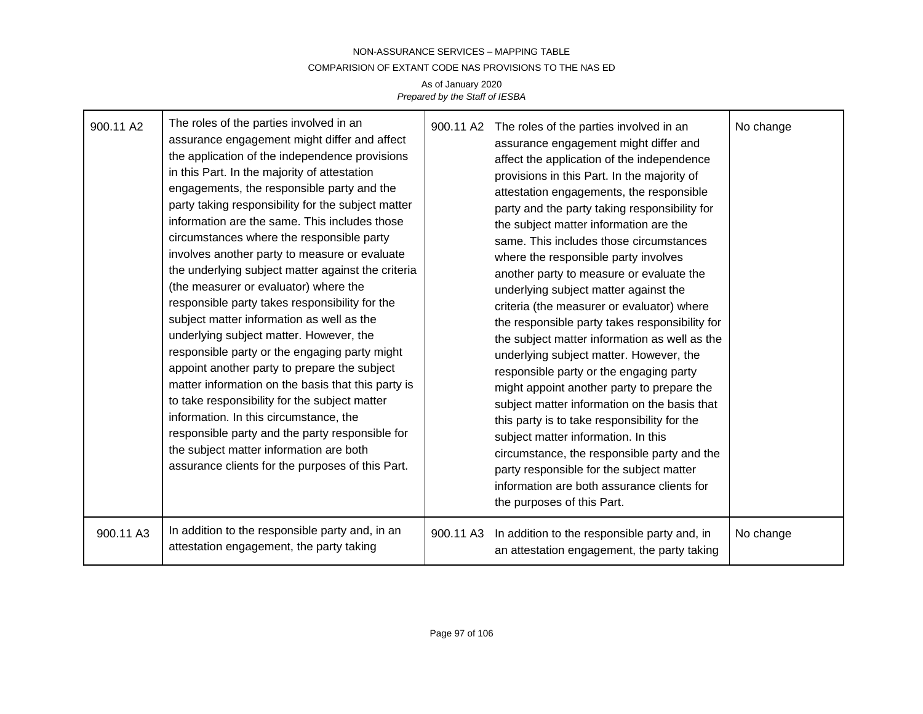## NON-ASSURANCE SERVICES – MAPPING TABLE COMPARISION OF EXTANT CODE NAS PROVISIONS TO THE NAS ED As of January 2020

*Prepared by the Staff of IESBA*

| 900.11 A2 | The roles of the parties involved in an<br>assurance engagement might differ and affect<br>the application of the independence provisions<br>in this Part. In the majority of attestation<br>engagements, the responsible party and the<br>party taking responsibility for the subject matter<br>information are the same. This includes those<br>circumstances where the responsible party<br>involves another party to measure or evaluate<br>the underlying subject matter against the criteria<br>(the measurer or evaluator) where the<br>responsible party takes responsibility for the<br>subject matter information as well as the<br>underlying subject matter. However, the<br>responsible party or the engaging party might<br>appoint another party to prepare the subject<br>matter information on the basis that this party is<br>to take responsibility for the subject matter<br>information. In this circumstance, the<br>responsible party and the party responsible for<br>the subject matter information are both<br>assurance clients for the purposes of this Part. | 900.11 A2 | The roles of the parties involved in an<br>assurance engagement might differ and<br>affect the application of the independence<br>provisions in this Part. In the majority of<br>attestation engagements, the responsible<br>party and the party taking responsibility for<br>the subject matter information are the<br>same. This includes those circumstances<br>where the responsible party involves<br>another party to measure or evaluate the<br>underlying subject matter against the<br>criteria (the measurer or evaluator) where<br>the responsible party takes responsibility for<br>the subject matter information as well as the<br>underlying subject matter. However, the<br>responsible party or the engaging party<br>might appoint another party to prepare the<br>subject matter information on the basis that<br>this party is to take responsibility for the<br>subject matter information. In this<br>circumstance, the responsible party and the<br>party responsible for the subject matter<br>information are both assurance clients for<br>the purposes of this Part. | No change |
|-----------|-------------------------------------------------------------------------------------------------------------------------------------------------------------------------------------------------------------------------------------------------------------------------------------------------------------------------------------------------------------------------------------------------------------------------------------------------------------------------------------------------------------------------------------------------------------------------------------------------------------------------------------------------------------------------------------------------------------------------------------------------------------------------------------------------------------------------------------------------------------------------------------------------------------------------------------------------------------------------------------------------------------------------------------------------------------------------------------------|-----------|-------------------------------------------------------------------------------------------------------------------------------------------------------------------------------------------------------------------------------------------------------------------------------------------------------------------------------------------------------------------------------------------------------------------------------------------------------------------------------------------------------------------------------------------------------------------------------------------------------------------------------------------------------------------------------------------------------------------------------------------------------------------------------------------------------------------------------------------------------------------------------------------------------------------------------------------------------------------------------------------------------------------------------------------------------------------------------------------------|-----------|
| 900.11 A3 | In addition to the responsible party and, in an<br>attestation engagement, the party taking                                                                                                                                                                                                                                                                                                                                                                                                                                                                                                                                                                                                                                                                                                                                                                                                                                                                                                                                                                                               | 900.11 A3 | In addition to the responsible party and, in<br>an attestation engagement, the party taking                                                                                                                                                                                                                                                                                                                                                                                                                                                                                                                                                                                                                                                                                                                                                                                                                                                                                                                                                                                                     | No change |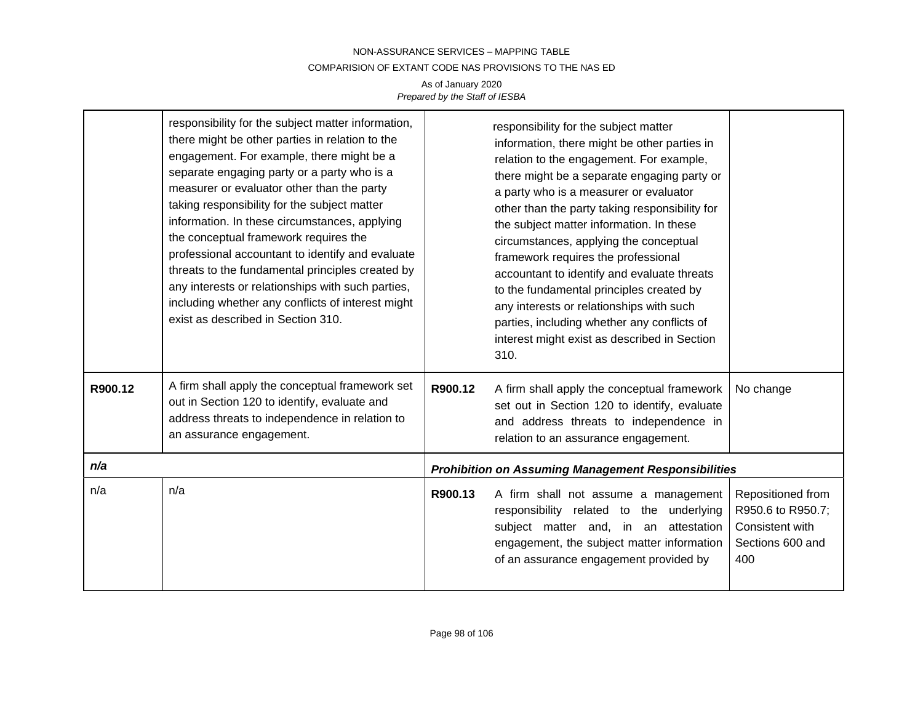## NON-ASSURANCE SERVICES – MAPPING TABLE COMPARISION OF EXTANT CODE NAS PROVISIONS TO THE NAS ED As of January 2020 *Prepared by the Staff of IESBA*

|         | responsibility for the subject matter information,<br>there might be other parties in relation to the<br>engagement. For example, there might be a<br>separate engaging party or a party who is a<br>measurer or evaluator other than the party<br>taking responsibility for the subject matter<br>information. In these circumstances, applying<br>the conceptual framework requires the<br>professional accountant to identify and evaluate<br>threats to the fundamental principles created by<br>any interests or relationships with such parties,<br>including whether any conflicts of interest might<br>exist as described in Section 310. |                                                            | responsibility for the subject matter<br>information, there might be other parties in<br>relation to the engagement. For example,<br>there might be a separate engaging party or<br>a party who is a measurer or evaluator<br>other than the party taking responsibility for<br>the subject matter information. In these<br>circumstances, applying the conceptual<br>framework requires the professional<br>accountant to identify and evaluate threats<br>to the fundamental principles created by<br>any interests or relationships with such<br>parties, including whether any conflicts of<br>interest might exist as described in Section<br>310. |                                                                                      |  |
|---------|---------------------------------------------------------------------------------------------------------------------------------------------------------------------------------------------------------------------------------------------------------------------------------------------------------------------------------------------------------------------------------------------------------------------------------------------------------------------------------------------------------------------------------------------------------------------------------------------------------------------------------------------------|------------------------------------------------------------|---------------------------------------------------------------------------------------------------------------------------------------------------------------------------------------------------------------------------------------------------------------------------------------------------------------------------------------------------------------------------------------------------------------------------------------------------------------------------------------------------------------------------------------------------------------------------------------------------------------------------------------------------------|--------------------------------------------------------------------------------------|--|
| R900.12 | A firm shall apply the conceptual framework set<br>out in Section 120 to identify, evaluate and<br>address threats to independence in relation to<br>an assurance engagement.                                                                                                                                                                                                                                                                                                                                                                                                                                                                     | R900.12                                                    | A firm shall apply the conceptual framework<br>set out in Section 120 to identify, evaluate<br>and address threats to independence in<br>relation to an assurance engagement.                                                                                                                                                                                                                                                                                                                                                                                                                                                                           | No change                                                                            |  |
| n/a     |                                                                                                                                                                                                                                                                                                                                                                                                                                                                                                                                                                                                                                                   | <b>Prohibition on Assuming Management Responsibilities</b> |                                                                                                                                                                                                                                                                                                                                                                                                                                                                                                                                                                                                                                                         |                                                                                      |  |
| n/a     | n/a                                                                                                                                                                                                                                                                                                                                                                                                                                                                                                                                                                                                                                               | R900.13                                                    | A firm shall not assume a management<br>responsibility related to the underlying<br>subject matter and, in an attestation<br>engagement, the subject matter information<br>of an assurance engagement provided by                                                                                                                                                                                                                                                                                                                                                                                                                                       | Repositioned from<br>R950.6 to R950.7;<br>Consistent with<br>Sections 600 and<br>400 |  |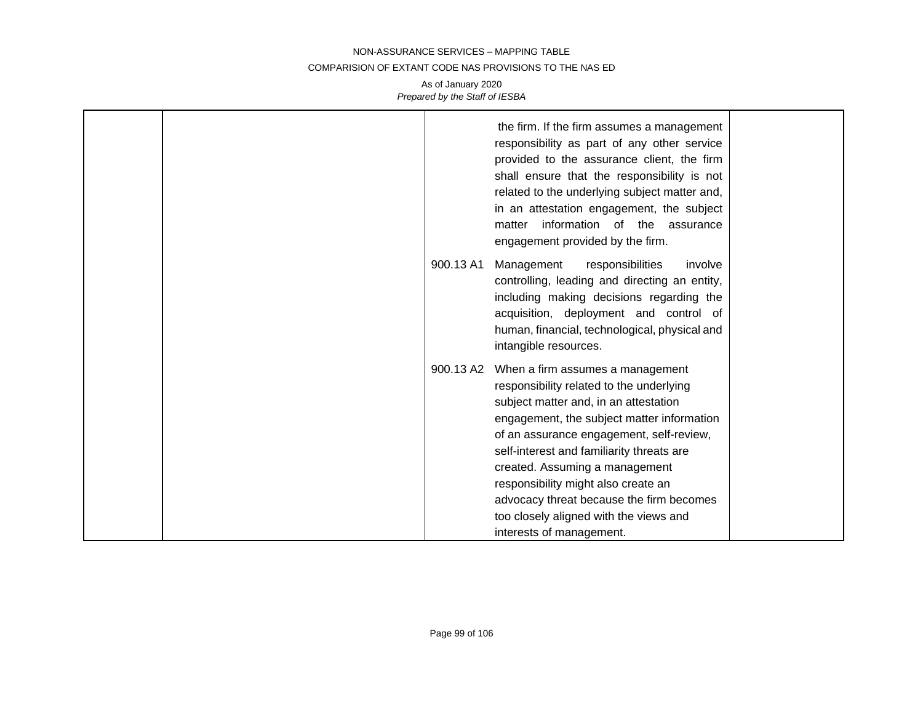#### COMPARISION OF EXTANT CODE NAS PROVISIONS TO THE NAS ED

|  |           | the firm. If the firm assumes a management<br>responsibility as part of any other service<br>provided to the assurance client, the firm<br>shall ensure that the responsibility is not<br>related to the underlying subject matter and,<br>in an attestation engagement, the subject<br>information of the assurance<br>matter<br>engagement provided by the firm.                                                                                      |  |
|--|-----------|---------------------------------------------------------------------------------------------------------------------------------------------------------------------------------------------------------------------------------------------------------------------------------------------------------------------------------------------------------------------------------------------------------------------------------------------------------|--|
|  | 900.13 A1 | Management<br>responsibilities<br>involve<br>controlling, leading and directing an entity,<br>including making decisions regarding the<br>acquisition, deployment and control of<br>human, financial, technological, physical and<br>intangible resources.                                                                                                                                                                                              |  |
|  | 900.13 A2 | When a firm assumes a management<br>responsibility related to the underlying<br>subject matter and, in an attestation<br>engagement, the subject matter information<br>of an assurance engagement, self-review,<br>self-interest and familiarity threats are<br>created. Assuming a management<br>responsibility might also create an<br>advocacy threat because the firm becomes<br>too closely aligned with the views and<br>interests of management. |  |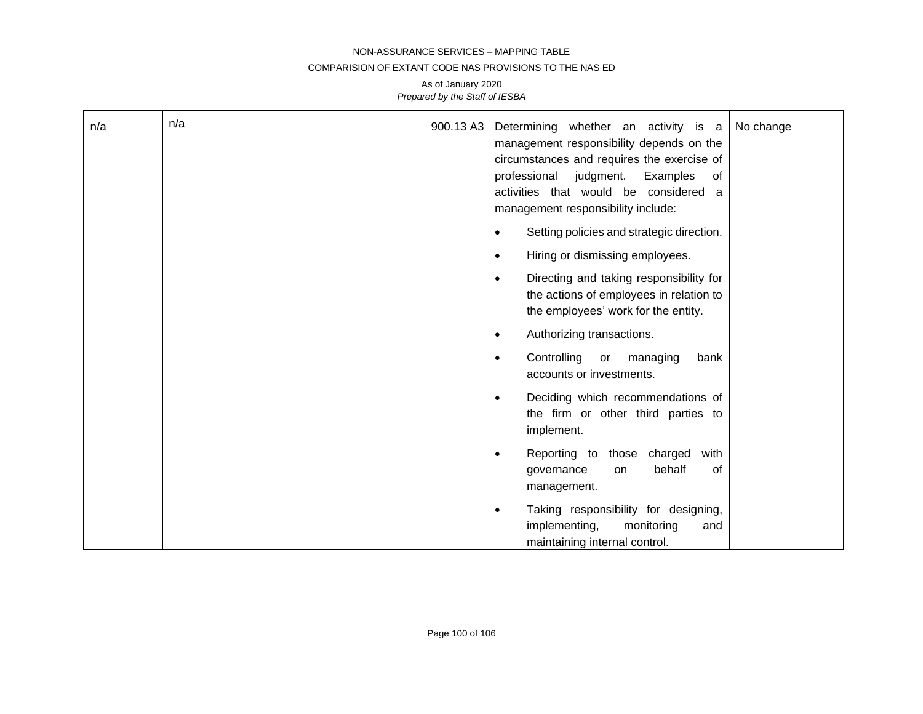#### COMPARISION OF EXTANT CODE NAS PROVISIONS TO THE NAS ED

| n/a | n/a | 900.13 A3 | Determining whether an activity is a<br>No change<br>management responsibility depends on the<br>circumstances and requires the exercise of<br>professional judgment.<br>Examples<br>of<br>activities that would be considered<br>a<br>management responsibility include: |
|-----|-----|-----------|---------------------------------------------------------------------------------------------------------------------------------------------------------------------------------------------------------------------------------------------------------------------------|
|     |     |           | Setting policies and strategic direction.                                                                                                                                                                                                                                 |
|     |     |           | Hiring or dismissing employees.<br>$\bullet$                                                                                                                                                                                                                              |
|     |     |           | Directing and taking responsibility for<br>$\bullet$<br>the actions of employees in relation to<br>the employees' work for the entity.                                                                                                                                    |
|     |     |           | Authorizing transactions.                                                                                                                                                                                                                                                 |
|     |     |           | Controlling<br>or<br>managing<br>bank<br>$\bullet$<br>accounts or investments.                                                                                                                                                                                            |
|     |     |           | Deciding which recommendations of<br>$\bullet$<br>the firm or other third parties to<br>implement.                                                                                                                                                                        |
|     |     |           | Reporting to those<br>charged<br>with<br>$\bullet$<br>behalf<br>of<br>governance<br>on<br>management.                                                                                                                                                                     |
|     |     |           | Taking responsibility for designing,<br>implementing,<br>monitoring<br>and<br>maintaining internal control.                                                                                                                                                               |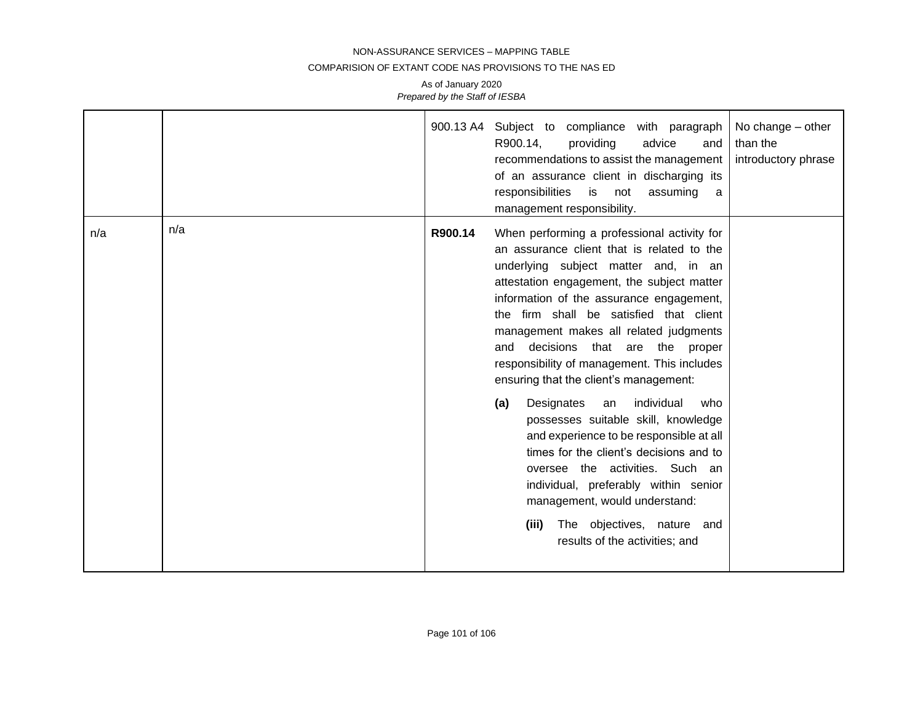#### COMPARISION OF EXTANT CODE NAS PROVISIONS TO THE NAS ED

|     |     | 900.13 A4 | Subject to compliance with paragraph<br>R900.14,<br>advice<br>providing<br>and<br>recommendations to assist the management<br>of an assurance client in discharging its<br>responsibilities<br>is not<br>assuming<br>a<br>management responsibility.                                                                                                                                                                                                                                                                                                                                                                                                                                                                                                                                                                   | No change – other<br>than the<br>introductory phrase |
|-----|-----|-----------|------------------------------------------------------------------------------------------------------------------------------------------------------------------------------------------------------------------------------------------------------------------------------------------------------------------------------------------------------------------------------------------------------------------------------------------------------------------------------------------------------------------------------------------------------------------------------------------------------------------------------------------------------------------------------------------------------------------------------------------------------------------------------------------------------------------------|------------------------------------------------------|
| n/a | n/a | R900.14   | When performing a professional activity for<br>an assurance client that is related to the<br>underlying subject matter and, in an<br>attestation engagement, the subject matter<br>information of the assurance engagement,<br>the firm shall be satisfied that client<br>management makes all related judgments<br>decisions<br>that are the proper<br>and<br>responsibility of management. This includes<br>ensuring that the client's management:<br>individual<br>Designates<br>who<br>(a)<br>an<br>possesses suitable skill, knowledge<br>and experience to be responsible at all<br>times for the client's decisions and to<br>oversee the activities. Such an<br>individual, preferably within senior<br>management, would understand:<br>The objectives, nature and<br>(iii)<br>results of the activities; and |                                                      |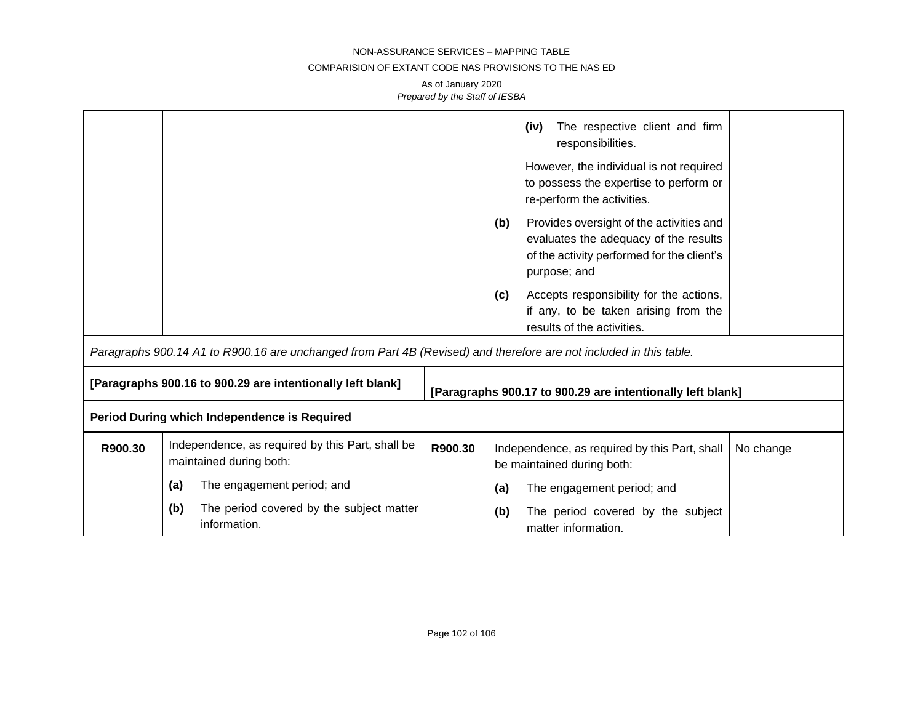## COMPARISION OF EXTANT CODE NAS PROVISIONS TO THE NAS ED

|         |                                                                                                                    |         |     | The respective client and firm<br>(iv)<br>responsibilities.                                                                                     |           |
|---------|--------------------------------------------------------------------------------------------------------------------|---------|-----|-------------------------------------------------------------------------------------------------------------------------------------------------|-----------|
|         |                                                                                                                    |         |     | However, the individual is not required<br>to possess the expertise to perform or<br>re-perform the activities.                                 |           |
|         |                                                                                                                    |         | (b) | Provides oversight of the activities and<br>evaluates the adequacy of the results<br>of the activity performed for the client's<br>purpose; and |           |
|         |                                                                                                                    |         | (c) | Accepts responsibility for the actions,<br>if any, to be taken arising from the<br>results of the activities.                                   |           |
|         | Paragraphs 900.14 A1 to R900.16 are unchanged from Part 4B (Revised) and therefore are not included in this table. |         |     |                                                                                                                                                 |           |
|         | [Paragraphs 900.16 to 900.29 are intentionally left blank]                                                         |         |     | [Paragraphs 900.17 to 900.29 are intentionally left blank]                                                                                      |           |
|         | Period During which Independence is Required                                                                       |         |     |                                                                                                                                                 |           |
| R900.30 | Independence, as required by this Part, shall be<br>maintained during both:                                        | R900.30 |     | Independence, as required by this Part, shall<br>be maintained during both:                                                                     | No change |
|         | The engagement period; and<br>(a)                                                                                  |         | (a) | The engagement period; and                                                                                                                      |           |
|         | (b)<br>The period covered by the subject matter<br>information.                                                    |         | (b) | The period covered by the subject<br>matter information.                                                                                        |           |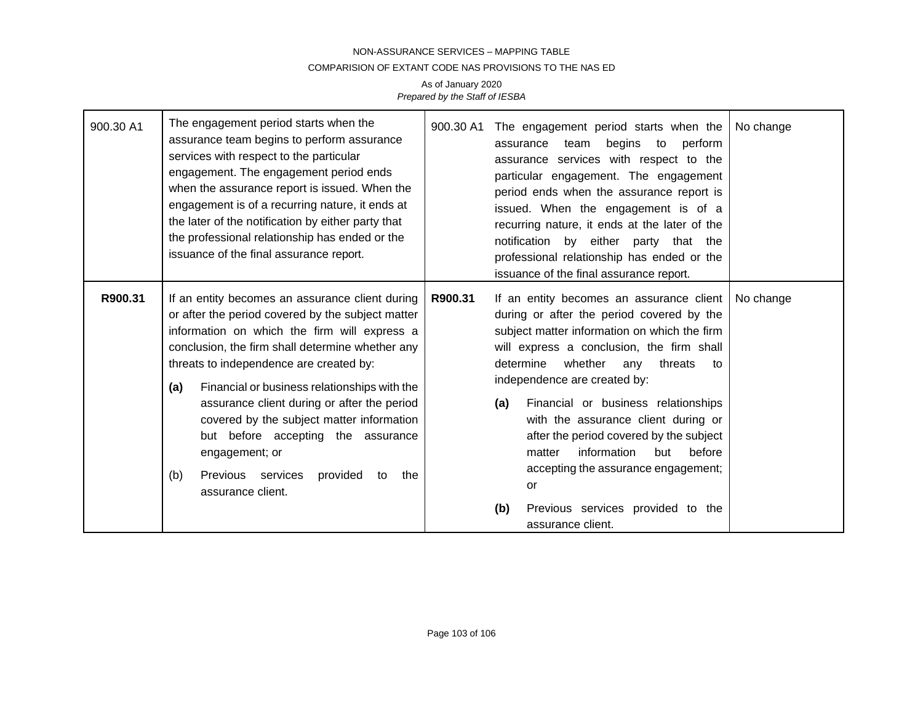#### COMPARISION OF EXTANT CODE NAS PROVISIONS TO THE NAS ED

| 900.30 A1 | The engagement period starts when the<br>assurance team begins to perform assurance<br>services with respect to the particular<br>engagement. The engagement period ends<br>when the assurance report is issued. When the<br>engagement is of a recurring nature, it ends at<br>the later of the notification by either party that<br>the professional relationship has ended or the<br>issuance of the final assurance report.                                                                                                          | 900.30 A1 | The engagement period starts when the<br>begins to perform<br>assurance team<br>assurance services with respect to the<br>particular engagement. The engagement<br>period ends when the assurance report is<br>issued. When the engagement is of a<br>recurring nature, it ends at the later of the<br>notification by either party that the<br>professional relationship has ended or the<br>issuance of the final assurance report.                                                                                                                      | No change |
|-----------|------------------------------------------------------------------------------------------------------------------------------------------------------------------------------------------------------------------------------------------------------------------------------------------------------------------------------------------------------------------------------------------------------------------------------------------------------------------------------------------------------------------------------------------|-----------|------------------------------------------------------------------------------------------------------------------------------------------------------------------------------------------------------------------------------------------------------------------------------------------------------------------------------------------------------------------------------------------------------------------------------------------------------------------------------------------------------------------------------------------------------------|-----------|
| R900.31   | If an entity becomes an assurance client during<br>or after the period covered by the subject matter<br>information on which the firm will express a<br>conclusion, the firm shall determine whether any<br>threats to independence are created by:<br>Financial or business relationships with the<br>(a)<br>assurance client during or after the period<br>covered by the subject matter information<br>but before accepting the assurance<br>engagement; or<br>Previous services<br>provided<br>(b)<br>the<br>to<br>assurance client. | R900.31   | If an entity becomes an assurance client<br>during or after the period covered by the<br>subject matter information on which the firm<br>will express a conclusion, the firm shall<br>whether<br>determine<br>threats<br>any<br>to<br>independence are created by:<br>Financial or business relationships<br>(a)<br>with the assurance client during or<br>after the period covered by the subject<br>information<br>before<br>matter<br>but<br>accepting the assurance engagement;<br>or<br>Previous services provided to the<br>(b)<br>assurance client. | No change |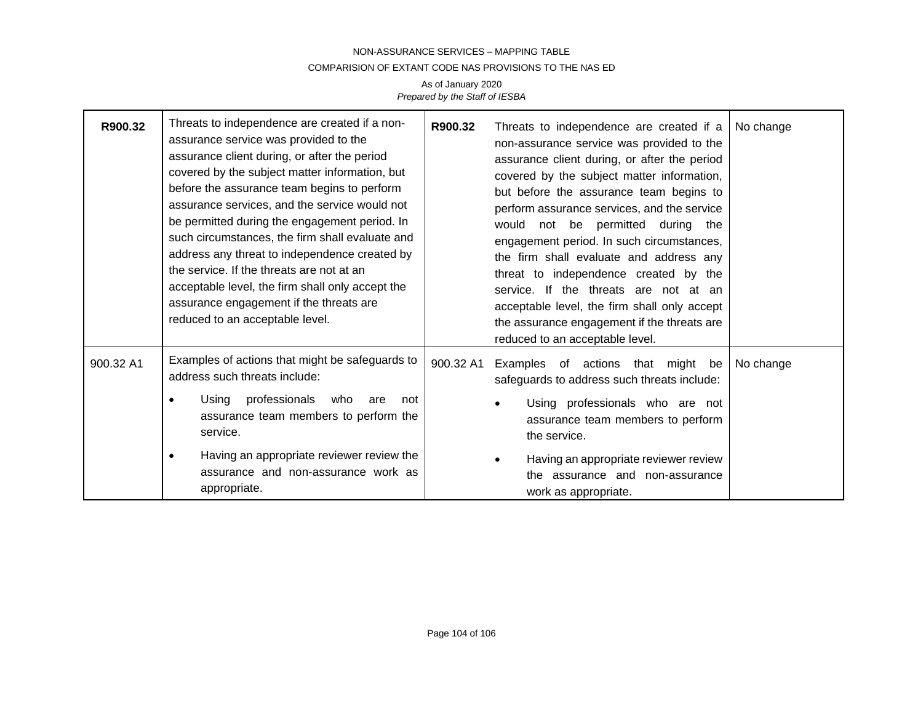### COMPARISION OF EXTANT CODE NAS PROVISIONS TO THE NAS ED

| R900.32   | Threats to independence are created if a non-<br>assurance service was provided to the<br>assurance client during, or after the period<br>covered by the subject matter information, but<br>before the assurance team begins to perform<br>assurance services, and the service would not<br>be permitted during the engagement period. In<br>such circumstances, the firm shall evaluate and<br>address any threat to independence created by<br>the service. If the threats are not at an<br>acceptable level, the firm shall only accept the<br>assurance engagement if the threats are<br>reduced to an acceptable level. | R900.32   | Threats to independence are created if a<br>non-assurance service was provided to the<br>assurance client during, or after the period<br>covered by the subject matter information,<br>but before the assurance team begins to<br>perform assurance services, and the service<br>would not be permitted during the<br>engagement period. In such circumstances,<br>the firm shall evaluate and address any<br>threat to independence created by the<br>service. If the threats are not at an<br>acceptable level, the firm shall only accept<br>the assurance engagement if the threats are<br>reduced to an acceptable level. | No change |
|-----------|------------------------------------------------------------------------------------------------------------------------------------------------------------------------------------------------------------------------------------------------------------------------------------------------------------------------------------------------------------------------------------------------------------------------------------------------------------------------------------------------------------------------------------------------------------------------------------------------------------------------------|-----------|--------------------------------------------------------------------------------------------------------------------------------------------------------------------------------------------------------------------------------------------------------------------------------------------------------------------------------------------------------------------------------------------------------------------------------------------------------------------------------------------------------------------------------------------------------------------------------------------------------------------------------|-----------|
| 900.32 A1 | Examples of actions that might be safeguards to<br>address such threats include:<br>professionals<br>Using<br>who<br>are<br>not<br>assurance team members to perform the<br>service.<br>Having an appropriate reviewer review the<br>٠<br>assurance and non-assurance work as<br>appropriate.                                                                                                                                                                                                                                                                                                                                | 900.32 A1 | Examples of actions that might be<br>safeguards to address such threats include:<br>Using professionals who are not<br>assurance team members to perform<br>the service.<br>Having an appropriate reviewer review<br>the assurance and non-assurance                                                                                                                                                                                                                                                                                                                                                                           | No change |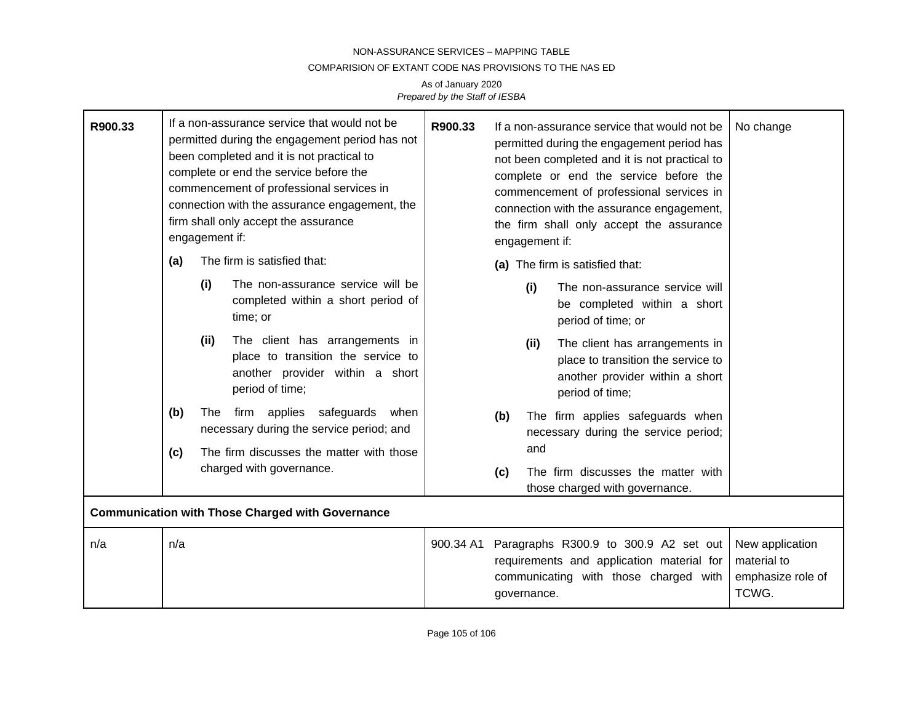#### COMPARISION OF EXTANT CODE NAS PROVISIONS TO THE NAS ED

| R900.33 |     | engagement if: | If a non-assurance service that would not be<br>permitted during the engagement period has not<br>been completed and it is not practical to<br>complete or end the service before the<br>commencement of professional services in<br>connection with the assurance engagement, the<br>firm shall only accept the assurance | R900.33   | If a non-assurance service that would not be<br>permitted during the engagement period has<br>not been completed and it is not practical to<br>complete or end the service before the<br>commencement of professional services in<br>connection with the assurance engagement,<br>the firm shall only accept the assurance<br>engagement if: |             |                                                                                                                             | No change                                                    |
|---------|-----|----------------|----------------------------------------------------------------------------------------------------------------------------------------------------------------------------------------------------------------------------------------------------------------------------------------------------------------------------|-----------|----------------------------------------------------------------------------------------------------------------------------------------------------------------------------------------------------------------------------------------------------------------------------------------------------------------------------------------------|-------------|-----------------------------------------------------------------------------------------------------------------------------|--------------------------------------------------------------|
|         | (a) |                | The firm is satisfied that:                                                                                                                                                                                                                                                                                                |           |                                                                                                                                                                                                                                                                                                                                              |             | (a) The firm is satisfied that:                                                                                             |                                                              |
|         |     | (i)            | The non-assurance service will be<br>completed within a short period of<br>time; or                                                                                                                                                                                                                                        |           |                                                                                                                                                                                                                                                                                                                                              | (i)         | The non-assurance service will<br>be completed within a short<br>period of time; or                                         |                                                              |
|         |     | (ii)           | The client has arrangements in<br>place to transition the service to<br>another provider within a short<br>period of time;                                                                                                                                                                                                 |           |                                                                                                                                                                                                                                                                                                                                              | (ii)        | The client has arrangements in<br>place to transition the service to<br>another provider within a short<br>period of time;  |                                                              |
|         | (b) | The            | firm applies safeguards when<br>necessary during the service period; and                                                                                                                                                                                                                                                   |           | (b)                                                                                                                                                                                                                                                                                                                                          |             | The firm applies safeguards when<br>necessary during the service period;                                                    |                                                              |
|         | (c) |                | The firm discusses the matter with those                                                                                                                                                                                                                                                                                   |           |                                                                                                                                                                                                                                                                                                                                              | and         |                                                                                                                             |                                                              |
|         |     |                | charged with governance.                                                                                                                                                                                                                                                                                                   |           | (c)                                                                                                                                                                                                                                                                                                                                          |             | The firm discusses the matter with<br>those charged with governance.                                                        |                                                              |
|         |     |                | <b>Communication with Those Charged with Governance</b>                                                                                                                                                                                                                                                                    |           |                                                                                                                                                                                                                                                                                                                                              |             |                                                                                                                             |                                                              |
| n/a     | n/a |                |                                                                                                                                                                                                                                                                                                                            | 900.34 A1 |                                                                                                                                                                                                                                                                                                                                              | governance. | Paragraphs R300.9 to 300.9 A2 set out<br>requirements and application material for<br>communicating with those charged with | New application<br>material to<br>emphasize role of<br>TCWG. |